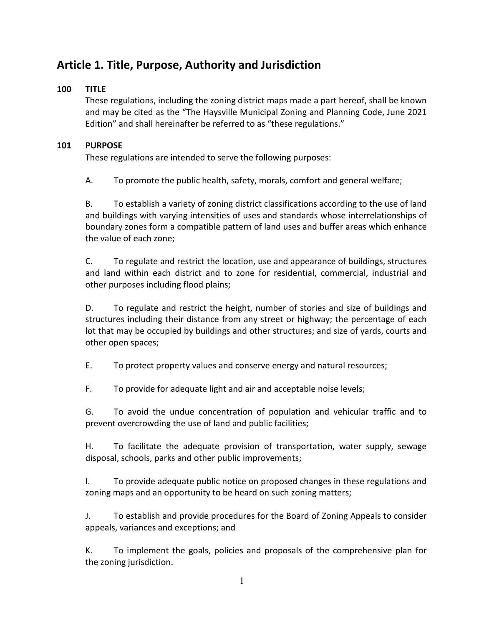# **Article 1. Title, Purpose, Authority and Jurisdiction**

### **100 TITLE**

These regulations, including the zoning district maps made a part hereof, shall be known and may be cited as the "The Haysville Municipal Zoning and Planning Code, June 2021 Edition" and shall hereinafter be referred to as "these regulations."

### **101 PURPOSE**

These regulations are intended to serve the following purposes:

A. To promote the public health, safety, morals, comfort and general welfare;

B. To establish a variety of zoning district classifications according to the use of land and buildings with varying intensities of uses and standards whose interrelationships of boundary zones form a compatible pattern of land uses and buffer areas which enhance the value of each zone;

C. To regulate and restrict the location, use and appearance of buildings, structures and land within each district and to zone for residential, commercial, industrial and other purposes including flood plains;

D. To regulate and restrict the height, number of stories and size of buildings and structures including their distance from any street or highway; the percentage of each lot that may be occupied by buildings and other structures; and size of yards, courts and other open spaces;

E. To protect property values and conserve energy and natural resources;

F. To provide for adequate light and air and acceptable noise levels;

G. To avoid the undue concentration of population and vehicular traffic and to prevent overcrowding the use of land and public facilities;

H. To facilitate the adequate provision of transportation, water supply, sewage disposal, schools, parks and other public improvements;

I. To provide adequate public notice on proposed changes in these regulations and zoning maps and an opportunity to be heard on such zoning matters;

J. To establish and provide procedures for the Board of Zoning Appeals to consider appeals, variances and exceptions; and

K. To implement the goals, policies and proposals of the comprehensive plan for the zoning jurisdiction.

1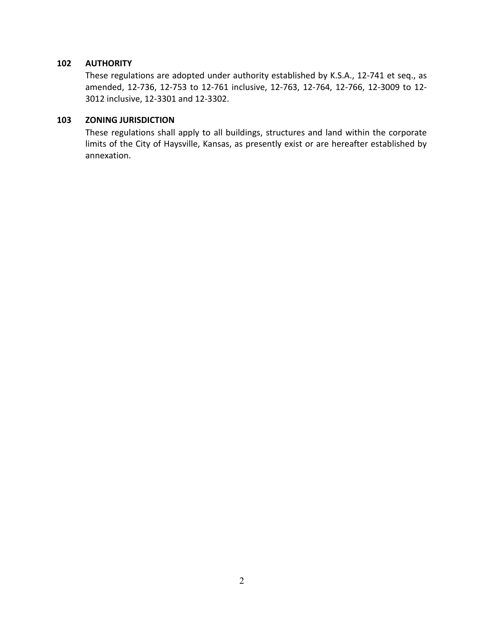#### **102 AUTHORITY**

These regulations are adopted under authority established by K.S.A., 12-741 et seq., as amended, 12-736, 12-753 to 12-761 inclusive, 12-763, 12-764, 12-766, 12-3009 to 12- 3012 inclusive, 12-3301 and 12-3302.

#### **103 ZONING JURISDICTION**

These regulations shall apply to all buildings, structures and land within the corporate limits of the City of Haysville, Kansas, as presently exist or are hereafter established by annexation.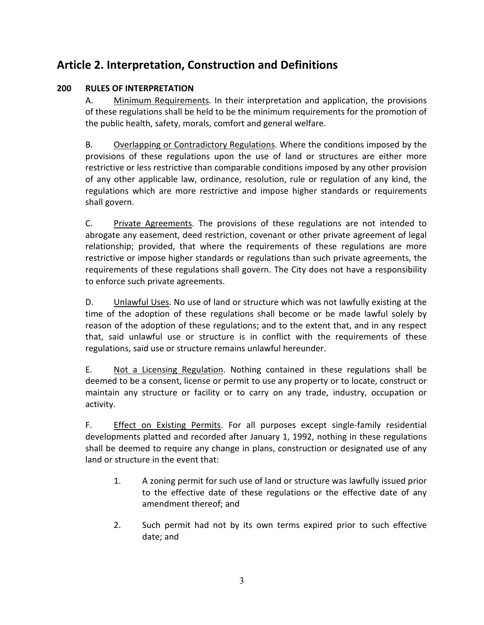# **Article 2. Interpretation, Construction and Definitions**

### **200 RULES OF INTERPRETATION**

A. Minimum Requirements. In their interpretation and application, the provisions of these regulations shall be held to be the minimum requirements for the promotion of the public health, safety, morals, comfort and general welfare.

B. Overlapping or Contradictory Regulations. Where the conditions imposed by the provisions of these regulations upon the use of land or structures are either more restrictive or less restrictive than comparable conditions imposed by any other provision of any other applicable law, ordinance, resolution, rule or regulation of any kind, the regulations which are more restrictive and impose higher standards or requirements shall govern.

C. Private Agreements. The provisions of these regulations are not intended to abrogate any easement, deed restriction, covenant or other private agreement of legal relationship; provided, that where the requirements of these regulations are more restrictive or impose higher standards or regulations than such private agreements, the requirements of these regulations shall govern. The City does not have a responsibility to enforce such private agreements.

D. Unlawful Uses. No use of land or structure which was not lawfully existing at the time of the adoption of these regulations shall become or be made lawful solely by reason of the adoption of these regulations; and to the extent that, and in any respect that, said unlawful use or structure is in conflict with the requirements of these regulations, said use or structure remains unlawful hereunder.

E. Not a Licensing Regulation. Nothing contained in these regulations shall be deemed to be a consent, license or permit to use any property or to locate, construct or maintain any structure or facility or to carry on any trade, industry, occupation or activity.

F. Effect on Existing Permits. For all purposes except single-family residential developments platted and recorded after January 1, 1992, nothing in these regulations shall be deemed to require any change in plans, construction or designated use of any land or structure in the event that:

- 1. A zoning permit for such use of land or structure was lawfully issued prior to the effective date of these regulations or the effective date of any amendment thereof; and
- 2. Such permit had not by its own terms expired prior to such effective date; and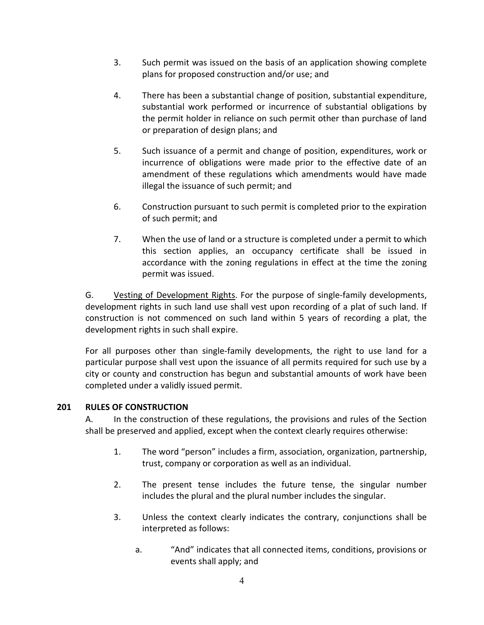- 3. Such permit was issued on the basis of an application showing complete plans for proposed construction and/or use; and
- 4. There has been a substantial change of position, substantial expenditure, substantial work performed or incurrence of substantial obligations by the permit holder in reliance on such permit other than purchase of land or preparation of design plans; and
- 5. Such issuance of a permit and change of position, expenditures, work or incurrence of obligations were made prior to the effective date of an amendment of these regulations which amendments would have made illegal the issuance of such permit; and
- 6. Construction pursuant to such permit is completed prior to the expiration of such permit; and
- 7. When the use of land or a structure is completed under a permit to which this section applies, an occupancy certificate shall be issued in accordance with the zoning regulations in effect at the time the zoning permit was issued.

G. Vesting of Development Rights. For the purpose of single-family developments, development rights in such land use shall vest upon recording of a plat of such land. If construction is not commenced on such land within 5 years of recording a plat, the development rights in such shall expire.

For all purposes other than single-family developments, the right to use land for a particular purpose shall vest upon the issuance of all permits required for such use by a city or county and construction has begun and substantial amounts of work have been completed under a validly issued permit.

#### **201 RULES OF CONSTRUCTION**

A. In the construction of these regulations, the provisions and rules of the Section shall be preserved and applied, except when the context clearly requires otherwise:

- 1. The word "person" includes a firm, association, organization, partnership, trust, company or corporation as well as an individual.
- 2. The present tense includes the future tense, the singular number includes the plural and the plural number includes the singular.
- 3. Unless the context clearly indicates the contrary, conjunctions shall be interpreted as follows:
	- a. "And" indicates that all connected items, conditions, provisions or events shall apply; and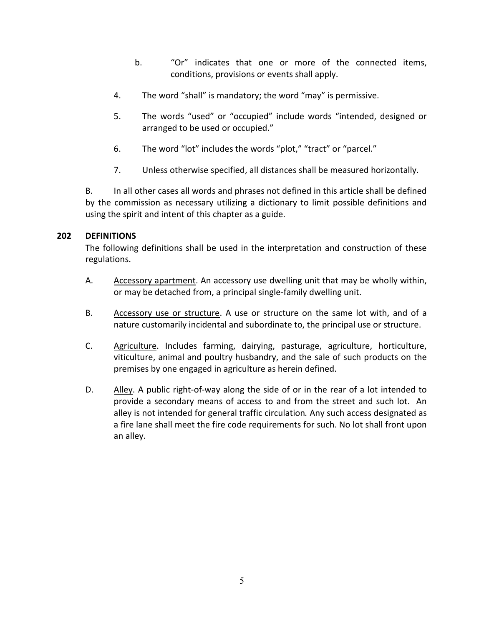- b. "Or" indicates that one or more of the connected items, conditions, provisions or events shall apply.
- 4. The word "shall" is mandatory; the word "may" is permissive.
- 5. The words "used" or "occupied" include words "intended, designed or arranged to be used or occupied."
- 6. The word "lot" includes the words "plot," "tract" or "parcel."
- 7. Unless otherwise specified, all distances shall be measured horizontally.

B. In all other cases all words and phrases not defined in this article shall be defined by the commission as necessary utilizing a dictionary to limit possible definitions and using the spirit and intent of this chapter as a guide.

#### **202 DEFINITIONS**

The following definitions shall be used in the interpretation and construction of these regulations.

- A. Accessory apartment. An accessory use dwelling unit that may be wholly within, or may be detached from, a principal single-family dwelling unit.
- B. Accessory use or structure. A use or structure on the same lot with, and of a nature customarily incidental and subordinate to, the principal use or structure.
- C. Agriculture. Includes farming, dairying, pasturage, agriculture, horticulture, viticulture, animal and poultry husbandry, and the sale of such products on the premises by one engaged in agriculture as herein defined.
- D. Alley. A public right-of-way along the side of or in the rear of a lot intended to provide a secondary means of access to and from the street and such lot. An alley is not intended for general traffic circulation*.* Any such access designated as a fire lane shall meet the fire code requirements for such. No lot shall front upon an alley.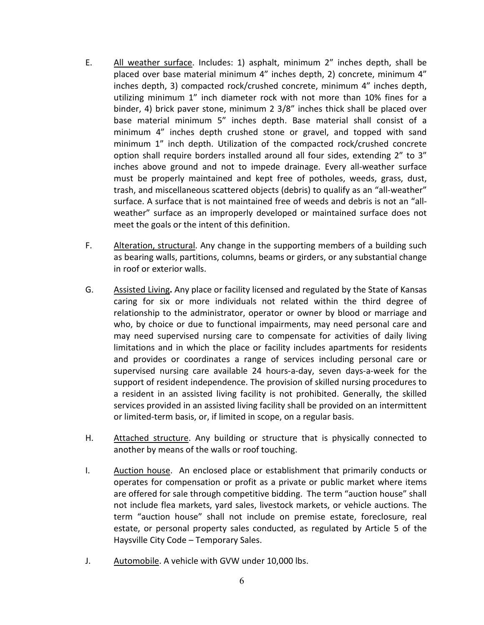- E. All weather surface. Includes: 1) asphalt, minimum 2" inches depth, shall be placed over base material minimum 4" inches depth, 2) concrete, minimum 4" inches depth, 3) compacted rock/crushed concrete, minimum 4" inches depth, utilizing minimum 1" inch diameter rock with not more than 10% fines for a binder, 4) brick paver stone, minimum 2 3/8" inches thick shall be placed over base material minimum 5" inches depth. Base material shall consist of a minimum 4" inches depth crushed stone or gravel, and topped with sand minimum 1" inch depth. Utilization of the compacted rock/crushed concrete option shall require borders installed around all four sides, extending 2" to 3" inches above ground and not to impede drainage. Every all-weather surface must be properly maintained and kept free of potholes, weeds, grass, dust, trash, and miscellaneous scattered objects (debris) to qualify as an "all-weather" surface. A surface that is not maintained free of weeds and debris is not an "allweather" surface as an improperly developed or maintained surface does not meet the goals or the intent of this definition.
- F. Alteration, structural. Any change in the supporting members of a building such as bearing walls, partitions, columns, beams or girders, or any substantial change in roof or exterior walls.
- G. Assisted Living**.** Any place or facility licensed and regulated by the State of Kansas caring for six or more individuals not related within the third degree of relationship to the administrator, operator or owner by blood or marriage and who, by choice or due to functional impairments, may need personal care and may need supervised nursing care to compensate for activities of daily living limitations and in which the place or facility includes apartments for residents and provides or coordinates a range of services including personal care or supervised nursing care available 24 hours-a-day, seven days-a-week for the support of resident independence. The provision of skilled nursing procedures to a resident in an assisted living facility is not prohibited. Generally, the skilled services provided in an assisted living facility shall be provided on an intermittent or limited-term basis, or, if limited in scope, on a regular basis.
- H. Attached structure. Any building or structure that is physically connected to another by means of the walls or roof touching.
- I. Auction house. An enclosed place or establishment that primarily conducts or operates for compensation or profit as a private or public market where items are offered for sale through competitive bidding. The term "auction house" shall not include flea markets, yard sales, livestock markets, or vehicle auctions. The term "auction house" shall not include on premise estate, foreclosure, real estate, or personal property sales conducted, as regulated by Article 5 of the Haysville City Code – Temporary Sales.
- J. Automobile. A vehicle with GVW under 10,000 lbs.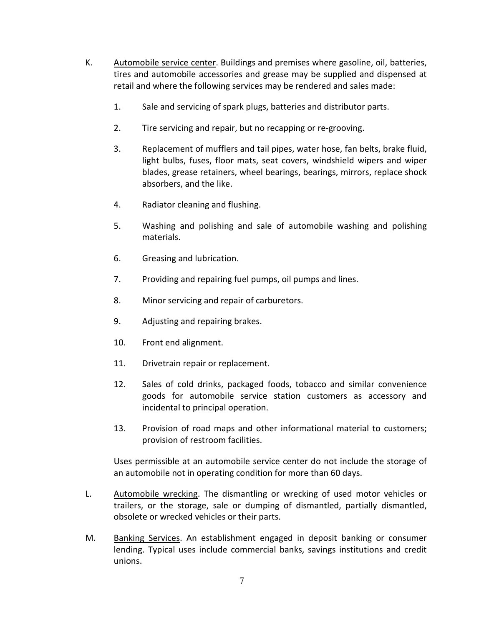- K. Automobile service center. Buildings and premises where gasoline, oil, batteries, tires and automobile accessories and grease may be supplied and dispensed at retail and where the following services may be rendered and sales made:
	- 1. Sale and servicing of spark plugs, batteries and distributor parts.
	- 2. Tire servicing and repair, but no recapping or re-grooving.
	- 3. Replacement of mufflers and tail pipes, water hose, fan belts, brake fluid, light bulbs, fuses, floor mats, seat covers, windshield wipers and wiper blades, grease retainers, wheel bearings, bearings, mirrors, replace shock absorbers, and the like.
	- 4. Radiator cleaning and flushing.
	- 5. Washing and polishing and sale of automobile washing and polishing materials.
	- 6. Greasing and lubrication.
	- 7. Providing and repairing fuel pumps, oil pumps and lines.
	- 8. Minor servicing and repair of carburetors.
	- 9. Adjusting and repairing brakes.
	- 10. Front end alignment.
	- 11. Drivetrain repair or replacement.
	- 12. Sales of cold drinks, packaged foods, tobacco and similar convenience goods for automobile service station customers as accessory and incidental to principal operation.
	- 13. Provision of road maps and other informational material to customers; provision of restroom facilities.

Uses permissible at an automobile service center do not include the storage of an automobile not in operating condition for more than 60 days.

- L. Automobile wrecking. The dismantling or wrecking of used motor vehicles or trailers, or the storage, sale or dumping of dismantled, partially dismantled, obsolete or wrecked vehicles or their parts.
- M. Banking Services. An establishment engaged in deposit banking or consumer lending. Typical uses include commercial banks, savings institutions and credit unions.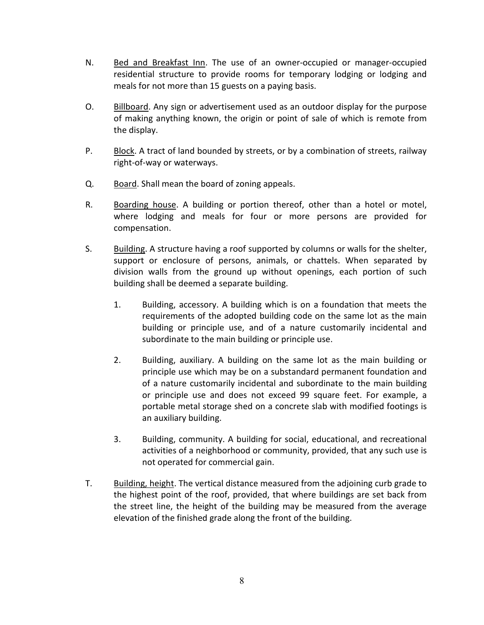- N. Bed and Breakfast Inn. The use of an owner-occupied or manager-occupied residential structure to provide rooms for temporary lodging or lodging and meals for not more than 15 guests on a paying basis.
- O. Billboard. Any sign or advertisement used as an outdoor display for the purpose of making anything known, the origin or point of sale of which is remote from the display.
- P. Block. A tract of land bounded by streets, or by a combination of streets, railway right-of-way or waterways.
- Q. Board. Shall mean the board of zoning appeals.
- R. Boarding house. A building or portion thereof, other than a hotel or motel, where lodging and meals for four or more persons are provided for compensation.
- S. Building. A structure having a roof supported by columns or walls for the shelter, support or enclosure of persons, animals, or chattels. When separated by division walls from the ground up without openings, each portion of such building shall be deemed a separate building.
	- 1. Building, accessory. A building which is on a foundation that meets the requirements of the adopted building code on the same lot as the main building or principle use, and of a nature customarily incidental and subordinate to the main building or principle use.
	- 2. Building, auxiliary. A building on the same lot as the main building or principle use which may be on a substandard permanent foundation and of a nature customarily incidental and subordinate to the main building or principle use and does not exceed 99 square feet. For example, a portable metal storage shed on a concrete slab with modified footings is an auxiliary building.
	- 3. Building, community. A building for social, educational, and recreational activities of a neighborhood or community, provided, that any such use is not operated for commercial gain.
- T. Building, height. The vertical distance measured from the adjoining curb grade to the highest point of the roof, provided, that where buildings are set back from the street line, the height of the building may be measured from the average elevation of the finished grade along the front of the building.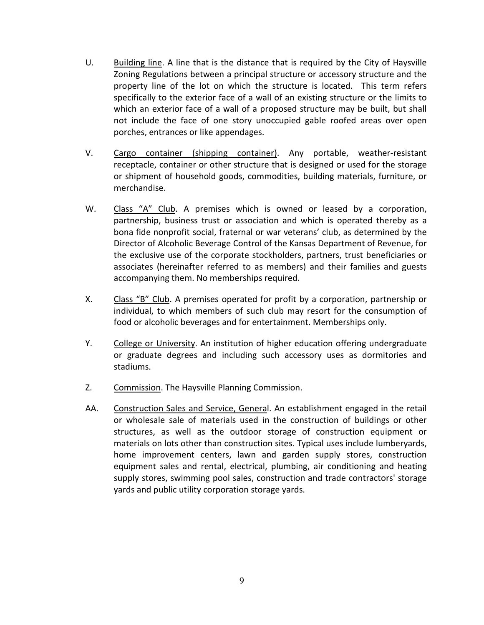- U. Building line. A line that is the distance that is required by the City of Haysville Zoning Regulations between a principal structure or accessory structure and the property line of the lot on which the structure is located. This term refers specifically to the exterior face of a wall of an existing structure or the limits to which an exterior face of a wall of a proposed structure may be built, but shall not include the face of one story unoccupied gable roofed areas over open porches, entrances or like appendages.
- V. Cargo container (shipping container). Any portable, weather-resistant receptacle, container or other structure that is designed or used for the storage or shipment of household goods, commodities, building materials, furniture, or merchandise.
- W. Class "A" Club. A premises which is owned or leased by a corporation, partnership, business trust or association and which is operated thereby as a bona fide nonprofit social, fraternal or war veterans' club, as determined by the Director of Alcoholic Beverage Control of the Kansas Department of Revenue, for the exclusive use of the corporate stockholders, partners, trust beneficiaries or associates (hereinafter referred to as members) and their families and guests accompanying them. No memberships required.
- X. Class "B" Club. A premises operated for profit by a corporation, partnership or individual, to which members of such club may resort for the consumption of food or alcoholic beverages and for entertainment. Memberships only.
- Y. College or University. An institution of higher education offering undergraduate or graduate degrees and including such accessory uses as dormitories and stadiums.
- Z. Commission. The Haysville Planning Commission.
- AA. Construction Sales and Service, General. An establishment engaged in the retail or wholesale sale of materials used in the construction of buildings or other structures, as well as the outdoor storage of construction equipment or materials on lots other than construction sites. Typical uses include lumberyards, home improvement centers, lawn and garden supply stores, construction equipment sales and rental, electrical, plumbing, air conditioning and heating supply stores, swimming pool sales, construction and trade contractors' storage yards and public utility corporation storage yards.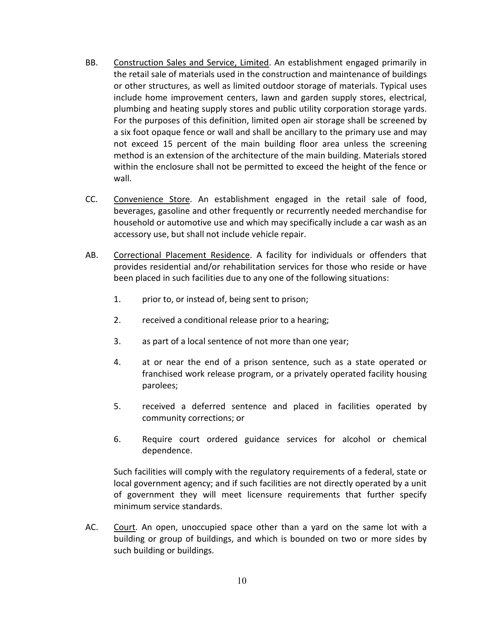- BB. Construction Sales and Service, Limited. An establishment engaged primarily in the retail sale of materials used in the construction and maintenance of buildings or other structures, as well as limited outdoor storage of materials. Typical uses include home improvement centers, lawn and garden supply stores, electrical, plumbing and heating supply stores and public utility corporation storage yards. For the purposes of this definition, limited open air storage shall be screened by a six foot opaque fence or wall and shall be ancillary to the primary use and may not exceed 15 percent of the main building floor area unless the screening method is an extension of the architecture of the main building. Materials stored within the enclosure shall not be permitted to exceed the height of the fence or wall.
- CC. Convenience Store. An establishment engaged in the retail sale of food, beverages, gasoline and other frequently or recurrently needed merchandise for household or automotive use and which may specifically include a car wash as an accessory use, but shall not include vehicle repair.
- AB. Correctional Placement Residence. A facility for individuals or offenders that provides residential and/or rehabilitation services for those who reside or have been placed in such facilities due to any one of the following situations:
	- 1. prior to, or instead of, being sent to prison;
	- 2. received a conditional release prior to a hearing;
	- 3. as part of a local sentence of not more than one year;
	- 4. at or near the end of a prison sentence, such as a state operated or franchised work release program, or a privately operated facility housing parolees;
	- 5. received a deferred sentence and placed in facilities operated by community corrections; or
	- 6. Require court ordered guidance services for alcohol or chemical dependence.

Such facilities will comply with the regulatory requirements of a federal, state or local government agency; and if such facilities are not directly operated by a unit of government they will meet licensure requirements that further specify minimum service standards.

AC. Court. An open, unoccupied space other than a yard on the same lot with a building or group of buildings, and which is bounded on two or more sides by such building or buildings.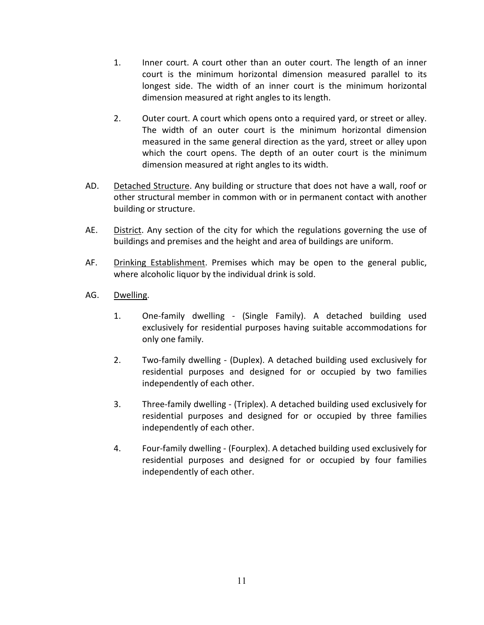- 1. Inner court. A court other than an outer court. The length of an inner court is the minimum horizontal dimension measured parallel to its longest side. The width of an inner court is the minimum horizontal dimension measured at right angles to its length.
- 2. Outer court. A court which opens onto a required yard, or street or alley. The width of an outer court is the minimum horizontal dimension measured in the same general direction as the yard, street or alley upon which the court opens. The depth of an outer court is the minimum dimension measured at right angles to its width.
- AD. Detached Structure. Any building or structure that does not have a wall, roof or other structural member in common with or in permanent contact with another building or structure.
- AE. District. Any section of the city for which the regulations governing the use of buildings and premises and the height and area of buildings are uniform.
- AF. Drinking Establishment. Premises which may be open to the general public, where alcoholic liquor by the individual drink is sold.
- AG. Dwelling.
	- 1. One-family dwelling (Single Family). A detached building used exclusively for residential purposes having suitable accommodations for only one family.
	- 2. Two-family dwelling (Duplex). A detached building used exclusively for residential purposes and designed for or occupied by two families independently of each other.
	- 3. Three-family dwelling (Triplex). A detached building used exclusively for residential purposes and designed for or occupied by three families independently of each other.
	- 4. Four-family dwelling (Fourplex). A detached building used exclusively for residential purposes and designed for or occupied by four families independently of each other.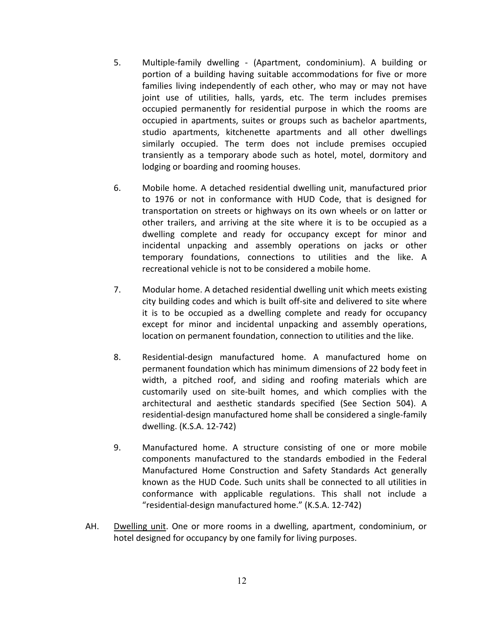- 5. Multiple-family dwelling (Apartment, condominium). A building or portion of a building having suitable accommodations for five or more families living independently of each other, who may or may not have joint use of utilities, halls, yards, etc. The term includes premises occupied permanently for residential purpose in which the rooms are occupied in apartments, suites or groups such as bachelor apartments, studio apartments, kitchenette apartments and all other dwellings similarly occupied. The term does not include premises occupied transiently as a temporary abode such as hotel, motel, dormitory and lodging or boarding and rooming houses.
- 6. Mobile home. A detached residential dwelling unit, manufactured prior to 1976 or not in conformance with HUD Code, that is designed for transportation on streets or highways on its own wheels or on latter or other trailers, and arriving at the site where it is to be occupied as a dwelling complete and ready for occupancy except for minor and incidental unpacking and assembly operations on jacks or other temporary foundations, connections to utilities and the like. A recreational vehicle is not to be considered a mobile home.
- 7. Modular home. A detached residential dwelling unit which meets existing city building codes and which is built off-site and delivered to site where it is to be occupied as a dwelling complete and ready for occupancy except for minor and incidental unpacking and assembly operations, location on permanent foundation, connection to utilities and the like.
- 8. Residential-design manufactured home. A manufactured home on permanent foundation which has minimum dimensions of 22 body feet in width, a pitched roof, and siding and roofing materials which are customarily used on site-built homes, and which complies with the architectural and aesthetic standards specified (See Section 504). A residential-design manufactured home shall be considered a single-family dwelling. (K.S.A. 12-742)
- 9. Manufactured home. A structure consisting of one or more mobile components manufactured to the standards embodied in the Federal Manufactured Home Construction and Safety Standards Act generally known as the HUD Code. Such units shall be connected to all utilities in conformance with applicable regulations. This shall not include a "residential-design manufactured home." (K.S.A. 12-742)
- AH. Dwelling unit. One or more rooms in a dwelling, apartment, condominium, or hotel designed for occupancy by one family for living purposes.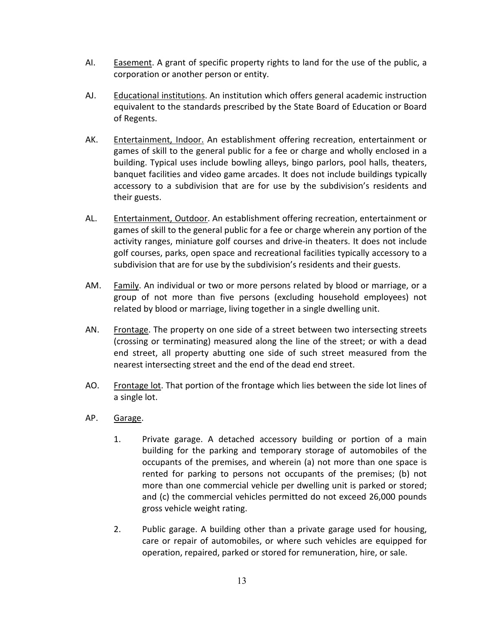- AI. Easement. A grant of specific property rights to land for the use of the public, a corporation or another person or entity.
- AJ. Educational institutions. An institution which offers general academic instruction equivalent to the standards prescribed by the State Board of Education or Board of Regents.
- AK. Entertainment, Indoor. An establishment offering recreation, entertainment or games of skill to the general public for a fee or charge and wholly enclosed in a building. Typical uses include bowling alleys, bingo parlors, pool halls, theaters, banquet facilities and video game arcades. It does not include buildings typically accessory to a subdivision that are for use by the subdivision's residents and their guests.
- AL. Entertainment, Outdoor. An establishment offering recreation, entertainment or games of skill to the general public for a fee or charge wherein any portion of the activity ranges, miniature golf courses and drive-in theaters. It does not include golf courses, parks, open space and recreational facilities typically accessory to a subdivision that are for use by the subdivision's residents and their guests.
- AM. Family. An individual or two or more persons related by blood or marriage, or a group of not more than five persons (excluding household employees) not related by blood or marriage, living together in a single dwelling unit.
- AN. Frontage. The property on one side of a street between two intersecting streets (crossing or terminating) measured along the line of the street; or with a dead end street, all property abutting one side of such street measured from the nearest intersecting street and the end of the dead end street.
- AO. Frontage lot. That portion of the frontage which lies between the side lot lines of a single lot.
- AP. Garage.
	- 1. Private garage. A detached accessory building or portion of a main building for the parking and temporary storage of automobiles of the occupants of the premises, and wherein (a) not more than one space is rented for parking to persons not occupants of the premises; (b) not more than one commercial vehicle per dwelling unit is parked or stored; and (c) the commercial vehicles permitted do not exceed 26,000 pounds gross vehicle weight rating.
	- 2. Public garage. A building other than a private garage used for housing, care or repair of automobiles, or where such vehicles are equipped for operation, repaired, parked or stored for remuneration, hire, or sale.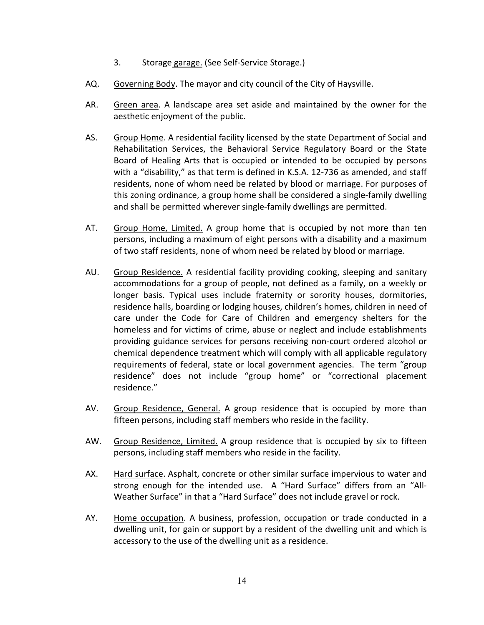- 3. Storage garage. (See Self-Service Storage.)
- AQ. Governing Body. The mayor and city council of the City of Haysville.
- AR. Green area. A landscape area set aside and maintained by the owner for the aesthetic enjoyment of the public.
- AS. Group Home. A residential facility licensed by the state Department of Social and Rehabilitation Services, the Behavioral Service Regulatory Board or the State Board of Healing Arts that is occupied or intended to be occupied by persons with a "disability," as that term is defined in K.S.A. 12-736 as amended, and staff residents, none of whom need be related by blood or marriage. For purposes of this zoning ordinance, a group home shall be considered a single-family dwelling and shall be permitted wherever single-family dwellings are permitted.
- AT. Group Home, Limited. A group home that is occupied by not more than ten persons, including a maximum of eight persons with a disability and a maximum of two staff residents, none of whom need be related by blood or marriage.
- AU. Group Residence. A residential facility providing cooking, sleeping and sanitary accommodations for a group of people, not defined as a family, on a weekly or longer basis. Typical uses include fraternity or sorority houses, dormitories, residence halls, boarding or lodging houses, children's homes, children in need of care under the Code for Care of Children and emergency shelters for the homeless and for victims of crime, abuse or neglect and include establishments providing guidance services for persons receiving non-court ordered alcohol or chemical dependence treatment which will comply with all applicable regulatory requirements of federal, state or local government agencies. The term "group residence" does not include "group home" or "correctional placement residence."
- AV. Group Residence, General. A group residence that is occupied by more than fifteen persons, including staff members who reside in the facility.
- AW. Group Residence, Limited. A group residence that is occupied by six to fifteen persons, including staff members who reside in the facility.
- AX. Hard surface. Asphalt, concrete or other similar surface impervious to water and strong enough for the intended use. A "Hard Surface" differs from an "All-Weather Surface" in that a "Hard Surface" does not include gravel or rock.
- AY. Home occupation. A business, profession, occupation or trade conducted in a dwelling unit, for gain or support by a resident of the dwelling unit and which is accessory to the use of the dwelling unit as a residence.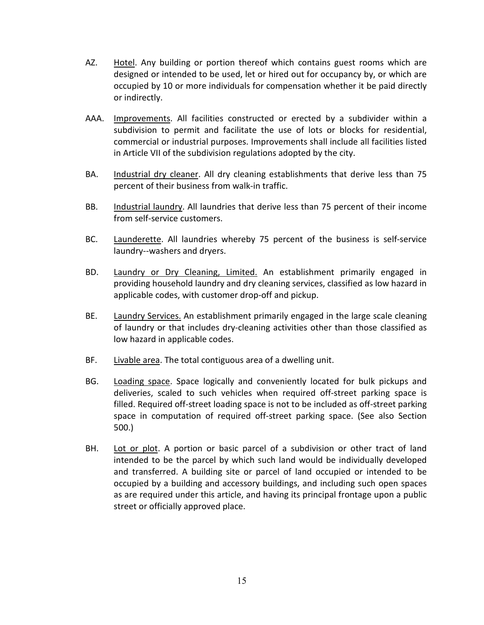- AZ. Hotel. Any building or portion thereof which contains guest rooms which are designed or intended to be used, let or hired out for occupancy by, or which are occupied by 10 or more individuals for compensation whether it be paid directly or indirectly.
- AAA. Improvements. All facilities constructed or erected by a subdivider within a subdivision to permit and facilitate the use of lots or blocks for residential, commercial or industrial purposes. Improvements shall include all facilities listed in Article VII of the subdivision regulations adopted by the city.
- BA. Industrial dry cleaner. All dry cleaning establishments that derive less than 75 percent of their business from walk-in traffic.
- BB. Industrial laundry. All laundries that derive less than 75 percent of their income from self-service customers.
- BC. Launderette. All laundries whereby 75 percent of the business is self-service laundry--washers and dryers.
- BD. Laundry or Dry Cleaning, Limited. An establishment primarily engaged in providing household laundry and dry cleaning services, classified as low hazard in applicable codes, with customer drop-off and pickup.
- BE. Laundry Services. An establishment primarily engaged in the large scale cleaning of laundry or that includes dry-cleaning activities other than those classified as low hazard in applicable codes.
- BF. Livable area. The total contiguous area of a dwelling unit.
- BG. Loading space. Space logically and conveniently located for bulk pickups and deliveries, scaled to such vehicles when required off-street parking space is filled. Required off-street loading space is not to be included as off-street parking space in computation of required off-street parking space. (See also Section 500.)
- BH. Lot or plot. A portion or basic parcel of a subdivision or other tract of land intended to be the parcel by which such land would be individually developed and transferred. A building site or parcel of land occupied or intended to be occupied by a building and accessory buildings, and including such open spaces as are required under this article, and having its principal frontage upon a public street or officially approved place.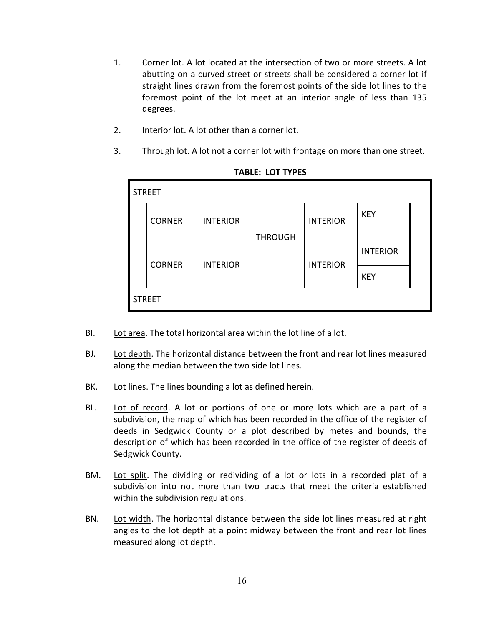- 1. Corner lot. A lot located at the intersection of two or more streets. A lot abutting on a curved street or streets shall be considered a corner lot if straight lines drawn from the foremost points of the side lot lines to the foremost point of the lot meet at an interior angle of less than 135 degrees.
- 2. Interior lot. A lot other than a corner lot.
- 3. Through lot. A lot not a corner lot with frontage on more than one street.

| <b>STREET</b> |               |                 |                |                 |                 |  |
|---------------|---------------|-----------------|----------------|-----------------|-----------------|--|
|               | <b>CORNER</b> | <b>INTERIOR</b> |                | <b>INTERIOR</b> | <b>KEY</b>      |  |
|               |               |                 | <b>THROUGH</b> |                 |                 |  |
|               | <b>CORNER</b> | <b>INTERIOR</b> |                | <b>INTERIOR</b> | <b>INTERIOR</b> |  |
|               |               |                 |                |                 | <b>KEY</b>      |  |
| <b>STREET</b> |               |                 |                |                 |                 |  |

**TABLE: LOT TYPES**

- BI. Lot area. The total horizontal area within the lot line of a lot.
- BJ. Lot depth. The horizontal distance between the front and rear lot lines measured along the median between the two side lot lines.
- BK. Lot lines. The lines bounding a lot as defined herein.
- BL. Lot of record. A lot or portions of one or more lots which are a part of a subdivision, the map of which has been recorded in the office of the register of deeds in Sedgwick County or a plot described by metes and bounds, the description of which has been recorded in the office of the register of deeds of Sedgwick County.
- BM. Lot split. The dividing or redividing of a lot or lots in a recorded plat of a subdivision into not more than two tracts that meet the criteria established within the subdivision regulations.
- BN. Lot width. The horizontal distance between the side lot lines measured at right angles to the lot depth at a point midway between the front and rear lot lines measured along lot depth.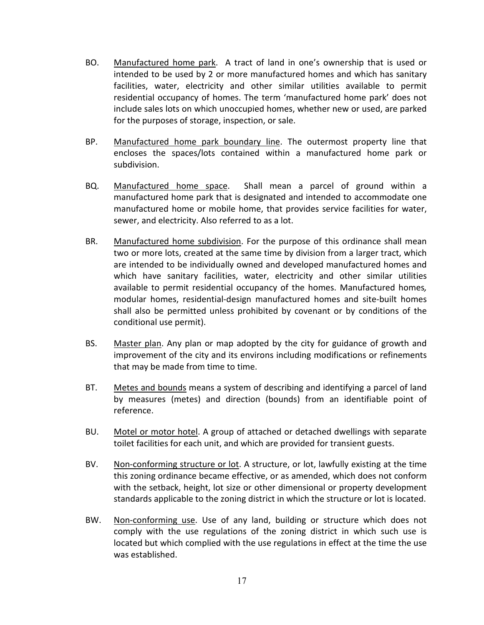- BO. Manufactured home park. A tract of land in one's ownership that is used or intended to be used by 2 or more manufactured homes and which has sanitary facilities, water, electricity and other similar utilities available to permit residential occupancy of homes. The term 'manufactured home park' does not include sales lots on which unoccupied homes, whether new or used, are parked for the purposes of storage, inspection, or sale.
- BP. Manufactured home park boundary line. The outermost property line that encloses the spaces/lots contained within a manufactured home park or subdivision.
- BQ. Manufactured home space. Shall mean a parcel of ground within a manufactured home park that is designated and intended to accommodate one manufactured home or mobile home, that provides service facilities for water, sewer, and electricity. Also referred to as a lot.
- BR. Manufactured home subdivision. For the purpose of this ordinance shall mean two or more lots, created at the same time by division from a larger tract, which are intended to be individually owned and developed manufactured homes and which have sanitary facilities, water, electricity and other similar utilities available to permit residential occupancy of the homes. Manufactured homes*,*  modular homes, residential-design manufactured homes and site-built homes shall also be permitted unless prohibited by covenant or by conditions of the conditional use permit).
- BS. Master plan. Any plan or map adopted by the city for guidance of growth and improvement of the city and its environs including modifications or refinements that may be made from time to time.
- BT. Metes and bounds means a system of describing and identifying a parcel of land by measures (metes) and direction (bounds) from an identifiable point of reference.
- BU. Motel or motor hotel. A group of attached or detached dwellings with separate toilet facilities for each unit, and which are provided for transient guests.
- BV. Non-conforming structure or lot. A structure, or lot, lawfully existing at the time this zoning ordinance became effective, or as amended, which does not conform with the setback, height, lot size or other dimensional or property development standards applicable to the zoning district in which the structure or lot is located.
- BW. Non-conforming use. Use of any land, building or structure which does not comply with the use regulations of the zoning district in which such use is located but which complied with the use regulations in effect at the time the use was established.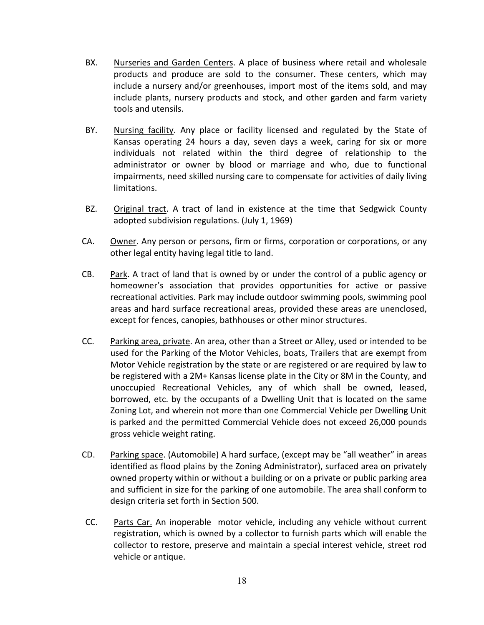- BX. Nurseries and Garden Centers. A place of business where retail and wholesale products and produce are sold to the consumer. These centers, which may include a nursery and/or greenhouses, import most of the items sold, and may include plants, nursery products and stock, and other garden and farm variety tools and utensils.
- BY. Nursing facility. Any place or facility licensed and regulated by the State of Kansas operating 24 hours a day, seven days a week, caring for six or more individuals not related within the third degree of relationship to the administrator or owner by blood or marriage and who, due to functional impairments, need skilled nursing care to compensate for activities of daily living limitations.
- BZ. Original tract. A tract of land in existence at the time that Sedgwick County adopted subdivision regulations. (July 1, 1969)
- CA. Owner. Any person or persons, firm or firms, corporation or corporations, or any other legal entity having legal title to land.
- CB. Park. A tract of land that is owned by or under the control of a public agency or homeowner's association that provides opportunities for active or passive recreational activities. Park may include outdoor swimming pools, swimming pool areas and hard surface recreational areas, provided these areas are unenclosed, except for fences, canopies, bathhouses or other minor structures.
- CC. Parking area, private. An area, other than a Street or Alley, used or intended to be used for the Parking of the Motor Vehicles, boats, Trailers that are exempt from Motor Vehicle registration by the state or are registered or are required by law to be registered with a 2M+ Kansas license plate in the City or 8M in the County, and unoccupied Recreational Vehicles, any of which shall be owned, leased, borrowed, etc. by the occupants of a Dwelling Unit that is located on the same Zoning Lot, and wherein not more than one Commercial Vehicle per Dwelling Unit is parked and the permitted Commercial Vehicle does not exceed 26,000 pounds gross vehicle weight rating.
- CD. Parking space. (Automobile) A hard surface, (except may be "all weather" in areas identified as flood plains by the Zoning Administrator), surfaced area on privately owned property within or without a building or on a private or public parking area and sufficient in size for the parking of one automobile. The area shall conform to design criteria set forth in Section 500.
- CC. Parts Car. An inoperable motor vehicle, including any vehicle without current registration, which is owned by a collector to furnish parts which will enable the collector to restore, preserve and maintain a special interest vehicle, street rod vehicle or antique.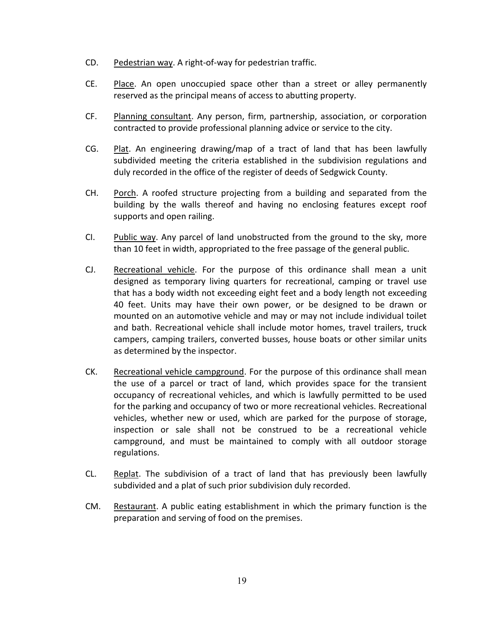- CD. Pedestrian way. A right-of-way for pedestrian traffic.
- CE. Place. An open unoccupied space other than a street or alley permanently reserved as the principal means of access to abutting property.
- CF. Planning consultant. Any person, firm, partnership, association, or corporation contracted to provide professional planning advice or service to the city.
- CG. Plat. An engineering drawing/map of a tract of land that has been lawfully subdivided meeting the criteria established in the subdivision regulations and duly recorded in the office of the register of deeds of Sedgwick County.
- CH. Porch. A roofed structure projecting from a building and separated from the building by the walls thereof and having no enclosing features except roof supports and open railing.
- CI. Public way. Any parcel of land unobstructed from the ground to the sky, more than 10 feet in width, appropriated to the free passage of the general public.
- CJ. Recreational vehicle. For the purpose of this ordinance shall mean a unit designed as temporary living quarters for recreational, camping or travel use that has a body width not exceeding eight feet and a body length not exceeding 40 feet. Units may have their own power, or be designed to be drawn or mounted on an automotive vehicle and may or may not include individual toilet and bath. Recreational vehicle shall include motor homes, travel trailers, truck campers, camping trailers, converted busses, house boats or other similar units as determined by the inspector.
- CK. Recreational vehicle campground. For the purpose of this ordinance shall mean the use of a parcel or tract of land, which provides space for the transient occupancy of recreational vehicles, and which is lawfully permitted to be used for the parking and occupancy of two or more recreational vehicles. Recreational vehicles, whether new or used, which are parked for the purpose of storage, inspection or sale shall not be construed to be a recreational vehicle campground, and must be maintained to comply with all outdoor storage regulations.
- CL. Replat. The subdivision of a tract of land that has previously been lawfully subdivided and a plat of such prior subdivision duly recorded.
- CM. Restaurant. A public eating establishment in which the primary function is the preparation and serving of food on the premises.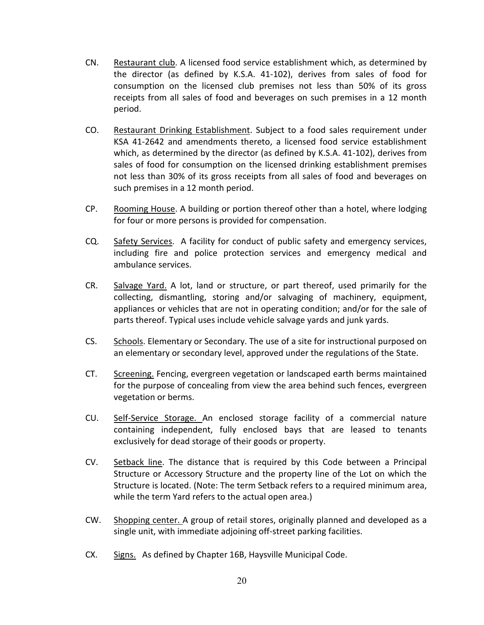- CN. Restaurant club. A licensed food service establishment which, as determined by the director (as defined by K.S.A. 41-102), derives from sales of food for consumption on the licensed club premises not less than 50% of its gross receipts from all sales of food and beverages on such premises in a 12 month period.
- CO. Restaurant Drinking Establishment. Subject to a food sales requirement under KSA 41-2642 and amendments thereto, a licensed food service establishment which, as determined by the director (as defined by K.S.A. 41-102), derives from sales of food for consumption on the licensed drinking establishment premises not less than 30% of its gross receipts from all sales of food and beverages on such premises in a 12 month period.
- CP. Rooming House. A building or portion thereof other than a hotel, where lodging for four or more persons is provided for compensation.
- CQ. Safety Services. A facility for conduct of public safety and emergency services, including fire and police protection services and emergency medical and ambulance services.
- CR. Salvage Yard. A lot, land or structure, or part thereof, used primarily for the collecting, dismantling, storing and/or salvaging of machinery, equipment, appliances or vehicles that are not in operating condition; and/or for the sale of parts thereof. Typical uses include vehicle salvage yards and junk yards.
- CS. Schools. Elementary or Secondary. The use of a site for instructional purposed on an elementary or secondary level, approved under the regulations of the State.
- CT. Screening. Fencing, evergreen vegetation or landscaped earth berms maintained for the purpose of concealing from view the area behind such fences, evergreen vegetation or berms.
- CU. Self-Service Storage. An enclosed storage facility of a commercial nature containing independent, fully enclosed bays that are leased to tenants exclusively for dead storage of their goods or property.
- CV. Setback line. The distance that is required by this Code between a Principal Structure or Accessory Structure and the property line of the Lot on which the Structure is located. (Note: The term Setback refers to a required minimum area, while the term Yard refers to the actual open area.)
- CW. Shopping center. A group of retail stores, originally planned and developed as a single unit, with immediate adjoining off-street parking facilities.
- CX. Signs. As defined by Chapter 16B, Haysville Municipal Code.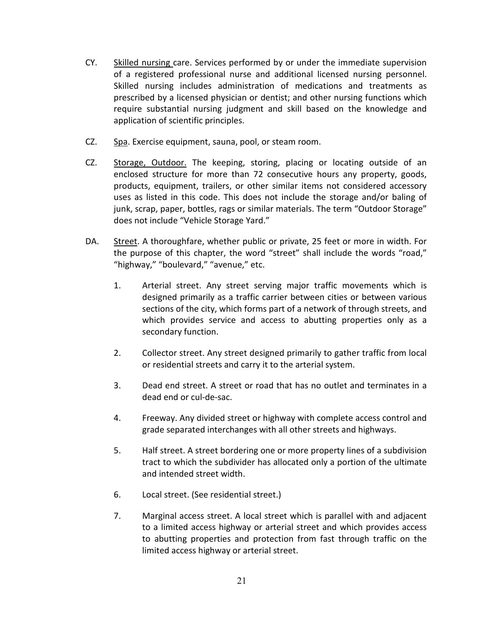- CY. Skilled nursing care. Services performed by or under the immediate supervision of a registered professional nurse and additional licensed nursing personnel. Skilled nursing includes administration of medications and treatments as prescribed by a licensed physician or dentist; and other nursing functions which require substantial nursing judgment and skill based on the knowledge and application of scientific principles.
- CZ. Spa. Exercise equipment, sauna, pool, or steam room.
- CZ. Storage, Outdoor. The keeping, storing, placing or locating outside of an enclosed structure for more than 72 consecutive hours any property, goods, products, equipment, trailers, or other similar items not considered accessory uses as listed in this code. This does not include the storage and/or baling of junk, scrap, paper, bottles, rags or similar materials. The term "Outdoor Storage" does not include "Vehicle Storage Yard."
- DA. Street. A thoroughfare, whether public or private, 25 feet or more in width. For the purpose of this chapter, the word "street" shall include the words "road," "highway," "boulevard," "avenue," etc.
	- 1. Arterial street. Any street serving major traffic movements which is designed primarily as a traffic carrier between cities or between various sections of the city, which forms part of a network of through streets, and which provides service and access to abutting properties only as a secondary function.
	- 2. Collector street. Any street designed primarily to gather traffic from local or residential streets and carry it to the arterial system.
	- 3. Dead end street. A street or road that has no outlet and terminates in a dead end or cul-de-sac.
	- 4. Freeway. Any divided street or highway with complete access control and grade separated interchanges with all other streets and highways.
	- 5. Half street. A street bordering one or more property lines of a subdivision tract to which the subdivider has allocated only a portion of the ultimate and intended street width.
	- 6. Local street. (See residential street.)
	- 7. Marginal access street. A local street which is parallel with and adjacent to a limited access highway or arterial street and which provides access to abutting properties and protection from fast through traffic on the limited access highway or arterial street.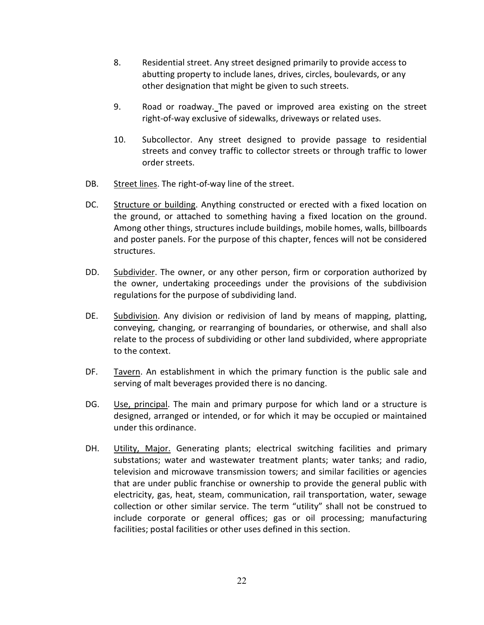- 8. Residential street. Any street designed primarily to provide access to abutting property to include lanes, drives, circles, boulevards, or any other designation that might be given to such streets.
- 9. Road or roadway. The paved or improved area existing on the street right-of-way exclusive of sidewalks, driveways or related uses.
- 10. Subcollector. Any street designed to provide passage to residential streets and convey traffic to collector streets or through traffic to lower order streets.
- DB. Street lines. The right-of-way line of the street.
- DC. Structure or building. Anything constructed or erected with a fixed location on the ground, or attached to something having a fixed location on the ground. Among other things, structures include buildings, mobile homes, walls, billboards and poster panels. For the purpose of this chapter, fences will not be considered structures.
- DD. Subdivider. The owner, or any other person, firm or corporation authorized by the owner, undertaking proceedings under the provisions of the subdivision regulations for the purpose of subdividing land.
- DE. Subdivision. Any division or redivision of land by means of mapping, platting, conveying, changing, or rearranging of boundaries, or otherwise, and shall also relate to the process of subdividing or other land subdivided, where appropriate to the context.
- DF. Tavern. An establishment in which the primary function is the public sale and serving of malt beverages provided there is no dancing.
- DG. Use, principal. The main and primary purpose for which land or a structure is designed, arranged or intended, or for which it may be occupied or maintained under this ordinance.
- DH. Utility, Major. Generating plants; electrical switching facilities and primary substations; water and wastewater treatment plants; water tanks; and radio, television and microwave transmission towers; and similar facilities or agencies that are under public franchise or ownership to provide the general public with electricity, gas, heat, steam, communication, rail transportation, water, sewage collection or other similar service. The term "utility" shall not be construed to include corporate or general offices; gas or oil processing; manufacturing facilities; postal facilities or other uses defined in this section.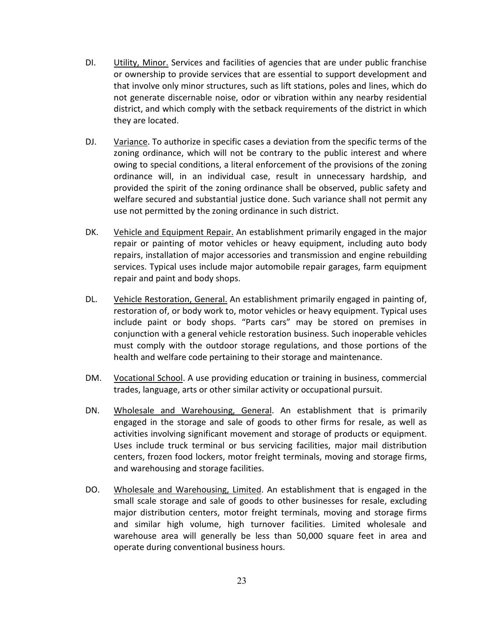- DI. Utility, Minor. Services and facilities of agencies that are under public franchise or ownership to provide services that are essential to support development and that involve only minor structures, such as lift stations, poles and lines, which do not generate discernable noise, odor or vibration within any nearby residential district, and which comply with the setback requirements of the district in which they are located.
- DJ. Variance. To authorize in specific cases a deviation from the specific terms of the zoning ordinance, which will not be contrary to the public interest and where owing to special conditions, a literal enforcement of the provisions of the zoning ordinance will, in an individual case, result in unnecessary hardship, and provided the spirit of the zoning ordinance shall be observed, public safety and welfare secured and substantial justice done. Such variance shall not permit any use not permitted by the zoning ordinance in such district.
- DK. Vehicle and Equipment Repair. An establishment primarily engaged in the major repair or painting of motor vehicles or heavy equipment, including auto body repairs, installation of major accessories and transmission and engine rebuilding services. Typical uses include major automobile repair garages, farm equipment repair and paint and body shops.
- DL. Vehicle Restoration, General. An establishment primarily engaged in painting of, restoration of, or body work to, motor vehicles or heavy equipment. Typical uses include paint or body shops. "Parts cars" may be stored on premises in conjunction with a general vehicle restoration business. Such inoperable vehicles must comply with the outdoor storage regulations, and those portions of the health and welfare code pertaining to their storage and maintenance.
- DM. Vocational School. A use providing education or training in business, commercial trades, language, arts or other similar activity or occupational pursuit.
- DN. Wholesale and Warehousing, General. An establishment that is primarily engaged in the storage and sale of goods to other firms for resale, as well as activities involving significant movement and storage of products or equipment. Uses include truck terminal or bus servicing facilities, major mail distribution centers, frozen food lockers, motor freight terminals, moving and storage firms, and warehousing and storage facilities.
- DO. Wholesale and Warehousing, Limited. An establishment that is engaged in the small scale storage and sale of goods to other businesses for resale, excluding major distribution centers, motor freight terminals, moving and storage firms and similar high volume, high turnover facilities. Limited wholesale and warehouse area will generally be less than 50,000 square feet in area and operate during conventional business hours.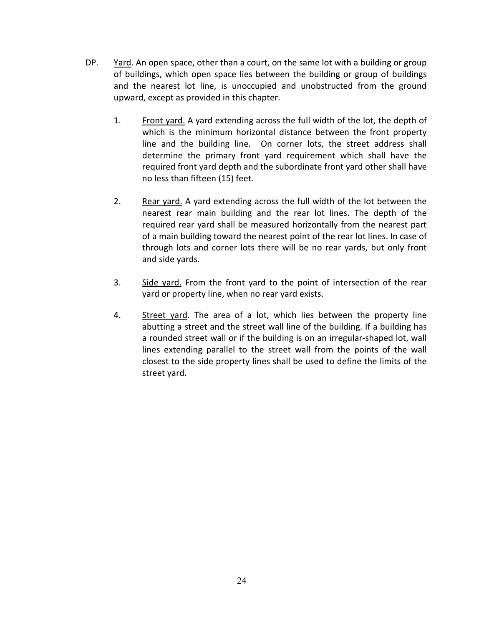- DP. Yard. An open space, other than a court, on the same lot with a building or group of buildings, which open space lies between the building or group of buildings and the nearest lot line, is unoccupied and unobstructed from the ground upward, except as provided in this chapter.
	- 1. Front yard. A yard extending across the full width of the lot, the depth of which is the minimum horizontal distance between the front property line and the building line. On corner lots, the street address shall determine the primary front yard requirement which shall have the required front yard depth and the subordinate front yard other shall have no less than fifteen (15) feet.
	- 2. Rear yard. A yard extending across the full width of the lot between the nearest rear main building and the rear lot lines. The depth of the required rear yard shall be measured horizontally from the nearest part of a main building toward the nearest point of the rear lot lines. In case of through lots and corner lots there will be no rear yards, but only front and side yards.
	- 3. Side yard. From the front yard to the point of intersection of the rear yard or property line, when no rear yard exists.
	- 4. Street yard. The area of a lot, which lies between the property line abutting a street and the street wall line of the building. If a building has a rounded street wall or if the building is on an irregular-shaped lot, wall lines extending parallel to the street wall from the points of the wall closest to the side property lines shall be used to define the limits of the street yard.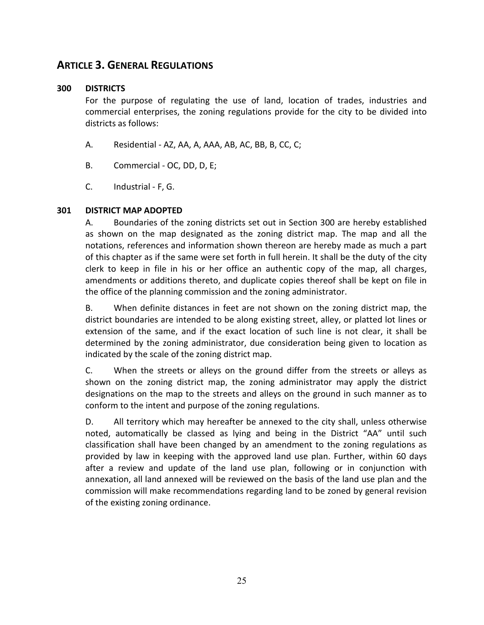## **ARTICLE 3. GENERAL REGULATIONS**

#### **300 DISTRICTS**

For the purpose of regulating the use of land, location of trades, industries and commercial enterprises, the zoning regulations provide for the city to be divided into districts as follows:

- A. Residential AZ, AA, A, AAA, AB, AC, BB, B, CC, C;
- B. Commercial OC, DD, D, E;
- C. Industrial F, G.

#### **301 DISTRICT MAP ADOPTED**

A. Boundaries of the zoning districts set out in Section 300 are hereby established as shown on the map designated as the zoning district map. The map and all the notations, references and information shown thereon are hereby made as much a part of this chapter as if the same were set forth in full herein. It shall be the duty of the city clerk to keep in file in his or her office an authentic copy of the map, all charges, amendments or additions thereto, and duplicate copies thereof shall be kept on file in the office of the planning commission and the zoning administrator.

B. When definite distances in feet are not shown on the zoning district map, the district boundaries are intended to be along existing street, alley, or platted lot lines or extension of the same, and if the exact location of such line is not clear, it shall be determined by the zoning administrator, due consideration being given to location as indicated by the scale of the zoning district map.

C. When the streets or alleys on the ground differ from the streets or alleys as shown on the zoning district map, the zoning administrator may apply the district designations on the map to the streets and alleys on the ground in such manner as to conform to the intent and purpose of the zoning regulations.

D. All territory which may hereafter be annexed to the city shall, unless otherwise noted, automatically be classed as lying and being in the District "AA" until such classification shall have been changed by an amendment to the zoning regulations as provided by law in keeping with the approved land use plan. Further, within 60 days after a review and update of the land use plan, following or in conjunction with annexation, all land annexed will be reviewed on the basis of the land use plan and the commission will make recommendations regarding land to be zoned by general revision of the existing zoning ordinance.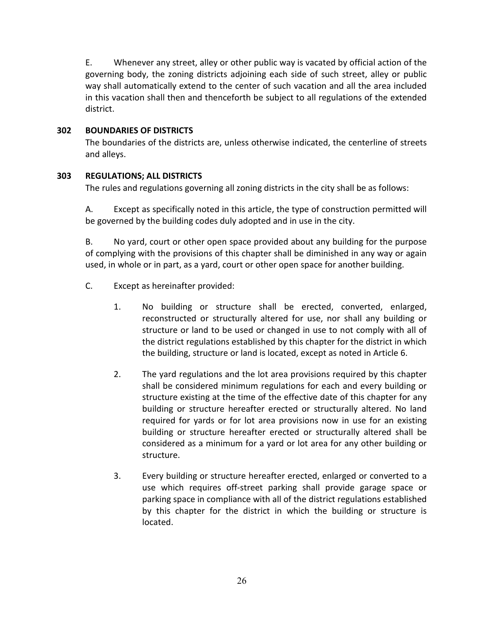E. Whenever any street, alley or other public way is vacated by official action of the governing body, the zoning districts adjoining each side of such street, alley or public way shall automatically extend to the center of such vacation and all the area included in this vacation shall then and thenceforth be subject to all regulations of the extended district.

#### **302 BOUNDARIES OF DISTRICTS**

The boundaries of the districts are, unless otherwise indicated, the centerline of streets and alleys.

#### **303 REGULATIONS; ALL DISTRICTS**

The rules and regulations governing all zoning districts in the city shall be as follows:

A. Except as specifically noted in this article, the type of construction permitted will be governed by the building codes duly adopted and in use in the city.

B. No yard, court or other open space provided about any building for the purpose of complying with the provisions of this chapter shall be diminished in any way or again used, in whole or in part, as a yard, court or other open space for another building.

- C. Except as hereinafter provided:
	- 1. No building or structure shall be erected, converted, enlarged, reconstructed or structurally altered for use, nor shall any building or structure or land to be used or changed in use to not comply with all of the district regulations established by this chapter for the district in which the building, structure or land is located, except as noted in Article 6.
	- 2. The yard regulations and the lot area provisions required by this chapter shall be considered minimum regulations for each and every building or structure existing at the time of the effective date of this chapter for any building or structure hereafter erected or structurally altered. No land required for yards or for lot area provisions now in use for an existing building or structure hereafter erected or structurally altered shall be considered as a minimum for a yard or lot area for any other building or structure.
	- 3. Every building or structure hereafter erected, enlarged or converted to a use which requires off-street parking shall provide garage space or parking space in compliance with all of the district regulations established by this chapter for the district in which the building or structure is located.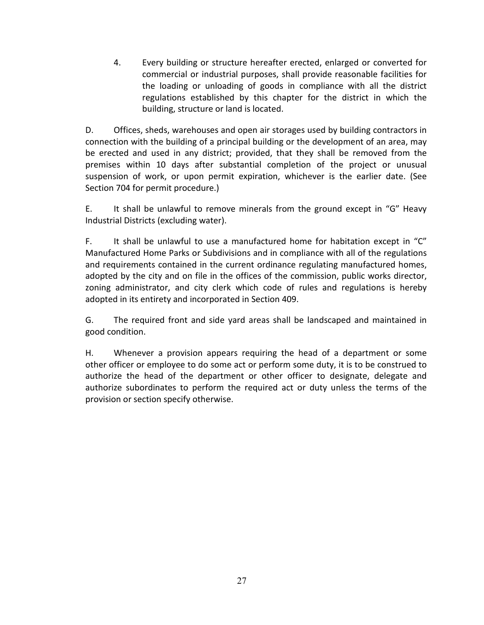4. Every building or structure hereafter erected, enlarged or converted for commercial or industrial purposes, shall provide reasonable facilities for the loading or unloading of goods in compliance with all the district regulations established by this chapter for the district in which the building, structure or land is located.

D. Offices, sheds, warehouses and open air storages used by building contractors in connection with the building of a principal building or the development of an area, may be erected and used in any district; provided, that they shall be removed from the premises within 10 days after substantial completion of the project or unusual suspension of work, or upon permit expiration, whichever is the earlier date. (See Section 704 for permit procedure.)

E. It shall be unlawful to remove minerals from the ground except in "G" Heavy Industrial Districts (excluding water).

F. It shall be unlawful to use a manufactured home for habitation except in "C" Manufactured Home Parks or Subdivisions and in compliance with all of the regulations and requirements contained in the current ordinance regulating manufactured homes, adopted by the city and on file in the offices of the commission, public works director, zoning administrator, and city clerk which code of rules and regulations is hereby adopted in its entirety and incorporated in Section 409.

G. The required front and side yard areas shall be landscaped and maintained in good condition.

H. Whenever a provision appears requiring the head of a department or some other officer or employee to do some act or perform some duty, it is to be construed to authorize the head of the department or other officer to designate, delegate and authorize subordinates to perform the required act or duty unless the terms of the provision or section specify otherwise.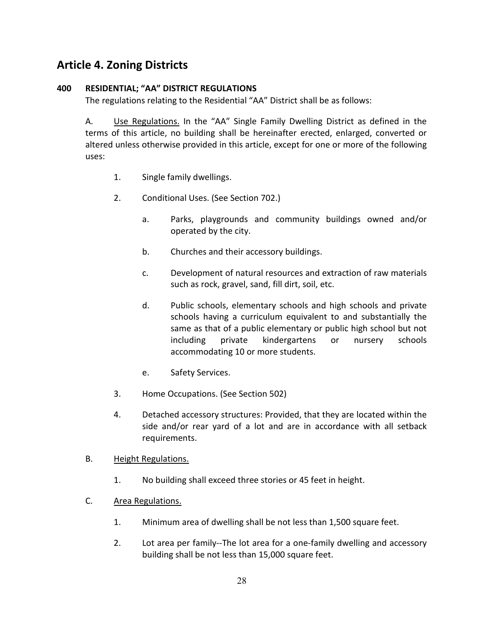# **Article 4. Zoning Districts**

#### **400 RESIDENTIAL; "AA" DISTRICT REGULATIONS**

The regulations relating to the Residential "AA" District shall be as follows:

A. Use Regulations. In the "AA" Single Family Dwelling District as defined in the terms of this article, no building shall be hereinafter erected, enlarged, converted or altered unless otherwise provided in this article, except for one or more of the following uses:

- 1. Single family dwellings.
- 2. Conditional Uses. (See Section 702.)
	- a. Parks, playgrounds and community buildings owned and/or operated by the city.
	- b. Churches and their accessory buildings.
	- c. Development of natural resources and extraction of raw materials such as rock, gravel, sand, fill dirt, soil, etc.
	- d. Public schools, elementary schools and high schools and private schools having a curriculum equivalent to and substantially the same as that of a public elementary or public high school but not including private kindergartens or nursery schools accommodating 10 or more students.
	- e. Safety Services.
- 3. Home Occupations. (See Section 502)
- 4. Detached accessory structures: Provided, that they are located within the side and/or rear yard of a lot and are in accordance with all setback requirements.
- B. Height Regulations.
	- 1. No building shall exceed three stories or 45 feet in height.
- C. Area Regulations.
	- 1. Minimum area of dwelling shall be not less than 1,500 square feet.
	- 2. Lot area per family--The lot area for a one-family dwelling and accessory building shall be not less than 15,000 square feet.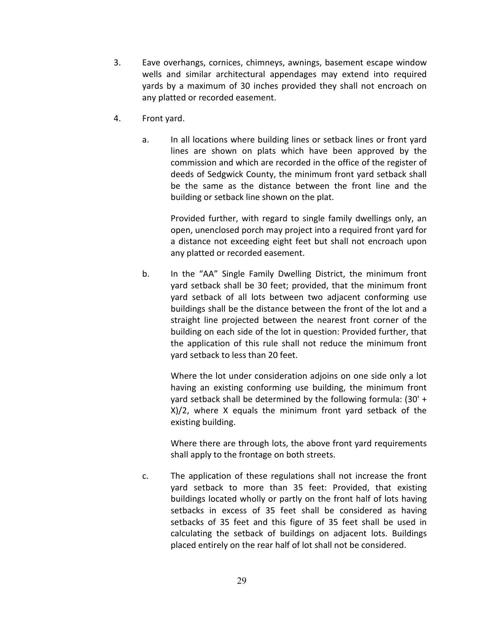- 3. Eave overhangs, cornices, chimneys, awnings, basement escape window wells and similar architectural appendages may extend into required yards by a maximum of 30 inches provided they shall not encroach on any platted or recorded easement.
- 4. Front yard.
	- a. In all locations where building lines or setback lines or front yard lines are shown on plats which have been approved by the commission and which are recorded in the office of the register of deeds of Sedgwick County, the minimum front yard setback shall be the same as the distance between the front line and the building or setback line shown on the plat.

Provided further, with regard to single family dwellings only, an open, unenclosed porch may project into a required front yard for a distance not exceeding eight feet but shall not encroach upon any platted or recorded easement.

b. In the "AA" Single Family Dwelling District, the minimum front yard setback shall be 30 feet; provided, that the minimum front yard setback of all lots between two adjacent conforming use buildings shall be the distance between the front of the lot and a straight line projected between the nearest front corner of the building on each side of the lot in question: Provided further, that the application of this rule shall not reduce the minimum front yard setback to less than 20 feet.

Where the lot under consideration adjoins on one side only a lot having an existing conforming use building, the minimum front yard setback shall be determined by the following formula: (30' + X)/2, where X equals the minimum front yard setback of the existing building.

Where there are through lots, the above front yard requirements shall apply to the frontage on both streets.

c. The application of these regulations shall not increase the front yard setback to more than 35 feet: Provided, that existing buildings located wholly or partly on the front half of lots having setbacks in excess of 35 feet shall be considered as having setbacks of 35 feet and this figure of 35 feet shall be used in calculating the setback of buildings on adjacent lots. Buildings placed entirely on the rear half of lot shall not be considered.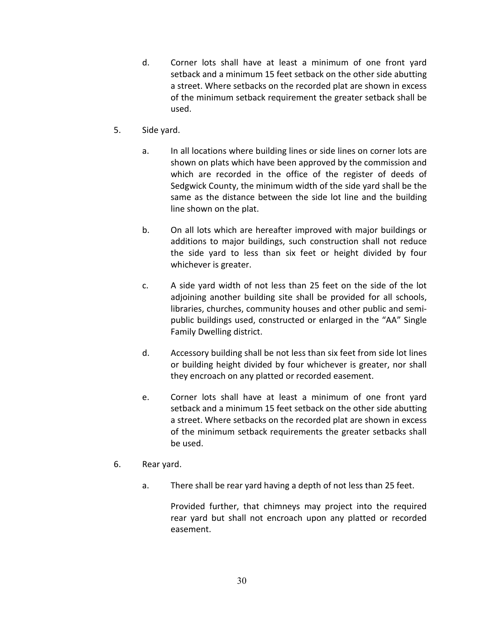- d. Corner lots shall have at least a minimum of one front yard setback and a minimum 15 feet setback on the other side abutting a street. Where setbacks on the recorded plat are shown in excess of the minimum setback requirement the greater setback shall be used.
- 5. Side yard.
	- a. In all locations where building lines or side lines on corner lots are shown on plats which have been approved by the commission and which are recorded in the office of the register of deeds of Sedgwick County, the minimum width of the side yard shall be the same as the distance between the side lot line and the building line shown on the plat.
	- b. On all lots which are hereafter improved with major buildings or additions to major buildings, such construction shall not reduce the side yard to less than six feet or height divided by four whichever is greater.
	- c. A side yard width of not less than 25 feet on the side of the lot adjoining another building site shall be provided for all schools, libraries, churches, community houses and other public and semipublic buildings used, constructed or enlarged in the "AA" Single Family Dwelling district.
	- d. Accessory building shall be not less than six feet from side lot lines or building height divided by four whichever is greater, nor shall they encroach on any platted or recorded easement.
	- e. Corner lots shall have at least a minimum of one front yard setback and a minimum 15 feet setback on the other side abutting a street. Where setbacks on the recorded plat are shown in excess of the minimum setback requirements the greater setbacks shall be used.
- 6. Rear yard.
	- a. There shall be rear yard having a depth of not less than 25 feet.

Provided further, that chimneys may project into the required rear yard but shall not encroach upon any platted or recorded easement.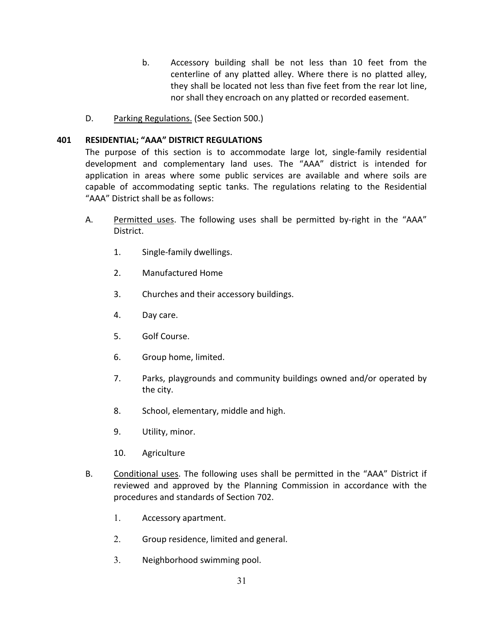- b. Accessory building shall be not less than 10 feet from the centerline of any platted alley. Where there is no platted alley, they shall be located not less than five feet from the rear lot line, nor shall they encroach on any platted or recorded easement.
- D. Parking Regulations. (See Section 500.)

#### **401 RESIDENTIAL; "AAA" DISTRICT REGULATIONS**

The purpose of this section is to accommodate large lot, single-family residential development and complementary land uses. The "AAA" district is intended for application in areas where some public services are available and where soils are capable of accommodating septic tanks. The regulations relating to the Residential "AAA" District shall be as follows:

- A. Permitted uses. The following uses shall be permitted by-right in the "AAA" District.
	- 1. Single-family dwellings.
	- 2. Manufactured Home
	- 3. Churches and their accessory buildings.
	- 4. Day care.
	- 5. Golf Course.
	- 6. Group home, limited.
	- 7. Parks, playgrounds and community buildings owned and/or operated by the city.
	- 8. School, elementary, middle and high.
	- 9. Utility, minor.
	- 10. Agriculture
- B. Conditional uses. The following uses shall be permitted in the "AAA" District if reviewed and approved by the Planning Commission in accordance with the procedures and standards of Section 702.
	- 1. Accessory apartment.
	- 2. Group residence, limited and general.
	- 3. Neighborhood swimming pool.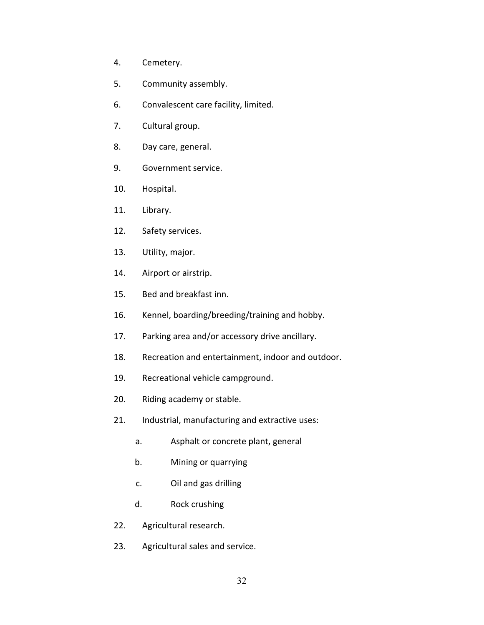- 4. Cemetery.
- 5. Community assembly.
- 6. Convalescent care facility, limited.
- 7. Cultural group.
- 8. Day care, general.
- 9. Government service.
- 10. Hospital.
- 11. Library.
- 12. Safety services.
- 13. Utility, major.
- 14. Airport or airstrip.
- 15. Bed and breakfast inn.
- 16. Kennel, boarding/breeding/training and hobby.
- 17. Parking area and/or accessory drive ancillary.
- 18. Recreation and entertainment, indoor and outdoor.
- 19. Recreational vehicle campground.
- 20. Riding academy or stable.
- 21. Industrial, manufacturing and extractive uses:
	- a. Asphalt or concrete plant, general
	- b. Mining or quarrying
	- c. Oil and gas drilling
	- d. Rock crushing
- 22. Agricultural research.
- 23. Agricultural sales and service.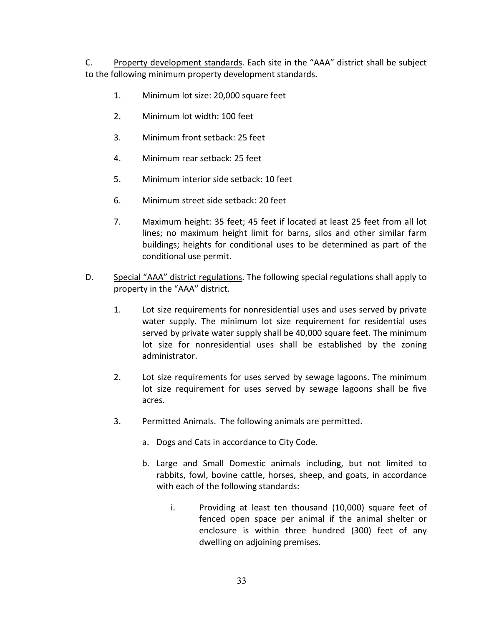C. Property development standards. Each site in the "AAA" district shall be subject to the following minimum property development standards.

- 1. Minimum lot size: 20,000 square feet
- 2. Minimum lot width: 100 feet
- 3. Minimum front setback: 25 feet
- 4. Minimum rear setback: 25 feet
- 5. Minimum interior side setback: 10 feet
- 6. Minimum street side setback: 20 feet
- 7. Maximum height: 35 feet; 45 feet if located at least 25 feet from all lot lines; no maximum height limit for barns, silos and other similar farm buildings; heights for conditional uses to be determined as part of the conditional use permit.
- D. Special "AAA" district regulations. The following special regulations shall apply to property in the "AAA" district.
	- 1. Lot size requirements for nonresidential uses and uses served by private water supply. The minimum lot size requirement for residential uses served by private water supply shall be 40,000 square feet. The minimum lot size for nonresidential uses shall be established by the zoning administrator.
	- 2. Lot size requirements for uses served by sewage lagoons. The minimum lot size requirement for uses served by sewage lagoons shall be five acres.
	- 3. Permitted Animals. The following animals are permitted.
		- a. Dogs and Cats in accordance to City Code.
		- b. Large and Small Domestic animals including, but not limited to rabbits, fowl, bovine cattle, horses, sheep, and goats, in accordance with each of the following standards:
			- i. Providing at least ten thousand (10,000) square feet of fenced open space per animal if the animal shelter or enclosure is within three hundred (300) feet of any dwelling on adjoining premises.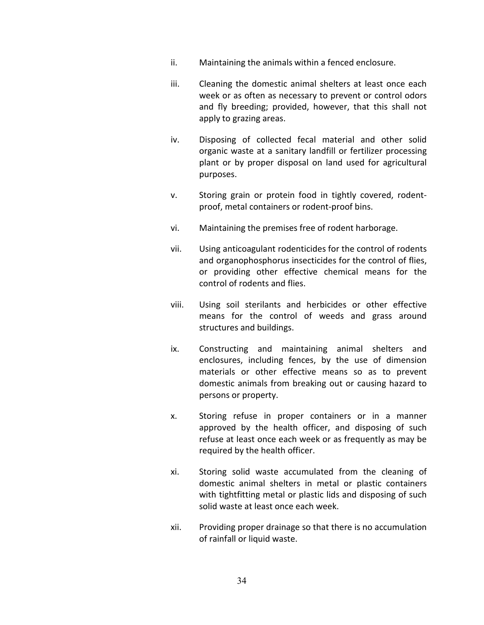- ii. Maintaining the animals within a fenced enclosure.
- iii. Cleaning the domestic animal shelters at least once each week or as often as necessary to prevent or control odors and fly breeding; provided, however, that this shall not apply to grazing areas.
- iv. Disposing of collected fecal material and other solid organic waste at a sanitary landfill or fertilizer processing plant or by proper disposal on land used for agricultural purposes.
- v. Storing grain or protein food in tightly covered, rodentproof, metal containers or rodent-proof bins.
- vi. Maintaining the premises free of rodent harborage.
- vii. Using anticoagulant rodenticides for the control of rodents and organophosphorus insecticides for the control of flies, or providing other effective chemical means for the control of rodents and flies.
- viii. Using soil sterilants and herbicides or other effective means for the control of weeds and grass around structures and buildings.
- ix. Constructing and maintaining animal shelters and enclosures, including fences, by the use of dimension materials or other effective means so as to prevent domestic animals from breaking out or causing hazard to persons or property.
- x. Storing refuse in proper containers or in a manner approved by the health officer, and disposing of such refuse at least once each week or as frequently as may be required by the health officer.
- xi. Storing solid waste accumulated from the cleaning of domestic animal shelters in metal or plastic containers with tightfitting metal or plastic lids and disposing of such solid waste at least once each week.
- xii. Providing proper drainage so that there is no accumulation of rainfall or liquid waste.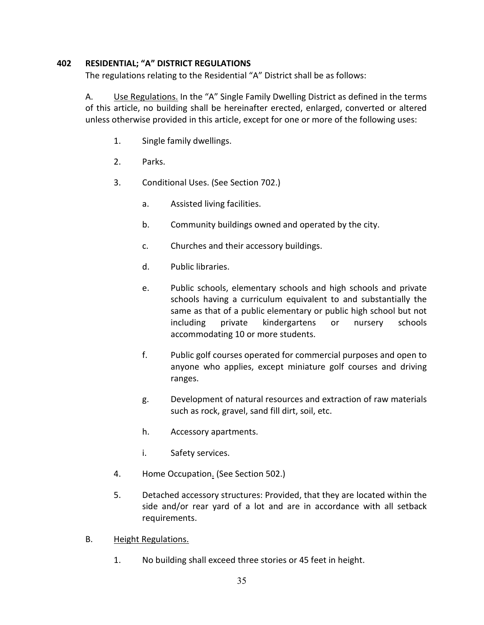#### **402 RESIDENTIAL; "A" DISTRICT REGULATIONS**

The regulations relating to the Residential "A" District shall be as follows:

A. Use Regulations. In the "A" Single Family Dwelling District as defined in the terms of this article, no building shall be hereinafter erected, enlarged, converted or altered unless otherwise provided in this article, except for one or more of the following uses:

- 1. Single family dwellings.
- 2. Parks.
- 3. Conditional Uses. (See Section 702.)
	- a. Assisted living facilities.
	- b. Community buildings owned and operated by the city.
	- c. Churches and their accessory buildings.
	- d. Public libraries.
	- e. Public schools, elementary schools and high schools and private schools having a curriculum equivalent to and substantially the same as that of a public elementary or public high school but not including private kindergartens or nursery schools accommodating 10 or more students.
	- f. Public golf courses operated for commercial purposes and open to anyone who applies, except miniature golf courses and driving ranges.
	- g. Development of natural resources and extraction of raw materials such as rock, gravel, sand fill dirt, soil, etc.
	- h. Accessory apartments.
	- i. Safety services.
- 4. Home Occupation. (See Section 502.)
- 5. Detached accessory structures: Provided, that they are located within the side and/or rear yard of a lot and are in accordance with all setback requirements.
- B. Height Regulations.
	- 1. No building shall exceed three stories or 45 feet in height.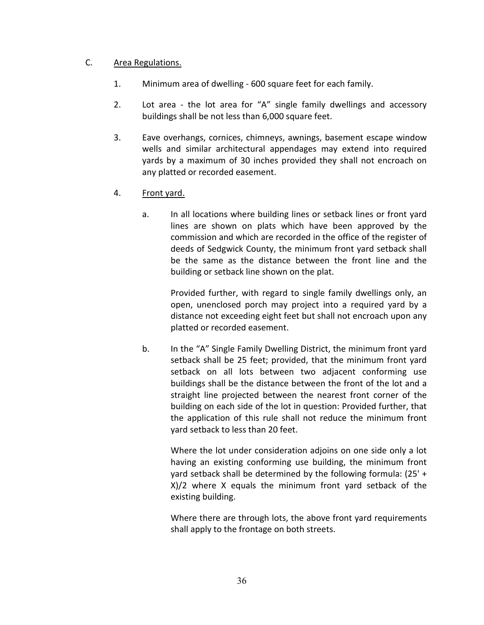#### C. Area Regulations.

- 1. Minimum area of dwelling 600 square feet for each family.
- 2. Lot area the lot area for "A" single family dwellings and accessory buildings shall be not less than 6,000 square feet.
- 3. Eave overhangs, cornices, chimneys, awnings, basement escape window wells and similar architectural appendages may extend into required yards by a maximum of 30 inches provided they shall not encroach on any platted or recorded easement.
- 4. Front yard.
	- a. In all locations where building lines or setback lines or front yard lines are shown on plats which have been approved by the commission and which are recorded in the office of the register of deeds of Sedgwick County, the minimum front yard setback shall be the same as the distance between the front line and the building or setback line shown on the plat.

Provided further, with regard to single family dwellings only, an open, unenclosed porch may project into a required yard by a distance not exceeding eight feet but shall not encroach upon any platted or recorded easement.

b. In the "A" Single Family Dwelling District, the minimum front yard setback shall be 25 feet; provided, that the minimum front yard setback on all lots between two adjacent conforming use buildings shall be the distance between the front of the lot and a straight line projected between the nearest front corner of the building on each side of the lot in question: Provided further, that the application of this rule shall not reduce the minimum front yard setback to less than 20 feet.

Where the lot under consideration adjoins on one side only a lot having an existing conforming use building, the minimum front yard setback shall be determined by the following formula: (25' + X)/2 where X equals the minimum front yard setback of the existing building.

Where there are through lots, the above front yard requirements shall apply to the frontage on both streets.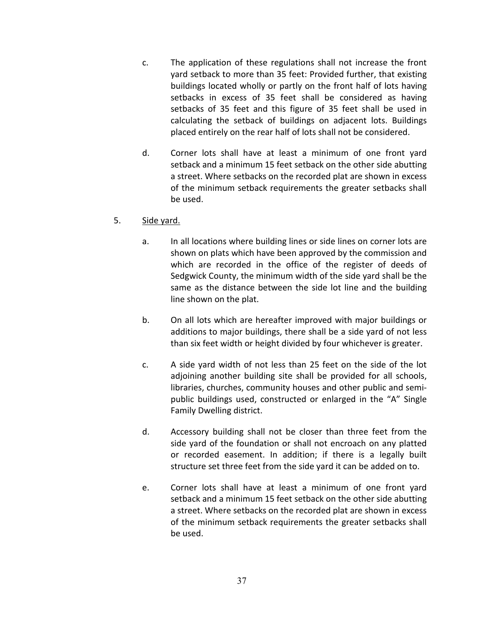- c. The application of these regulations shall not increase the front yard setback to more than 35 feet: Provided further, that existing buildings located wholly or partly on the front half of lots having setbacks in excess of 35 feet shall be considered as having setbacks of 35 feet and this figure of 35 feet shall be used in calculating the setback of buildings on adjacent lots. Buildings placed entirely on the rear half of lots shall not be considered.
- d. Corner lots shall have at least a minimum of one front yard setback and a minimum 15 feet setback on the other side abutting a street. Where setbacks on the recorded plat are shown in excess of the minimum setback requirements the greater setbacks shall be used.

### 5. Side yard.

- a. In all locations where building lines or side lines on corner lots are shown on plats which have been approved by the commission and which are recorded in the office of the register of deeds of Sedgwick County, the minimum width of the side yard shall be the same as the distance between the side lot line and the building line shown on the plat.
- b. On all lots which are hereafter improved with major buildings or additions to major buildings, there shall be a side yard of not less than six feet width or height divided by four whichever is greater.
- c. A side yard width of not less than 25 feet on the side of the lot adjoining another building site shall be provided for all schools, libraries, churches, community houses and other public and semipublic buildings used, constructed or enlarged in the "A" Single Family Dwelling district.
- d. Accessory building shall not be closer than three feet from the side yard of the foundation or shall not encroach on any platted or recorded easement. In addition; if there is a legally built structure set three feet from the side yard it can be added on to.
- e. Corner lots shall have at least a minimum of one front yard setback and a minimum 15 feet setback on the other side abutting a street. Where setbacks on the recorded plat are shown in excess of the minimum setback requirements the greater setbacks shall be used.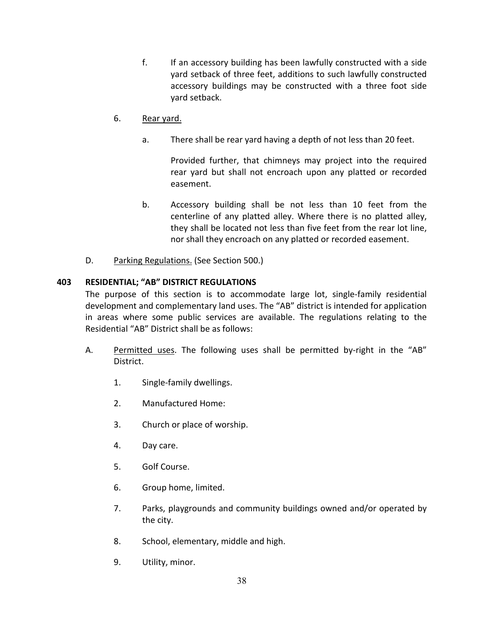f. If an accessory building has been lawfully constructed with a side yard setback of three feet, additions to such lawfully constructed accessory buildings may be constructed with a three foot side yard setback.

## 6. Rear yard.

a. There shall be rear yard having a depth of not less than 20 feet.

Provided further, that chimneys may project into the required rear yard but shall not encroach upon any platted or recorded easement.

- b. Accessory building shall be not less than 10 feet from the centerline of any platted alley. Where there is no platted alley, they shall be located not less than five feet from the rear lot line, nor shall they encroach on any platted or recorded easement.
- D. Parking Regulations. (See Section 500.)

### **403 RESIDENTIAL; "AB" DISTRICT REGULATIONS**

The purpose of this section is to accommodate large lot, single-family residential development and complementary land uses. The "AB" district is intended for application in areas where some public services are available. The regulations relating to the Residential "AB" District shall be as follows:

- A. Permitted uses. The following uses shall be permitted by-right in the "AB" District.
	- 1. Single-family dwellings.
	- 2. Manufactured Home:
	- 3. Church or place of worship.
	- 4. Day care.
	- 5. Golf Course.
	- 6. Group home, limited.
	- 7. Parks, playgrounds and community buildings owned and/or operated by the city.
	- 8. School, elementary, middle and high.
	- 9. Utility, minor.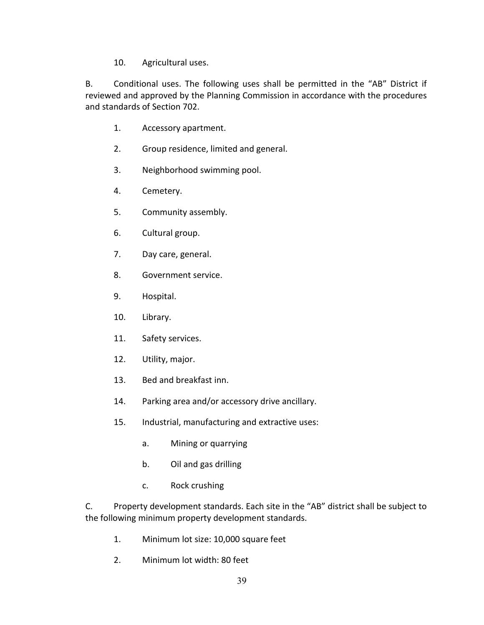10. Agricultural uses.

B. Conditional uses. The following uses shall be permitted in the "AB" District if reviewed and approved by the Planning Commission in accordance with the procedures and standards of Section 702.

- 1. Accessory apartment.
- 2. Group residence, limited and general.
- 3. Neighborhood swimming pool.
- 4. Cemetery.
- 5. Community assembly.
- 6. Cultural group.
- 7. Day care, general.
- 8. Government service.
- 9. Hospital.
- 10. Library.
- 11. Safety services.
- 12. Utility, major.
- 13. Bed and breakfast inn.
- 14. Parking area and/or accessory drive ancillary.
- 15. Industrial, manufacturing and extractive uses:
	- a. Mining or quarrying
	- b. Oil and gas drilling
	- c. Rock crushing

C. Property development standards. Each site in the "AB" district shall be subject to the following minimum property development standards.

- 1. Minimum lot size: 10,000 square feet
- 2. Minimum lot width: 80 feet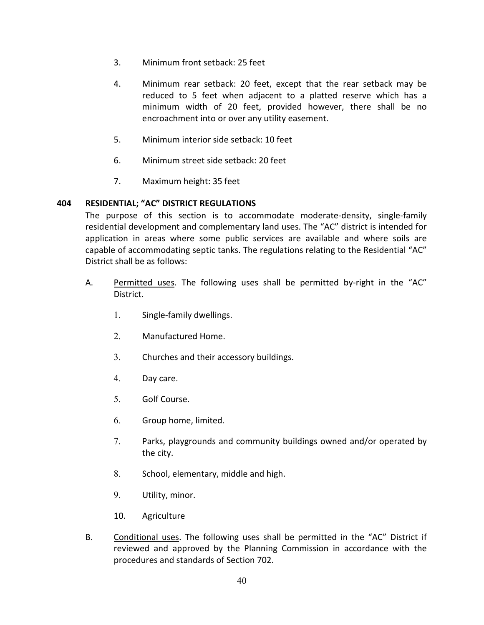- 3. Minimum front setback: 25 feet
- 4. Minimum rear setback: 20 feet, except that the rear setback may be reduced to 5 feet when adjacent to a platted reserve which has a minimum width of 20 feet, provided however, there shall be no encroachment into or over any utility easement.
- 5. Minimum interior side setback: 10 feet
- 6. Minimum street side setback: 20 feet
- 7. Maximum height: 35 feet

### **404 RESIDENTIAL; "AC" DISTRICT REGULATIONS**

The purpose of this section is to accommodate moderate-density, single-family residential development and complementary land uses. The "AC" district is intended for application in areas where some public services are available and where soils are capable of accommodating septic tanks. The regulations relating to the Residential "AC" District shall be as follows:

- A. Permitted uses. The following uses shall be permitted by-right in the "AC" District.
	- 1. Single-family dwellings.
	- 2. Manufactured Home.
	- 3. Churches and their accessory buildings.
	- 4. Day care.
	- 5. Golf Course.
	- 6. Group home, limited.
	- 7. Parks, playgrounds and community buildings owned and/or operated by the city.
	- 8. School, elementary, middle and high.
	- 9. Utility, minor.
	- 10. Agriculture
- B. Conditional uses. The following uses shall be permitted in the "AC" District if reviewed and approved by the Planning Commission in accordance with the procedures and standards of Section 702.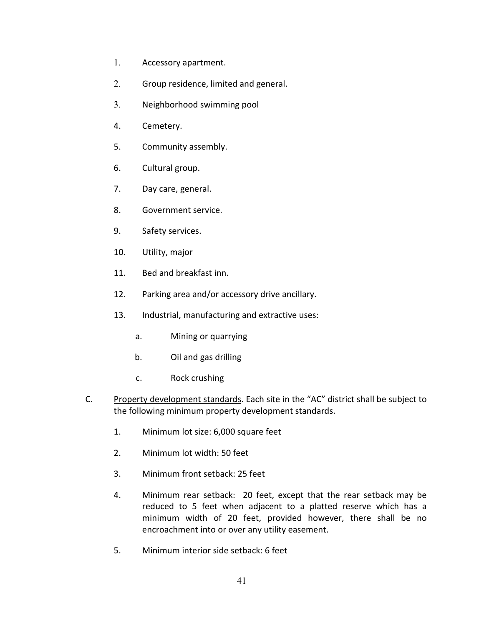- 1. Accessory apartment.
- 2. Group residence, limited and general.
- 3. Neighborhood swimming pool
- 4. Cemetery.
- 5. Community assembly.
- 6. Cultural group.
- 7. Day care, general.
- 8. Government service.
- 9. Safety services.
- 10. Utility, major
- 11. Bed and breakfast inn.
- 12. Parking area and/or accessory drive ancillary.
- 13. Industrial, manufacturing and extractive uses:
	- a. Mining or quarrying
	- b. Oil and gas drilling
	- c. Rock crushing
- C. Property development standards. Each site in the "AC" district shall be subject to the following minimum property development standards.
	- 1. Minimum lot size: 6,000 square feet
	- 2. Minimum lot width: 50 feet
	- 3. Minimum front setback: 25 feet
	- 4. Minimum rear setback: 20 feet, except that the rear setback may be reduced to 5 feet when adjacent to a platted reserve which has a minimum width of 20 feet, provided however, there shall be no encroachment into or over any utility easement.
	- 5. Minimum interior side setback: 6 feet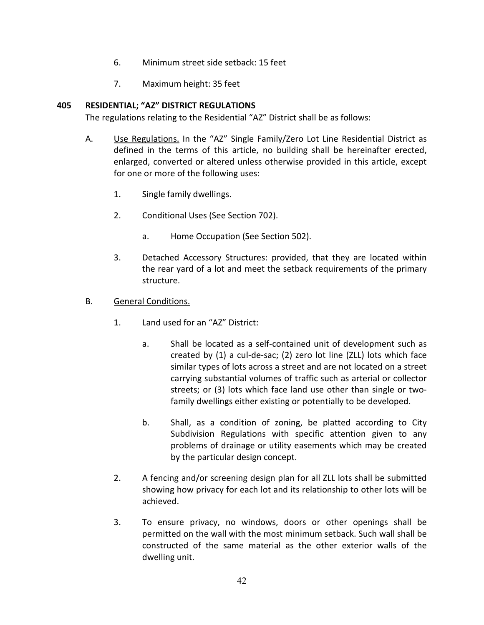- 6. Minimum street side setback: 15 feet
- 7. Maximum height: 35 feet

### **405 RESIDENTIAL; "AZ" DISTRICT REGULATIONS**

The regulations relating to the Residential "AZ" District shall be as follows:

- A. Use Regulations. In the "AZ" Single Family/Zero Lot Line Residential District as defined in the terms of this article, no building shall be hereinafter erected, enlarged, converted or altered unless otherwise provided in this article, except for one or more of the following uses:
	- 1. Single family dwellings.
	- 2. Conditional Uses (See Section 702).
		- a. Home Occupation (See Section 502).
	- 3. Detached Accessory Structures: provided, that they are located within the rear yard of a lot and meet the setback requirements of the primary structure.
- B. General Conditions.
	- 1. Land used for an "AZ" District:
		- a. Shall be located as a self-contained unit of development such as created by (1) a cul-de-sac; (2) zero lot line (ZLL) lots which face similar types of lots across a street and are not located on a street carrying substantial volumes of traffic such as arterial or collector streets; or (3) lots which face land use other than single or twofamily dwellings either existing or potentially to be developed.
		- b. Shall, as a condition of zoning, be platted according to City Subdivision Regulations with specific attention given to any problems of drainage or utility easements which may be created by the particular design concept.
	- 2. A fencing and/or screening design plan for all ZLL lots shall be submitted showing how privacy for each lot and its relationship to other lots will be achieved.
	- 3. To ensure privacy, no windows, doors or other openings shall be permitted on the wall with the most minimum setback. Such wall shall be constructed of the same material as the other exterior walls of the dwelling unit.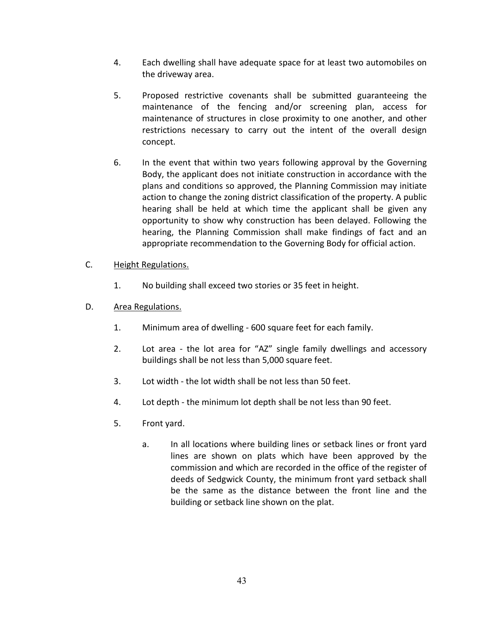- 4. Each dwelling shall have adequate space for at least two automobiles on the driveway area.
- 5. Proposed restrictive covenants shall be submitted guaranteeing the maintenance of the fencing and/or screening plan, access for maintenance of structures in close proximity to one another, and other restrictions necessary to carry out the intent of the overall design concept.
- 6. In the event that within two years following approval by the Governing Body, the applicant does not initiate construction in accordance with the plans and conditions so approved, the Planning Commission may initiate action to change the zoning district classification of the property. A public hearing shall be held at which time the applicant shall be given any opportunity to show why construction has been delayed. Following the hearing, the Planning Commission shall make findings of fact and an appropriate recommendation to the Governing Body for official action.

## C. Height Regulations.

- 1. No building shall exceed two stories or 35 feet in height.
- D. Area Regulations.
	- 1. Minimum area of dwelling 600 square feet for each family.
	- 2. Lot area the lot area for "AZ" single family dwellings and accessory buildings shall be not less than 5,000 square feet.
	- 3. Lot width the lot width shall be not less than 50 feet.
	- 4. Lot depth the minimum lot depth shall be not less than 90 feet.
	- 5. Front yard.
		- a. In all locations where building lines or setback lines or front yard lines are shown on plats which have been approved by the commission and which are recorded in the office of the register of deeds of Sedgwick County, the minimum front yard setback shall be the same as the distance between the front line and the building or setback line shown on the plat.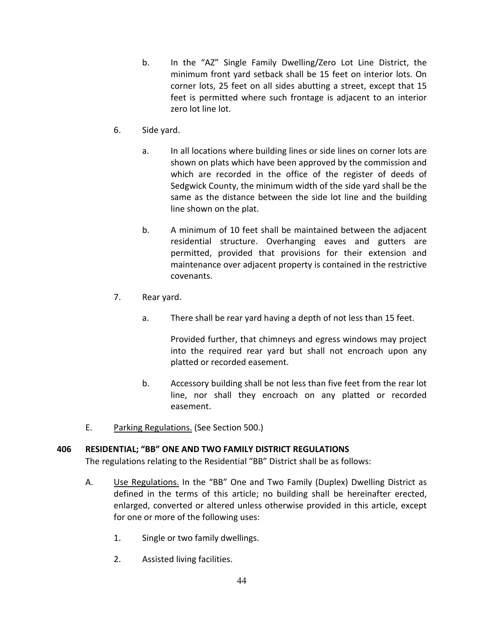- b. In the "AZ" Single Family Dwelling/Zero Lot Line District, the minimum front yard setback shall be 15 feet on interior lots. On corner lots, 25 feet on all sides abutting a street, except that 15 feet is permitted where such frontage is adjacent to an interior zero lot line lot.
- 6. Side yard.
	- a. In all locations where building lines or side lines on corner lots are shown on plats which have been approved by the commission and which are recorded in the office of the register of deeds of Sedgwick County, the minimum width of the side yard shall be the same as the distance between the side lot line and the building line shown on the plat.
	- b. A minimum of 10 feet shall be maintained between the adjacent residential structure. Overhanging eaves and gutters are permitted, provided that provisions for their extension and maintenance over adjacent property is contained in the restrictive covenants.
- 7. Rear yard.
	- a. There shall be rear yard having a depth of not less than 15 feet.

Provided further, that chimneys and egress windows may project into the required rear yard but shall not encroach upon any platted or recorded easement.

- b. Accessory building shall be not less than five feet from the rear lot line, nor shall they encroach on any platted or recorded easement.
- E. Parking Regulations. (See Section 500.)

## **406 RESIDENTIAL; "BB" ONE AND TWO FAMILY DISTRICT REGULATIONS**

The regulations relating to the Residential "BB" District shall be as follows:

- A. Use Regulations. In the "BB" One and Two Family (Duplex) Dwelling District as defined in the terms of this article; no building shall be hereinafter erected, enlarged, converted or altered unless otherwise provided in this article, except for one or more of the following uses:
	- 1. Single or two family dwellings.
	- 2. Assisted living facilities.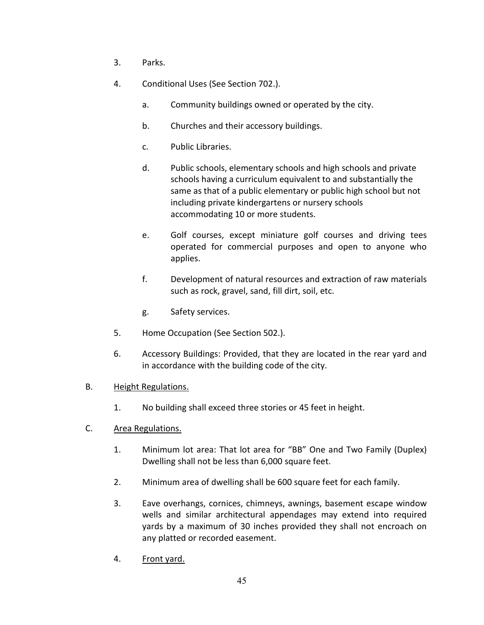- 3. Parks.
- 4. Conditional Uses (See Section 702.).
	- a. Community buildings owned or operated by the city.
	- b. Churches and their accessory buildings.
	- c. Public Libraries.
	- d. Public schools, elementary schools and high schools and private schools having a curriculum equivalent to and substantially the same as that of a public elementary or public high school but not including private kindergartens or nursery schools accommodating 10 or more students.
	- e. Golf courses, except miniature golf courses and driving tees operated for commercial purposes and open to anyone who applies.
	- f. Development of natural resources and extraction of raw materials such as rock, gravel, sand, fill dirt, soil, etc.
	- g. Safety services.
- 5. Home Occupation (See Section 502.).
- 6. Accessory Buildings: Provided, that they are located in the rear yard and in accordance with the building code of the city.
- B. Height Regulations.
	- 1. No building shall exceed three stories or 45 feet in height.
- C. Area Regulations.
	- 1. Minimum lot area: That lot area for "BB" One and Two Family (Duplex) Dwelling shall not be less than 6,000 square feet.
	- 2. Minimum area of dwelling shall be 600 square feet for each family.
	- 3. Eave overhangs, cornices, chimneys, awnings, basement escape window wells and similar architectural appendages may extend into required yards by a maximum of 30 inches provided they shall not encroach on any platted or recorded easement.
	- 4. Front yard.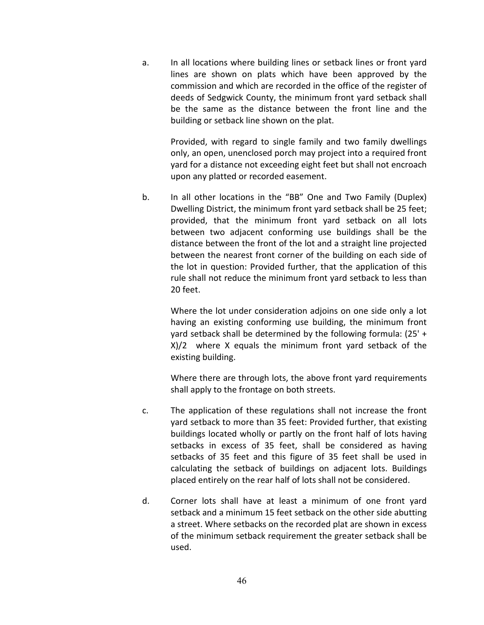a. In all locations where building lines or setback lines or front yard lines are shown on plats which have been approved by the commission and which are recorded in the office of the register of deeds of Sedgwick County, the minimum front yard setback shall be the same as the distance between the front line and the building or setback line shown on the plat.

> Provided, with regard to single family and two family dwellings only, an open, unenclosed porch may project into a required front yard for a distance not exceeding eight feet but shall not encroach upon any platted or recorded easement.

b. In all other locations in the "BB" One and Two Family (Duplex) Dwelling District, the minimum front yard setback shall be 25 feet; provided, that the minimum front yard setback on all lots between two adjacent conforming use buildings shall be the distance between the front of the lot and a straight line projected between the nearest front corner of the building on each side of the lot in question: Provided further, that the application of this rule shall not reduce the minimum front yard setback to less than 20 feet.

Where the lot under consideration adjoins on one side only a lot having an existing conforming use building, the minimum front yard setback shall be determined by the following formula: (25' + X)/2 where X equals the minimum front yard setback of the existing building.

Where there are through lots, the above front yard requirements shall apply to the frontage on both streets.

- c. The application of these regulations shall not increase the front yard setback to more than 35 feet: Provided further, that existing buildings located wholly or partly on the front half of lots having setbacks in excess of 35 feet, shall be considered as having setbacks of 35 feet and this figure of 35 feet shall be used in calculating the setback of buildings on adjacent lots. Buildings placed entirely on the rear half of lots shall not be considered.
- d. Corner lots shall have at least a minimum of one front yard setback and a minimum 15 feet setback on the other side abutting a street. Where setbacks on the recorded plat are shown in excess of the minimum setback requirement the greater setback shall be used.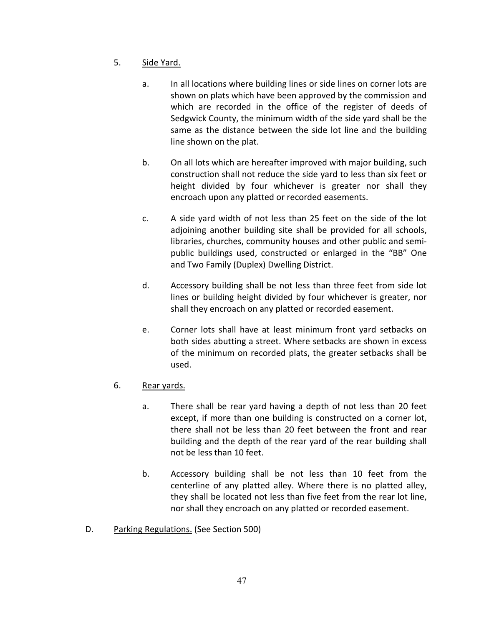- 5. Side Yard.
	- a. In all locations where building lines or side lines on corner lots are shown on plats which have been approved by the commission and which are recorded in the office of the register of deeds of Sedgwick County, the minimum width of the side yard shall be the same as the distance between the side lot line and the building line shown on the plat.
	- b. On all lots which are hereafter improved with major building, such construction shall not reduce the side yard to less than six feet or height divided by four whichever is greater nor shall they encroach upon any platted or recorded easements.
	- c. A side yard width of not less than 25 feet on the side of the lot adjoining another building site shall be provided for all schools, libraries, churches, community houses and other public and semipublic buildings used, constructed or enlarged in the "BB" One and Two Family (Duplex) Dwelling District.
	- d. Accessory building shall be not less than three feet from side lot lines or building height divided by four whichever is greater, nor shall they encroach on any platted or recorded easement.
	- e. Corner lots shall have at least minimum front yard setbacks on both sides abutting a street. Where setbacks are shown in excess of the minimum on recorded plats, the greater setbacks shall be used.
- 6. Rear yards.
	- a. There shall be rear yard having a depth of not less than 20 feet except, if more than one building is constructed on a corner lot, there shall not be less than 20 feet between the front and rear building and the depth of the rear yard of the rear building shall not be less than 10 feet.
	- b. Accessory building shall be not less than 10 feet from the centerline of any platted alley. Where there is no platted alley, they shall be located not less than five feet from the rear lot line, nor shall they encroach on any platted or recorded easement.
- D. Parking Regulations. (See Section 500)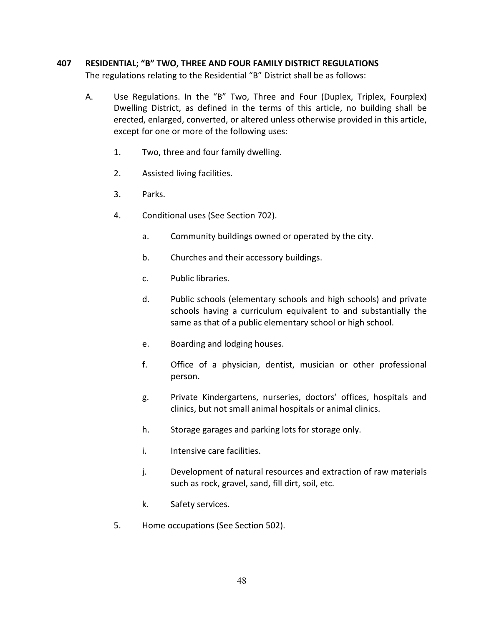### **407 RESIDENTIAL; "B" TWO, THREE AND FOUR FAMILY DISTRICT REGULATIONS**

The regulations relating to the Residential "B" District shall be as follows:

- A. Use Regulations. In the "B" Two, Three and Four (Duplex, Triplex, Fourplex) Dwelling District, as defined in the terms of this article, no building shall be erected, enlarged, converted, or altered unless otherwise provided in this article, except for one or more of the following uses:
	- 1. Two, three and four family dwelling.
	- 2. Assisted living facilities.
	- 3. Parks.
	- 4. Conditional uses (See Section 702).
		- a. Community buildings owned or operated by the city.
		- b. Churches and their accessory buildings.
		- c. Public libraries.
		- d. Public schools (elementary schools and high schools) and private schools having a curriculum equivalent to and substantially the same as that of a public elementary school or high school.
		- e. Boarding and lodging houses.
		- f. Office of a physician, dentist, musician or other professional person.
		- g. Private Kindergartens, nurseries, doctors' offices, hospitals and clinics, but not small animal hospitals or animal clinics.
		- h. Storage garages and parking lots for storage only.
		- i. Intensive care facilities.
		- j. Development of natural resources and extraction of raw materials such as rock, gravel, sand, fill dirt, soil, etc.
		- k. Safety services.
	- 5. Home occupations (See Section 502).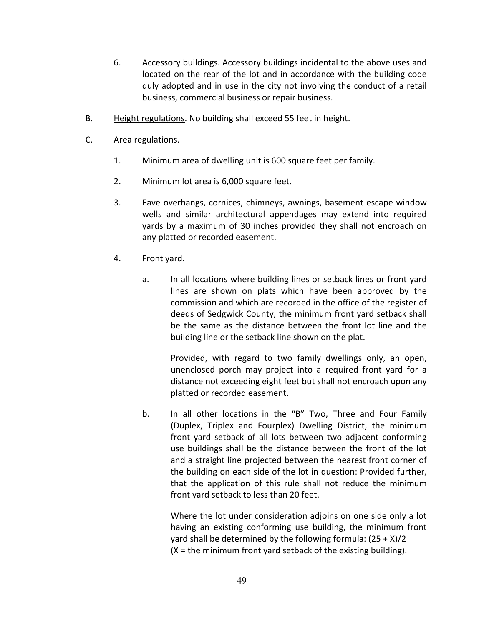- 6. Accessory buildings. Accessory buildings incidental to the above uses and located on the rear of the lot and in accordance with the building code duly adopted and in use in the city not involving the conduct of a retail business, commercial business or repair business.
- B. Height regulations. No building shall exceed 55 feet in height.
- C. Area regulations.
	- 1. Minimum area of dwelling unit is 600 square feet per family.
	- 2. Minimum lot area is 6,000 square feet.
	- 3. Eave overhangs, cornices, chimneys, awnings, basement escape window wells and similar architectural appendages may extend into required yards by a maximum of 30 inches provided they shall not encroach on any platted or recorded easement.
	- 4. Front yard.
		- a. In all locations where building lines or setback lines or front yard lines are shown on plats which have been approved by the commission and which are recorded in the office of the register of deeds of Sedgwick County, the minimum front yard setback shall be the same as the distance between the front lot line and the building line or the setback line shown on the plat.

Provided, with regard to two family dwellings only, an open, unenclosed porch may project into a required front yard for a distance not exceeding eight feet but shall not encroach upon any platted or recorded easement.

b. In all other locations in the "B" Two, Three and Four Family (Duplex, Triplex and Fourplex) Dwelling District, the minimum front yard setback of all lots between two adjacent conforming use buildings shall be the distance between the front of the lot and a straight line projected between the nearest front corner of the building on each side of the lot in question: Provided further, that the application of this rule shall not reduce the minimum front yard setback to less than 20 feet.

Where the lot under consideration adjoins on one side only a lot having an existing conforming use building, the minimum front yard shall be determined by the following formula:  $(25 + X)/2$  $(X =$  the minimum front yard setback of the existing building).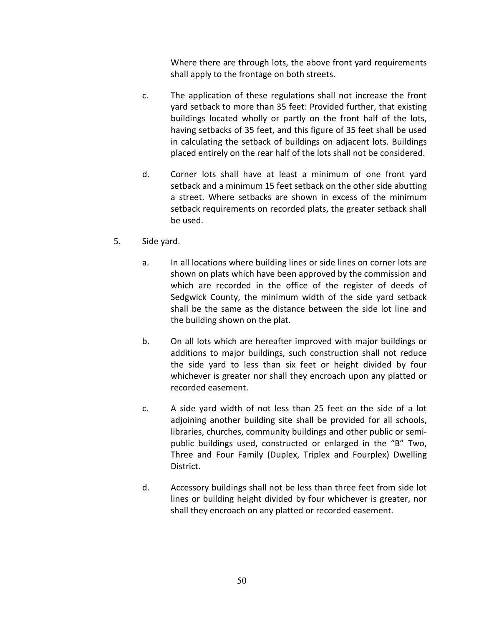Where there are through lots, the above front yard requirements shall apply to the frontage on both streets.

- c. The application of these regulations shall not increase the front yard setback to more than 35 feet: Provided further, that existing buildings located wholly or partly on the front half of the lots, having setbacks of 35 feet, and this figure of 35 feet shall be used in calculating the setback of buildings on adjacent lots. Buildings placed entirely on the rear half of the lots shall not be considered.
- d. Corner lots shall have at least a minimum of one front yard setback and a minimum 15 feet setback on the other side abutting a street. Where setbacks are shown in excess of the minimum setback requirements on recorded plats, the greater setback shall be used.
- 5. Side yard.
	- a. In all locations where building lines or side lines on corner lots are shown on plats which have been approved by the commission and which are recorded in the office of the register of deeds of Sedgwick County, the minimum width of the side yard setback shall be the same as the distance between the side lot line and the building shown on the plat.
	- b. On all lots which are hereafter improved with major buildings or additions to major buildings, such construction shall not reduce the side yard to less than six feet or height divided by four whichever is greater nor shall they encroach upon any platted or recorded easement.
	- c. A side yard width of not less than 25 feet on the side of a lot adjoining another building site shall be provided for all schools, libraries, churches, community buildings and other public or semipublic buildings used, constructed or enlarged in the "B" Two, Three and Four Family (Duplex, Triplex and Fourplex) Dwelling District.
	- d. Accessory buildings shall not be less than three feet from side lot lines or building height divided by four whichever is greater, nor shall they encroach on any platted or recorded easement.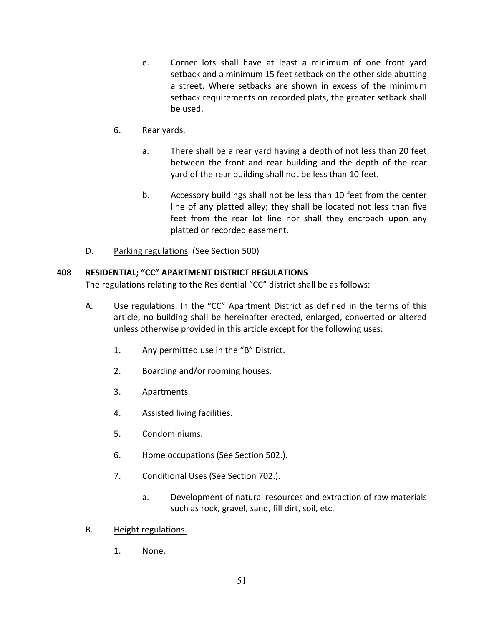- e. Corner lots shall have at least a minimum of one front yard setback and a minimum 15 feet setback on the other side abutting a street. Where setbacks are shown in excess of the minimum setback requirements on recorded plats, the greater setback shall be used.
- 6. Rear yards.
	- a. There shall be a rear yard having a depth of not less than 20 feet between the front and rear building and the depth of the rear yard of the rear building shall not be less than 10 feet.
	- b. Accessory buildings shall not be less than 10 feet from the center line of any platted alley; they shall be located not less than five feet from the rear lot line nor shall they encroach upon any platted or recorded easement.
- D. Parking regulations. (See Section 500)

## **408 RESIDENTIAL; "CC" APARTMENT DISTRICT REGULATIONS**

The regulations relating to the Residential "CC" district shall be as follows:

- A. Use regulations. In the "CC" Apartment District as defined in the terms of this article, no building shall be hereinafter erected, enlarged, converted or altered unless otherwise provided in this article except for the following uses:
	- 1. Any permitted use in the "B" District.
	- 2. Boarding and/or rooming houses.
	- 3. Apartments.
	- 4. Assisted living facilities.
	- 5. Condominiums.
	- 6. Home occupations (See Section 502.).
	- 7. Conditional Uses (See Section 702.).
		- a. Development of natural resources and extraction of raw materials such as rock, gravel, sand, fill dirt, soil, etc.
- B. Height regulations.
	- 1. None.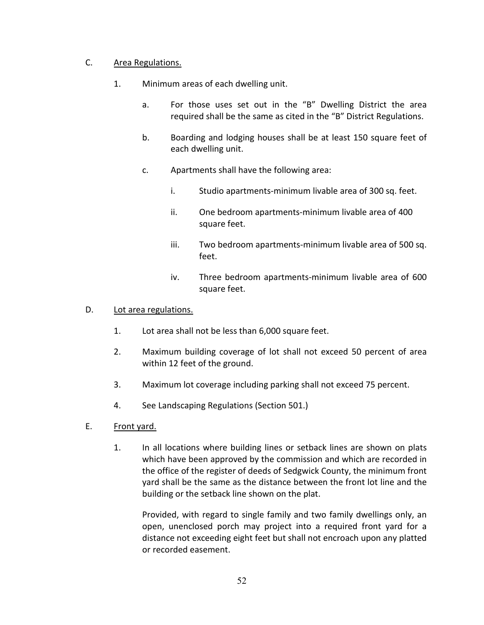## C. Area Regulations.

- 1. Minimum areas of each dwelling unit.
	- a. For those uses set out in the "B" Dwelling District the area required shall be the same as cited in the "B" District Regulations.
	- b. Boarding and lodging houses shall be at least 150 square feet of each dwelling unit.
	- c. Apartments shall have the following area:
		- i. Studio apartments-minimum livable area of 300 sq. feet.
		- ii. One bedroom apartments-minimum livable area of 400 square feet.
		- iii. Two bedroom apartments-minimum livable area of 500 sq. feet.
		- iv. Three bedroom apartments-minimum livable area of 600 square feet.

#### D. Lot area regulations.

- 1. Lot area shall not be less than 6,000 square feet.
- 2. Maximum building coverage of lot shall not exceed 50 percent of area within 12 feet of the ground.
- 3. Maximum lot coverage including parking shall not exceed 75 percent.
- 4. See Landscaping Regulations (Section 501.)
- E. Front yard.
	- 1. In all locations where building lines or setback lines are shown on plats which have been approved by the commission and which are recorded in the office of the register of deeds of Sedgwick County, the minimum front yard shall be the same as the distance between the front lot line and the building or the setback line shown on the plat.

Provided, with regard to single family and two family dwellings only, an open, unenclosed porch may project into a required front yard for a distance not exceeding eight feet but shall not encroach upon any platted or recorded easement.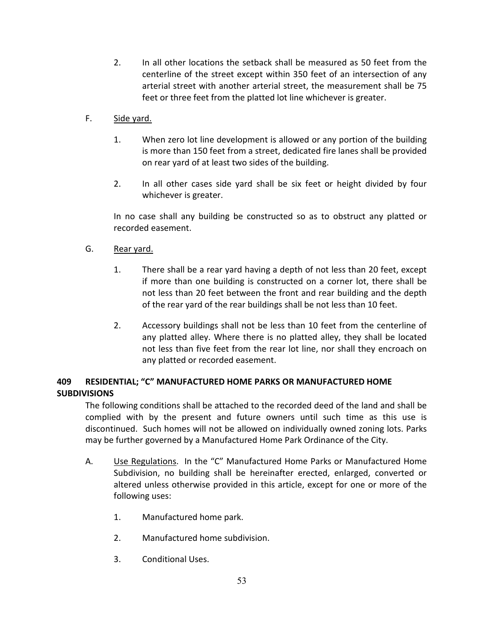- 2. In all other locations the setback shall be measured as 50 feet from the centerline of the street except within 350 feet of an intersection of any arterial street with another arterial street, the measurement shall be 75 feet or three feet from the platted lot line whichever is greater.
- F. Side yard.
	- 1. When zero lot line development is allowed or any portion of the building is more than 150 feet from a street, dedicated fire lanes shall be provided on rear yard of at least two sides of the building.
	- 2. In all other cases side yard shall be six feet or height divided by four whichever is greater.

In no case shall any building be constructed so as to obstruct any platted or recorded easement.

## G. Rear yard.

- 1. There shall be a rear yard having a depth of not less than 20 feet, except if more than one building is constructed on a corner lot, there shall be not less than 20 feet between the front and rear building and the depth of the rear yard of the rear buildings shall be not less than 10 feet.
- 2. Accessory buildings shall not be less than 10 feet from the centerline of any platted alley. Where there is no platted alley, they shall be located not less than five feet from the rear lot line, nor shall they encroach on any platted or recorded easement.

# **409 RESIDENTIAL; "C" MANUFACTURED HOME PARKS OR MANUFACTURED HOME SUBDIVISIONS**

The following conditions shall be attached to the recorded deed of the land and shall be complied with by the present and future owners until such time as this use is discontinued. Such homes will not be allowed on individually owned zoning lots. Parks may be further governed by a Manufactured Home Park Ordinance of the City.

- A. Use Regulations. In the "C" Manufactured Home Parks or Manufactured Home Subdivision, no building shall be hereinafter erected, enlarged, converted or altered unless otherwise provided in this article, except for one or more of the following uses:
	- 1. Manufactured home park.
	- 2. Manufactured home subdivision.
	- 3. Conditional Uses.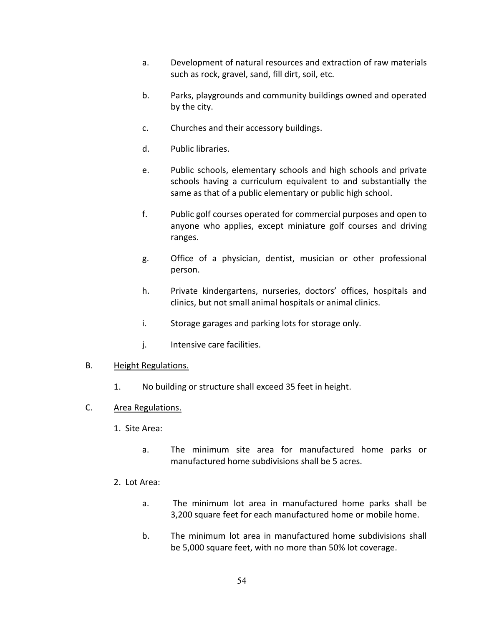- a. Development of natural resources and extraction of raw materials such as rock, gravel, sand, fill dirt, soil, etc.
- b. Parks, playgrounds and community buildings owned and operated by the city.
- c. Churches and their accessory buildings.
- d. Public libraries.
- e. Public schools, elementary schools and high schools and private schools having a curriculum equivalent to and substantially the same as that of a public elementary or public high school.
- f. Public golf courses operated for commercial purposes and open to anyone who applies, except miniature golf courses and driving ranges.
- g. Office of a physician, dentist, musician or other professional person.
- h. Private kindergartens, nurseries, doctors' offices, hospitals and clinics, but not small animal hospitals or animal clinics.
- i. Storage garages and parking lots for storage only.
- j. Intensive care facilities.

#### B. Height Regulations.

- 1. No building or structure shall exceed 35 feet in height.
- C. Area Regulations.
	- 1. Site Area:
		- a. The minimum site area for manufactured home parks or manufactured home subdivisions shall be 5 acres.
	- 2. Lot Area:
		- a. The minimum lot area in manufactured home parks shall be 3,200 square feet for each manufactured home or mobile home.
		- b. The minimum lot area in manufactured home subdivisions shall be 5,000 square feet, with no more than 50% lot coverage.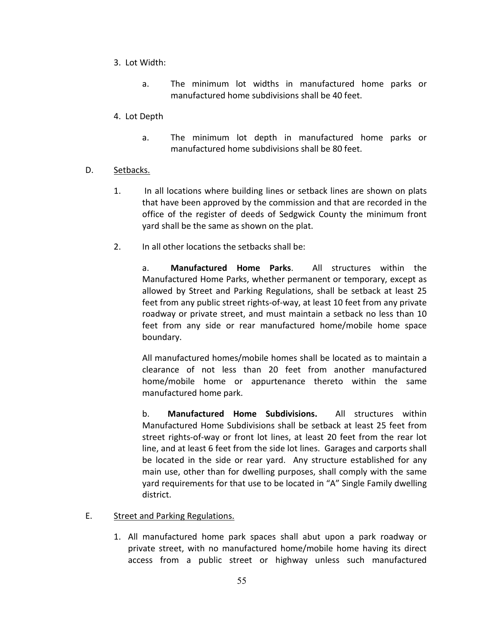- 3. Lot Width:
	- a. The minimum lot widths in manufactured home parks or manufactured home subdivisions shall be 40 feet.
- 4. Lot Depth
	- a. The minimum lot depth in manufactured home parks or manufactured home subdivisions shall be 80 feet.
- D. Setbacks.
	- 1. In all locations where building lines or setback lines are shown on plats that have been approved by the commission and that are recorded in the office of the register of deeds of Sedgwick County the minimum front yard shall be the same as shown on the plat.
	- 2. In all other locations the setbacks shall be:

a. **Manufactured Home Parks**. All structures within the Manufactured Home Parks, whether permanent or temporary, except as allowed by Street and Parking Regulations, shall be setback at least 25 feet from any public street rights-of-way, at least 10 feet from any private roadway or private street, and must maintain a setback no less than 10 feet from any side or rear manufactured home/mobile home space boundary.

All manufactured homes/mobile homes shall be located as to maintain a clearance of not less than 20 feet from another manufactured home/mobile home or appurtenance thereto within the same manufactured home park.

b. **Manufactured Home Subdivisions.** All structures within Manufactured Home Subdivisions shall be setback at least 25 feet from street rights-of-way or front lot lines, at least 20 feet from the rear lot line, and at least 6 feet from the side lot lines. Garages and carports shall be located in the side or rear yard. Any structure established for any main use, other than for dwelling purposes, shall comply with the same yard requirements for that use to be located in "A" Single Family dwelling district.

- E. Street and Parking Regulations.
	- 1. All manufactured home park spaces shall abut upon a park roadway or private street, with no manufactured home/mobile home having its direct access from a public street or highway unless such manufactured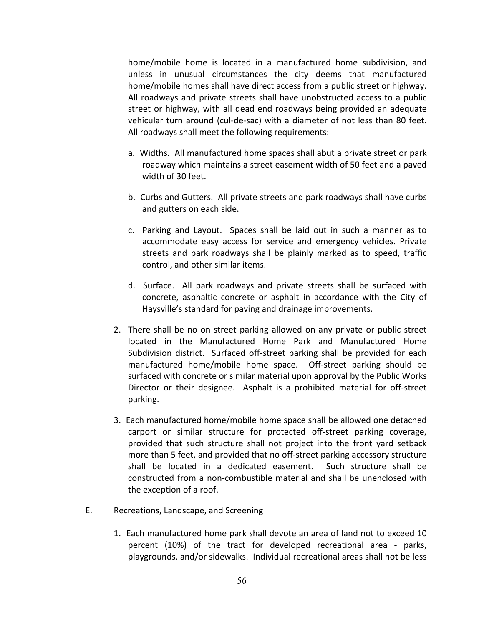home/mobile home is located in a manufactured home subdivision, and unless in unusual circumstances the city deems that manufactured home/mobile homes shall have direct access from a public street or highway. All roadways and private streets shall have unobstructed access to a public street or highway, with all dead end roadways being provided an adequate vehicular turn around (cul-de-sac) with a diameter of not less than 80 feet. All roadways shall meet the following requirements:

- a. Widths. All manufactured home spaces shall abut a private street or park roadway which maintains a street easement width of 50 feet and a paved width of 30 feet.
- b. Curbs and Gutters. All private streets and park roadways shall have curbs and gutters on each side.
- c. Parking and Layout. Spaces shall be laid out in such a manner as to accommodate easy access for service and emergency vehicles. Private streets and park roadways shall be plainly marked as to speed, traffic control, and other similar items.
- d. Surface. All park roadways and private streets shall be surfaced with concrete, asphaltic concrete or asphalt in accordance with the City of Haysville's standard for paving and drainage improvements.
- 2. There shall be no on street parking allowed on any private or public street located in the Manufactured Home Park and Manufactured Home Subdivision district. Surfaced off-street parking shall be provided for each manufactured home/mobile home space. Off-street parking should be surfaced with concrete or similar material upon approval by the Public Works Director or their designee. Asphalt is a prohibited material for off-street parking.
- 3. Each manufactured home/mobile home space shall be allowed one detached carport or similar structure for protected off-street parking coverage, provided that such structure shall not project into the front yard setback more than 5 feet, and provided that no off-street parking accessory structure shall be located in a dedicated easement. Such structure shall be constructed from a non-combustible material and shall be unenclosed with the exception of a roof.
- E. Recreations, Landscape, and Screening
	- 1. Each manufactured home park shall devote an area of land not to exceed 10 percent (10%) of the tract for developed recreational area - parks, playgrounds, and/or sidewalks. Individual recreational areas shall not be less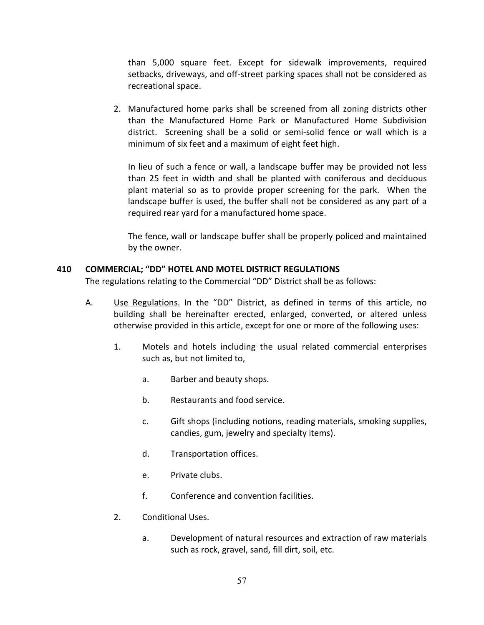than 5,000 square feet. Except for sidewalk improvements, required setbacks, driveways, and off-street parking spaces shall not be considered as recreational space.

2. Manufactured home parks shall be screened from all zoning districts other than the Manufactured Home Park or Manufactured Home Subdivision district. Screening shall be a solid or semi-solid fence or wall which is a minimum of six feet and a maximum of eight feet high.

In lieu of such a fence or wall, a landscape buffer may be provided not less than 25 feet in width and shall be planted with coniferous and deciduous plant material so as to provide proper screening for the park. When the landscape buffer is used, the buffer shall not be considered as any part of a required rear yard for a manufactured home space.

The fence, wall or landscape buffer shall be properly policed and maintained by the owner.

### **410 COMMERCIAL; "DD" HOTEL AND MOTEL DISTRICT REGULATIONS**

The regulations relating to the Commercial "DD" District shall be as follows:

- A. Use Regulations. In the "DD" District, as defined in terms of this article, no building shall be hereinafter erected, enlarged, converted, or altered unless otherwise provided in this article, except for one or more of the following uses:
	- 1. Motels and hotels including the usual related commercial enterprises such as, but not limited to,
		- a. Barber and beauty shops.
		- b. Restaurants and food service.
		- c. Gift shops (including notions, reading materials, smoking supplies, candies, gum, jewelry and specialty items).
		- d. Transportation offices.
		- e. Private clubs.
		- f. Conference and convention facilities.
	- 2. Conditional Uses.
		- a. Development of natural resources and extraction of raw materials such as rock, gravel, sand, fill dirt, soil, etc.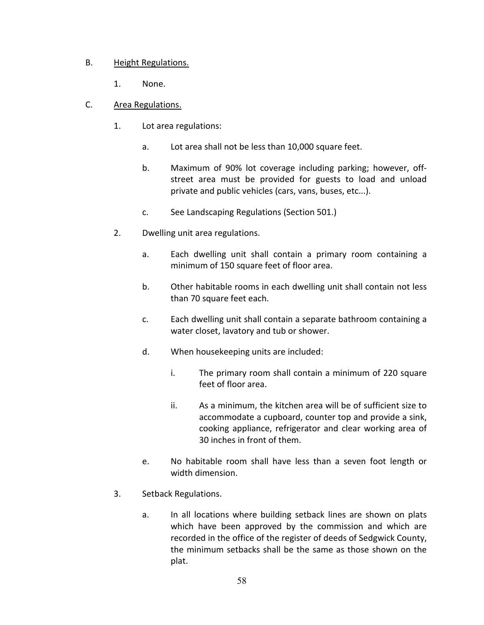## B. Height Regulations.

- 1. None.
- C. Area Regulations.
	- 1. Lot area regulations:
		- a. Lot area shall not be less than 10,000 square feet.
		- b. Maximum of 90% lot coverage including parking; however, offstreet area must be provided for guests to load and unload private and public vehicles (cars, vans, buses, etc...).
		- c. See Landscaping Regulations (Section 501.)
	- 2. Dwelling unit area regulations.
		- a. Each dwelling unit shall contain a primary room containing a minimum of 150 square feet of floor area.
		- b. Other habitable rooms in each dwelling unit shall contain not less than 70 square feet each.
		- c. Each dwelling unit shall contain a separate bathroom containing a water closet, lavatory and tub or shower.
		- d. When housekeeping units are included:
			- i. The primary room shall contain a minimum of 220 square feet of floor area.
			- ii. As a minimum, the kitchen area will be of sufficient size to accommodate a cupboard, counter top and provide a sink, cooking appliance, refrigerator and clear working area of 30 inches in front of them.
		- e. No habitable room shall have less than a seven foot length or width dimension.
	- 3. Setback Regulations.
		- a. In all locations where building setback lines are shown on plats which have been approved by the commission and which are recorded in the office of the register of deeds of Sedgwick County, the minimum setbacks shall be the same as those shown on the plat.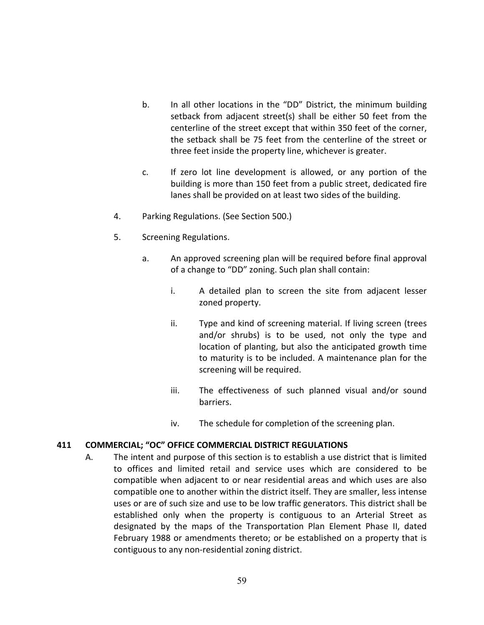- b. In all other locations in the "DD" District, the minimum building setback from adjacent street(s) shall be either 50 feet from the centerline of the street except that within 350 feet of the corner, the setback shall be 75 feet from the centerline of the street or three feet inside the property line, whichever is greater.
- c. If zero lot line development is allowed, or any portion of the building is more than 150 feet from a public street, dedicated fire lanes shall be provided on at least two sides of the building.
- 4. Parking Regulations. (See Section 500.)
- 5. Screening Regulations.
	- a. An approved screening plan will be required before final approval of a change to "DD" zoning. Such plan shall contain:
		- i. A detailed plan to screen the site from adjacent lesser zoned property.
		- ii. Type and kind of screening material. If living screen (trees and/or shrubs) is to be used, not only the type and location of planting, but also the anticipated growth time to maturity is to be included. A maintenance plan for the screening will be required.
		- iii. The effectiveness of such planned visual and/or sound barriers.
		- iv. The schedule for completion of the screening plan.

## **411 COMMERCIAL; "OC" OFFICE COMMERCIAL DISTRICT REGULATIONS**

A. The intent and purpose of this section is to establish a use district that is limited to offices and limited retail and service uses which are considered to be compatible when adjacent to or near residential areas and which uses are also compatible one to another within the district itself. They are smaller, less intense uses or are of such size and use to be low traffic generators. This district shall be established only when the property is contiguous to an Arterial Street as designated by the maps of the Transportation Plan Element Phase II, dated February 1988 or amendments thereto; or be established on a property that is contiguous to any non-residential zoning district.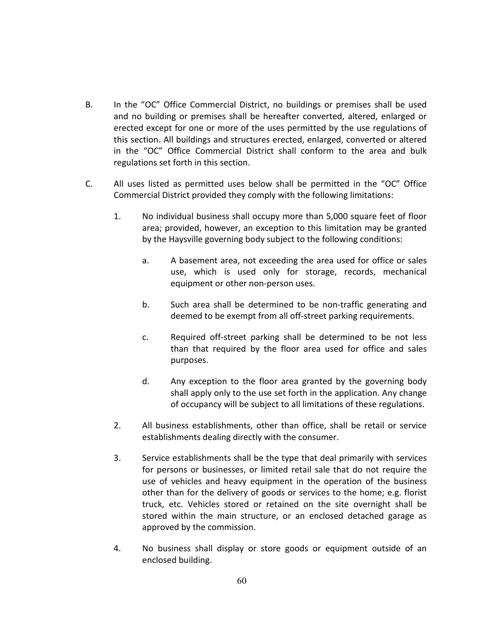- B. In the "OC" Office Commercial District, no buildings or premises shall be used and no building or premises shall be hereafter converted, altered, enlarged or erected except for one or more of the uses permitted by the use regulations of this section. All buildings and structures erected, enlarged, converted or altered in the "OC" Office Commercial District shall conform to the area and bulk regulations set forth in this section.
- C. All uses listed as permitted uses below shall be permitted in the "OC" Office Commercial District provided they comply with the following limitations:
	- 1. No individual business shall occupy more than 5,000 square feet of floor area; provided, however, an exception to this limitation may be granted by the Haysville governing body subject to the following conditions:
		- a. A basement area, not exceeding the area used for office or sales use, which is used only for storage, records, mechanical equipment or other non-person uses.
		- b. Such area shall be determined to be non-traffic generating and deemed to be exempt from all off-street parking requirements.
		- c. Required off-street parking shall be determined to be not less than that required by the floor area used for office and sales purposes.
		- d. Any exception to the floor area granted by the governing body shall apply only to the use set forth in the application. Any change of occupancy will be subject to all limitations of these regulations.
	- 2. All business establishments, other than office, shall be retail or service establishments dealing directly with the consumer.
	- 3. Service establishments shall be the type that deal primarily with services for persons or businesses, or limited retail sale that do not require the use of vehicles and heavy equipment in the operation of the business other than for the delivery of goods or services to the home; e.g. florist truck, etc. Vehicles stored or retained on the site overnight shall be stored within the main structure, or an enclosed detached garage as approved by the commission.
	- 4. No business shall display or store goods or equipment outside of an enclosed building.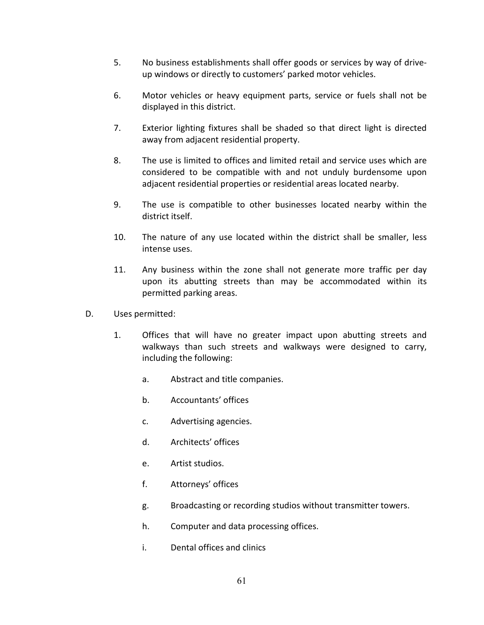- 5. No business establishments shall offer goods or services by way of driveup windows or directly to customers' parked motor vehicles.
- 6. Motor vehicles or heavy equipment parts, service or fuels shall not be displayed in this district.
- 7. Exterior lighting fixtures shall be shaded so that direct light is directed away from adjacent residential property.
- 8. The use is limited to offices and limited retail and service uses which are considered to be compatible with and not unduly burdensome upon adjacent residential properties or residential areas located nearby.
- 9. The use is compatible to other businesses located nearby within the district itself.
- 10. The nature of any use located within the district shall be smaller, less intense uses.
- 11. Any business within the zone shall not generate more traffic per day upon its abutting streets than may be accommodated within its permitted parking areas.
- D. Uses permitted:
	- 1. Offices that will have no greater impact upon abutting streets and walkways than such streets and walkways were designed to carry, including the following:
		- a. Abstract and title companies.
		- b. Accountants' offices
		- c. Advertising agencies.
		- d. Architects' offices
		- e. Artist studios.
		- f. Attorneys' offices
		- g. Broadcasting or recording studios without transmitter towers.
		- h. Computer and data processing offices.
		- i. Dental offices and clinics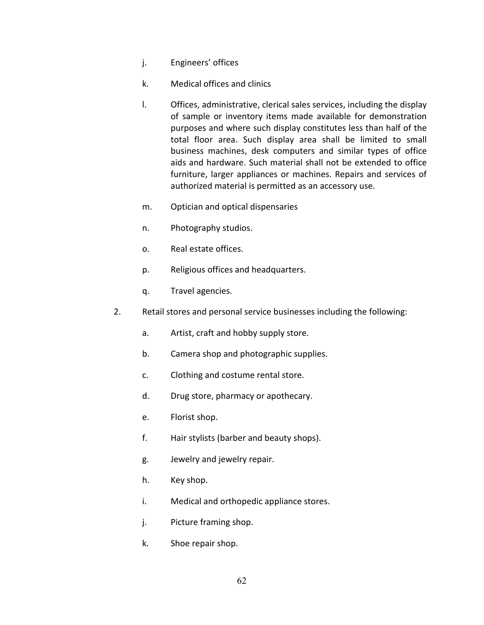- j. Engineers' offices
- k. Medical offices and clinics
- l. Offices, administrative, clerical sales services, including the display of sample or inventory items made available for demonstration purposes and where such display constitutes less than half of the total floor area. Such display area shall be limited to small business machines, desk computers and similar types of office aids and hardware. Such material shall not be extended to office furniture, larger appliances or machines. Repairs and services of authorized material is permitted as an accessory use.
- m. Optician and optical dispensaries
- n. Photography studios.
- o. Real estate offices.
- p. Religious offices and headquarters.
- q. Travel agencies.
- 2. Retail stores and personal service businesses including the following:
	- a. Artist, craft and hobby supply store.
	- b. Camera shop and photographic supplies.
	- c. Clothing and costume rental store.
	- d. Drug store, pharmacy or apothecary.
	- e. Florist shop.
	- f. Hair stylists (barber and beauty shops).
	- g. Jewelry and jewelry repair.
	- h. Key shop.
	- i. Medical and orthopedic appliance stores.
	- j. Picture framing shop.
	- k. Shoe repair shop.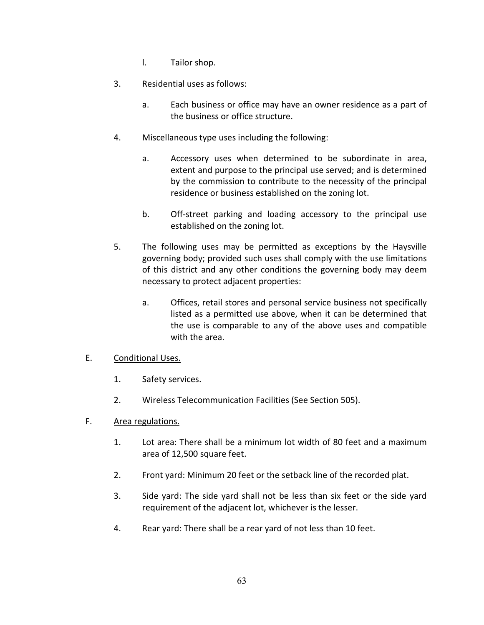- l. Tailor shop.
- 3. Residential uses as follows:
	- a. Each business or office may have an owner residence as a part of the business or office structure.
- 4. Miscellaneous type uses including the following:
	- a. Accessory uses when determined to be subordinate in area, extent and purpose to the principal use served; and is determined by the commission to contribute to the necessity of the principal residence or business established on the zoning lot.
	- b. Off-street parking and loading accessory to the principal use established on the zoning lot.
- 5. The following uses may be permitted as exceptions by the Haysville governing body; provided such uses shall comply with the use limitations of this district and any other conditions the governing body may deem necessary to protect adjacent properties:
	- a. Offices, retail stores and personal service business not specifically listed as a permitted use above, when it can be determined that the use is comparable to any of the above uses and compatible with the area.

#### E. Conditional Uses.

- 1. Safety services.
- 2. Wireless Telecommunication Facilities (See Section 505).

#### F. Area regulations.

- 1. Lot area: There shall be a minimum lot width of 80 feet and a maximum area of 12,500 square feet.
- 2. Front yard: Minimum 20 feet or the setback line of the recorded plat.
- 3. Side yard: The side yard shall not be less than six feet or the side yard requirement of the adjacent lot, whichever is the lesser.
- 4. Rear yard: There shall be a rear yard of not less than 10 feet.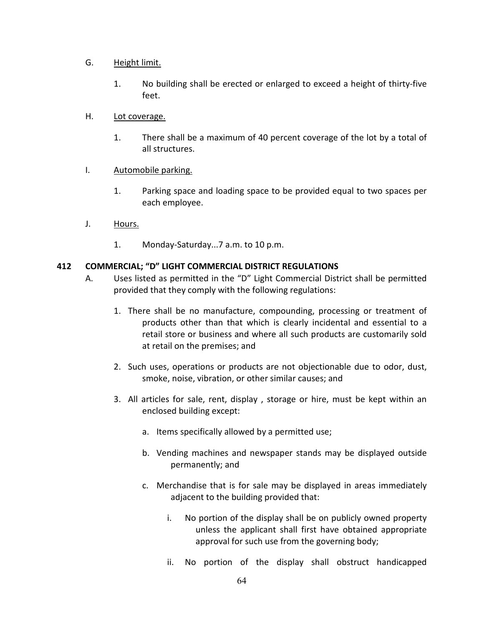### G. Height limit.

1. No building shall be erected or enlarged to exceed a height of thirty-five feet.

### H. Lot coverage.

1. There shall be a maximum of 40 percent coverage of the lot by a total of all structures.

### I. Automobile parking.

- 1. Parking space and loading space to be provided equal to two spaces per each employee.
- J. Hours.
	- 1. Monday-Saturday...7 a.m. to 10 p.m.

### **412 COMMERCIAL; "D" LIGHT COMMERCIAL DISTRICT REGULATIONS**

- A. Uses listed as permitted in the "D" Light Commercial District shall be permitted provided that they comply with the following regulations:
	- 1. There shall be no manufacture, compounding, processing or treatment of products other than that which is clearly incidental and essential to a retail store or business and where all such products are customarily sold at retail on the premises; and
	- 2. Such uses, operations or products are not objectionable due to odor, dust, smoke, noise, vibration, or other similar causes; and
	- 3. All articles for sale, rent, display , storage or hire, must be kept within an enclosed building except:
		- a. Items specifically allowed by a permitted use;
		- b. Vending machines and newspaper stands may be displayed outside permanently; and
		- c. Merchandise that is for sale may be displayed in areas immediately adjacent to the building provided that:
			- i. No portion of the display shall be on publicly owned property unless the applicant shall first have obtained appropriate approval for such use from the governing body;
			- ii. No portion of the display shall obstruct handicapped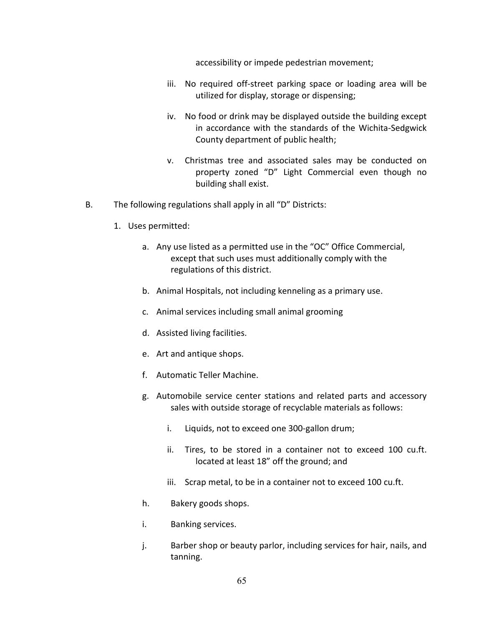accessibility or impede pedestrian movement;

- iii. No required off-street parking space or loading area will be utilized for display, storage or dispensing;
- iv. No food or drink may be displayed outside the building except in accordance with the standards of the Wichita-Sedgwick County department of public health;
- v. Christmas tree and associated sales may be conducted on property zoned "D" Light Commercial even though no building shall exist.
- B. The following regulations shall apply in all "D" Districts:
	- 1. Uses permitted:
		- a. Any use listed as a permitted use in the "OC" Office Commercial, except that such uses must additionally comply with the regulations of this district.
		- b. Animal Hospitals, not including kenneling as a primary use.
		- c. Animal services including small animal grooming
		- d. Assisted living facilities.
		- e. Art and antique shops.
		- f. Automatic Teller Machine.
		- g. Automobile service center stations and related parts and accessory sales with outside storage of recyclable materials as follows:
			- i. Liquids, not to exceed one 300-gallon drum;
			- ii. Tires, to be stored in a container not to exceed 100 cu.ft. located at least 18" off the ground; and
			- iii. Scrap metal, to be in a container not to exceed 100 cu.ft.
		- h. Bakery goods shops.
		- i. Banking services.
		- j. Barber shop or beauty parlor, including services for hair, nails, and tanning.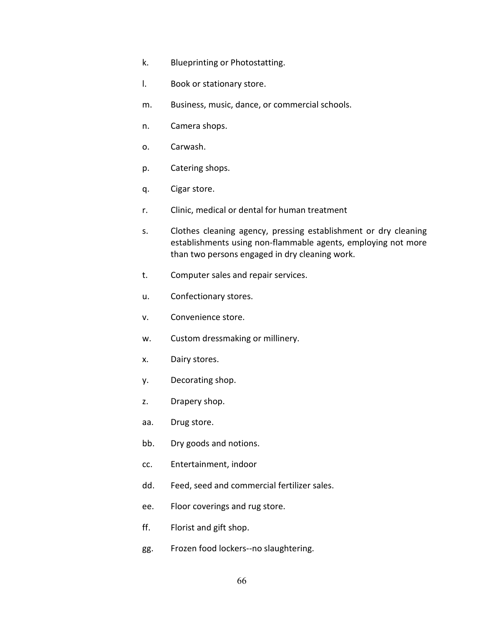- k. Blueprinting or Photostatting.
- l. Book or stationary store.
- m. Business, music, dance, or commercial schools.
- n. Camera shops.
- o. Carwash.
- p. Catering shops.
- q. Cigar store.
- r. Clinic, medical or dental for human treatment
- s. Clothes cleaning agency, pressing establishment or dry cleaning establishments using non-flammable agents, employing not more than two persons engaged in dry cleaning work.
- t. Computer sales and repair services.
- u. Confectionary stores.
- v. Convenience store.
- w. Custom dressmaking or millinery.
- x. Dairy stores.
- y. Decorating shop.
- z. Drapery shop.
- aa. Drug store.
- bb. Dry goods and notions.
- cc. Entertainment, indoor
- dd. Feed, seed and commercial fertilizer sales.
- ee. Floor coverings and rug store.
- ff. Florist and gift shop.
- gg. Frozen food lockers--no slaughtering.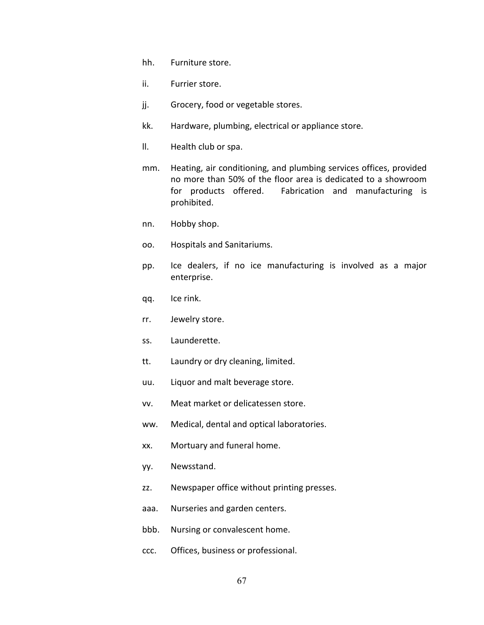- hh. Furniture store.
- ii. Furrier store.
- jj. Grocery, food or vegetable stores.
- kk. Hardware, plumbing, electrical or appliance store.
- ll. Health club or spa.
- mm. Heating, air conditioning, and plumbing services offices, provided no more than 50% of the floor area is dedicated to a showroom for products offered. Fabrication and manufacturing is prohibited.
- nn. Hobby shop.
- oo. Hospitals and Sanitariums.
- pp. Ice dealers, if no ice manufacturing is involved as a major enterprise.
- qq. Ice rink.
- rr. Jewelry store.
- ss. Launderette.
- tt. Laundry or dry cleaning, limited.
- uu. Liquor and malt beverage store.
- vv. Meat market or delicatessen store.
- ww. Medical, dental and optical laboratories.
- xx. Mortuary and funeral home.
- yy. Newsstand.
- zz. Newspaper office without printing presses.
- aaa. Nurseries and garden centers.
- bbb. Nursing or convalescent home.
- ccc. Offices, business or professional.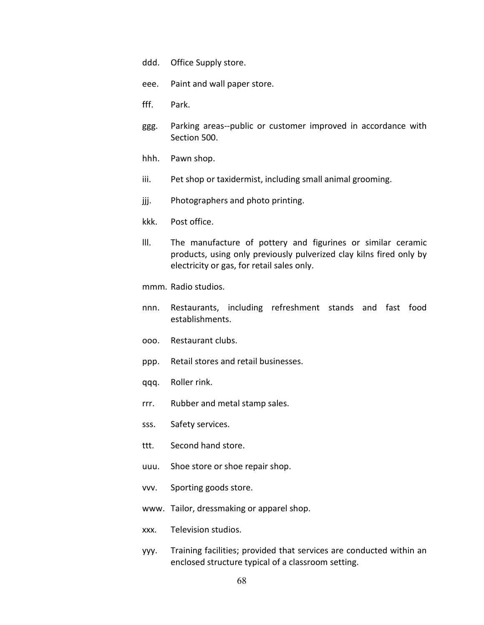- ddd. Office Supply store.
- eee. Paint and wall paper store.
- fff. Park.
- ggg. Parking areas--public or customer improved in accordance with Section 500.
- hhh. Pawn shop.
- iii. Pet shop or taxidermist, including small animal grooming.
- jij. Photographers and photo printing.
- kkk. Post office.
- lll. The manufacture of pottery and figurines or similar ceramic products, using only previously pulverized clay kilns fired only by electricity or gas, for retail sales only.
- mmm. Radio studios.
- nnn. Restaurants, including refreshment stands and fast food establishments.
- ooo. Restaurant clubs.
- ppp. Retail stores and retail businesses.
- qqq. Roller rink.
- rrr. Rubber and metal stamp sales.
- sss. Safety services.
- ttt. Second hand store.
- uuu. Shoe store or shoe repair shop.
- vvv. Sporting goods store.
- www. Tailor, dressmaking or apparel shop.
- xxx. Television studios.
- yyy. Training facilities; provided that services are conducted within an enclosed structure typical of a classroom setting.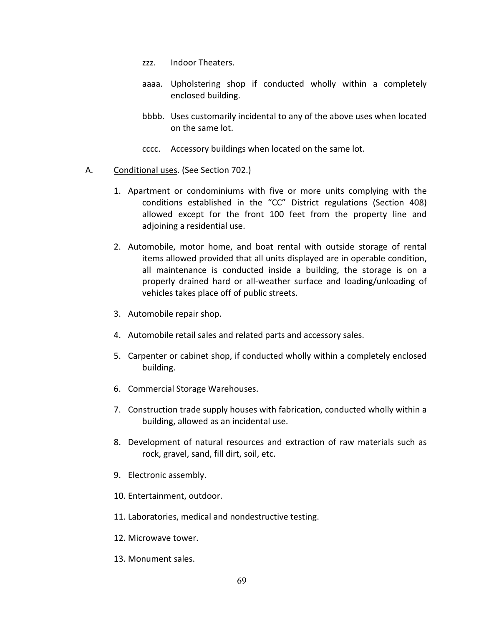- zzz. Indoor Theaters.
- aaaa. Upholstering shop if conducted wholly within a completely enclosed building.
- bbbb. Uses customarily incidental to any of the above uses when located on the same lot.
- cccc. Accessory buildings when located on the same lot.
- A. Conditional uses. (See Section 702.)
	- 1. Apartment or condominiums with five or more units complying with the conditions established in the "CC" District regulations (Section 408) allowed except for the front 100 feet from the property line and adjoining a residential use.
	- 2. Automobile, motor home, and boat rental with outside storage of rental items allowed provided that all units displayed are in operable condition, all maintenance is conducted inside a building, the storage is on a properly drained hard or all-weather surface and loading/unloading of vehicles takes place off of public streets.
	- 3. Automobile repair shop.
	- 4. Automobile retail sales and related parts and accessory sales.
	- 5. Carpenter or cabinet shop, if conducted wholly within a completely enclosed building.
	- 6. Commercial Storage Warehouses.
	- 7. Construction trade supply houses with fabrication, conducted wholly within a building, allowed as an incidental use.
	- 8. Development of natural resources and extraction of raw materials such as rock, gravel, sand, fill dirt, soil, etc.
	- 9. Electronic assembly.
	- 10. Entertainment, outdoor.
	- 11. Laboratories, medical and nondestructive testing.
	- 12. Microwave tower.
	- 13. Monument sales.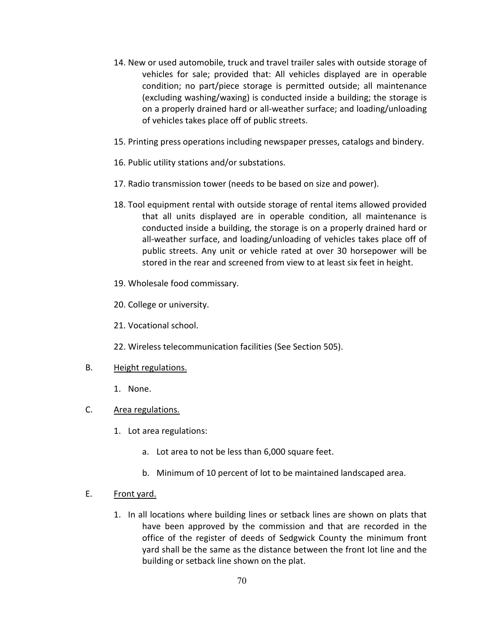- 14. New or used automobile, truck and travel trailer sales with outside storage of vehicles for sale; provided that: All vehicles displayed are in operable condition; no part/piece storage is permitted outside; all maintenance (excluding washing/waxing) is conducted inside a building; the storage is on a properly drained hard or all-weather surface; and loading/unloading of vehicles takes place off of public streets.
- 15. Printing press operations including newspaper presses, catalogs and bindery.
- 16. Public utility stations and/or substations.
- 17. Radio transmission tower (needs to be based on size and power).
- 18. Tool equipment rental with outside storage of rental items allowed provided that all units displayed are in operable condition, all maintenance is conducted inside a building, the storage is on a properly drained hard or all-weather surface, and loading/unloading of vehicles takes place off of public streets. Any unit or vehicle rated at over 30 horsepower will be stored in the rear and screened from view to at least six feet in height.
- 19. Wholesale food commissary.
- 20. College or university.
- 21. Vocational school.
- 22. Wireless telecommunication facilities (See Section 505).
- B. Height regulations.
	- 1. None.
- C. Area regulations.
	- 1. Lot area regulations:
		- a. Lot area to not be less than 6,000 square feet.
		- b. Minimum of 10 percent of lot to be maintained landscaped area.
- E. Front yard.
	- 1. In all locations where building lines or setback lines are shown on plats that have been approved by the commission and that are recorded in the office of the register of deeds of Sedgwick County the minimum front yard shall be the same as the distance between the front lot line and the building or setback line shown on the plat.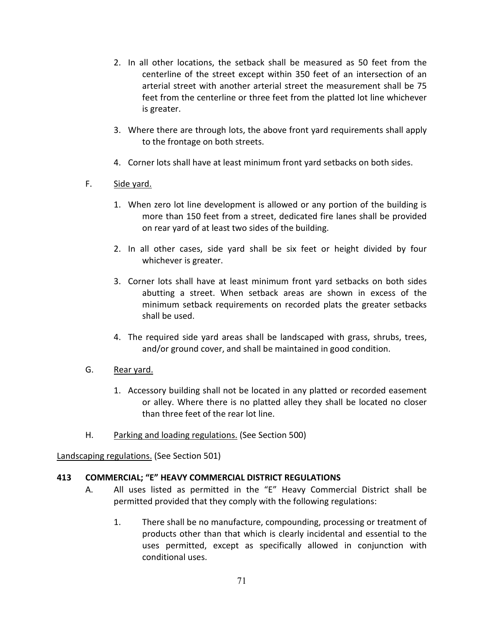- 2. In all other locations, the setback shall be measured as 50 feet from the centerline of the street except within 350 feet of an intersection of an arterial street with another arterial street the measurement shall be 75 feet from the centerline or three feet from the platted lot line whichever is greater.
- 3. Where there are through lots, the above front yard requirements shall apply to the frontage on both streets.
- 4. Corner lots shall have at least minimum front yard setbacks on both sides.
- F. Side yard.
	- 1. When zero lot line development is allowed or any portion of the building is more than 150 feet from a street, dedicated fire lanes shall be provided on rear yard of at least two sides of the building.
	- 2. In all other cases, side yard shall be six feet or height divided by four whichever is greater.
	- 3. Corner lots shall have at least minimum front yard setbacks on both sides abutting a street. When setback areas are shown in excess of the minimum setback requirements on recorded plats the greater setbacks shall be used.
	- 4. The required side yard areas shall be landscaped with grass, shrubs, trees, and/or ground cover, and shall be maintained in good condition.
- G. Rear yard.
	- 1. Accessory building shall not be located in any platted or recorded easement or alley. Where there is no platted alley they shall be located no closer than three feet of the rear lot line.
- H. Parking and loading regulations. (See Section 500)

Landscaping regulations. (See Section 501)

## **413 COMMERCIAL; "E" HEAVY COMMERCIAL DISTRICT REGULATIONS**

- A. All uses listed as permitted in the "E" Heavy Commercial District shall be permitted provided that they comply with the following regulations:
	- 1. There shall be no manufacture, compounding, processing or treatment of products other than that which is clearly incidental and essential to the uses permitted, except as specifically allowed in conjunction with conditional uses.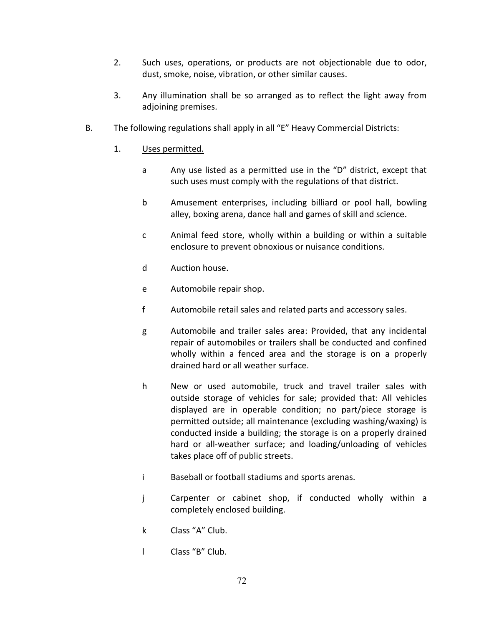- 2. Such uses, operations, or products are not objectionable due to odor, dust, smoke, noise, vibration, or other similar causes.
- 3. Any illumination shall be so arranged as to reflect the light away from adjoining premises.
- B. The following regulations shall apply in all "E" Heavy Commercial Districts:
	- 1. Uses permitted.
		- a Any use listed as a permitted use in the "D" district, except that such uses must comply with the regulations of that district.
		- b Amusement enterprises, including billiard or pool hall, bowling alley, boxing arena, dance hall and games of skill and science.
		- c Animal feed store, wholly within a building or within a suitable enclosure to prevent obnoxious or nuisance conditions.
		- d Auction house.
		- e Automobile repair shop.
		- f Automobile retail sales and related parts and accessory sales.
		- g Automobile and trailer sales area: Provided, that any incidental repair of automobiles or trailers shall be conducted and confined wholly within a fenced area and the storage is on a properly drained hard or all weather surface.
		- h New or used automobile, truck and travel trailer sales with outside storage of vehicles for sale; provided that: All vehicles displayed are in operable condition; no part/piece storage is permitted outside; all maintenance (excluding washing/waxing) is conducted inside a building; the storage is on a properly drained hard or all-weather surface; and loading/unloading of vehicles takes place off of public streets.
		- i Baseball or football stadiums and sports arenas.
		- j Carpenter or cabinet shop, if conducted wholly within a completely enclosed building.
		- k Class "A" Club.
		- l Class "B" Club.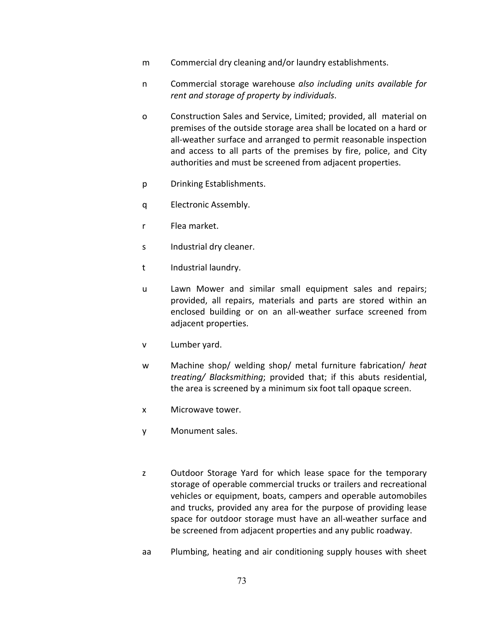- m Commercial dry cleaning and/or laundry establishments.
- n Commercial storage warehouse *also including units available for rent and storage of property by individuals*.
- o Construction Sales and Service, Limited; provided, all material on premises of the outside storage area shall be located on a hard or all-weather surface and arranged to permit reasonable inspection and access to all parts of the premises by fire, police, and City authorities and must be screened from adjacent properties.
- p Drinking Establishments.
- q Electronic Assembly.
- r Flea market.
- s Industrial dry cleaner.
- t Industrial laundry.
- u Lawn Mower and similar small equipment sales and repairs; provided, all repairs, materials and parts are stored within an enclosed building or on an all-weather surface screened from adjacent properties.
- v Lumber yard.
- w Machine shop/ welding shop/ metal furniture fabrication/ *heat treating/ Blacksmithing*; provided that; if this abuts residential, the area is screened by a minimum six foot tall opaque screen.
- x Microwave tower.
- y Monument sales.
- z Outdoor Storage Yard for which lease space for the temporary storage of operable commercial trucks or trailers and recreational vehicles or equipment, boats, campers and operable automobiles and trucks, provided any area for the purpose of providing lease space for outdoor storage must have an all-weather surface and be screened from adjacent properties and any public roadway.
- aa Plumbing, heating and air conditioning supply houses with sheet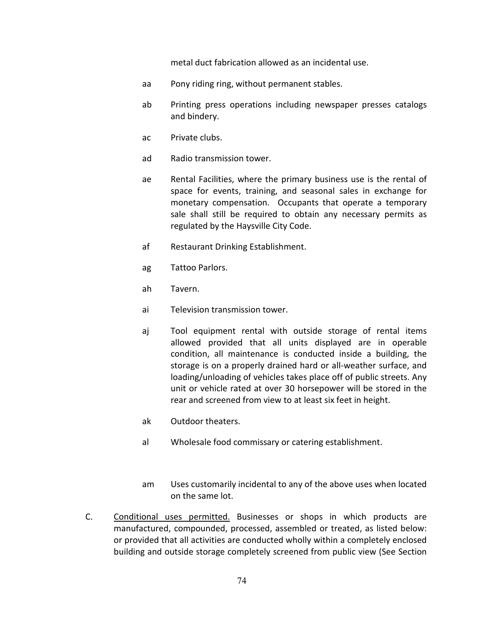metal duct fabrication allowed as an incidental use.

- aa Pony riding ring, without permanent stables.
- ab Printing press operations including newspaper presses catalogs and bindery.
- ac Private clubs.
- ad Radio transmission tower.
- ae Rental Facilities, where the primary business use is the rental of space for events, training, and seasonal sales in exchange for monetary compensation. Occupants that operate a temporary sale shall still be required to obtain any necessary permits as regulated by the Haysville City Code.
- af Restaurant Drinking Establishment.
- ag Tattoo Parlors.
- ah Tavern.
- ai Television transmission tower.
- aj Tool equipment rental with outside storage of rental items allowed provided that all units displayed are in operable condition, all maintenance is conducted inside a building, the storage is on a properly drained hard or all-weather surface, and loading/unloading of vehicles takes place off of public streets. Any unit or vehicle rated at over 30 horsepower will be stored in the rear and screened from view to at least six feet in height.
- ak Outdoor theaters.
- al Wholesale food commissary or catering establishment.
- am Uses customarily incidental to any of the above uses when located on the same lot.
- C. Conditional uses permitted. Businesses or shops in which products are manufactured, compounded, processed, assembled or treated, as listed below: or provided that all activities are conducted wholly within a completely enclosed building and outside storage completely screened from public view (See Section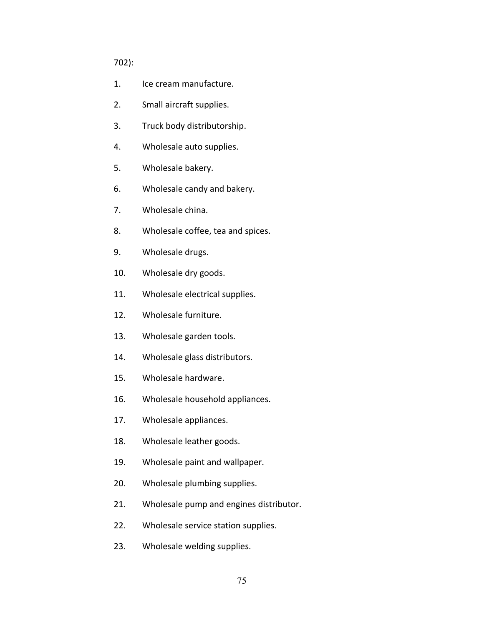#### 702):

- 1. Ice cream manufacture.
- 2. Small aircraft supplies.
- 3. Truck body distributorship.
- 4. Wholesale auto supplies.
- 5. Wholesale bakery.
- 6. Wholesale candy and bakery.
- 7. Wholesale china.
- 8. Wholesale coffee, tea and spices.
- 9. Wholesale drugs.
- 10. Wholesale dry goods.
- 11. Wholesale electrical supplies.
- 12. Wholesale furniture.
- 13. Wholesale garden tools.
- 14. Wholesale glass distributors.
- 15. Wholesale hardware.
- 16. Wholesale household appliances.
- 17. Wholesale appliances.
- 18. Wholesale leather goods.
- 19. Wholesale paint and wallpaper.
- 20. Wholesale plumbing supplies.
- 21. Wholesale pump and engines distributor.
- 22. Wholesale service station supplies.
- 23. Wholesale welding supplies.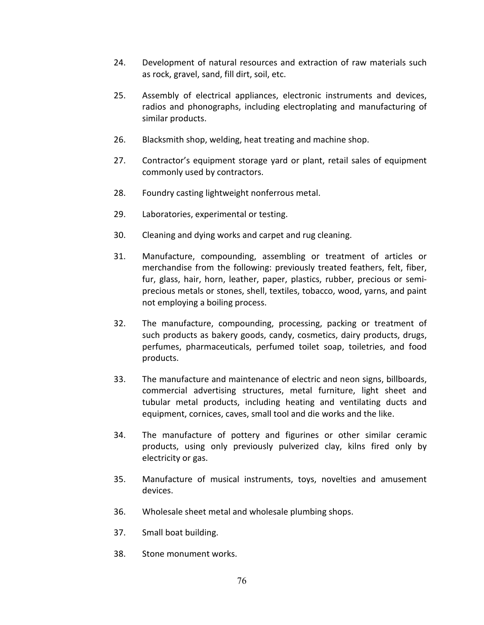- 24. Development of natural resources and extraction of raw materials such as rock, gravel, sand, fill dirt, soil, etc.
- 25. Assembly of electrical appliances, electronic instruments and devices, radios and phonographs, including electroplating and manufacturing of similar products.
- 26. Blacksmith shop, welding, heat treating and machine shop.
- 27. Contractor's equipment storage yard or plant, retail sales of equipment commonly used by contractors.
- 28. Foundry casting lightweight nonferrous metal.
- 29. Laboratories, experimental or testing.
- 30. Cleaning and dying works and carpet and rug cleaning.
- 31. Manufacture, compounding, assembling or treatment of articles or merchandise from the following: previously treated feathers, felt, fiber, fur, glass, hair, horn, leather, paper, plastics, rubber, precious or semiprecious metals or stones, shell, textiles, tobacco, wood, yarns, and paint not employing a boiling process.
- 32. The manufacture, compounding, processing, packing or treatment of such products as bakery goods, candy, cosmetics, dairy products, drugs, perfumes, pharmaceuticals, perfumed toilet soap, toiletries, and food products.
- 33. The manufacture and maintenance of electric and neon signs, billboards, commercial advertising structures, metal furniture, light sheet and tubular metal products, including heating and ventilating ducts and equipment, cornices, caves, small tool and die works and the like.
- 34. The manufacture of pottery and figurines or other similar ceramic products, using only previously pulverized clay, kilns fired only by electricity or gas.
- 35. Manufacture of musical instruments, toys, novelties and amusement devices.
- 36. Wholesale sheet metal and wholesale plumbing shops.
- 37. Small boat building.
- 38. Stone monument works.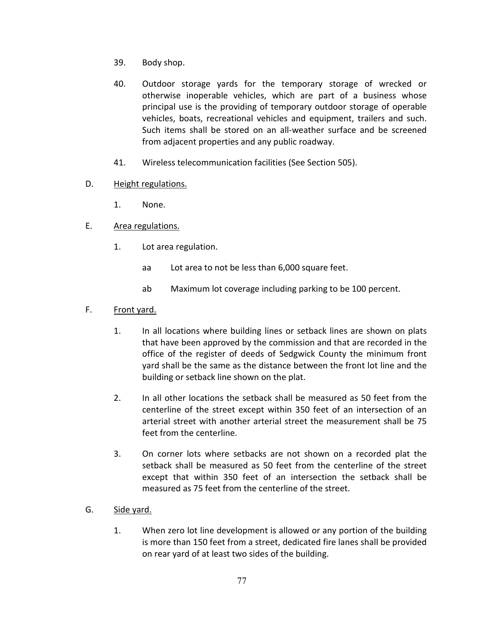- 39. Body shop.
- 40. Outdoor storage yards for the temporary storage of wrecked or otherwise inoperable vehicles, which are part of a business whose principal use is the providing of temporary outdoor storage of operable vehicles, boats, recreational vehicles and equipment, trailers and such. Such items shall be stored on an all-weather surface and be screened from adjacent properties and any public roadway.
- 41. Wireless telecommunication facilities (See Section 505).
- D. Height regulations.
	- 1. None.
- E. Area regulations.
	- 1. Lot area regulation.
		- aa Lot area to not be less than 6,000 square feet.
		- ab Maximum lot coverage including parking to be 100 percent.
- F. Front yard.
	- 1. In all locations where building lines or setback lines are shown on plats that have been approved by the commission and that are recorded in the office of the register of deeds of Sedgwick County the minimum front yard shall be the same as the distance between the front lot line and the building or setback line shown on the plat.
	- 2. In all other locations the setback shall be measured as 50 feet from the centerline of the street except within 350 feet of an intersection of an arterial street with another arterial street the measurement shall be 75 feet from the centerline.
	- 3. On corner lots where setbacks are not shown on a recorded plat the setback shall be measured as 50 feet from the centerline of the street except that within 350 feet of an intersection the setback shall be measured as 75 feet from the centerline of the street.
- G. Side yard.
	- 1. When zero lot line development is allowed or any portion of the building is more than 150 feet from a street, dedicated fire lanes shall be provided on rear yard of at least two sides of the building.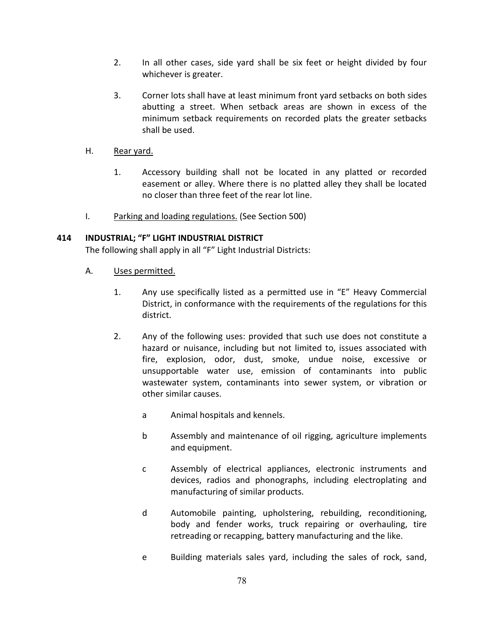- 2. In all other cases, side yard shall be six feet or height divided by four whichever is greater.
- 3. Corner lots shall have at least minimum front yard setbacks on both sides abutting a street. When setback areas are shown in excess of the minimum setback requirements on recorded plats the greater setbacks shall be used.

## H. Rear yard.

- 1. Accessory building shall not be located in any platted or recorded easement or alley. Where there is no platted alley they shall be located no closer than three feet of the rear lot line.
- I. Parking and loading regulations. (See Section 500)

# **414 INDUSTRIAL; "F" LIGHT INDUSTRIAL DISTRICT**

The following shall apply in all "F" Light Industrial Districts:

- A. Uses permitted.
	- 1. Any use specifically listed as a permitted use in "E" Heavy Commercial District, in conformance with the requirements of the regulations for this district.
	- 2. Any of the following uses: provided that such use does not constitute a hazard or nuisance, including but not limited to, issues associated with fire, explosion, odor, dust, smoke, undue noise, excessive or unsupportable water use, emission of contaminants into public wastewater system, contaminants into sewer system, or vibration or other similar causes.
		- a Animal hospitals and kennels.
		- b Assembly and maintenance of oil rigging, agriculture implements and equipment.
		- c Assembly of electrical appliances, electronic instruments and devices, radios and phonographs, including electroplating and manufacturing of similar products.
		- d Automobile painting, upholstering, rebuilding, reconditioning, body and fender works, truck repairing or overhauling, tire retreading or recapping, battery manufacturing and the like.
		- e Building materials sales yard, including the sales of rock, sand,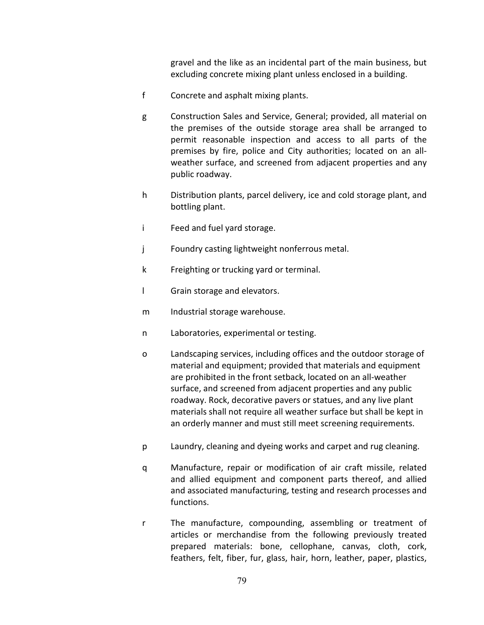gravel and the like as an incidental part of the main business, but excluding concrete mixing plant unless enclosed in a building.

- f Concrete and asphalt mixing plants.
- g Construction Sales and Service, General; provided, all material on the premises of the outside storage area shall be arranged to permit reasonable inspection and access to all parts of the premises by fire, police and City authorities; located on an allweather surface, and screened from adjacent properties and any public roadway.
- h Distribution plants, parcel delivery, ice and cold storage plant, and bottling plant.
- i Feed and fuel yard storage.
- j Foundry casting lightweight nonferrous metal.
- k Freighting or trucking yard or terminal.
- l Grain storage and elevators.
- m Industrial storage warehouse.
- n Laboratories, experimental or testing.
- o Landscaping services, including offices and the outdoor storage of material and equipment; provided that materials and equipment are prohibited in the front setback, located on an all-weather surface, and screened from adjacent properties and any public roadway. Rock, decorative pavers or statues, and any live plant materials shall not require all weather surface but shall be kept in an orderly manner and must still meet screening requirements.
- p Laundry, cleaning and dyeing works and carpet and rug cleaning.
- q Manufacture, repair or modification of air craft missile, related and allied equipment and component parts thereof, and allied and associated manufacturing, testing and research processes and functions.
- r The manufacture, compounding, assembling or treatment of articles or merchandise from the following previously treated prepared materials: bone, cellophane, canvas, cloth, cork, feathers, felt, fiber, fur, glass, hair, horn, leather, paper, plastics,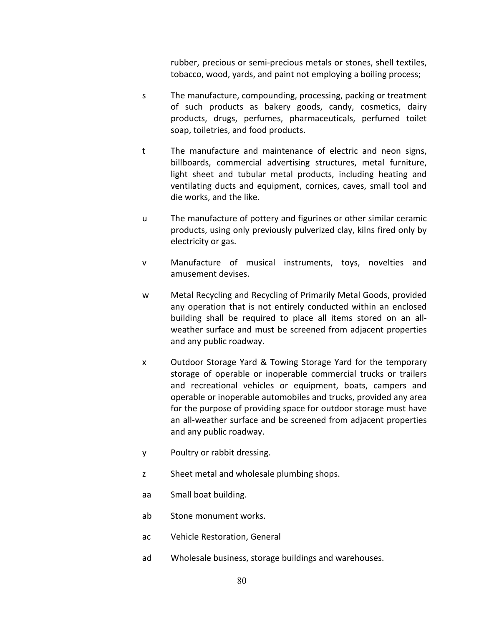rubber, precious or semi-precious metals or stones, shell textiles, tobacco, wood, yards, and paint not employing a boiling process;

- s The manufacture, compounding, processing, packing or treatment of such products as bakery goods, candy, cosmetics, dairy products, drugs, perfumes, pharmaceuticals, perfumed toilet soap, toiletries, and food products.
- t The manufacture and maintenance of electric and neon signs, billboards, commercial advertising structures, metal furniture, light sheet and tubular metal products, including heating and ventilating ducts and equipment, cornices, caves, small tool and die works, and the like.
- u The manufacture of pottery and figurines or other similar ceramic products, using only previously pulverized clay, kilns fired only by electricity or gas.
- v Manufacture of musical instruments, toys, novelties and amusement devises.
- w Metal Recycling and Recycling of Primarily Metal Goods, provided any operation that is not entirely conducted within an enclosed building shall be required to place all items stored on an allweather surface and must be screened from adjacent properties and any public roadway.
- x Outdoor Storage Yard & Towing Storage Yard for the temporary storage of operable or inoperable commercial trucks or trailers and recreational vehicles or equipment, boats, campers and operable or inoperable automobiles and trucks, provided any area for the purpose of providing space for outdoor storage must have an all-weather surface and be screened from adjacent properties and any public roadway.
- y Poultry or rabbit dressing.
- z Sheet metal and wholesale plumbing shops.
- aa Small boat building.
- ab Stone monument works.
- ac Vehicle Restoration, General
- ad Wholesale business, storage buildings and warehouses.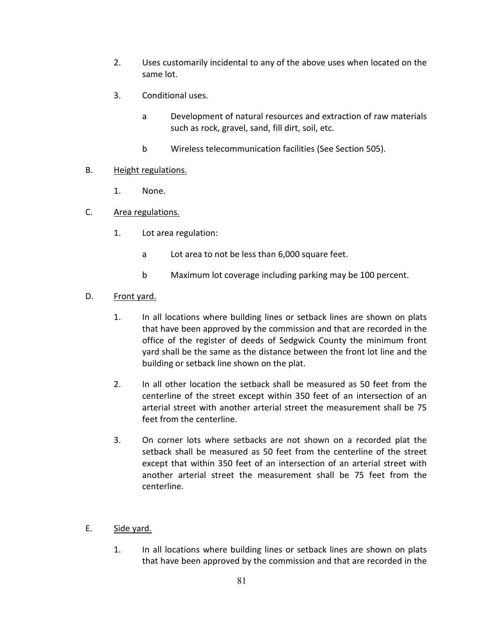- 2. Uses customarily incidental to any of the above uses when located on the same lot.
- 3. Conditional uses.
	- a Development of natural resources and extraction of raw materials such as rock, gravel, sand, fill dirt, soil, etc.
	- b Wireless telecommunication facilities (See Section 505).

## B. Height regulations.

- 1. None.
- C. Area regulations.
	- 1. Lot area regulation:
		- a Lot area to not be less than 6,000 square feet.
		- b Maximum lot coverage including parking may be 100 percent.

### D. Front yard.

- 1. In all locations where building lines or setback lines are shown on plats that have been approved by the commission and that are recorded in the office of the register of deeds of Sedgwick County the minimum front yard shall be the same as the distance between the front lot line and the building or setback line shown on the plat.
- 2. In all other location the setback shall be measured as 50 feet from the centerline of the street except within 350 feet of an intersection of an arterial street with another arterial street the measurement shall be 75 feet from the centerline.
- 3. On corner lots where setbacks are not shown on a recorded plat the setback shall be measured as 50 feet from the centerline of the street except that within 350 feet of an intersection of an arterial street with another arterial street the measurement shall be 75 feet from the centerline.
- E. Side yard.
	- 1. In all locations where building lines or setback lines are shown on plats that have been approved by the commission and that are recorded in the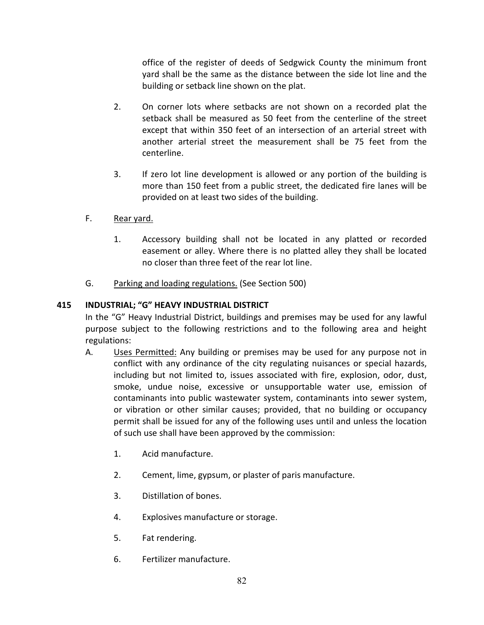office of the register of deeds of Sedgwick County the minimum front yard shall be the same as the distance between the side lot line and the building or setback line shown on the plat.

- 2. On corner lots where setbacks are not shown on a recorded plat the setback shall be measured as 50 feet from the centerline of the street except that within 350 feet of an intersection of an arterial street with another arterial street the measurement shall be 75 feet from the centerline.
- 3. If zero lot line development is allowed or any portion of the building is more than 150 feet from a public street, the dedicated fire lanes will be provided on at least two sides of the building.
- F. Rear yard.
	- 1. Accessory building shall not be located in any platted or recorded easement or alley. Where there is no platted alley they shall be located no closer than three feet of the rear lot line.
- G. Parking and loading regulations. (See Section 500)

# **415 INDUSTRIAL; "G" HEAVY INDUSTRIAL DISTRICT**

In the "G" Heavy Industrial District, buildings and premises may be used for any lawful purpose subject to the following restrictions and to the following area and height regulations:

- A. Uses Permitted: Any building or premises may be used for any purpose not in conflict with any ordinance of the city regulating nuisances or special hazards, including but not limited to, issues associated with fire, explosion, odor, dust, smoke, undue noise, excessive or unsupportable water use, emission of contaminants into public wastewater system, contaminants into sewer system, or vibration or other similar causes; provided, that no building or occupancy permit shall be issued for any of the following uses until and unless the location of such use shall have been approved by the commission:
	- 1. Acid manufacture.
	- 2. Cement, lime, gypsum, or plaster of paris manufacture.
	- 3. Distillation of bones.
	- 4. Explosives manufacture or storage.
	- 5. Fat rendering.
	- 6. Fertilizer manufacture.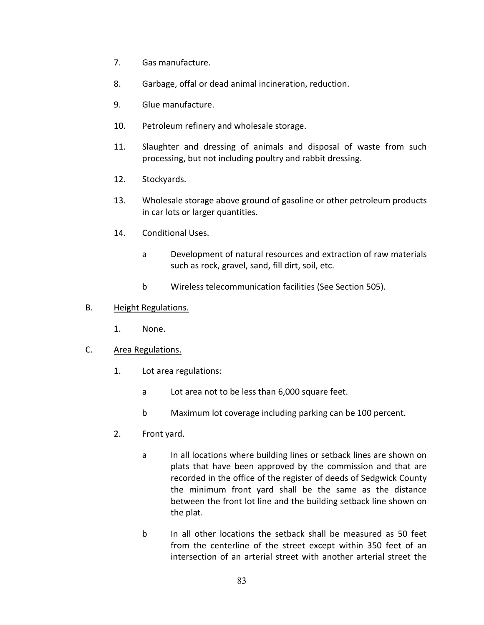- 7. Gas manufacture.
- 8. Garbage, offal or dead animal incineration, reduction.
- 9. Glue manufacture.
- 10. Petroleum refinery and wholesale storage.
- 11. Slaughter and dressing of animals and disposal of waste from such processing, but not including poultry and rabbit dressing.
- 12. Stockyards.
- 13. Wholesale storage above ground of gasoline or other petroleum products in car lots or larger quantities.
- 14. Conditional Uses.
	- a Development of natural resources and extraction of raw materials such as rock, gravel, sand, fill dirt, soil, etc.
	- b Wireless telecommunication facilities (See Section 505).

### B. Height Regulations.

1. None.

### C. Area Regulations.

- 1. Lot area regulations:
	- a Lot area not to be less than 6,000 square feet.
	- b Maximum lot coverage including parking can be 100 percent.
- 2. Front yard.
	- a In all locations where building lines or setback lines are shown on plats that have been approved by the commission and that are recorded in the office of the register of deeds of Sedgwick County the minimum front yard shall be the same as the distance between the front lot line and the building setback line shown on the plat.
	- b In all other locations the setback shall be measured as 50 feet from the centerline of the street except within 350 feet of an intersection of an arterial street with another arterial street the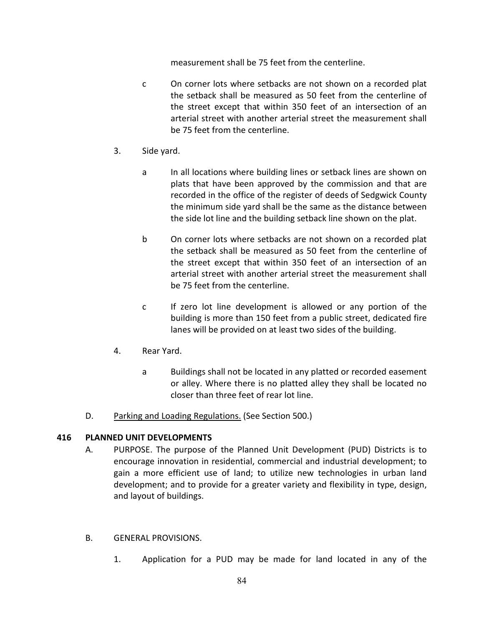measurement shall be 75 feet from the centerline.

- c On corner lots where setbacks are not shown on a recorded plat the setback shall be measured as 50 feet from the centerline of the street except that within 350 feet of an intersection of an arterial street with another arterial street the measurement shall be 75 feet from the centerline.
- 3. Side yard.
	- a In all locations where building lines or setback lines are shown on plats that have been approved by the commission and that are recorded in the office of the register of deeds of Sedgwick County the minimum side yard shall be the same as the distance between the side lot line and the building setback line shown on the plat.
	- b On corner lots where setbacks are not shown on a recorded plat the setback shall be measured as 50 feet from the centerline of the street except that within 350 feet of an intersection of an arterial street with another arterial street the measurement shall be 75 feet from the centerline.
	- c If zero lot line development is allowed or any portion of the building is more than 150 feet from a public street, dedicated fire lanes will be provided on at least two sides of the building.
- 4. Rear Yard.
	- a Buildings shall not be located in any platted or recorded easement or alley. Where there is no platted alley they shall be located no closer than three feet of rear lot line.
- D. Parking and Loading Regulations. (See Section 500.)

# **416 PLANNED UNIT DEVELOPMENTS**

- A. PURPOSE. The purpose of the Planned Unit Development (PUD) Districts is to encourage innovation in residential, commercial and industrial development; to gain a more efficient use of land; to utilize new technologies in urban land development; and to provide for a greater variety and flexibility in type, design, and layout of buildings.
- B. GENERAL PROVISIONS.
	- 1. Application for a PUD may be made for land located in any of the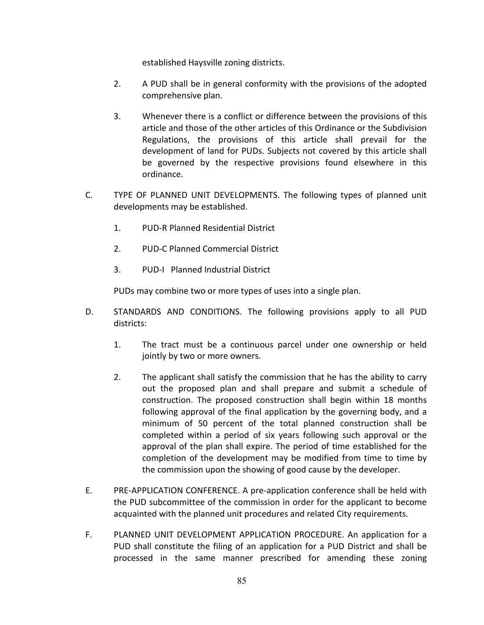established Haysville zoning districts.

- 2. A PUD shall be in general conformity with the provisions of the adopted comprehensive plan.
- 3. Whenever there is a conflict or difference between the provisions of this article and those of the other articles of this Ordinance or the Subdivision Regulations, the provisions of this article shall prevail for the development of land for PUDs. Subjects not covered by this article shall be governed by the respective provisions found elsewhere in this ordinance.
- C. TYPE OF PLANNED UNIT DEVELOPMENTS. The following types of planned unit developments may be established.
	- 1. PUD-R Planned Residential District
	- 2. PUD-C Planned Commercial District
	- 3. PUD-I Planned Industrial District

PUDs may combine two or more types of uses into a single plan.

- D. STANDARDS AND CONDITIONS. The following provisions apply to all PUD districts:
	- 1. The tract must be a continuous parcel under one ownership or held jointly by two or more owners.
	- 2. The applicant shall satisfy the commission that he has the ability to carry out the proposed plan and shall prepare and submit a schedule of construction. The proposed construction shall begin within 18 months following approval of the final application by the governing body, and a minimum of 50 percent of the total planned construction shall be completed within a period of six years following such approval or the approval of the plan shall expire. The period of time established for the completion of the development may be modified from time to time by the commission upon the showing of good cause by the developer.
- E. PRE-APPLICATION CONFERENCE. A pre-application conference shall be held with the PUD subcommittee of the commission in order for the applicant to become acquainted with the planned unit procedures and related City requirements.
- F. PLANNED UNIT DEVELOPMENT APPLICATION PROCEDURE. An application for a PUD shall constitute the filing of an application for a PUD District and shall be processed in the same manner prescribed for amending these zoning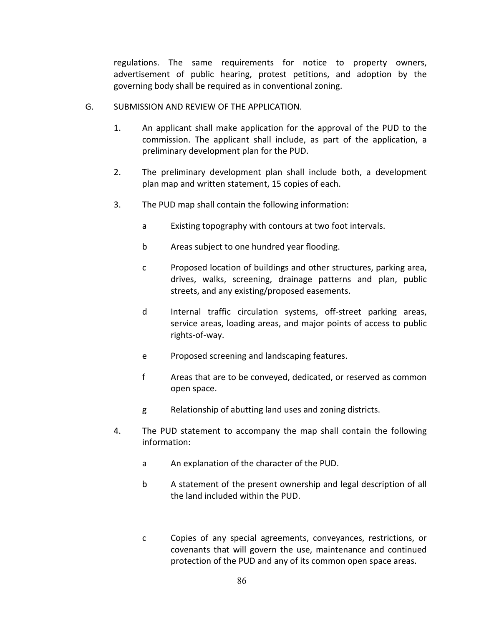regulations. The same requirements for notice to property owners, advertisement of public hearing, protest petitions, and adoption by the governing body shall be required as in conventional zoning.

- G. SUBMISSION AND REVIEW OF THE APPLICATION.
	- 1. An applicant shall make application for the approval of the PUD to the commission. The applicant shall include, as part of the application, a preliminary development plan for the PUD.
	- 2. The preliminary development plan shall include both, a development plan map and written statement, 15 copies of each.
	- 3. The PUD map shall contain the following information:
		- a Existing topography with contours at two foot intervals.
		- b Areas subject to one hundred year flooding.
		- c Proposed location of buildings and other structures, parking area, drives, walks, screening, drainage patterns and plan, public streets, and any existing/proposed easements.
		- d Internal traffic circulation systems, off-street parking areas, service areas, loading areas, and major points of access to public rights-of-way.
		- e Proposed screening and landscaping features.
		- f Areas that are to be conveyed, dedicated, or reserved as common open space.
		- g Relationship of abutting land uses and zoning districts.
	- 4. The PUD statement to accompany the map shall contain the following information:
		- a An explanation of the character of the PUD.
		- b A statement of the present ownership and legal description of all the land included within the PUD.
		- c Copies of any special agreements, conveyances, restrictions, or covenants that will govern the use, maintenance and continued protection of the PUD and any of its common open space areas.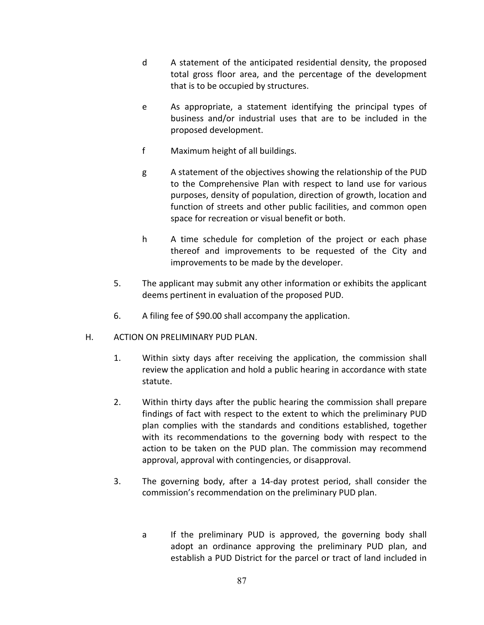- d A statement of the anticipated residential density, the proposed total gross floor area, and the percentage of the development that is to be occupied by structures.
- e As appropriate, a statement identifying the principal types of business and/or industrial uses that are to be included in the proposed development.
- f Maximum height of all buildings.
- g A statement of the objectives showing the relationship of the PUD to the Comprehensive Plan with respect to land use for various purposes, density of population, direction of growth, location and function of streets and other public facilities, and common open space for recreation or visual benefit or both.
- h A time schedule for completion of the project or each phase thereof and improvements to be requested of the City and improvements to be made by the developer.
- 5. The applicant may submit any other information or exhibits the applicant deems pertinent in evaluation of the proposed PUD.
- 6. A filing fee of \$90.00 shall accompany the application.
- H. ACTION ON PRELIMINARY PUD PLAN.
	- 1. Within sixty days after receiving the application, the commission shall review the application and hold a public hearing in accordance with state statute.
	- 2. Within thirty days after the public hearing the commission shall prepare findings of fact with respect to the extent to which the preliminary PUD plan complies with the standards and conditions established, together with its recommendations to the governing body with respect to the action to be taken on the PUD plan. The commission may recommend approval, approval with contingencies, or disapproval.
	- 3. The governing body, after a 14-day protest period, shall consider the commission's recommendation on the preliminary PUD plan.
		- a If the preliminary PUD is approved, the governing body shall adopt an ordinance approving the preliminary PUD plan, and establish a PUD District for the parcel or tract of land included in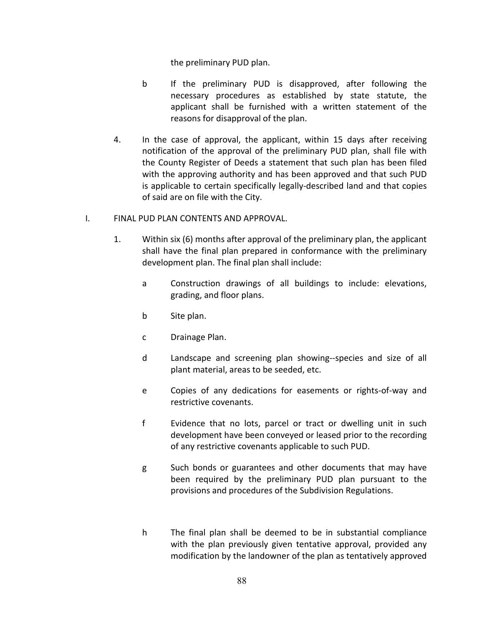the preliminary PUD plan.

- b If the preliminary PUD is disapproved, after following the necessary procedures as established by state statute, the applicant shall be furnished with a written statement of the reasons for disapproval of the plan.
- 4. In the case of approval, the applicant, within 15 days after receiving notification of the approval of the preliminary PUD plan, shall file with the County Register of Deeds a statement that such plan has been filed with the approving authority and has been approved and that such PUD is applicable to certain specifically legally-described land and that copies of said are on file with the City.
- I. FINAL PUD PLAN CONTENTS AND APPROVAL.
	- 1. Within six (6) months after approval of the preliminary plan, the applicant shall have the final plan prepared in conformance with the preliminary development plan. The final plan shall include:
		- a Construction drawings of all buildings to include: elevations, grading, and floor plans.
		- b Site plan.
		- c Drainage Plan.
		- d Landscape and screening plan showing--species and size of all plant material, areas to be seeded, etc.
		- e Copies of any dedications for easements or rights-of-way and restrictive covenants.
		- f Evidence that no lots, parcel or tract or dwelling unit in such development have been conveyed or leased prior to the recording of any restrictive covenants applicable to such PUD.
		- g Such bonds or guarantees and other documents that may have been required by the preliminary PUD plan pursuant to the provisions and procedures of the Subdivision Regulations.
		- h The final plan shall be deemed to be in substantial compliance with the plan previously given tentative approval, provided any modification by the landowner of the plan as tentatively approved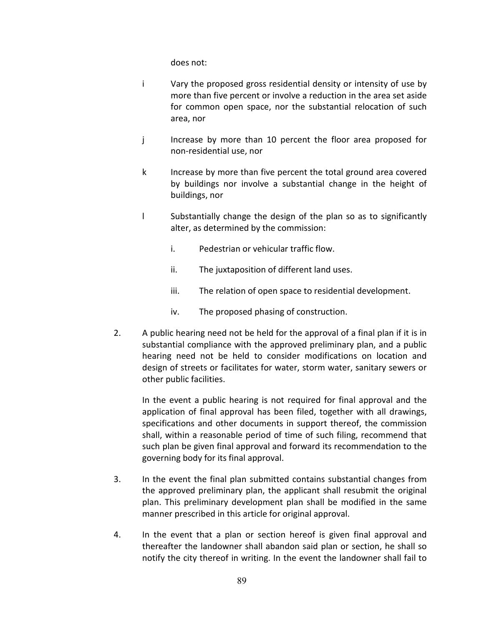does not:

- i Vary the proposed gross residential density or intensity of use by more than five percent or involve a reduction in the area set aside for common open space, nor the substantial relocation of such area, nor
- j lincrease by more than 10 percent the floor area proposed for non-residential use, nor
- k Increase by more than five percent the total ground area covered by buildings nor involve a substantial change in the height of buildings, nor
- l Substantially change the design of the plan so as to significantly alter, as determined by the commission:
	- i. Pedestrian or vehicular traffic flow.
	- ii. The juxtaposition of different land uses.
	- iii. The relation of open space to residential development.
	- iv. The proposed phasing of construction.
- 2. A public hearing need not be held for the approval of a final plan if it is in substantial compliance with the approved preliminary plan, and a public hearing need not be held to consider modifications on location and design of streets or facilitates for water, storm water, sanitary sewers or other public facilities.

In the event a public hearing is not required for final approval and the application of final approval has been filed, together with all drawings, specifications and other documents in support thereof, the commission shall, within a reasonable period of time of such filing, recommend that such plan be given final approval and forward its recommendation to the governing body for its final approval.

- 3. In the event the final plan submitted contains substantial changes from the approved preliminary plan, the applicant shall resubmit the original plan. This preliminary development plan shall be modified in the same manner prescribed in this article for original approval.
- 4. In the event that a plan or section hereof is given final approval and thereafter the landowner shall abandon said plan or section, he shall so notify the city thereof in writing. In the event the landowner shall fail to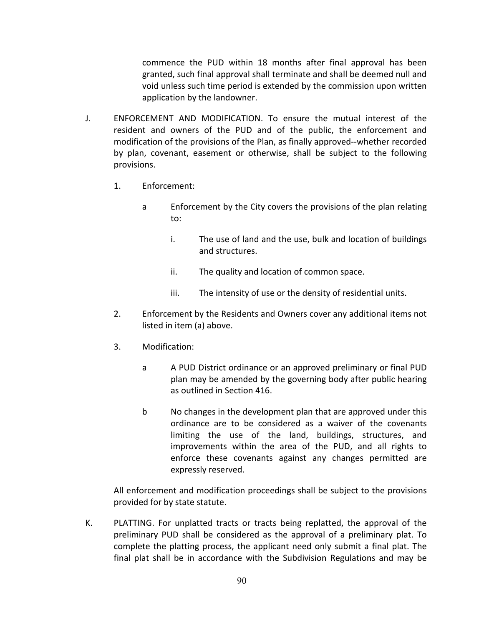commence the PUD within 18 months after final approval has been granted, such final approval shall terminate and shall be deemed null and void unless such time period is extended by the commission upon written application by the landowner.

- J. ENFORCEMENT AND MODIFICATION. To ensure the mutual interest of the resident and owners of the PUD and of the public, the enforcement and modification of the provisions of the Plan, as finally approved--whether recorded by plan, covenant, easement or otherwise, shall be subject to the following provisions.
	- 1. Enforcement:
		- a Enforcement by the City covers the provisions of the plan relating to:
			- i. The use of land and the use, bulk and location of buildings and structures.
			- ii. The quality and location of common space.
			- iii. The intensity of use or the density of residential units.
	- 2. Enforcement by the Residents and Owners cover any additional items not listed in item (a) above.
	- 3. Modification:
		- a A PUD District ordinance or an approved preliminary or final PUD plan may be amended by the governing body after public hearing as outlined in Section 416.
		- b No changes in the development plan that are approved under this ordinance are to be considered as a waiver of the covenants limiting the use of the land, buildings, structures, and improvements within the area of the PUD, and all rights to enforce these covenants against any changes permitted are expressly reserved.

All enforcement and modification proceedings shall be subject to the provisions provided for by state statute.

K. PLATTING. For unplatted tracts or tracts being replatted, the approval of the preliminary PUD shall be considered as the approval of a preliminary plat. To complete the platting process, the applicant need only submit a final plat. The final plat shall be in accordance with the Subdivision Regulations and may be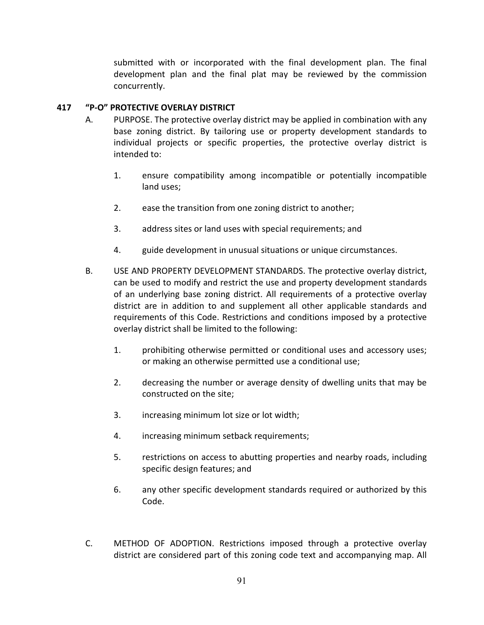submitted with or incorporated with the final development plan. The final development plan and the final plat may be reviewed by the commission concurrently.

## **417 "P-O" PROTECTIVE OVERLAY DISTRICT**

- A. PURPOSE. The protective overlay district may be applied in combination with any base zoning district. By tailoring use or property development standards to individual projects or specific properties, the protective overlay district is intended to:
	- 1. ensure compatibility among incompatible or potentially incompatible land uses;
	- 2. ease the transition from one zoning district to another;
	- 3. address sites or land uses with special requirements; and
	- 4. guide development in unusual situations or unique circumstances.
- B. USE AND PROPERTY DEVELOPMENT STANDARDS. The protective overlay district, can be used to modify and restrict the use and property development standards of an underlying base zoning district. All requirements of a protective overlay district are in addition to and supplement all other applicable standards and requirements of this Code. Restrictions and conditions imposed by a protective overlay district shall be limited to the following:
	- 1. prohibiting otherwise permitted or conditional uses and accessory uses; or making an otherwise permitted use a conditional use;
	- 2. decreasing the number or average density of dwelling units that may be constructed on the site;
	- 3. increasing minimum lot size or lot width;
	- 4. increasing minimum setback requirements;
	- 5. restrictions on access to abutting properties and nearby roads, including specific design features; and
	- 6. any other specific development standards required or authorized by this Code.
- C. METHOD OF ADOPTION. Restrictions imposed through a protective overlay district are considered part of this zoning code text and accompanying map. All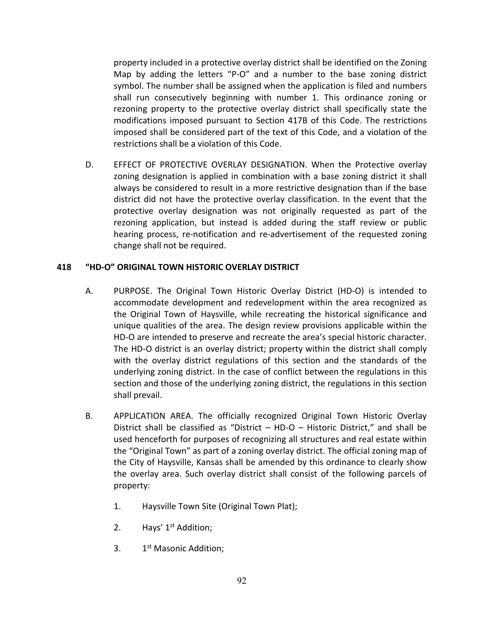property included in a protective overlay district shall be identified on the Zoning Map by adding the letters "P-O" and a number to the base zoning district symbol. The number shall be assigned when the application is filed and numbers shall run consecutively beginning with number 1. This ordinance zoning or rezoning property to the protective overlay district shall specifically state the modifications imposed pursuant to Section 417B of this Code. The restrictions imposed shall be considered part of the text of this Code, and a violation of the restrictions shall be a violation of this Code.

D. EFFECT OF PROTECTIVE OVERLAY DESIGNATION. When the Protective overlay zoning designation is applied in combination with a base zoning district it shall always be considered to result in a more restrictive designation than if the base district did not have the protective overlay classification. In the event that the protective overlay designation was not originally requested as part of the rezoning application, but instead is added during the staff review or public hearing process, re-notification and re-advertisement of the requested zoning change shall not be required.

### **418 "HD-O" ORIGINAL TOWN HISTORIC OVERLAY DISTRICT**

- A. PURPOSE. The Original Town Historic Overlay District (HD-O) is intended to accommodate development and redevelopment within the area recognized as the Original Town of Haysville, while recreating the historical significance and unique qualities of the area. The design review provisions applicable within the HD-O are intended to preserve and recreate the area's special historic character. The HD-O district is an overlay district; property within the district shall comply with the overlay district regulations of this section and the standards of the underlying zoning district. In the case of conflict between the regulations in this section and those of the underlying zoning district, the regulations in this section shall prevail.
- B. APPLICATION AREA. The officially recognized Original Town Historic Overlay District shall be classified as "District – HD-O – Historic District," and shall be used henceforth for purposes of recognizing all structures and real estate within the "Original Town" as part of a zoning overlay district. The official zoning map of the City of Haysville, Kansas shall be amended by this ordinance to clearly show the overlay area. Such overlay district shall consist of the following parcels of property:
	- 1. Haysville Town Site (Original Town Plat);
	- 2. Hays' 1<sup>st</sup> Addition;
	- 3. 1<sup>st</sup> Masonic Addition;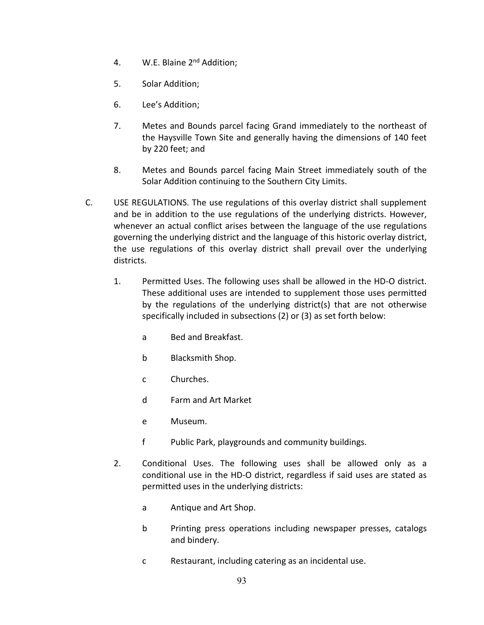- 4. W.E. Blaine 2nd Addition;
- 5. Solar Addition;
- 6. Lee's Addition;
- 7. Metes and Bounds parcel facing Grand immediately to the northeast of the Haysville Town Site and generally having the dimensions of 140 feet by 220 feet; and
- 8. Metes and Bounds parcel facing Main Street immediately south of the Solar Addition continuing to the Southern City Limits.
- C. USE REGULATIONS. The use regulations of this overlay district shall supplement and be in addition to the use regulations of the underlying districts. However, whenever an actual conflict arises between the language of the use regulations governing the underlying district and the language of this historic overlay district, the use regulations of this overlay district shall prevail over the underlying districts.
	- 1. Permitted Uses. The following uses shall be allowed in the HD-O district. These additional uses are intended to supplement those uses permitted by the regulations of the underlying district(s) that are not otherwise specifically included in subsections (2) or (3) as set forth below:
		- a Bed and Breakfast.
		- b Blacksmith Shop.
		- c Churches.
		- d Farm and Art Market
		- e Museum.
		- f Public Park, playgrounds and community buildings.
	- 2. Conditional Uses. The following uses shall be allowed only as a conditional use in the HD-O district, regardless if said uses are stated as permitted uses in the underlying districts:
		- a Antique and Art Shop.
		- b Printing press operations including newspaper presses, catalogs and bindery.
		- c Restaurant, including catering as an incidental use.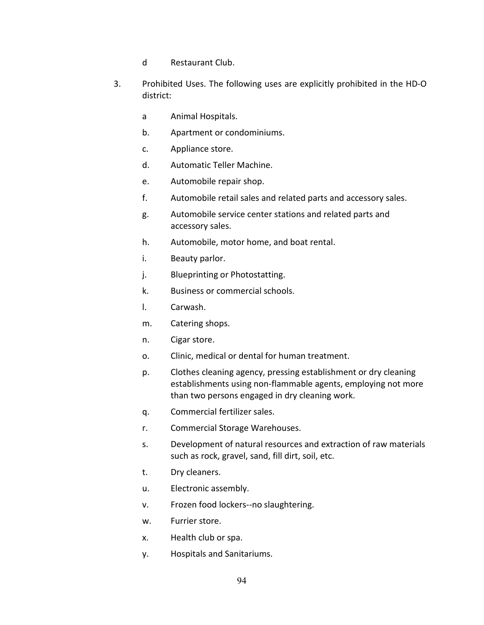- d Restaurant Club.
- 3. Prohibited Uses. The following uses are explicitly prohibited in the HD-O district:
	- a Animal Hospitals.
	- b. Apartment or condominiums.
	- c. Appliance store.
	- d. Automatic Teller Machine.
	- e. Automobile repair shop.
	- f. Automobile retail sales and related parts and accessory sales.
	- g. Automobile service center stations and related parts and accessory sales.
	- h. Automobile, motor home, and boat rental.
	- i. Beauty parlor.
	- j. Blueprinting or Photostatting.
	- k. Business or commercial schools.
	- l. Carwash.
	- m. Catering shops.
	- n. Cigar store.
	- o. Clinic, medical or dental for human treatment.
	- p. Clothes cleaning agency, pressing establishment or dry cleaning establishments using non-flammable agents, employing not more than two persons engaged in dry cleaning work.
	- q. Commercial fertilizer sales.
	- r. Commercial Storage Warehouses.
	- s. Development of natural resources and extraction of raw materials such as rock, gravel, sand, fill dirt, soil, etc.
	- t. Dry cleaners.
	- u. Electronic assembly.
	- v. Frozen food lockers--no slaughtering.
	- w. Furrier store.
	- x. Health club or spa.
	- y. Hospitals and Sanitariums.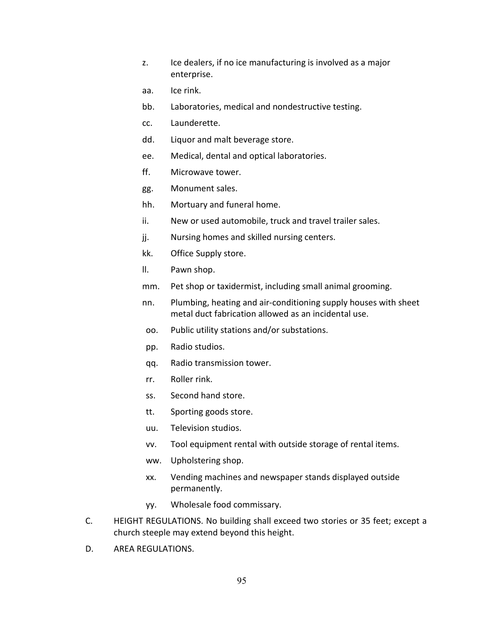- z. Ice dealers, if no ice manufacturing is involved as a major enterprise.
- aa. Ice rink.
- bb. Laboratories, medical and nondestructive testing.
- cc. Launderette.
- dd. Liquor and malt beverage store.
- ee. Medical, dental and optical laboratories.
- ff. Microwave tower.
- gg. Monument sales.
- hh. Mortuary and funeral home.
- ii. New or used automobile, truck and travel trailer sales.
- jj. Nursing homes and skilled nursing centers.
- kk. Office Supply store.
- ll. Pawn shop.
- mm. Pet shop or taxidermist, including small animal grooming.
- nn. Plumbing, heating and air-conditioning supply houses with sheet metal duct fabrication allowed as an incidental use.
- oo. Public utility stations and/or substations.
- pp. Radio studios.
- qq. Radio transmission tower.
- rr. Roller rink.
- ss. Second hand store.
- tt. Sporting goods store.
- uu. Television studios.
- vv. Tool equipment rental with outside storage of rental items.
- ww. Upholstering shop.
- xx. Vending machines and newspaper stands displayed outside permanently.
- yy. Wholesale food commissary.
- C. HEIGHT REGULATIONS. No building shall exceed two stories or 35 feet; except a church steeple may extend beyond this height.
- D. AREA REGULATIONS.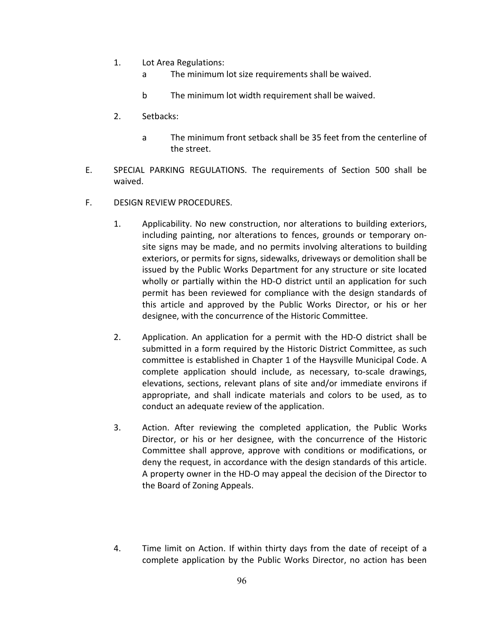- 1. Lot Area Regulations:
	- a The minimum lot size requirements shall be waived.
	- b The minimum lot width requirement shall be waived.
- 2. Setbacks:
	- a The minimum front setback shall be 35 feet from the centerline of the street.
- E. SPECIAL PARKING REGULATIONS. The requirements of Section 500 shall be waived.
- F. DESIGN REVIEW PROCEDURES.
	- 1. Applicability. No new construction, nor alterations to building exteriors, including painting, nor alterations to fences, grounds or temporary onsite signs may be made, and no permits involving alterations to building exteriors, or permits for signs, sidewalks, driveways or demolition shall be issued by the Public Works Department for any structure or site located wholly or partially within the HD-O district until an application for such permit has been reviewed for compliance with the design standards of this article and approved by the Public Works Director, or his or her designee, with the concurrence of the Historic Committee.
	- 2. Application. An application for a permit with the HD-O district shall be submitted in a form required by the Historic District Committee, as such committee is established in Chapter 1 of the Haysville Municipal Code. A complete application should include, as necessary, to-scale drawings, elevations, sections, relevant plans of site and/or immediate environs if appropriate, and shall indicate materials and colors to be used, as to conduct an adequate review of the application.
	- 3. Action. After reviewing the completed application, the Public Works Director, or his or her designee, with the concurrence of the Historic Committee shall approve, approve with conditions or modifications, or deny the request, in accordance with the design standards of this article. A property owner in the HD-O may appeal the decision of the Director to the Board of Zoning Appeals.
	- 4. Time limit on Action. If within thirty days from the date of receipt of a complete application by the Public Works Director, no action has been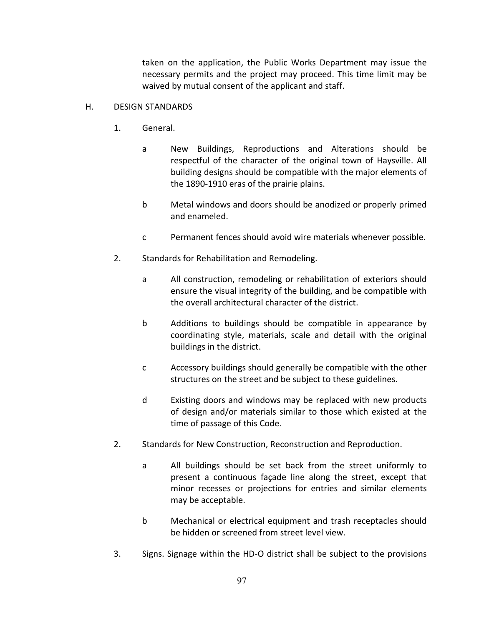taken on the application, the Public Works Department may issue the necessary permits and the project may proceed. This time limit may be waived by mutual consent of the applicant and staff.

### H. DESIGN STANDARDS

- 1. General.
	- a New Buildings, Reproductions and Alterations should be respectful of the character of the original town of Haysville. All building designs should be compatible with the major elements of the 1890-1910 eras of the prairie plains.
	- b Metal windows and doors should be anodized or properly primed and enameled.
	- c Permanent fences should avoid wire materials whenever possible.
- 2. Standards for Rehabilitation and Remodeling.
	- a All construction, remodeling or rehabilitation of exteriors should ensure the visual integrity of the building, and be compatible with the overall architectural character of the district.
	- b Additions to buildings should be compatible in appearance by coordinating style, materials, scale and detail with the original buildings in the district.
	- c Accessory buildings should generally be compatible with the other structures on the street and be subject to these guidelines.
	- d Existing doors and windows may be replaced with new products of design and/or materials similar to those which existed at the time of passage of this Code.
- 2. Standards for New Construction, Reconstruction and Reproduction.
	- a All buildings should be set back from the street uniformly to present a continuous façade line along the street, except that minor recesses or projections for entries and similar elements may be acceptable.
	- b Mechanical or electrical equipment and trash receptacles should be hidden or screened from street level view.
- 3. Signs. Signage within the HD-O district shall be subject to the provisions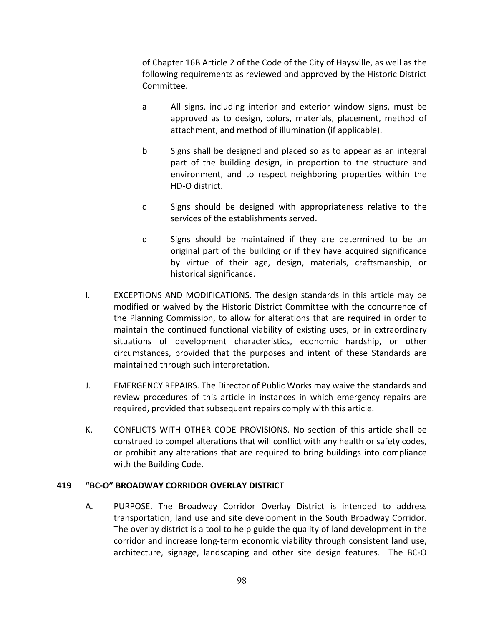of Chapter 16B Article 2 of the Code of the City of Haysville, as well as the following requirements as reviewed and approved by the Historic District Committee.

- a All signs, including interior and exterior window signs, must be approved as to design, colors, materials, placement, method of attachment, and method of illumination (if applicable).
- b Signs shall be designed and placed so as to appear as an integral part of the building design, in proportion to the structure and environment, and to respect neighboring properties within the HD-O district.
- c Signs should be designed with appropriateness relative to the services of the establishments served.
- d Signs should be maintained if they are determined to be an original part of the building or if they have acquired significance by virtue of their age, design, materials, craftsmanship, or historical significance.
- I. EXCEPTIONS AND MODIFICATIONS. The design standards in this article may be modified or waived by the Historic District Committee with the concurrence of the Planning Commission, to allow for alterations that are required in order to maintain the continued functional viability of existing uses, or in extraordinary situations of development characteristics, economic hardship, or other circumstances, provided that the purposes and intent of these Standards are maintained through such interpretation.
- J. EMERGENCY REPAIRS. The Director of Public Works may waive the standards and review procedures of this article in instances in which emergency repairs are required, provided that subsequent repairs comply with this article.
- K. CONFLICTS WITH OTHER CODE PROVISIONS. No section of this article shall be construed to compel alterations that will conflict with any health or safety codes, or prohibit any alterations that are required to bring buildings into compliance with the Building Code.

### **419 "BC-O" BROADWAY CORRIDOR OVERLAY DISTRICT**

A. PURPOSE. The Broadway Corridor Overlay District is intended to address transportation, land use and site development in the South Broadway Corridor. The overlay district is a tool to help guide the quality of land development in the corridor and increase long-term economic viability through consistent land use, architecture, signage, landscaping and other site design features. The BC-O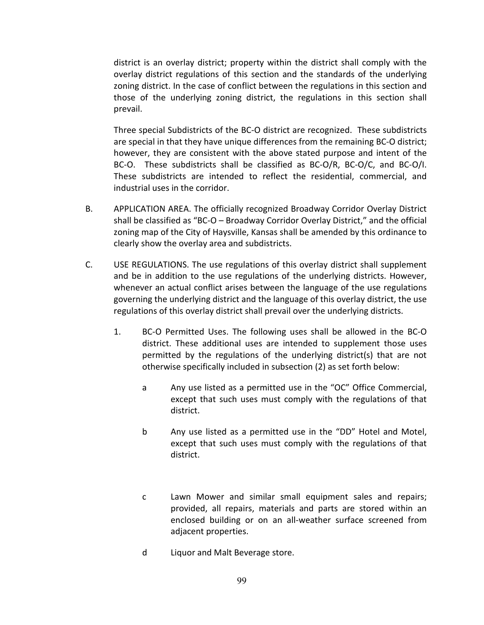district is an overlay district; property within the district shall comply with the overlay district regulations of this section and the standards of the underlying zoning district. In the case of conflict between the regulations in this section and those of the underlying zoning district, the regulations in this section shall prevail.

Three special Subdistricts of the BC-O district are recognized. These subdistricts are special in that they have unique differences from the remaining BC-O district; however, they are consistent with the above stated purpose and intent of the BC-O. These subdistricts shall be classified as BC-O/R, BC-O/C, and BC-O/I. These subdistricts are intended to reflect the residential, commercial, and industrial uses in the corridor.

- B. APPLICATION AREA. The officially recognized Broadway Corridor Overlay District shall be classified as "BC-O – Broadway Corridor Overlay District," and the official zoning map of the City of Haysville, Kansas shall be amended by this ordinance to clearly show the overlay area and subdistricts.
- C. USE REGULATIONS. The use regulations of this overlay district shall supplement and be in addition to the use regulations of the underlying districts. However, whenever an actual conflict arises between the language of the use regulations governing the underlying district and the language of this overlay district, the use regulations of this overlay district shall prevail over the underlying districts.
	- 1. BC-O Permitted Uses. The following uses shall be allowed in the BC-O district. These additional uses are intended to supplement those uses permitted by the regulations of the underlying district(s) that are not otherwise specifically included in subsection (2) as set forth below:
		- a Any use listed as a permitted use in the "OC" Office Commercial, except that such uses must comply with the regulations of that district.
		- b Any use listed as a permitted use in the "DD" Hotel and Motel, except that such uses must comply with the regulations of that district.
		- c Lawn Mower and similar small equipment sales and repairs; provided, all repairs, materials and parts are stored within an enclosed building or on an all-weather surface screened from adjacent properties.
		- d Liquor and Malt Beverage store.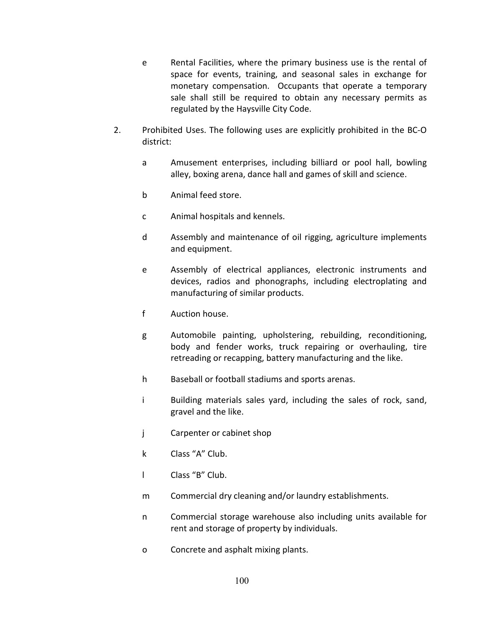- e Rental Facilities, where the primary business use is the rental of space for events, training, and seasonal sales in exchange for monetary compensation. Occupants that operate a temporary sale shall still be required to obtain any necessary permits as regulated by the Haysville City Code.
- 2. Prohibited Uses. The following uses are explicitly prohibited in the BC-O district:
	- a Amusement enterprises, including billiard or pool hall, bowling alley, boxing arena, dance hall and games of skill and science.
	- b Animal feed store.
	- c Animal hospitals and kennels.
	- d Assembly and maintenance of oil rigging, agriculture implements and equipment.
	- e Assembly of electrical appliances, electronic instruments and devices, radios and phonographs, including electroplating and manufacturing of similar products.
	- f Auction house.
	- g Automobile painting, upholstering, rebuilding, reconditioning, body and fender works, truck repairing or overhauling, tire retreading or recapping, battery manufacturing and the like.
	- h Baseball or football stadiums and sports arenas.
	- i Building materials sales yard, including the sales of rock, sand, gravel and the like.
	- j Carpenter or cabinet shop
	- k Class "A" Club.
	- l Class "B" Club.
	- m Commercial dry cleaning and/or laundry establishments.
	- n Commercial storage warehouse also including units available for rent and storage of property by individuals.
	- o Concrete and asphalt mixing plants.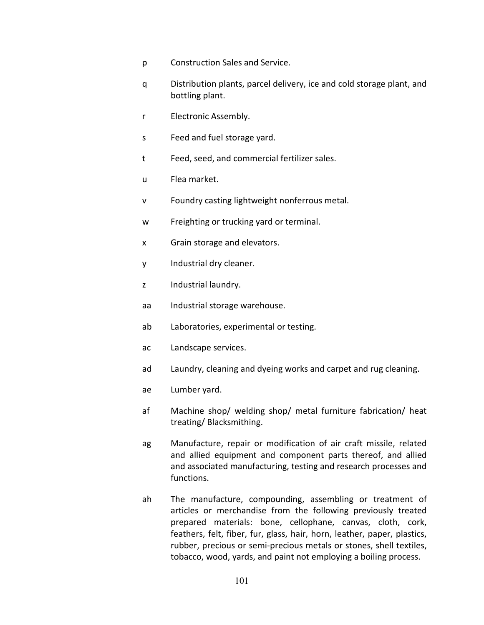- p Construction Sales and Service.
- q Distribution plants, parcel delivery, ice and cold storage plant, and bottling plant.
- r Electronic Assembly.
- s Feed and fuel storage yard.
- t Feed, seed, and commercial fertilizer sales.
- u Flea market.
- v Foundry casting lightweight nonferrous metal.
- w Freighting or trucking yard or terminal.
- x Grain storage and elevators.
- y Industrial dry cleaner.
- z Industrial laundry.
- aa Industrial storage warehouse.
- ab Laboratories, experimental or testing.
- ac Landscape services.
- ad Laundry, cleaning and dyeing works and carpet and rug cleaning.
- ae Lumber yard.
- af Machine shop/ welding shop/ metal furniture fabrication/ heat treating/ Blacksmithing.
- ag Manufacture, repair or modification of air craft missile, related and allied equipment and component parts thereof, and allied and associated manufacturing, testing and research processes and functions.
- ah The manufacture, compounding, assembling or treatment of articles or merchandise from the following previously treated prepared materials: bone, cellophane, canvas, cloth, cork, feathers, felt, fiber, fur, glass, hair, horn, leather, paper, plastics, rubber, precious or semi-precious metals or stones, shell textiles, tobacco, wood, yards, and paint not employing a boiling process.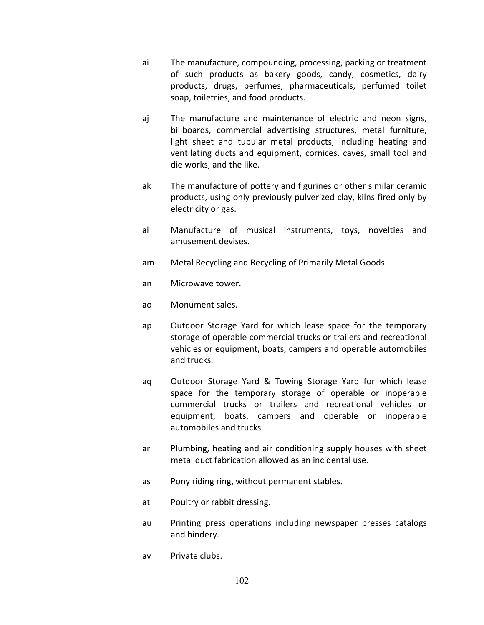- ai The manufacture, compounding, processing, packing or treatment of such products as bakery goods, candy, cosmetics, dairy products, drugs, perfumes, pharmaceuticals, perfumed toilet soap, toiletries, and food products.
- aj The manufacture and maintenance of electric and neon signs, billboards, commercial advertising structures, metal furniture, light sheet and tubular metal products, including heating and ventilating ducts and equipment, cornices, caves, small tool and die works, and the like.
- ak The manufacture of pottery and figurines or other similar ceramic products, using only previously pulverized clay, kilns fired only by electricity or gas.
- al Manufacture of musical instruments, toys, novelties and amusement devises.
- am Metal Recycling and Recycling of Primarily Metal Goods.
- an Microwave tower.
- ao Monument sales.
- ap Outdoor Storage Yard for which lease space for the temporary storage of operable commercial trucks or trailers and recreational vehicles or equipment, boats, campers and operable automobiles and trucks.
- aq Outdoor Storage Yard & Towing Storage Yard for which lease space for the temporary storage of operable or inoperable commercial trucks or trailers and recreational vehicles or equipment, boats, campers and operable or inoperable automobiles and trucks.
- ar Plumbing, heating and air conditioning supply houses with sheet metal duct fabrication allowed as an incidental use.
- as Pony riding ring, without permanent stables.
- at Poultry or rabbit dressing.
- au Printing press operations including newspaper presses catalogs and bindery.
- av Private clubs.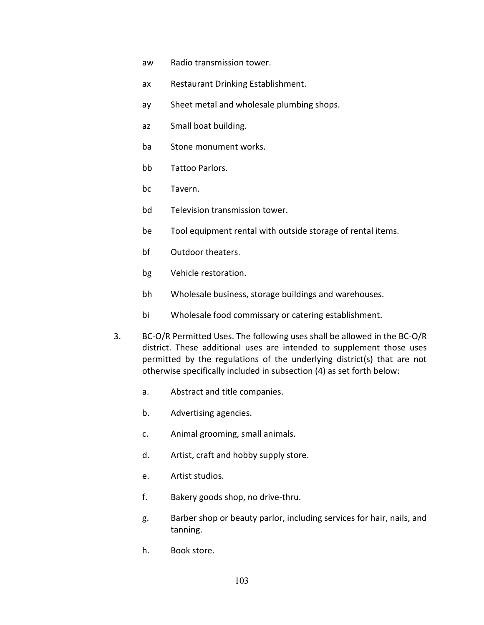- aw Radio transmission tower.
- ax Restaurant Drinking Establishment.
- ay Sheet metal and wholesale plumbing shops.
- az Small boat building.
- ba Stone monument works.
- bb Tattoo Parlors.
- bc Tavern.
- bd Television transmission tower.
- be Tool equipment rental with outside storage of rental items.
- bf Outdoor theaters.
- bg Vehicle restoration.
- bh Wholesale business, storage buildings and warehouses.
- bi Wholesale food commissary or catering establishment.
- 3. BC-O/R Permitted Uses. The following uses shall be allowed in the BC-O/R district. These additional uses are intended to supplement those uses permitted by the regulations of the underlying district(s) that are not otherwise specifically included in subsection (4) as set forth below:
	- a. Abstract and title companies.
	- b. Advertising agencies.
	- c. Animal grooming, small animals.
	- d. Artist, craft and hobby supply store.
	- e. Artist studios.
	- f. Bakery goods shop, no drive-thru.
	- g. Barber shop or beauty parlor, including services for hair, nails, and tanning.
	- h. Book store.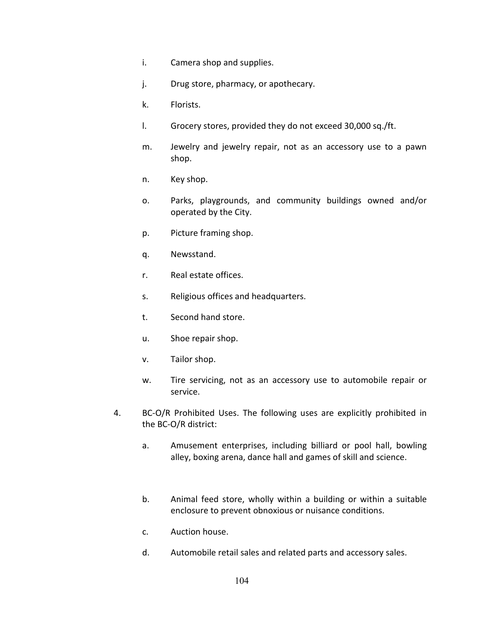- i. Camera shop and supplies.
- j. Drug store, pharmacy, or apothecary.
- k. Florists.
- l. Grocery stores, provided they do not exceed 30,000 sq./ft.
- m. Jewelry and jewelry repair, not as an accessory use to a pawn shop.
- n. Key shop.
- o. Parks, playgrounds, and community buildings owned and/or operated by the City.
- p. Picture framing shop.
- q. Newsstand.
- r. Real estate offices.
- s. Religious offices and headquarters.
- t. Second hand store.
- u. Shoe repair shop.
- v. Tailor shop.
- w. Tire servicing, not as an accessory use to automobile repair or service.
- 4. BC-O/R Prohibited Uses. The following uses are explicitly prohibited in the BC-O/R district:
	- a. Amusement enterprises, including billiard or pool hall, bowling alley, boxing arena, dance hall and games of skill and science.
	- b. Animal feed store, wholly within a building or within a suitable enclosure to prevent obnoxious or nuisance conditions.
	- c. Auction house.
	- d. Automobile retail sales and related parts and accessory sales.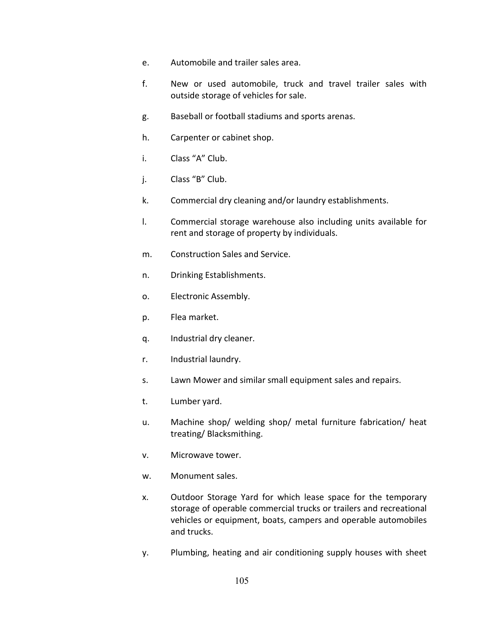- e. Automobile and trailer sales area.
- f. New or used automobile, truck and travel trailer sales with outside storage of vehicles for sale.
- g. Baseball or football stadiums and sports arenas.
- h. Carpenter or cabinet shop.
- i. Class "A" Club.
- j. Class "B" Club.
- k. Commercial dry cleaning and/or laundry establishments.
- l. Commercial storage warehouse also including units available for rent and storage of property by individuals.
- m. Construction Sales and Service.
- n. Drinking Establishments.
- o. Electronic Assembly.
- p. Flea market.
- q. Industrial dry cleaner.
- r. Industrial laundry.
- s. Lawn Mower and similar small equipment sales and repairs.
- t. Lumber yard.
- u. Machine shop/ welding shop/ metal furniture fabrication/ heat treating/ Blacksmithing.
- v. Microwave tower.
- w. Monument sales.
- x. Outdoor Storage Yard for which lease space for the temporary storage of operable commercial trucks or trailers and recreational vehicles or equipment, boats, campers and operable automobiles and trucks.
- y. Plumbing, heating and air conditioning supply houses with sheet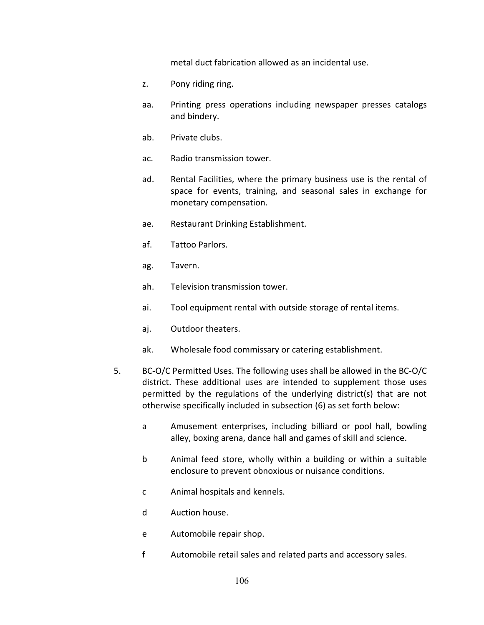metal duct fabrication allowed as an incidental use.

- z. Pony riding ring.
- aa. Printing press operations including newspaper presses catalogs and bindery.
- ab. Private clubs.
- ac. Radio transmission tower.
- ad. Rental Facilities, where the primary business use is the rental of space for events, training, and seasonal sales in exchange for monetary compensation.
- ae. Restaurant Drinking Establishment.
- af. Tattoo Parlors.
- ag. Tavern.
- ah. Television transmission tower.
- ai. Tool equipment rental with outside storage of rental items.
- aj. Outdoor theaters.
- ak. Wholesale food commissary or catering establishment.
- 5. BC-O/C Permitted Uses. The following uses shall be allowed in the BC-O/C district. These additional uses are intended to supplement those uses permitted by the regulations of the underlying district(s) that are not otherwise specifically included in subsection (6) as set forth below:
	- a Amusement enterprises, including billiard or pool hall, bowling alley, boxing arena, dance hall and games of skill and science.
	- b Animal feed store, wholly within a building or within a suitable enclosure to prevent obnoxious or nuisance conditions.
	- c Animal hospitals and kennels.
	- d Auction house.
	- e Automobile repair shop.
	- f Automobile retail sales and related parts and accessory sales.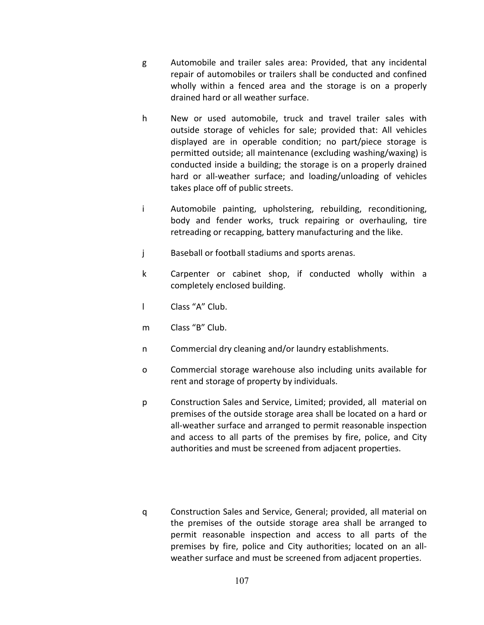- g Automobile and trailer sales area: Provided, that any incidental repair of automobiles or trailers shall be conducted and confined wholly within a fenced area and the storage is on a properly drained hard or all weather surface.
- h New or used automobile, truck and travel trailer sales with outside storage of vehicles for sale; provided that: All vehicles displayed are in operable condition; no part/piece storage is permitted outside; all maintenance (excluding washing/waxing) is conducted inside a building; the storage is on a properly drained hard or all-weather surface; and loading/unloading of vehicles takes place off of public streets.
- i Automobile painting, upholstering, rebuilding, reconditioning, body and fender works, truck repairing or overhauling, tire retreading or recapping, battery manufacturing and the like.
- j Baseball or football stadiums and sports arenas.
- k Carpenter or cabinet shop, if conducted wholly within a completely enclosed building.
- l Class "A" Club.
- m Class "B" Club.
- n Commercial dry cleaning and/or laundry establishments.
- o Commercial storage warehouse also including units available for rent and storage of property by individuals.
- p Construction Sales and Service, Limited; provided, all material on premises of the outside storage area shall be located on a hard or all-weather surface and arranged to permit reasonable inspection and access to all parts of the premises by fire, police, and City authorities and must be screened from adjacent properties.
- q Construction Sales and Service, General; provided, all material on the premises of the outside storage area shall be arranged to permit reasonable inspection and access to all parts of the premises by fire, police and City authorities; located on an allweather surface and must be screened from adjacent properties.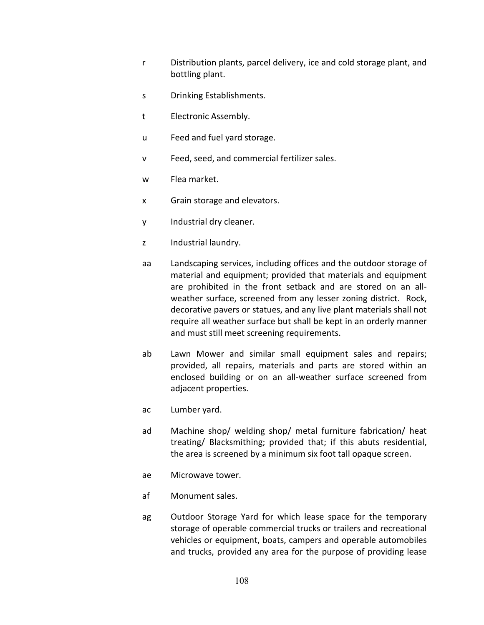- r Distribution plants, parcel delivery, ice and cold storage plant, and bottling plant.
- s Drinking Establishments.
- t Electronic Assembly.
- u Feed and fuel yard storage.
- v Feed, seed, and commercial fertilizer sales.
- w Flea market.
- x Grain storage and elevators.
- y Industrial dry cleaner.
- z Industrial laundry.
- aa Landscaping services, including offices and the outdoor storage of material and equipment; provided that materials and equipment are prohibited in the front setback and are stored on an allweather surface, screened from any lesser zoning district. Rock, decorative pavers or statues, and any live plant materials shall not require all weather surface but shall be kept in an orderly manner and must still meet screening requirements.
- ab Lawn Mower and similar small equipment sales and repairs; provided, all repairs, materials and parts are stored within an enclosed building or on an all-weather surface screened from adjacent properties.
- ac Lumber yard.
- ad Machine shop/ welding shop/ metal furniture fabrication/ heat treating/ Blacksmithing; provided that; if this abuts residential, the area is screened by a minimum six foot tall opaque screen.
- ae Microwave tower.
- af Monument sales.
- ag Outdoor Storage Yard for which lease space for the temporary storage of operable commercial trucks or trailers and recreational vehicles or equipment, boats, campers and operable automobiles and trucks, provided any area for the purpose of providing lease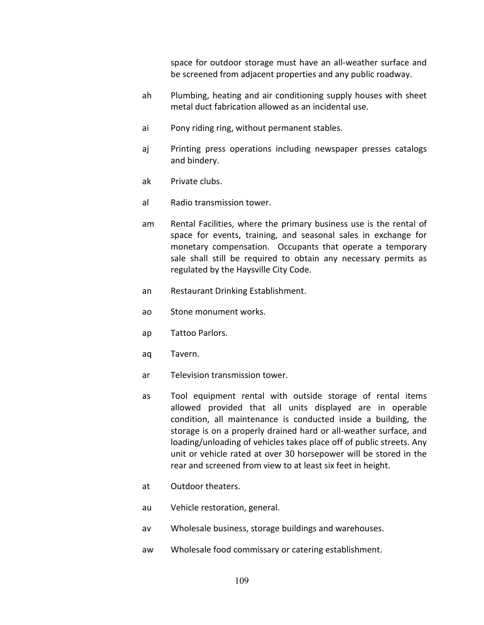space for outdoor storage must have an all-weather surface and be screened from adjacent properties and any public roadway.

- ah Plumbing, heating and air conditioning supply houses with sheet metal duct fabrication allowed as an incidental use.
- ai Pony riding ring, without permanent stables.
- aj Printing press operations including newspaper presses catalogs and bindery.
- ak Private clubs.
- al Radio transmission tower.
- am Rental Facilities, where the primary business use is the rental of space for events, training, and seasonal sales in exchange for monetary compensation. Occupants that operate a temporary sale shall still be required to obtain any necessary permits as regulated by the Haysville City Code.
- an Restaurant Drinking Establishment.
- ao Stone monument works.
- ap Tattoo Parlors.
- aq Tavern.
- ar Television transmission tower.
- as Tool equipment rental with outside storage of rental items allowed provided that all units displayed are in operable condition, all maintenance is conducted inside a building, the storage is on a properly drained hard or all-weather surface, and loading/unloading of vehicles takes place off of public streets. Any unit or vehicle rated at over 30 horsepower will be stored in the rear and screened from view to at least six feet in height.
- at Outdoor theaters.
- au Vehicle restoration, general.
- av Wholesale business, storage buildings and warehouses.
- aw Wholesale food commissary or catering establishment.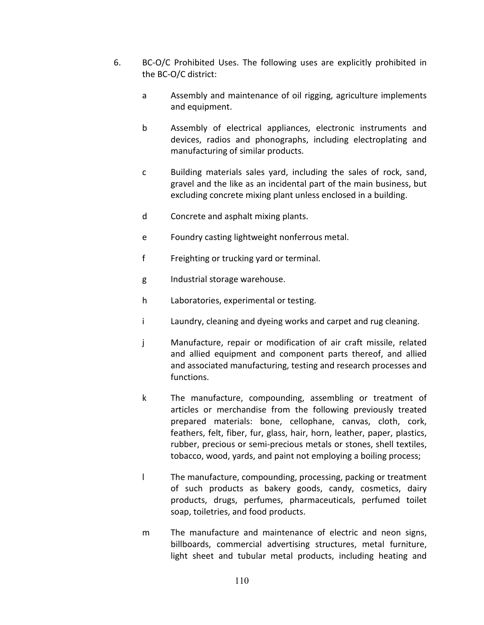- 6. BC-O/C Prohibited Uses. The following uses are explicitly prohibited in the BC-O/C district:
	- a Assembly and maintenance of oil rigging, agriculture implements and equipment.
	- b Assembly of electrical appliances, electronic instruments and devices, radios and phonographs, including electroplating and manufacturing of similar products.
	- c Building materials sales yard, including the sales of rock, sand, gravel and the like as an incidental part of the main business, but excluding concrete mixing plant unless enclosed in a building.
	- d Concrete and asphalt mixing plants.
	- e Foundry casting lightweight nonferrous metal.
	- f Freighting or trucking yard or terminal.
	- g Industrial storage warehouse.
	- h Laboratories, experimental or testing.
	- i Laundry, cleaning and dyeing works and carpet and rug cleaning.
	- j Manufacture, repair or modification of air craft missile, related and allied equipment and component parts thereof, and allied and associated manufacturing, testing and research processes and functions.
	- k The manufacture, compounding, assembling or treatment of articles or merchandise from the following previously treated prepared materials: bone, cellophane, canvas, cloth, cork, feathers, felt, fiber, fur, glass, hair, horn, leather, paper, plastics, rubber, precious or semi-precious metals or stones, shell textiles, tobacco, wood, yards, and paint not employing a boiling process;
	- l The manufacture, compounding, processing, packing or treatment of such products as bakery goods, candy, cosmetics, dairy products, drugs, perfumes, pharmaceuticals, perfumed toilet soap, toiletries, and food products.
	- m The manufacture and maintenance of electric and neon signs, billboards, commercial advertising structures, metal furniture, light sheet and tubular metal products, including heating and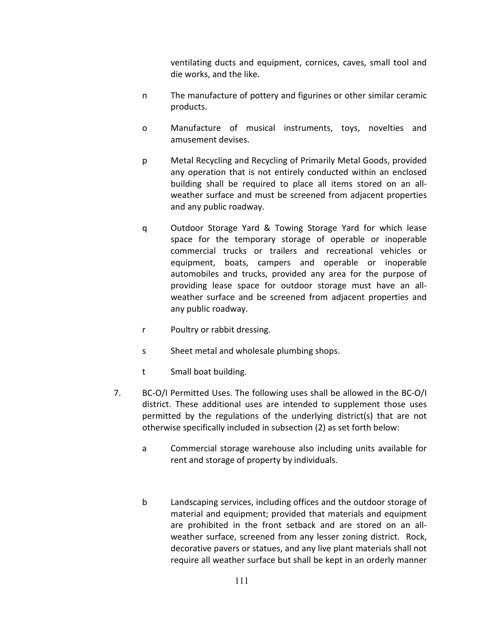ventilating ducts and equipment, cornices, caves, small tool and die works, and the like.

- n The manufacture of pottery and figurines or other similar ceramic products.
- o Manufacture of musical instruments, toys, novelties and amusement devises.
- p Metal Recycling and Recycling of Primarily Metal Goods, provided any operation that is not entirely conducted within an enclosed building shall be required to place all items stored on an allweather surface and must be screened from adjacent properties and any public roadway.
- q Outdoor Storage Yard & Towing Storage Yard for which lease space for the temporary storage of operable or inoperable commercial trucks or trailers and recreational vehicles or equipment, boats, campers and operable or inoperable automobiles and trucks, provided any area for the purpose of providing lease space for outdoor storage must have an allweather surface and be screened from adjacent properties and any public roadway.
- r Poultry or rabbit dressing.
- s Sheet metal and wholesale plumbing shops.
- t Small boat building.
- 7. BC-O/I Permitted Uses. The following uses shall be allowed in the BC-O/I district. These additional uses are intended to supplement those uses permitted by the regulations of the underlying district(s) that are not otherwise specifically included in subsection (2) as set forth below:
	- a Commercial storage warehouse also including units available for rent and storage of property by individuals.
	- b Landscaping services, including offices and the outdoor storage of material and equipment; provided that materials and equipment are prohibited in the front setback and are stored on an allweather surface, screened from any lesser zoning district. Rock, decorative pavers or statues, and any live plant materials shall not require all weather surface but shall be kept in an orderly manner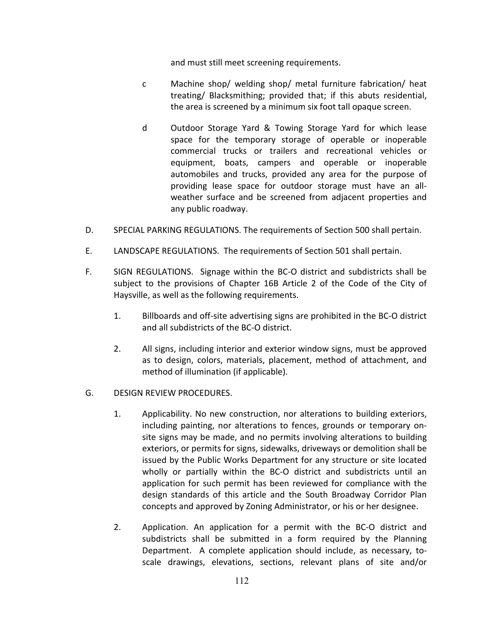and must still meet screening requirements.

- c Machine shop/ welding shop/ metal furniture fabrication/ heat treating/ Blacksmithing; provided that; if this abuts residential, the area is screened by a minimum six foot tall opaque screen.
- d Outdoor Storage Yard & Towing Storage Yard for which lease space for the temporary storage of operable or inoperable commercial trucks or trailers and recreational vehicles or equipment, boats, campers and operable or inoperable automobiles and trucks, provided any area for the purpose of providing lease space for outdoor storage must have an allweather surface and be screened from adjacent properties and any public roadway.
- D. SPECIAL PARKING REGULATIONS. The requirements of Section 500 shall pertain.
- E. LANDSCAPE REGULATIONS. The requirements of Section 501 shall pertain.
- F. SIGN REGULATIONS. Signage within the BC-O district and subdistricts shall be subject to the provisions of Chapter 16B Article 2 of the Code of the City of Haysville, as well as the following requirements.
	- 1. Billboards and off-site advertising signs are prohibited in the BC-O district and all subdistricts of the BC-O district.
	- 2. All signs, including interior and exterior window signs, must be approved as to design, colors, materials, placement, method of attachment, and method of illumination (if applicable).
- G. DESIGN REVIEW PROCEDURES.
	- 1. Applicability. No new construction, nor alterations to building exteriors, including painting, nor alterations to fences, grounds or temporary onsite signs may be made, and no permits involving alterations to building exteriors, or permits for signs, sidewalks, driveways or demolition shall be issued by the Public Works Department for any structure or site located wholly or partially within the BC-O district and subdistricts until an application for such permit has been reviewed for compliance with the design standards of this article and the South Broadway Corridor Plan concepts and approved by Zoning Administrator, or his or her designee.
	- 2. Application. An application for a permit with the BC-O district and subdistricts shall be submitted in a form required by the Planning Department. A complete application should include, as necessary, toscale drawings, elevations, sections, relevant plans of site and/or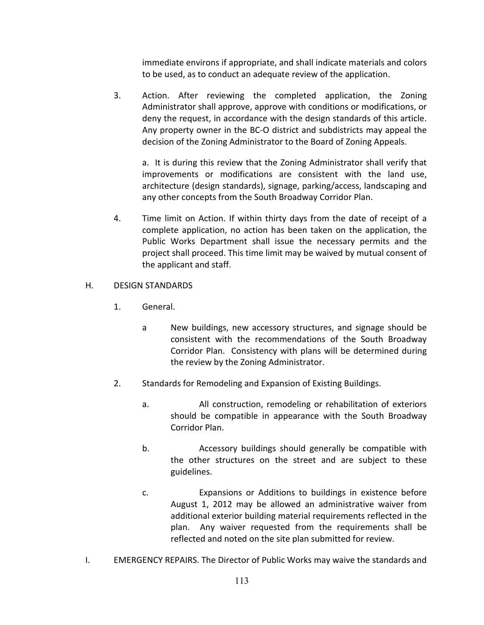immediate environs if appropriate, and shall indicate materials and colors to be used, as to conduct an adequate review of the application.

3. Action. After reviewing the completed application, the Zoning Administrator shall approve, approve with conditions or modifications, or deny the request, in accordance with the design standards of this article. Any property owner in the BC-O district and subdistricts may appeal the decision of the Zoning Administrator to the Board of Zoning Appeals.

a. It is during this review that the Zoning Administrator shall verify that improvements or modifications are consistent with the land use, architecture (design standards), signage, parking/access, landscaping and any other concepts from the South Broadway Corridor Plan.

4. Time limit on Action. If within thirty days from the date of receipt of a complete application, no action has been taken on the application, the Public Works Department shall issue the necessary permits and the project shall proceed. This time limit may be waived by mutual consent of the applicant and staff.

### H. DESIGN STANDARDS

- 1. General.
	- a New buildings, new accessory structures, and signage should be consistent with the recommendations of the South Broadway Corridor Plan. Consistency with plans will be determined during the review by the Zoning Administrator.
- 2. Standards for Remodeling and Expansion of Existing Buildings.
	- a. All construction, remodeling or rehabilitation of exteriors should be compatible in appearance with the South Broadway Corridor Plan.
	- b. Accessory buildings should generally be compatible with the other structures on the street and are subject to these guidelines.
	- c. Expansions or Additions to buildings in existence before August 1, 2012 may be allowed an administrative waiver from additional exterior building material requirements reflected in the plan. Any waiver requested from the requirements shall be reflected and noted on the site plan submitted for review.
- I. EMERGENCY REPAIRS. The Director of Public Works may waive the standards and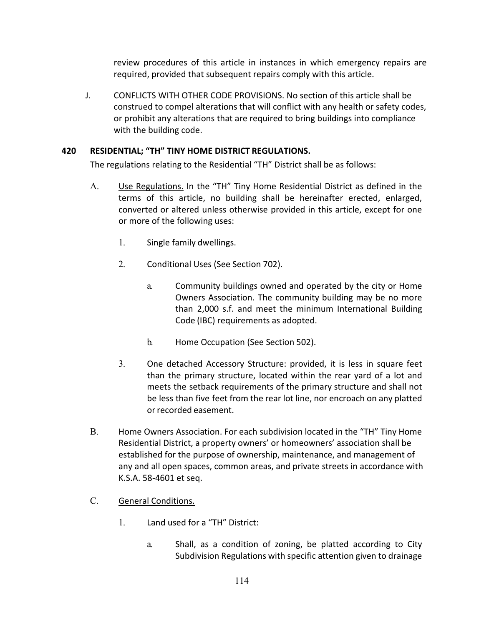review procedures of this article in instances in which emergency repairs are required, provided that subsequent repairs comply with this article.

J. CONFLICTS WITH OTHER CODE PROVISIONS. No section of this article shall be construed to compel alterations that will conflict with any health or safety codes, or prohibit any alterations that are required to bring buildings into compliance with the building code.

# **420 RESIDENTIAL; "TH" TINY HOME DISTRICT REGULATIONS.**

The regulations relating to the Residential "TH" District shall be as follows:

- A. Use Regulations. In the "TH" Tiny Home Residential District as defined in the terms of this article, no building shall be hereinafter erected, enlarged, converted or altered unless otherwise provided in this article, except for one or more of the following uses:
	- 1. Single family dwellings.
	- 2. Conditional Uses (See Section 702).
		- a. Community buildings owned and operated by the city or Home Owners Association. The community building may be no more than 2,000 s.f. and meet the minimum International Building Code (IBC) requirements as adopted.
		- b. Home Occupation (See Section 502).
	- 3. One detached Accessory Structure: provided, it is less in square feet than the primary structure, located within the rear yard of a lot and meets the setback requirements of the primary structure and shall not be less than five feet from the rear lot line, nor encroach on any platted orrecorded easement.
- B. Home Owners Association. For each subdivision located in the "TH" Tiny Home Residential District, a property owners' or homeowners' association shall be established for the purpose of ownership, maintenance, and management of any and all open spaces, common areas, and private streets in accordance with K.S.A. 58-4601 et seq.
- C. General Conditions.
	- 1. Land used for a "TH" District:
		- a. Shall, as a condition of zoning, be platted according to City Subdivision Regulations with specific attention given to drainage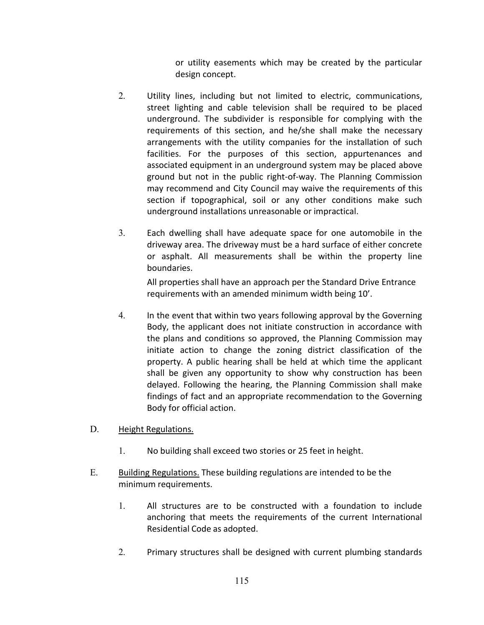or utility easements which may be created by the particular design concept.

- 2. Utility lines, including but not limited to electric, communications, street lighting and cable television shall be required to be placed underground. The subdivider is responsible for complying with the requirements of this section, and he/she shall make the necessary arrangements with the utility companies for the installation of such facilities. For the purposes of this section, appurtenances and associated equipment in an underground system may be placed above ground but not in the public right-of-way. The Planning Commission may recommend and City Council may waive the requirements of this section if topographical, soil or any other conditions make such underground installations unreasonable or impractical.
- 3. Each dwelling shall have adequate space for one automobile in the driveway area. The driveway must be a hard surface of either concrete or asphalt. All measurements shall be within the property line boundaries.

All properties shall have an approach per the Standard Drive Entrance requirements with an amended minimum width being 10'.

- 4. In the event that within two years following approval by the Governing Body, the applicant does not initiate construction in accordance with the plans and conditions so approved, the Planning Commission may initiate action to change the zoning district classification of the property. A public hearing shall be held at which time the applicant shall be given any opportunity to show why construction has been delayed. Following the hearing, the Planning Commission shall make findings of fact and an appropriate recommendation to the Governing Body for official action.
- D. Height Regulations.
	- 1. No building shall exceed two stories or 25 feet in height.
- E. Building Regulations. These building regulations are intended to be the minimum requirements.
	- 1. All structures are to be constructed with a foundation to include anchoring that meets the requirements of the current International Residential Code as adopted.
	- 2. Primary structures shall be designed with current plumbing standards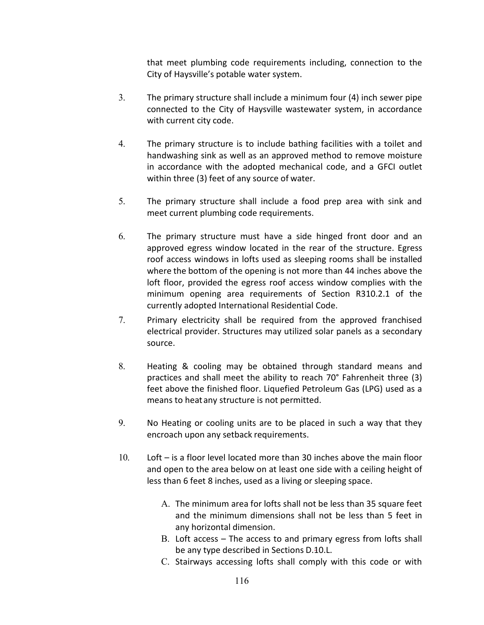that meet plumbing code requirements including, connection to the City of Haysville's potable water system.

- 3. The primary structure shall include a minimum four (4) inch sewer pipe connected to the City of Haysville wastewater system, in accordance with current city code.
- 4. The primary structure is to include bathing facilities with a toilet and handwashing sink as well as an approved method to remove moisture in accordance with the adopted mechanical code, and a GFCI outlet within three (3) feet of any source of water.
- 5. The primary structure shall include a food prep area with sink and meet current plumbing code requirements.
- 6. The primary structure must have a side hinged front door and an approved egress window located in the rear of the structure. Egress roof access windows in lofts used as sleeping rooms shall be installed where the bottom of the opening is not more than 44 inches above the loft floor, provided the egress roof access window complies with the minimum opening area requirements of Section R310.2.1 of the currently adopted International Residential Code.
- 7. Primary electricity shall be required from the approved franchised electrical provider. Structures may utilized solar panels as a secondary source.
- 8. Heating & cooling may be obtained through standard means and practices and shall meet the ability to reach 70° Fahrenheit three (3) feet above the finished floor. Liquefied Petroleum Gas (LPG) used as a means to heatany structure is not permitted.
- 9. No Heating or cooling units are to be placed in such a way that they encroach upon any setback requirements.
- 10. Loft is a floor level located more than 30 inches above the main floor and open to the area below on at least one side with a ceiling height of less than 6 feet 8 inches, used as a living or sleeping space.
	- A. The minimum area for lofts shall not be less than 35 square feet and the minimum dimensions shall not be less than 5 feet in any horizontal dimension.
	- B. Loft access The access to and primary egress from lofts shall be any type described in Sections D.10.L.
	- C. Stairways accessing lofts shall comply with this code or with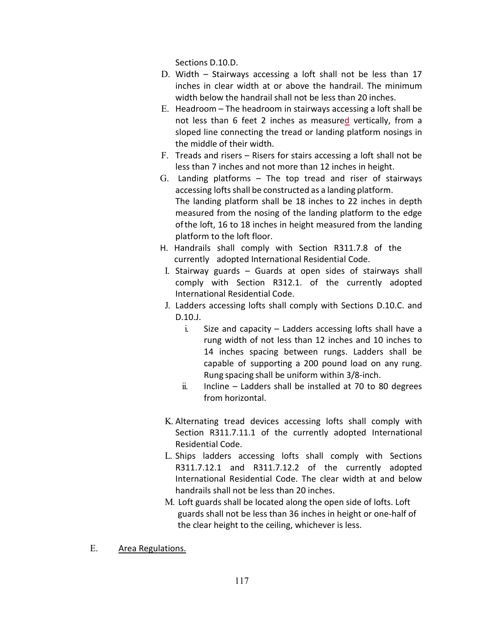Sections D.10.D.

- D. Width Stairways accessing a loft shall not be less than 17 inches in clear width at or above the handrail. The minimum width below the handrail shall not be less than 20 inches.
- E. Headroom The headroom in stairways accessing a loft shall be not less than 6 feet 2 inches as measured vertically, from a sloped line connecting the tread or landing platform nosings in the middle of their width.
- F. Treads and risers Risers for stairs accessing a loft shall not be less than 7 inches and not more than 12 inches in height.
- G. Landing platforms The top tread and riser of stairways accessing lofts shall be constructed as a landing platform. The landing platform shall be 18 inches to 22 inches in depth measured from the nosing of the landing platform to the edge ofthe loft, 16 to 18 inches in height measured from the landing platform to the loft floor.
- H. Handrails shall comply with Section R311.7.8 of the currently adopted International Residential Code.
- I. Stairway guards Guards at open sides of stairways shall comply with Section R312.1. of the currently adopted International Residential Code.
- J. Ladders accessing lofts shall comply with Sections D.10.C. and D.10.J.
	- i. Size and capacity Ladders accessing lofts shall have a rung width of not less than 12 inches and 10 inches to 14 inches spacing between rungs. Ladders shall be capable of supporting a 200 pound load on any rung. Rung spacing shall be uniform within 3/8-inch.
	- ii. Incline Ladders shall be installed at 70 to 80 degrees from horizontal.
- K. Alternating tread devices accessing lofts shall comply with Section R311.7.11.1 of the currently adopted International Residential Code.
- L. Ships ladders accessing lofts shall comply with Sections R311.7.12.1 and R311.7.12.2 of the currently adopted International Residential Code. The clear width at and below handrails shall not be less than 20 inches.
- M. Loft guards shall be located along the open side of lofts. Loft guards shall not be less than 36 inches in height or one-half of the clear height to the ceiling, whichever is less.
- E. Area Regulations.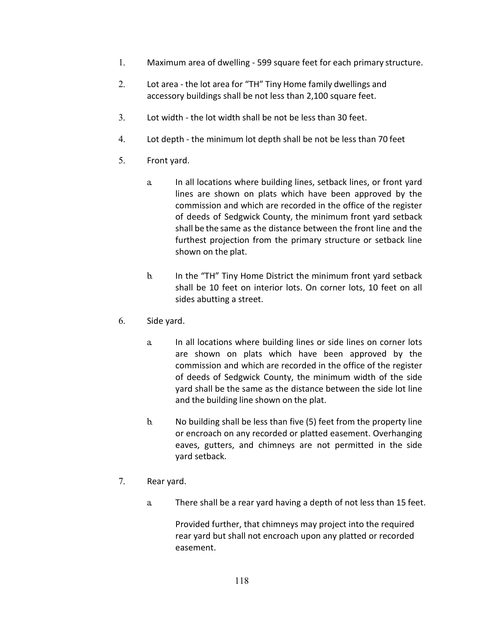- 1. Maximum area of dwelling 599 square feet for each primary structure.
- 2. Lot area the lot area for "TH" Tiny Home family dwellings and accessory buildings shall be not less than 2,100 square feet.
- 3. Lot width the lot width shall be not be less than 30 feet.
- 4. Lot depth the minimum lot depth shall be not be less than 70 feet
- 5. Front yard.
	- a. In all locations where building lines, setback lines, or front yard lines are shown on plats which have been approved by the commission and which are recorded in the office of the register of deeds of Sedgwick County, the minimum front yard setback shall be the same as the distance between the front line and the furthest projection from the primary structure or setback line shown on the plat.
	- b. In the "TH" Tiny Home District the minimum front yard setback shall be 10 feet on interior lots. On corner lots, 10 feet on all sides abutting a street.
- 6. Side yard.
	- a. In all locations where building lines or side lines on corner lots are shown on plats which have been approved by the commission and which are recorded in the office of the register of deeds of Sedgwick County, the minimum width of the side yard shall be the same as the distance between the side lot line and the building line shown on the plat.
	- b. No building shall be less than five (5) feet from the property line or encroach on any recorded or platted easement. Overhanging eaves, gutters, and chimneys are not permitted in the side yard setback.
- 7. Rear yard.
	- a. There shall be a rear yard having a depth of not less than 15 feet.

Provided further, that chimneys may project into the required rear yard but shall not encroach upon any platted or recorded easement.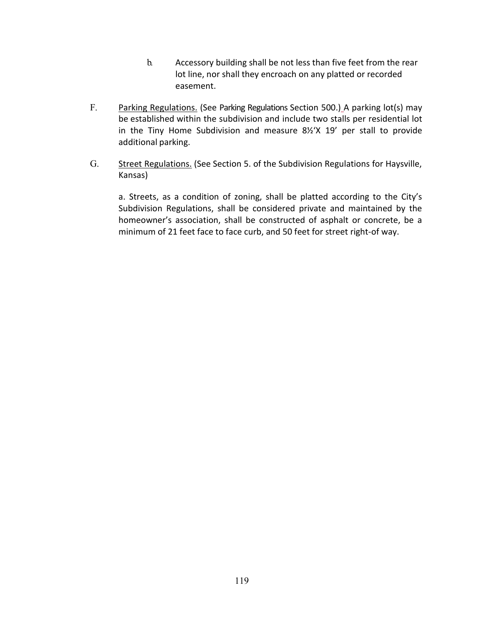- b. Accessory building shall be not less than five feet from the rear lot line, nor shall they encroach on any platted or recorded easement.
- F. Parking Regulations. (See Parking Regulations Section 500.) A parking lot(s) may be established within the subdivision and include two stalls per residential lot in the Tiny Home Subdivision and measure 8½'X 19' per stall to provide additional parking.
- G. Street Regulations. (See Section 5. of the Subdivision Regulations for Haysville, Kansas)

a. Streets, as a condition of zoning, shall be platted according to the City's Subdivision Regulations, shall be considered private and maintained by the homeowner's association, shall be constructed of asphalt or concrete, be a minimum of 21 feet face to face curb, and 50 feet for street right-of way.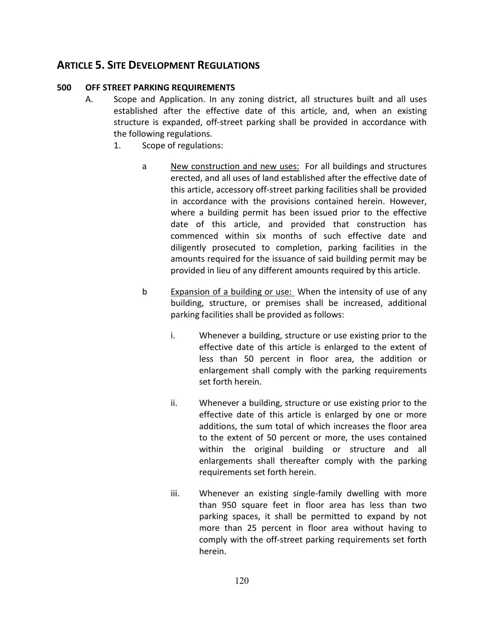# **ARTICLE 5. SITE DEVELOPMENT REGULATIONS**

### **500 OFF STREET PARKING REQUIREMENTS**

- A. Scope and Application. In any zoning district, all structures built and all uses established after the effective date of this article, and, when an existing structure is expanded, off-street parking shall be provided in accordance with the following regulations.
	- 1. Scope of regulations:
		- a New construction and new uses: For all buildings and structures erected, and all uses of land established after the effective date of this article, accessory off-street parking facilities shall be provided in accordance with the provisions contained herein. However, where a building permit has been issued prior to the effective date of this article, and provided that construction has commenced within six months of such effective date and diligently prosecuted to completion, parking facilities in the amounts required for the issuance of said building permit may be provided in lieu of any different amounts required by this article.
		- b Expansion of a building or use: When the intensity of use of any building, structure, or premises shall be increased, additional parking facilities shall be provided as follows:
			- i. Whenever a building, structure or use existing prior to the effective date of this article is enlarged to the extent of less than 50 percent in floor area, the addition or enlargement shall comply with the parking requirements set forth herein.
			- ii. Whenever a building, structure or use existing prior to the effective date of this article is enlarged by one or more additions, the sum total of which increases the floor area to the extent of 50 percent or more, the uses contained within the original building or structure and all enlargements shall thereafter comply with the parking requirements set forth herein.
			- iii. Whenever an existing single-family dwelling with more than 950 square feet in floor area has less than two parking spaces, it shall be permitted to expand by not more than 25 percent in floor area without having to comply with the off-street parking requirements set forth herein.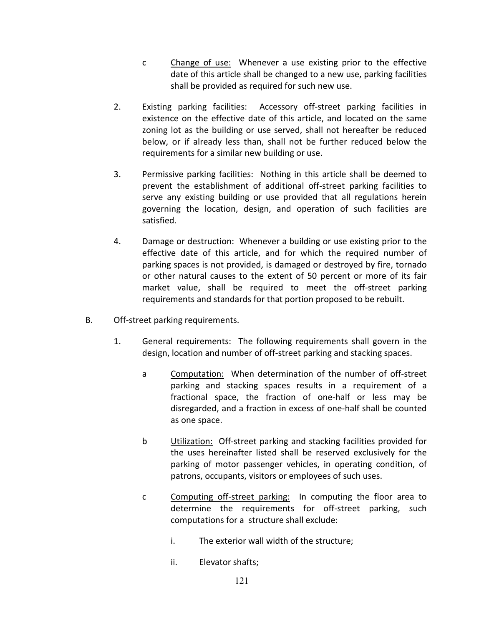- c Change of use: Whenever a use existing prior to the effective date of this article shall be changed to a new use, parking facilities shall be provided as required for such new use.
- 2. Existing parking facilities: Accessory off-street parking facilities in existence on the effective date of this article, and located on the same zoning lot as the building or use served, shall not hereafter be reduced below, or if already less than, shall not be further reduced below the requirements for a similar new building or use.
- 3. Permissive parking facilities: Nothing in this article shall be deemed to prevent the establishment of additional off-street parking facilities to serve any existing building or use provided that all regulations herein governing the location, design, and operation of such facilities are satisfied.
- 4. Damage or destruction: Whenever a building or use existing prior to the effective date of this article, and for which the required number of parking spaces is not provided, is damaged or destroyed by fire, tornado or other natural causes to the extent of 50 percent or more of its fair market value, shall be required to meet the off-street parking requirements and standards for that portion proposed to be rebuilt.
- B. Off-street parking requirements.
	- 1. General requirements: The following requirements shall govern in the design, location and number of off-street parking and stacking spaces.
		- a Computation: When determination of the number of off-street parking and stacking spaces results in a requirement of a fractional space, the fraction of one-half or less may be disregarded, and a fraction in excess of one-half shall be counted as one space.
		- b Utilization: Off-street parking and stacking facilities provided for the uses hereinafter listed shall be reserved exclusively for the parking of motor passenger vehicles, in operating condition, of patrons, occupants, visitors or employees of such uses.
		- c Computing off-street parking: In computing the floor area to determine the requirements for off-street parking, such computations for a structure shall exclude:
			- i. The exterior wall width of the structure;
			- ii. Elevator shafts;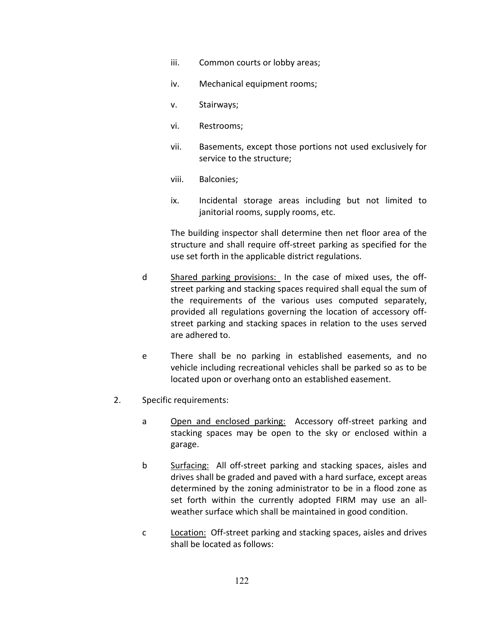- iii. Common courts or lobby areas;
- iv. Mechanical equipment rooms;
- v. Stairways;
- vi. Restrooms;
- vii. Basements, except those portions not used exclusively for service to the structure;
- viii. Balconies;
- ix. Incidental storage areas including but not limited to janitorial rooms, supply rooms, etc.

The building inspector shall determine then net floor area of the structure and shall require off-street parking as specified for the use set forth in the applicable district regulations.

- d Shared parking provisions: In the case of mixed uses, the offstreet parking and stacking spaces required shall equal the sum of the requirements of the various uses computed separately, provided all regulations governing the location of accessory offstreet parking and stacking spaces in relation to the uses served are adhered to.
- e There shall be no parking in established easements, and no vehicle including recreational vehicles shall be parked so as to be located upon or overhang onto an established easement.
- 2. Specific requirements:
	- a Open and enclosed parking: Accessory off-street parking and stacking spaces may be open to the sky or enclosed within a garage.
	- b Surfacing: All off-street parking and stacking spaces, aisles and drives shall be graded and paved with a hard surface, except areas determined by the zoning administrator to be in a flood zone as set forth within the currently adopted FIRM may use an allweather surface which shall be maintained in good condition.
	- c Location: Off-street parking and stacking spaces, aisles and drives shall be located as follows: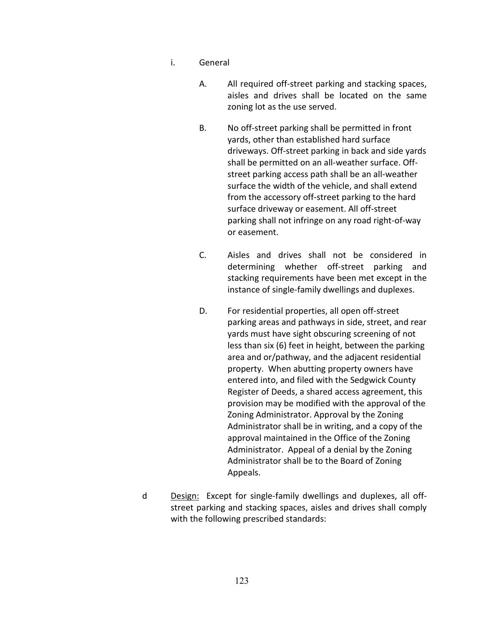- i. General
	- A. All required off-street parking and stacking spaces, aisles and drives shall be located on the same zoning lot as the use served.
	- B. No off-street parking shall be permitted in front yards, other than established hard surface driveways. Off-street parking in back and side yards shall be permitted on an all-weather surface. Offstreet parking access path shall be an all-weather surface the width of the vehicle, and shall extend from the accessory off-street parking to the hard surface driveway or easement. All off-street parking shall not infringe on any road right-of-way or easement.
	- C. Aisles and drives shall not be considered in determining whether off-street parking and stacking requirements have been met except in the instance of single-family dwellings and duplexes.
	- D. For residential properties, all open off-street parking areas and pathways in side, street, and rear yards must have sight obscuring screening of not less than six (6) feet in height, between the parking area and or/pathway, and the adjacent residential property. When abutting property owners have entered into, and filed with the Sedgwick County Register of Deeds, a shared access agreement, this provision may be modified with the approval of the Zoning Administrator. Approval by the Zoning Administrator shall be in writing, and a copy of the approval maintained in the Office of the Zoning Administrator. Appeal of a denial by the Zoning Administrator shall be to the Board of Zoning Appeals.
- d Design: Except for single-family dwellings and duplexes, all offstreet parking and stacking spaces, aisles and drives shall comply with the following prescribed standards: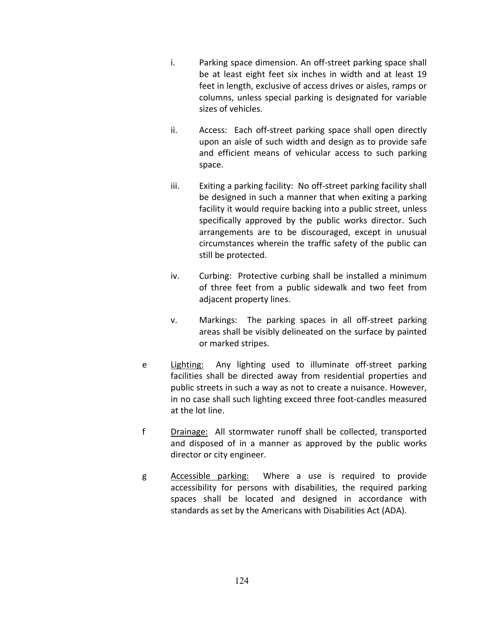- i. Parking space dimension. An off-street parking space shall be at least eight feet six inches in width and at least 19 feet in length, exclusive of access drives or aisles, ramps or columns, unless special parking is designated for variable sizes of vehicles.
- ii. Access: Each off-street parking space shall open directly upon an aisle of such width and design as to provide safe and efficient means of vehicular access to such parking space.
- iii. Exiting a parking facility: No off-street parking facility shall be designed in such a manner that when exiting a parking facility it would require backing into a public street, unless specifically approved by the public works director. Such arrangements are to be discouraged, except in unusual circumstances wherein the traffic safety of the public can still be protected.
- iv. Curbing: Protective curbing shall be installed a minimum of three feet from a public sidewalk and two feet from adjacent property lines.
- v. Markings: The parking spaces in all off-street parking areas shall be visibly delineated on the surface by painted or marked stripes.
- e Lighting: Any lighting used to illuminate off-street parking facilities shall be directed away from residential properties and public streets in such a way as not to create a nuisance. However, in no case shall such lighting exceed three foot-candles measured at the lot line.
- f Drainage: All stormwater runoff shall be collected, transported and disposed of in a manner as approved by the public works director or city engineer.
- g Accessible parking: Where a use is required to provide accessibility for persons with disabilities, the required parking spaces shall be located and designed in accordance with standards as set by the Americans with Disabilities Act (ADA).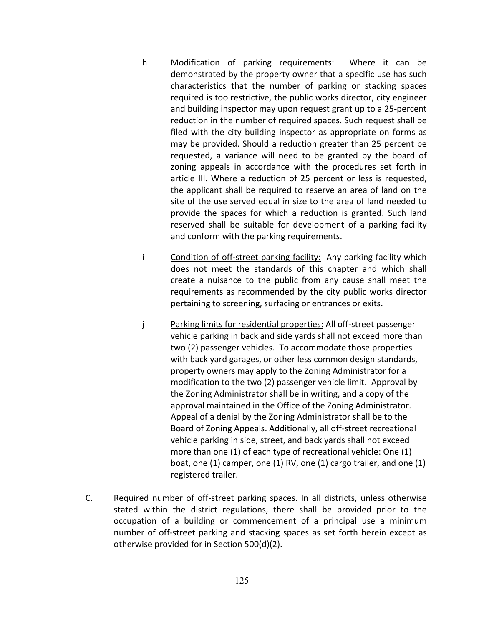- h Modification of parking requirements: Where it can be demonstrated by the property owner that a specific use has such characteristics that the number of parking or stacking spaces required is too restrictive, the public works director, city engineer and building inspector may upon request grant up to a 25-percent reduction in the number of required spaces. Such request shall be filed with the city building inspector as appropriate on forms as may be provided. Should a reduction greater than 25 percent be requested, a variance will need to be granted by the board of zoning appeals in accordance with the procedures set forth in article III. Where a reduction of 25 percent or less is requested, the applicant shall be required to reserve an area of land on the site of the use served equal in size to the area of land needed to provide the spaces for which a reduction is granted. Such land reserved shall be suitable for development of a parking facility and conform with the parking requirements.
- i Condition of off-street parking facility: Any parking facility which does not meet the standards of this chapter and which shall create a nuisance to the public from any cause shall meet the requirements as recommended by the city public works director pertaining to screening, surfacing or entrances or exits.
- j Parking limits for residential properties: All off-street passenger vehicle parking in back and side yards shall not exceed more than two (2) passenger vehicles. To accommodate those properties with back yard garages, or other less common design standards, property owners may apply to the Zoning Administrator for a modification to the two (2) passenger vehicle limit. Approval by the Zoning Administrator shall be in writing, and a copy of the approval maintained in the Office of the Zoning Administrator. Appeal of a denial by the Zoning Administrator shall be to the Board of Zoning Appeals. Additionally, all off-street recreational vehicle parking in side, street, and back yards shall not exceed more than one (1) of each type of recreational vehicle: One (1) boat, one (1) camper, one (1) RV, one (1) cargo trailer, and one (1) registered trailer.
- C. Required number of off-street parking spaces. In all districts, unless otherwise stated within the district regulations, there shall be provided prior to the occupation of a building or commencement of a principal use a minimum number of off-street parking and stacking spaces as set forth herein except as otherwise provided for in Section 500(d)(2).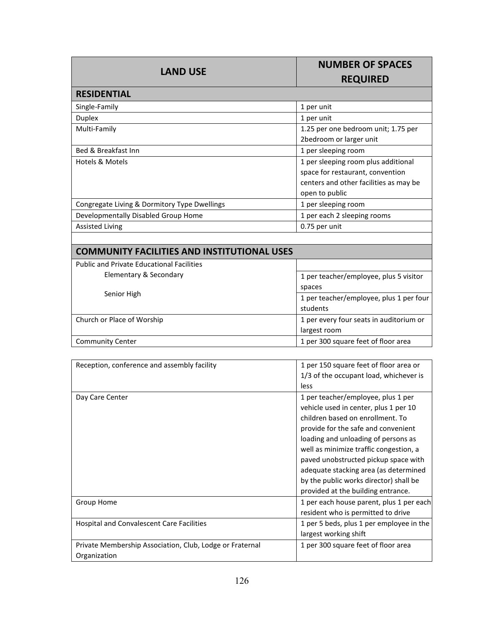| <b>LAND USE</b>                                    | <b>NUMBER OF SPACES</b><br><b>REQUIRED</b>                                                                                          |  |
|----------------------------------------------------|-------------------------------------------------------------------------------------------------------------------------------------|--|
| <b>RESIDENTIAL</b>                                 |                                                                                                                                     |  |
| Single-Family                                      | 1 per unit                                                                                                                          |  |
| <b>Duplex</b>                                      | 1 per unit                                                                                                                          |  |
| Multi-Family                                       | 1.25 per one bedroom unit; 1.75 per<br>2bedroom or larger unit                                                                      |  |
| Bed & Breakfast Inn                                | 1 per sleeping room                                                                                                                 |  |
| Hotels & Motels                                    | 1 per sleeping room plus additional<br>space for restaurant, convention<br>centers and other facilities as may be<br>open to public |  |
| Congregate Living & Dormitory Type Dwellings       | 1 per sleeping room                                                                                                                 |  |
| Developmentally Disabled Group Home                | 1 per each 2 sleeping rooms                                                                                                         |  |
| <b>Assisted Living</b>                             | 0.75 per unit                                                                                                                       |  |
| <b>COMMUNITY FACILITIES AND INSTITUTIONAL USES</b> |                                                                                                                                     |  |

# **COMMUNITY FACILITIES AND INSTITUTIONAL USES**

| <b>Public and Private Educational Facilities</b> |                                         |
|--------------------------------------------------|-----------------------------------------|
| Elementary & Secondary                           | 1 per teacher/employee, plus 5 visitor  |
| Senior High                                      | spaces                                  |
|                                                  | 1 per teacher/employee, plus 1 per four |
|                                                  | students                                |
| Church or Place of Worship                       | 1 per every four seats in auditorium or |
|                                                  | largest room                            |
| <b>Community Center</b>                          | 1 per 300 square feet of floor area     |

| Reception, conference and assembly facility                              | 1 per 150 square feet of floor area or<br>1/3 of the occupant load, whichever is<br>less                                                                                                                                                                                                                                                                                                                 |
|--------------------------------------------------------------------------|----------------------------------------------------------------------------------------------------------------------------------------------------------------------------------------------------------------------------------------------------------------------------------------------------------------------------------------------------------------------------------------------------------|
| Day Care Center                                                          | 1 per teacher/employee, plus 1 per<br>vehicle used in center, plus 1 per 10<br>children based on enrollment. To<br>provide for the safe and convenient<br>loading and unloading of persons as<br>well as minimize traffic congestion, a<br>paved unobstructed pickup space with<br>adequate stacking area (as determined<br>by the public works director) shall be<br>provided at the building entrance. |
| Group Home                                                               | 1 per each house parent, plus 1 per each<br>resident who is permitted to drive                                                                                                                                                                                                                                                                                                                           |
| <b>Hospital and Convalescent Care Facilities</b>                         | 1 per 5 beds, plus 1 per employee in the<br>largest working shift                                                                                                                                                                                                                                                                                                                                        |
| Private Membership Association, Club, Lodge or Fraternal<br>Organization | 1 per 300 square feet of floor area                                                                                                                                                                                                                                                                                                                                                                      |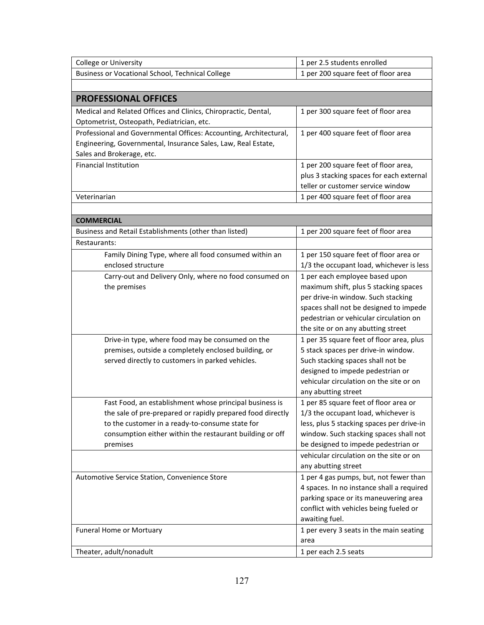| Business or Vocational School, Technical College<br>1 per 200 square feet of floor area<br><b>PROFESSIONAL OFFICES</b><br>Medical and Related Offices and Clinics, Chiropractic, Dental,<br>1 per 300 square feet of floor area<br>Optometrist, Osteopath, Pediatrician, etc.<br>Professional and Governmental Offices: Accounting, Architectural,<br>1 per 400 square feet of floor area<br>Engineering, Governmental, Insurance Sales, Law, Real Estate,<br>Sales and Brokerage, etc.<br><b>Financial Institution</b><br>1 per 200 square feet of floor area,<br>plus 3 stacking spaces for each external<br>teller or customer service window<br>Veterinarian<br>1 per 400 square feet of floor area<br><b>COMMERCIAL</b><br>1 per 200 square feet of floor area<br>Business and Retail Establishments (other than listed)<br>Restaurants:<br>Family Dining Type, where all food consumed within an<br>1 per 150 square feet of floor area or<br>enclosed structure<br>1/3 the occupant load, whichever is less<br>1 per each employee based upon<br>Carry-out and Delivery Only, where no food consumed on<br>the premises<br>maximum shift, plus 5 stacking spaces<br>per drive-in window. Such stacking<br>spaces shall not be designed to impede<br>pedestrian or vehicular circulation on<br>the site or on any abutting street<br>1 per 35 square feet of floor area, plus<br>Drive-in type, where food may be consumed on the<br>5 stack spaces per drive-in window.<br>premises, outside a completely enclosed building, or<br>Such stacking spaces shall not be<br>served directly to customers in parked vehicles.<br>designed to impede pedestrian or<br>vehicular circulation on the site or on<br>any abutting street<br>Fast Food, an establishment whose principal business is<br>1 per 85 square feet of floor area or<br>the sale of pre-prepared or rapidly prepared food directly<br>1/3 the occupant load, whichever is<br>to the customer in a ready-to-consume state for<br>less, plus 5 stacking spaces per drive-in<br>window. Such stacking spaces shall not<br>consumption either within the restaurant building or off<br>be designed to impede pedestrian or<br>premises<br>vehicular circulation on the site or on<br>any abutting street<br>Automotive Service Station, Convenience Store<br>1 per 4 gas pumps, but, not fewer than<br>4 spaces. In no instance shall a required<br>parking space or its maneuvering area<br>conflict with vehicles being fueled or<br>awaiting fuel.<br>1 per every 3 seats in the main seating<br>Funeral Home or Mortuary<br>area | College or University   | 1 per 2.5 students enrolled |
|-------------------------------------------------------------------------------------------------------------------------------------------------------------------------------------------------------------------------------------------------------------------------------------------------------------------------------------------------------------------------------------------------------------------------------------------------------------------------------------------------------------------------------------------------------------------------------------------------------------------------------------------------------------------------------------------------------------------------------------------------------------------------------------------------------------------------------------------------------------------------------------------------------------------------------------------------------------------------------------------------------------------------------------------------------------------------------------------------------------------------------------------------------------------------------------------------------------------------------------------------------------------------------------------------------------------------------------------------------------------------------------------------------------------------------------------------------------------------------------------------------------------------------------------------------------------------------------------------------------------------------------------------------------------------------------------------------------------------------------------------------------------------------------------------------------------------------------------------------------------------------------------------------------------------------------------------------------------------------------------------------------------------------------------------------------------------------------------------------------------------------------------------------------------------------------------------------------------------------------------------------------------------------------------------------------------------------------------------------------------------------------------------------------------------------------------------------------------------------------------------------------------------------------------------------------------------------------------------------|-------------------------|-----------------------------|
|                                                                                                                                                                                                                                                                                                                                                                                                                                                                                                                                                                                                                                                                                                                                                                                                                                                                                                                                                                                                                                                                                                                                                                                                                                                                                                                                                                                                                                                                                                                                                                                                                                                                                                                                                                                                                                                                                                                                                                                                                                                                                                                                                                                                                                                                                                                                                                                                                                                                                                                                                                                                       |                         |                             |
|                                                                                                                                                                                                                                                                                                                                                                                                                                                                                                                                                                                                                                                                                                                                                                                                                                                                                                                                                                                                                                                                                                                                                                                                                                                                                                                                                                                                                                                                                                                                                                                                                                                                                                                                                                                                                                                                                                                                                                                                                                                                                                                                                                                                                                                                                                                                                                                                                                                                                                                                                                                                       |                         |                             |
|                                                                                                                                                                                                                                                                                                                                                                                                                                                                                                                                                                                                                                                                                                                                                                                                                                                                                                                                                                                                                                                                                                                                                                                                                                                                                                                                                                                                                                                                                                                                                                                                                                                                                                                                                                                                                                                                                                                                                                                                                                                                                                                                                                                                                                                                                                                                                                                                                                                                                                                                                                                                       |                         |                             |
|                                                                                                                                                                                                                                                                                                                                                                                                                                                                                                                                                                                                                                                                                                                                                                                                                                                                                                                                                                                                                                                                                                                                                                                                                                                                                                                                                                                                                                                                                                                                                                                                                                                                                                                                                                                                                                                                                                                                                                                                                                                                                                                                                                                                                                                                                                                                                                                                                                                                                                                                                                                                       |                         |                             |
|                                                                                                                                                                                                                                                                                                                                                                                                                                                                                                                                                                                                                                                                                                                                                                                                                                                                                                                                                                                                                                                                                                                                                                                                                                                                                                                                                                                                                                                                                                                                                                                                                                                                                                                                                                                                                                                                                                                                                                                                                                                                                                                                                                                                                                                                                                                                                                                                                                                                                                                                                                                                       |                         |                             |
|                                                                                                                                                                                                                                                                                                                                                                                                                                                                                                                                                                                                                                                                                                                                                                                                                                                                                                                                                                                                                                                                                                                                                                                                                                                                                                                                                                                                                                                                                                                                                                                                                                                                                                                                                                                                                                                                                                                                                                                                                                                                                                                                                                                                                                                                                                                                                                                                                                                                                                                                                                                                       |                         |                             |
|                                                                                                                                                                                                                                                                                                                                                                                                                                                                                                                                                                                                                                                                                                                                                                                                                                                                                                                                                                                                                                                                                                                                                                                                                                                                                                                                                                                                                                                                                                                                                                                                                                                                                                                                                                                                                                                                                                                                                                                                                                                                                                                                                                                                                                                                                                                                                                                                                                                                                                                                                                                                       |                         |                             |
|                                                                                                                                                                                                                                                                                                                                                                                                                                                                                                                                                                                                                                                                                                                                                                                                                                                                                                                                                                                                                                                                                                                                                                                                                                                                                                                                                                                                                                                                                                                                                                                                                                                                                                                                                                                                                                                                                                                                                                                                                                                                                                                                                                                                                                                                                                                                                                                                                                                                                                                                                                                                       |                         |                             |
|                                                                                                                                                                                                                                                                                                                                                                                                                                                                                                                                                                                                                                                                                                                                                                                                                                                                                                                                                                                                                                                                                                                                                                                                                                                                                                                                                                                                                                                                                                                                                                                                                                                                                                                                                                                                                                                                                                                                                                                                                                                                                                                                                                                                                                                                                                                                                                                                                                                                                                                                                                                                       |                         |                             |
|                                                                                                                                                                                                                                                                                                                                                                                                                                                                                                                                                                                                                                                                                                                                                                                                                                                                                                                                                                                                                                                                                                                                                                                                                                                                                                                                                                                                                                                                                                                                                                                                                                                                                                                                                                                                                                                                                                                                                                                                                                                                                                                                                                                                                                                                                                                                                                                                                                                                                                                                                                                                       |                         |                             |
|                                                                                                                                                                                                                                                                                                                                                                                                                                                                                                                                                                                                                                                                                                                                                                                                                                                                                                                                                                                                                                                                                                                                                                                                                                                                                                                                                                                                                                                                                                                                                                                                                                                                                                                                                                                                                                                                                                                                                                                                                                                                                                                                                                                                                                                                                                                                                                                                                                                                                                                                                                                                       |                         |                             |
|                                                                                                                                                                                                                                                                                                                                                                                                                                                                                                                                                                                                                                                                                                                                                                                                                                                                                                                                                                                                                                                                                                                                                                                                                                                                                                                                                                                                                                                                                                                                                                                                                                                                                                                                                                                                                                                                                                                                                                                                                                                                                                                                                                                                                                                                                                                                                                                                                                                                                                                                                                                                       |                         |                             |
|                                                                                                                                                                                                                                                                                                                                                                                                                                                                                                                                                                                                                                                                                                                                                                                                                                                                                                                                                                                                                                                                                                                                                                                                                                                                                                                                                                                                                                                                                                                                                                                                                                                                                                                                                                                                                                                                                                                                                                                                                                                                                                                                                                                                                                                                                                                                                                                                                                                                                                                                                                                                       |                         |                             |
|                                                                                                                                                                                                                                                                                                                                                                                                                                                                                                                                                                                                                                                                                                                                                                                                                                                                                                                                                                                                                                                                                                                                                                                                                                                                                                                                                                                                                                                                                                                                                                                                                                                                                                                                                                                                                                                                                                                                                                                                                                                                                                                                                                                                                                                                                                                                                                                                                                                                                                                                                                                                       |                         |                             |
|                                                                                                                                                                                                                                                                                                                                                                                                                                                                                                                                                                                                                                                                                                                                                                                                                                                                                                                                                                                                                                                                                                                                                                                                                                                                                                                                                                                                                                                                                                                                                                                                                                                                                                                                                                                                                                                                                                                                                                                                                                                                                                                                                                                                                                                                                                                                                                                                                                                                                                                                                                                                       |                         |                             |
|                                                                                                                                                                                                                                                                                                                                                                                                                                                                                                                                                                                                                                                                                                                                                                                                                                                                                                                                                                                                                                                                                                                                                                                                                                                                                                                                                                                                                                                                                                                                                                                                                                                                                                                                                                                                                                                                                                                                                                                                                                                                                                                                                                                                                                                                                                                                                                                                                                                                                                                                                                                                       |                         |                             |
|                                                                                                                                                                                                                                                                                                                                                                                                                                                                                                                                                                                                                                                                                                                                                                                                                                                                                                                                                                                                                                                                                                                                                                                                                                                                                                                                                                                                                                                                                                                                                                                                                                                                                                                                                                                                                                                                                                                                                                                                                                                                                                                                                                                                                                                                                                                                                                                                                                                                                                                                                                                                       |                         |                             |
|                                                                                                                                                                                                                                                                                                                                                                                                                                                                                                                                                                                                                                                                                                                                                                                                                                                                                                                                                                                                                                                                                                                                                                                                                                                                                                                                                                                                                                                                                                                                                                                                                                                                                                                                                                                                                                                                                                                                                                                                                                                                                                                                                                                                                                                                                                                                                                                                                                                                                                                                                                                                       |                         |                             |
|                                                                                                                                                                                                                                                                                                                                                                                                                                                                                                                                                                                                                                                                                                                                                                                                                                                                                                                                                                                                                                                                                                                                                                                                                                                                                                                                                                                                                                                                                                                                                                                                                                                                                                                                                                                                                                                                                                                                                                                                                                                                                                                                                                                                                                                                                                                                                                                                                                                                                                                                                                                                       |                         |                             |
|                                                                                                                                                                                                                                                                                                                                                                                                                                                                                                                                                                                                                                                                                                                                                                                                                                                                                                                                                                                                                                                                                                                                                                                                                                                                                                                                                                                                                                                                                                                                                                                                                                                                                                                                                                                                                                                                                                                                                                                                                                                                                                                                                                                                                                                                                                                                                                                                                                                                                                                                                                                                       |                         |                             |
|                                                                                                                                                                                                                                                                                                                                                                                                                                                                                                                                                                                                                                                                                                                                                                                                                                                                                                                                                                                                                                                                                                                                                                                                                                                                                                                                                                                                                                                                                                                                                                                                                                                                                                                                                                                                                                                                                                                                                                                                                                                                                                                                                                                                                                                                                                                                                                                                                                                                                                                                                                                                       |                         |                             |
|                                                                                                                                                                                                                                                                                                                                                                                                                                                                                                                                                                                                                                                                                                                                                                                                                                                                                                                                                                                                                                                                                                                                                                                                                                                                                                                                                                                                                                                                                                                                                                                                                                                                                                                                                                                                                                                                                                                                                                                                                                                                                                                                                                                                                                                                                                                                                                                                                                                                                                                                                                                                       |                         |                             |
|                                                                                                                                                                                                                                                                                                                                                                                                                                                                                                                                                                                                                                                                                                                                                                                                                                                                                                                                                                                                                                                                                                                                                                                                                                                                                                                                                                                                                                                                                                                                                                                                                                                                                                                                                                                                                                                                                                                                                                                                                                                                                                                                                                                                                                                                                                                                                                                                                                                                                                                                                                                                       |                         |                             |
|                                                                                                                                                                                                                                                                                                                                                                                                                                                                                                                                                                                                                                                                                                                                                                                                                                                                                                                                                                                                                                                                                                                                                                                                                                                                                                                                                                                                                                                                                                                                                                                                                                                                                                                                                                                                                                                                                                                                                                                                                                                                                                                                                                                                                                                                                                                                                                                                                                                                                                                                                                                                       |                         |                             |
|                                                                                                                                                                                                                                                                                                                                                                                                                                                                                                                                                                                                                                                                                                                                                                                                                                                                                                                                                                                                                                                                                                                                                                                                                                                                                                                                                                                                                                                                                                                                                                                                                                                                                                                                                                                                                                                                                                                                                                                                                                                                                                                                                                                                                                                                                                                                                                                                                                                                                                                                                                                                       |                         |                             |
|                                                                                                                                                                                                                                                                                                                                                                                                                                                                                                                                                                                                                                                                                                                                                                                                                                                                                                                                                                                                                                                                                                                                                                                                                                                                                                                                                                                                                                                                                                                                                                                                                                                                                                                                                                                                                                                                                                                                                                                                                                                                                                                                                                                                                                                                                                                                                                                                                                                                                                                                                                                                       |                         |                             |
|                                                                                                                                                                                                                                                                                                                                                                                                                                                                                                                                                                                                                                                                                                                                                                                                                                                                                                                                                                                                                                                                                                                                                                                                                                                                                                                                                                                                                                                                                                                                                                                                                                                                                                                                                                                                                                                                                                                                                                                                                                                                                                                                                                                                                                                                                                                                                                                                                                                                                                                                                                                                       |                         |                             |
|                                                                                                                                                                                                                                                                                                                                                                                                                                                                                                                                                                                                                                                                                                                                                                                                                                                                                                                                                                                                                                                                                                                                                                                                                                                                                                                                                                                                                                                                                                                                                                                                                                                                                                                                                                                                                                                                                                                                                                                                                                                                                                                                                                                                                                                                                                                                                                                                                                                                                                                                                                                                       |                         |                             |
|                                                                                                                                                                                                                                                                                                                                                                                                                                                                                                                                                                                                                                                                                                                                                                                                                                                                                                                                                                                                                                                                                                                                                                                                                                                                                                                                                                                                                                                                                                                                                                                                                                                                                                                                                                                                                                                                                                                                                                                                                                                                                                                                                                                                                                                                                                                                                                                                                                                                                                                                                                                                       |                         |                             |
|                                                                                                                                                                                                                                                                                                                                                                                                                                                                                                                                                                                                                                                                                                                                                                                                                                                                                                                                                                                                                                                                                                                                                                                                                                                                                                                                                                                                                                                                                                                                                                                                                                                                                                                                                                                                                                                                                                                                                                                                                                                                                                                                                                                                                                                                                                                                                                                                                                                                                                                                                                                                       |                         |                             |
|                                                                                                                                                                                                                                                                                                                                                                                                                                                                                                                                                                                                                                                                                                                                                                                                                                                                                                                                                                                                                                                                                                                                                                                                                                                                                                                                                                                                                                                                                                                                                                                                                                                                                                                                                                                                                                                                                                                                                                                                                                                                                                                                                                                                                                                                                                                                                                                                                                                                                                                                                                                                       |                         |                             |
|                                                                                                                                                                                                                                                                                                                                                                                                                                                                                                                                                                                                                                                                                                                                                                                                                                                                                                                                                                                                                                                                                                                                                                                                                                                                                                                                                                                                                                                                                                                                                                                                                                                                                                                                                                                                                                                                                                                                                                                                                                                                                                                                                                                                                                                                                                                                                                                                                                                                                                                                                                                                       |                         |                             |
|                                                                                                                                                                                                                                                                                                                                                                                                                                                                                                                                                                                                                                                                                                                                                                                                                                                                                                                                                                                                                                                                                                                                                                                                                                                                                                                                                                                                                                                                                                                                                                                                                                                                                                                                                                                                                                                                                                                                                                                                                                                                                                                                                                                                                                                                                                                                                                                                                                                                                                                                                                                                       |                         |                             |
|                                                                                                                                                                                                                                                                                                                                                                                                                                                                                                                                                                                                                                                                                                                                                                                                                                                                                                                                                                                                                                                                                                                                                                                                                                                                                                                                                                                                                                                                                                                                                                                                                                                                                                                                                                                                                                                                                                                                                                                                                                                                                                                                                                                                                                                                                                                                                                                                                                                                                                                                                                                                       |                         |                             |
|                                                                                                                                                                                                                                                                                                                                                                                                                                                                                                                                                                                                                                                                                                                                                                                                                                                                                                                                                                                                                                                                                                                                                                                                                                                                                                                                                                                                                                                                                                                                                                                                                                                                                                                                                                                                                                                                                                                                                                                                                                                                                                                                                                                                                                                                                                                                                                                                                                                                                                                                                                                                       |                         |                             |
|                                                                                                                                                                                                                                                                                                                                                                                                                                                                                                                                                                                                                                                                                                                                                                                                                                                                                                                                                                                                                                                                                                                                                                                                                                                                                                                                                                                                                                                                                                                                                                                                                                                                                                                                                                                                                                                                                                                                                                                                                                                                                                                                                                                                                                                                                                                                                                                                                                                                                                                                                                                                       |                         |                             |
|                                                                                                                                                                                                                                                                                                                                                                                                                                                                                                                                                                                                                                                                                                                                                                                                                                                                                                                                                                                                                                                                                                                                                                                                                                                                                                                                                                                                                                                                                                                                                                                                                                                                                                                                                                                                                                                                                                                                                                                                                                                                                                                                                                                                                                                                                                                                                                                                                                                                                                                                                                                                       |                         |                             |
|                                                                                                                                                                                                                                                                                                                                                                                                                                                                                                                                                                                                                                                                                                                                                                                                                                                                                                                                                                                                                                                                                                                                                                                                                                                                                                                                                                                                                                                                                                                                                                                                                                                                                                                                                                                                                                                                                                                                                                                                                                                                                                                                                                                                                                                                                                                                                                                                                                                                                                                                                                                                       |                         |                             |
|                                                                                                                                                                                                                                                                                                                                                                                                                                                                                                                                                                                                                                                                                                                                                                                                                                                                                                                                                                                                                                                                                                                                                                                                                                                                                                                                                                                                                                                                                                                                                                                                                                                                                                                                                                                                                                                                                                                                                                                                                                                                                                                                                                                                                                                                                                                                                                                                                                                                                                                                                                                                       |                         |                             |
|                                                                                                                                                                                                                                                                                                                                                                                                                                                                                                                                                                                                                                                                                                                                                                                                                                                                                                                                                                                                                                                                                                                                                                                                                                                                                                                                                                                                                                                                                                                                                                                                                                                                                                                                                                                                                                                                                                                                                                                                                                                                                                                                                                                                                                                                                                                                                                                                                                                                                                                                                                                                       |                         |                             |
|                                                                                                                                                                                                                                                                                                                                                                                                                                                                                                                                                                                                                                                                                                                                                                                                                                                                                                                                                                                                                                                                                                                                                                                                                                                                                                                                                                                                                                                                                                                                                                                                                                                                                                                                                                                                                                                                                                                                                                                                                                                                                                                                                                                                                                                                                                                                                                                                                                                                                                                                                                                                       |                         |                             |
|                                                                                                                                                                                                                                                                                                                                                                                                                                                                                                                                                                                                                                                                                                                                                                                                                                                                                                                                                                                                                                                                                                                                                                                                                                                                                                                                                                                                                                                                                                                                                                                                                                                                                                                                                                                                                                                                                                                                                                                                                                                                                                                                                                                                                                                                                                                                                                                                                                                                                                                                                                                                       |                         |                             |
|                                                                                                                                                                                                                                                                                                                                                                                                                                                                                                                                                                                                                                                                                                                                                                                                                                                                                                                                                                                                                                                                                                                                                                                                                                                                                                                                                                                                                                                                                                                                                                                                                                                                                                                                                                                                                                                                                                                                                                                                                                                                                                                                                                                                                                                                                                                                                                                                                                                                                                                                                                                                       | Theater, adult/nonadult | 1 per each 2.5 seats        |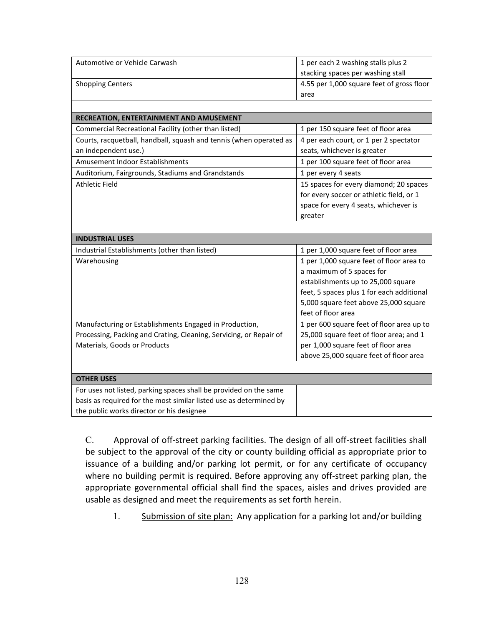| Automotive or Vehicle Carwash                                      | 1 per each 2 washing stalls plus 2        |
|--------------------------------------------------------------------|-------------------------------------------|
|                                                                    | stacking spaces per washing stall         |
| <b>Shopping Centers</b>                                            | 4.55 per 1,000 square feet of gross floor |
|                                                                    | area                                      |
|                                                                    |                                           |
| RECREATION, ENTERTAINMENT AND AMUSEMENT                            |                                           |
| Commercial Recreational Facility (other than listed)               | 1 per 150 square feet of floor area       |
| Courts, racquetball, handball, squash and tennis (when operated as | 4 per each court, or 1 per 2 spectator    |
| an independent use.)                                               | seats, whichever is greater               |
| Amusement Indoor Establishments                                    | 1 per 100 square feet of floor area       |
| Auditorium, Fairgrounds, Stadiums and Grandstands                  | 1 per every 4 seats                       |
| <b>Athletic Field</b>                                              | 15 spaces for every diamond; 20 spaces    |
|                                                                    | for every soccer or athletic field, or 1  |
|                                                                    | space for every 4 seats, whichever is     |
|                                                                    | greater                                   |
|                                                                    |                                           |
| <b>INDUSTRIAL USES</b>                                             |                                           |
| Industrial Establishments (other than listed)                      | 1 per 1,000 square feet of floor area     |
| Warehousing                                                        | 1 per 1,000 square feet of floor area to  |
|                                                                    | a maximum of 5 spaces for                 |
|                                                                    | establishments up to 25,000 square        |
|                                                                    | feet, 5 spaces plus 1 for each additional |
|                                                                    | 5,000 square feet above 25,000 square     |
|                                                                    | feet of floor area                        |
| Manufacturing or Establishments Engaged in Production,             | 1 per 600 square feet of floor area up to |
| Processing, Packing and Crating, Cleaning, Servicing, or Repair of | 25,000 square feet of floor area; and 1   |
| Materials, Goods or Products                                       | per 1,000 square feet of floor area       |
|                                                                    | above 25,000 square feet of floor area    |
|                                                                    |                                           |
| <b>OTHER USES</b>                                                  |                                           |
| For uses not listed, parking spaces shall be provided on the same  |                                           |
| basis as required for the most similar listed use as determined by |                                           |
| the public works director or his designee                          |                                           |

C. Approval of off-street parking facilities. The design of all off-street facilities shall be subject to the approval of the city or county building official as appropriate prior to issuance of a building and/or parking lot permit, or for any certificate of occupancy where no building permit is required. Before approving any off-street parking plan, the appropriate governmental official shall find the spaces, aisles and drives provided are usable as designed and meet the requirements as set forth herein.

1. Submission of site plan: Any application for a parking lot and/or building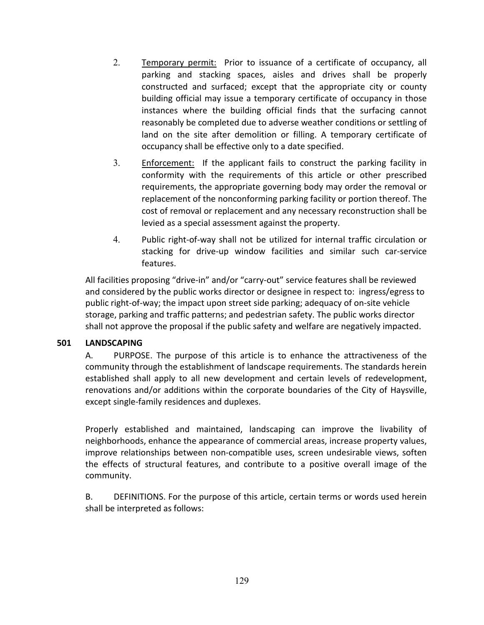- 2. Temporary permit: Prior to issuance of a certificate of occupancy, all parking and stacking spaces, aisles and drives shall be properly constructed and surfaced; except that the appropriate city or county building official may issue a temporary certificate of occupancy in those instances where the building official finds that the surfacing cannot reasonably be completed due to adverse weather conditions or settling of land on the site after demolition or filling. A temporary certificate of occupancy shall be effective only to a date specified.
- 3. Enforcement: If the applicant fails to construct the parking facility in conformity with the requirements of this article or other prescribed requirements, the appropriate governing body may order the removal or replacement of the nonconforming parking facility or portion thereof. The cost of removal or replacement and any necessary reconstruction shall be levied as a special assessment against the property.
- 4. Public right-of-way shall not be utilized for internal traffic circulation or stacking for drive-up window facilities and similar such car-service features.

All facilities proposing "drive-in" and/or "carry-out" service features shall be reviewed and considered by the public works director or designee in respect to: ingress/egress to public right-of-way; the impact upon street side parking; adequacy of on-site vehicle storage, parking and traffic patterns; and pedestrian safety. The public works director shall not approve the proposal if the public safety and welfare are negatively impacted.

# **501 LANDSCAPING**

A. PURPOSE. The purpose of this article is to enhance the attractiveness of the community through the establishment of landscape requirements. The standards herein established shall apply to all new development and certain levels of redevelopment, renovations and/or additions within the corporate boundaries of the City of Haysville, except single-family residences and duplexes.

Properly established and maintained, landscaping can improve the livability of neighborhoods, enhance the appearance of commercial areas, increase property values, improve relationships between non-compatible uses, screen undesirable views, soften the effects of structural features, and contribute to a positive overall image of the community.

B. DEFINITIONS. For the purpose of this article, certain terms or words used herein shall be interpreted as follows: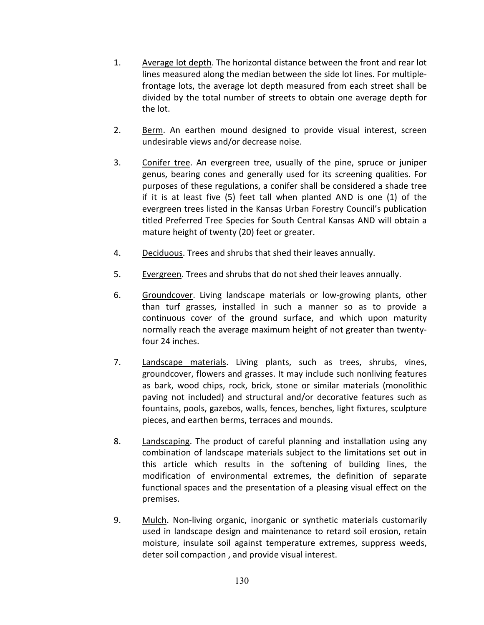- 1. Average lot depth. The horizontal distance between the front and rear lot lines measured along the median between the side lot lines. For multiplefrontage lots, the average lot depth measured from each street shall be divided by the total number of streets to obtain one average depth for the lot.
- 2. Berm. An earthen mound designed to provide visual interest, screen undesirable views and/or decrease noise.
- 3. Conifer tree. An evergreen tree, usually of the pine, spruce or juniper genus, bearing cones and generally used for its screening qualities. For purposes of these regulations, a conifer shall be considered a shade tree if it is at least five (5) feet tall when planted AND is one (1) of the evergreen trees listed in the Kansas Urban Forestry Council's publication titled Preferred Tree Species for South Central Kansas AND will obtain a mature height of twenty (20) feet or greater.
- 4. Deciduous. Trees and shrubs that shed their leaves annually.
- 5. Evergreen. Trees and shrubs that do not shed their leaves annually.
- 6. Groundcover. Living landscape materials or low-growing plants, other than turf grasses, installed in such a manner so as to provide a continuous cover of the ground surface, and which upon maturity normally reach the average maximum height of not greater than twentyfour 24 inches.
- 7. Landscape materials. Living plants, such as trees, shrubs, vines, groundcover, flowers and grasses. It may include such nonliving features as bark, wood chips, rock, brick, stone or similar materials (monolithic paving not included) and structural and/or decorative features such as fountains, pools, gazebos, walls, fences, benches, light fixtures, sculpture pieces, and earthen berms, terraces and mounds.
- 8. Landscaping. The product of careful planning and installation using any combination of landscape materials subject to the limitations set out in this article which results in the softening of building lines, the modification of environmental extremes, the definition of separate functional spaces and the presentation of a pleasing visual effect on the premises.
- 9. Mulch. Non-living organic, inorganic or synthetic materials customarily used in landscape design and maintenance to retard soil erosion, retain moisture, insulate soil against temperature extremes, suppress weeds, deter soil compaction , and provide visual interest.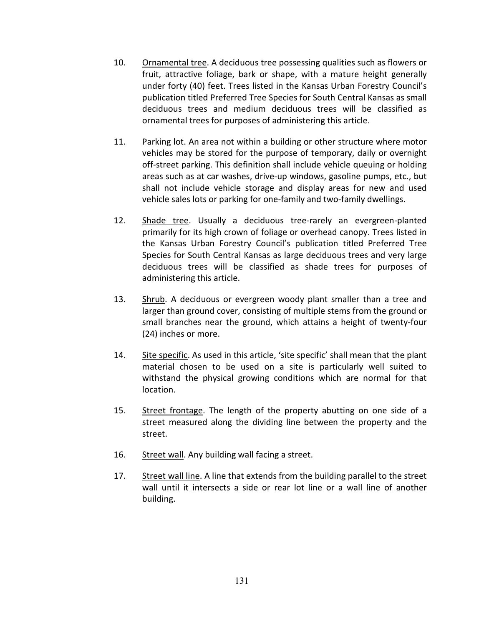- 10. Ornamental tree. A deciduous tree possessing qualities such as flowers or fruit, attractive foliage, bark or shape, with a mature height generally under forty (40) feet. Trees listed in the Kansas Urban Forestry Council's publication titled Preferred Tree Species for South Central Kansas as small deciduous trees and medium deciduous trees will be classified as ornamental trees for purposes of administering this article.
- 11. Parking lot. An area not within a building or other structure where motor vehicles may be stored for the purpose of temporary, daily or overnight off-street parking. This definition shall include vehicle queuing or holding areas such as at car washes, drive-up windows, gasoline pumps, etc., but shall not include vehicle storage and display areas for new and used vehicle sales lots or parking for one-family and two-family dwellings.
- 12. Shade tree. Usually a deciduous tree-rarely an evergreen-planted primarily for its high crown of foliage or overhead canopy. Trees listed in the Kansas Urban Forestry Council's publication titled Preferred Tree Species for South Central Kansas as large deciduous trees and very large deciduous trees will be classified as shade trees for purposes of administering this article.
- 13. Shrub. A deciduous or evergreen woody plant smaller than a tree and larger than ground cover, consisting of multiple stems from the ground or small branches near the ground, which attains a height of twenty-four (24) inches or more.
- 14. Site specific. As used in this article, 'site specific' shall mean that the plant material chosen to be used on a site is particularly well suited to withstand the physical growing conditions which are normal for that location.
- 15. Street frontage. The length of the property abutting on one side of a street measured along the dividing line between the property and the street.
- 16. Street wall. Any building wall facing a street.
- 17. Street wall line. A line that extends from the building parallel to the street wall until it intersects a side or rear lot line or a wall line of another building.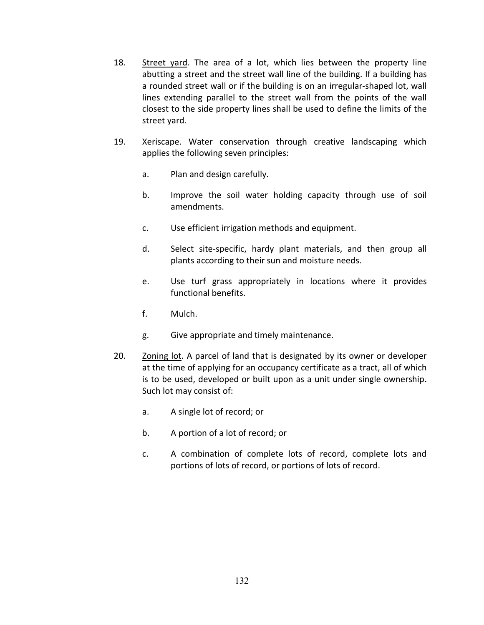- 18. Street yard. The area of a lot, which lies between the property line abutting a street and the street wall line of the building. If a building has a rounded street wall or if the building is on an irregular-shaped lot, wall lines extending parallel to the street wall from the points of the wall closest to the side property lines shall be used to define the limits of the street yard.
- 19. Xeriscape. Water conservation through creative landscaping which applies the following seven principles:
	- a. Plan and design carefully.
	- b. Improve the soil water holding capacity through use of soil amendments.
	- c. Use efficient irrigation methods and equipment.
	- d. Select site-specific, hardy plant materials, and then group all plants according to their sun and moisture needs.
	- e. Use turf grass appropriately in locations where it provides functional benefits.
	- f. Mulch.
	- g. Give appropriate and timely maintenance.
- 20. Zoning lot. A parcel of land that is designated by its owner or developer at the time of applying for an occupancy certificate as a tract, all of which is to be used, developed or built upon as a unit under single ownership. Such lot may consist of:
	- a. A single lot of record; or
	- b. A portion of a lot of record; or
	- c. A combination of complete lots of record, complete lots and portions of lots of record, or portions of lots of record.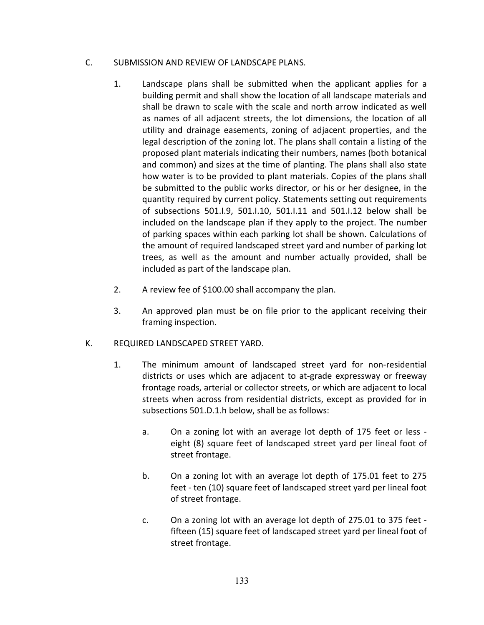### C. SUBMISSION AND REVIEW OF LANDSCAPE PLANS.

- 1. Landscape plans shall be submitted when the applicant applies for a building permit and shall show the location of all landscape materials and shall be drawn to scale with the scale and north arrow indicated as well as names of all adjacent streets, the lot dimensions, the location of all utility and drainage easements, zoning of adjacent properties, and the legal description of the zoning lot. The plans shall contain a listing of the proposed plant materials indicating their numbers, names (both botanical and common) and sizes at the time of planting. The plans shall also state how water is to be provided to plant materials. Copies of the plans shall be submitted to the public works director, or his or her designee, in the quantity required by current policy. Statements setting out requirements of subsections 501.I.9, 501.I.10, 501.I.11 and 501.I.12 below shall be included on the landscape plan if they apply to the project. The number of parking spaces within each parking lot shall be shown. Calculations of the amount of required landscaped street yard and number of parking lot trees, as well as the amount and number actually provided, shall be included as part of the landscape plan.
- 2. A review fee of \$100.00 shall accompany the plan.
- 3. An approved plan must be on file prior to the applicant receiving their framing inspection.

# K. REQUIRED LANDSCAPED STREET YARD.

- 1. The minimum amount of landscaped street yard for non-residential districts or uses which are adjacent to at-grade expressway or freeway frontage roads, arterial or collector streets, or which are adjacent to local streets when across from residential districts, except as provided for in subsections 501.D.1.h below, shall be as follows:
	- a. On a zoning lot with an average lot depth of 175 feet or less eight (8) square feet of landscaped street yard per lineal foot of street frontage.
	- b. On a zoning lot with an average lot depth of 175.01 feet to 275 feet - ten (10) square feet of landscaped street yard per lineal foot of street frontage.
	- c. On a zoning lot with an average lot depth of 275.01 to 375 feet fifteen (15) square feet of landscaped street yard per lineal foot of street frontage.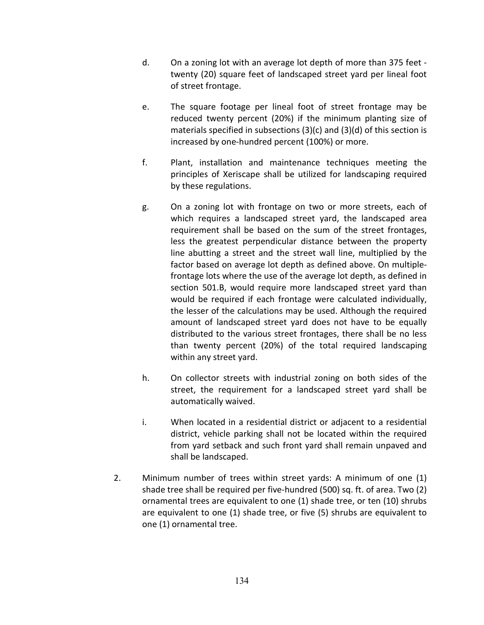- d. On a zoning lot with an average lot depth of more than 375 feet twenty (20) square feet of landscaped street yard per lineal foot of street frontage.
- e. The square footage per lineal foot of street frontage may be reduced twenty percent (20%) if the minimum planting size of materials specified in subsections (3)(c) and (3)(d) of this section is increased by one-hundred percent (100%) or more.
- f. Plant, installation and maintenance techniques meeting the principles of Xeriscape shall be utilized for landscaping required by these regulations.
- g. On a zoning lot with frontage on two or more streets, each of which requires a landscaped street yard, the landscaped area requirement shall be based on the sum of the street frontages, less the greatest perpendicular distance between the property line abutting a street and the street wall line, multiplied by the factor based on average lot depth as defined above. On multiplefrontage lots where the use of the average lot depth, as defined in section 501.B, would require more landscaped street yard than would be required if each frontage were calculated individually, the lesser of the calculations may be used. Although the required amount of landscaped street yard does not have to be equally distributed to the various street frontages, there shall be no less than twenty percent (20%) of the total required landscaping within any street yard.
- h. On collector streets with industrial zoning on both sides of the street, the requirement for a landscaped street yard shall be automatically waived.
- i. When located in a residential district or adjacent to a residential district, vehicle parking shall not be located within the required from yard setback and such front yard shall remain unpaved and shall be landscaped.
- 2. Minimum number of trees within street yards: A minimum of one (1) shade tree shall be required per five-hundred (500) sq. ft. of area. Two (2) ornamental trees are equivalent to one (1) shade tree, or ten (10) shrubs are equivalent to one (1) shade tree, or five (5) shrubs are equivalent to one (1) ornamental tree.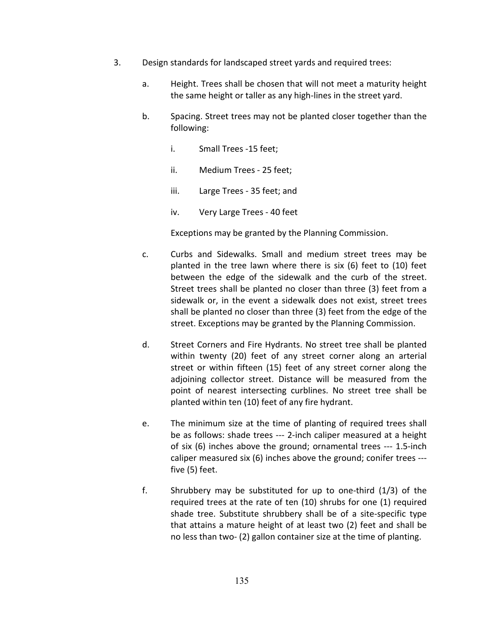- 3. Design standards for landscaped street yards and required trees:
	- a. Height. Trees shall be chosen that will not meet a maturity height the same height or taller as any high-lines in the street yard.
	- b. Spacing. Street trees may not be planted closer together than the following:
		- i. Small Trees -15 feet;
		- ii. Medium Trees 25 feet;
		- iii. Large Trees 35 feet; and
		- iv. Very Large Trees 40 feet

Exceptions may be granted by the Planning Commission.

- c. Curbs and Sidewalks. Small and medium street trees may be planted in the tree lawn where there is six (6) feet to (10) feet between the edge of the sidewalk and the curb of the street. Street trees shall be planted no closer than three (3) feet from a sidewalk or, in the event a sidewalk does not exist, street trees shall be planted no closer than three (3) feet from the edge of the street. Exceptions may be granted by the Planning Commission.
- d. Street Corners and Fire Hydrants. No street tree shall be planted within twenty (20) feet of any street corner along an arterial street or within fifteen (15) feet of any street corner along the adjoining collector street. Distance will be measured from the point of nearest intersecting curblines. No street tree shall be planted within ten (10) feet of any fire hydrant.
- e. The minimum size at the time of planting of required trees shall be as follows: shade trees --- 2-inch caliper measured at a height of six (6) inches above the ground; ornamental trees --- 1.5-inch caliper measured six (6) inches above the ground; conifer trees -- five (5) feet.
- f. Shrubbery may be substituted for up to one-third (1/3) of the required trees at the rate of ten (10) shrubs for one (1) required shade tree. Substitute shrubbery shall be of a site-specific type that attains a mature height of at least two (2) feet and shall be no less than two- (2) gallon container size at the time of planting.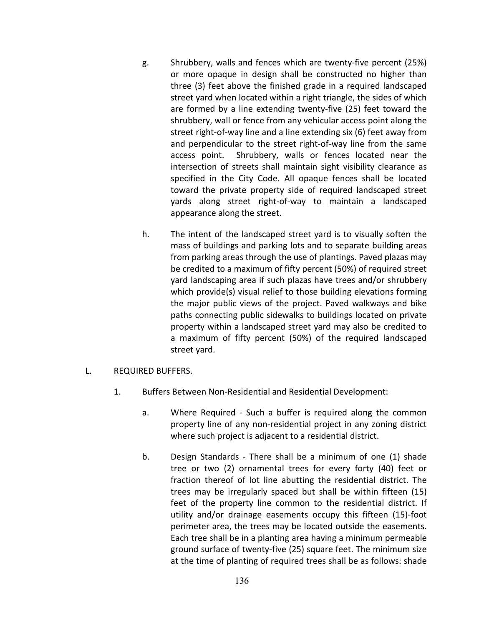- g. Shrubbery, walls and fences which are twenty-five percent (25%) or more opaque in design shall be constructed no higher than three (3) feet above the finished grade in a required landscaped street yard when located within a right triangle, the sides of which are formed by a line extending twenty-five (25) feet toward the shrubbery, wall or fence from any vehicular access point along the street right-of-way line and a line extending six (6) feet away from and perpendicular to the street right-of-way line from the same access point. Shrubbery, walls or fences located near the intersection of streets shall maintain sight visibility clearance as specified in the City Code. All opaque fences shall be located toward the private property side of required landscaped street yards along street right-of-way to maintain a landscaped appearance along the street.
- h. The intent of the landscaped street yard is to visually soften the mass of buildings and parking lots and to separate building areas from parking areas through the use of plantings. Paved plazas may be credited to a maximum of fifty percent (50%) of required street yard landscaping area if such plazas have trees and/or shrubbery which provide(s) visual relief to those building elevations forming the major public views of the project. Paved walkways and bike paths connecting public sidewalks to buildings located on private property within a landscaped street yard may also be credited to a maximum of fifty percent (50%) of the required landscaped street yard.
- L. REQUIRED BUFFERS.
	- 1. Buffers Between Non-Residential and Residential Development:
		- a. Where Required Such a buffer is required along the common property line of any non-residential project in any zoning district where such project is adjacent to a residential district.
		- b. Design Standards There shall be a minimum of one (1) shade tree or two (2) ornamental trees for every forty (40) feet or fraction thereof of lot line abutting the residential district. The trees may be irregularly spaced but shall be within fifteen (15) feet of the property line common to the residential district. If utility and/or drainage easements occupy this fifteen (15)-foot perimeter area, the trees may be located outside the easements. Each tree shall be in a planting area having a minimum permeable ground surface of twenty-five (25) square feet. The minimum size at the time of planting of required trees shall be as follows: shade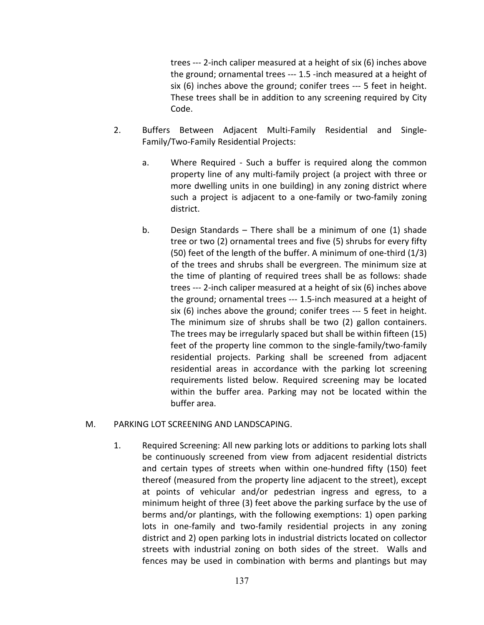trees --- 2-inch caliper measured at a height of six (6) inches above the ground; ornamental trees --- 1.5 -inch measured at a height of six (6) inches above the ground; conifer trees --- 5 feet in height. These trees shall be in addition to any screening required by City Code.

- 2. Buffers Between Adjacent Multi-Family Residential and Single-Family/Two-Family Residential Projects:
	- a. Where Required Such a buffer is required along the common property line of any multi-family project (a project with three or more dwelling units in one building) in any zoning district where such a project is adjacent to a one-family or two-family zoning district.
	- b. Design Standards There shall be a minimum of one (1) shade tree or two (2) ornamental trees and five (5) shrubs for every fifty (50) feet of the length of the buffer. A minimum of one-third (1/3) of the trees and shrubs shall be evergreen. The minimum size at the time of planting of required trees shall be as follows: shade trees --- 2-inch caliper measured at a height of six (6) inches above the ground; ornamental trees --- 1.5-inch measured at a height of six (6) inches above the ground; conifer trees --- 5 feet in height. The minimum size of shrubs shall be two (2) gallon containers. The trees may be irregularly spaced but shall be within fifteen (15) feet of the property line common to the single-family/two-family residential projects. Parking shall be screened from adjacent residential areas in accordance with the parking lot screening requirements listed below. Required screening may be located within the buffer area. Parking may not be located within the buffer area.

#### M. PARKING LOT SCREENING AND LANDSCAPING.

1. Required Screening: All new parking lots or additions to parking lots shall be continuously screened from view from adjacent residential districts and certain types of streets when within one-hundred fifty (150) feet thereof (measured from the property line adjacent to the street), except at points of vehicular and/or pedestrian ingress and egress, to a minimum height of three (3) feet above the parking surface by the use of berms and/or plantings, with the following exemptions: 1) open parking lots in one-family and two-family residential projects in any zoning district and 2) open parking lots in industrial districts located on collector streets with industrial zoning on both sides of the street. Walls and fences may be used in combination with berms and plantings but may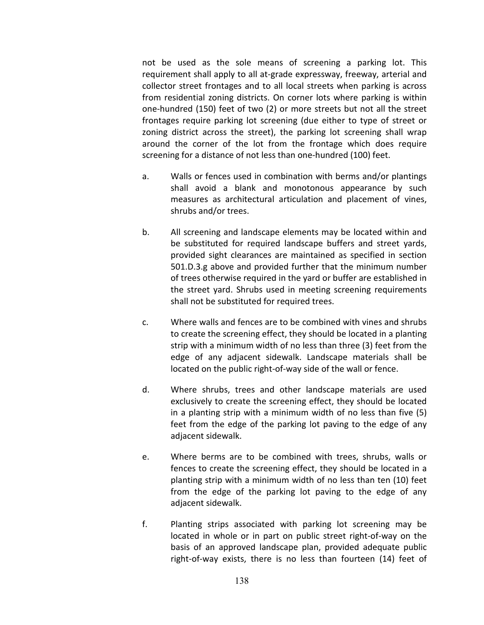not be used as the sole means of screening a parking lot. This requirement shall apply to all at-grade expressway, freeway, arterial and collector street frontages and to all local streets when parking is across from residential zoning districts. On corner lots where parking is within one-hundred (150) feet of two (2) or more streets but not all the street frontages require parking lot screening (due either to type of street or zoning district across the street), the parking lot screening shall wrap around the corner of the lot from the frontage which does require screening for a distance of not less than one-hundred (100) feet.

- a. Walls or fences used in combination with berms and/or plantings shall avoid a blank and monotonous appearance by such measures as architectural articulation and placement of vines, shrubs and/or trees.
- b. All screening and landscape elements may be located within and be substituted for required landscape buffers and street yards, provided sight clearances are maintained as specified in section 501.D.3.g above and provided further that the minimum number of trees otherwise required in the yard or buffer are established in the street yard. Shrubs used in meeting screening requirements shall not be substituted for required trees.
- c. Where walls and fences are to be combined with vines and shrubs to create the screening effect, they should be located in a planting strip with a minimum width of no less than three (3) feet from the edge of any adjacent sidewalk. Landscape materials shall be located on the public right-of-way side of the wall or fence.
- d. Where shrubs, trees and other landscape materials are used exclusively to create the screening effect, they should be located in a planting strip with a minimum width of no less than five (5) feet from the edge of the parking lot paving to the edge of any adjacent sidewalk.
- e. Where berms are to be combined with trees, shrubs, walls or fences to create the screening effect, they should be located in a planting strip with a minimum width of no less than ten (10) feet from the edge of the parking lot paving to the edge of any adjacent sidewalk.
- f. Planting strips associated with parking lot screening may be located in whole or in part on public street right-of-way on the basis of an approved landscape plan, provided adequate public right-of-way exists, there is no less than fourteen (14) feet of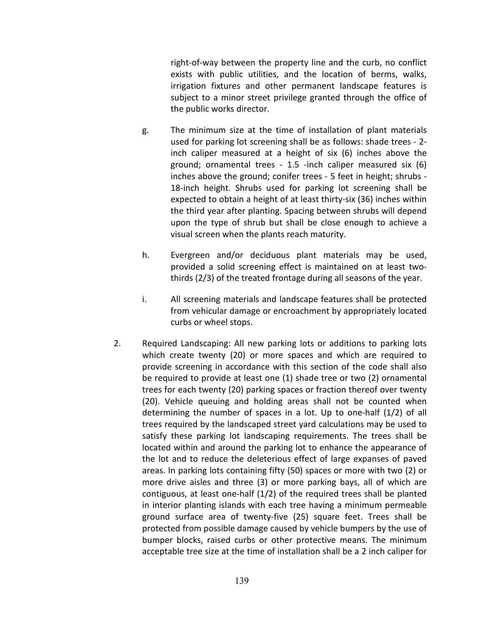right-of-way between the property line and the curb, no conflict exists with public utilities, and the location of berms, walks, irrigation fixtures and other permanent landscape features is subject to a minor street privilege granted through the office of the public works director.

- g. The minimum size at the time of installation of plant materials used for parking lot screening shall be as follows: shade trees - 2 inch caliper measured at a height of six (6) inches above the ground; ornamental trees - 1.5 -inch caliper measured six (6) inches above the ground; conifer trees - 5 feet in height; shrubs - 18-inch height. Shrubs used for parking lot screening shall be expected to obtain a height of at least thirty-six (36) inches within the third year after planting. Spacing between shrubs will depend upon the type of shrub but shall be close enough to achieve a visual screen when the plants reach maturity.
- h. Evergreen and/or deciduous plant materials may be used, provided a solid screening effect is maintained on at least twothirds (2/3) of the treated frontage during all seasons of the year.
- i. All screening materials and landscape features shall be protected from vehicular damage or encroachment by appropriately located curbs or wheel stops.
- 2. Required Landscaping: All new parking lots or additions to parking lots which create twenty (20) or more spaces and which are required to provide screening in accordance with this section of the code shall also be required to provide at least one (1) shade tree or two (2) ornamental trees for each twenty (20) parking spaces or fraction thereof over twenty (20). Vehicle queuing and holding areas shall not be counted when determining the number of spaces in a lot. Up to one-half (1/2) of all trees required by the landscaped street yard calculations may be used to satisfy these parking lot landscaping requirements. The trees shall be located within and around the parking lot to enhance the appearance of the lot and to reduce the deleterious effect of large expanses of paved areas. In parking lots containing fifty (50) spaces or more with two (2) or more drive aisles and three (3) or more parking bays, all of which are contiguous, at least one-half (1/2) of the required trees shall be planted in interior planting islands with each tree having a minimum permeable ground surface area of twenty-five (25) square feet. Trees shall be protected from possible damage caused by vehicle bumpers by the use of bumper blocks, raised curbs or other protective means. The minimum acceptable tree size at the time of installation shall be a 2 inch caliper for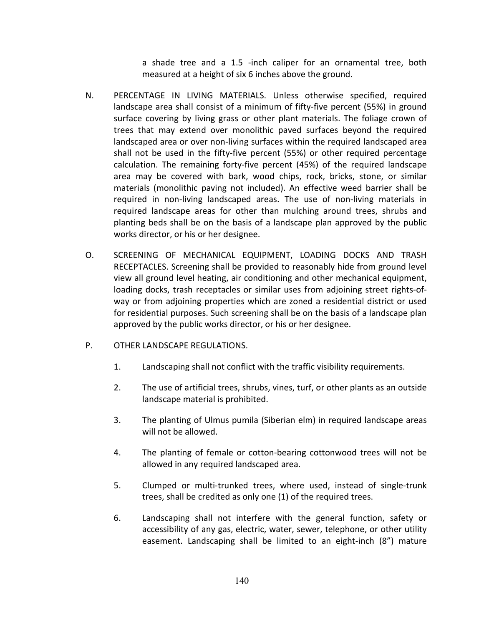a shade tree and a 1.5 -inch caliper for an ornamental tree, both measured at a height of six 6 inches above the ground.

- N. PERCENTAGE IN LIVING MATERIALS. Unless otherwise specified, required landscape area shall consist of a minimum of fifty-five percent (55%) in ground surface covering by living grass or other plant materials. The foliage crown of trees that may extend over monolithic paved surfaces beyond the required landscaped area or over non-living surfaces within the required landscaped area shall not be used in the fifty-five percent (55%) or other required percentage calculation. The remaining forty-five percent (45%) of the required landscape area may be covered with bark, wood chips, rock, bricks, stone, or similar materials (monolithic paving not included). An effective weed barrier shall be required in non-living landscaped areas. The use of non-living materials in required landscape areas for other than mulching around trees, shrubs and planting beds shall be on the basis of a landscape plan approved by the public works director, or his or her designee.
- O. SCREENING OF MECHANICAL EQUIPMENT, LOADING DOCKS AND TRASH RECEPTACLES. Screening shall be provided to reasonably hide from ground level view all ground level heating, air conditioning and other mechanical equipment, loading docks, trash receptacles or similar uses from adjoining street rights-ofway or from adjoining properties which are zoned a residential district or used for residential purposes. Such screening shall be on the basis of a landscape plan approved by the public works director, or his or her designee.
- P. OTHER LANDSCAPE REGULATIONS.
	- 1. Landscaping shall not conflict with the traffic visibility requirements.
	- 2. The use of artificial trees, shrubs, vines, turf, or other plants as an outside landscape material is prohibited.
	- 3. The planting of Ulmus pumila (Siberian elm) in required landscape areas will not be allowed.
	- 4. The planting of female or cotton-bearing cottonwood trees will not be allowed in any required landscaped area.
	- 5. Clumped or multi-trunked trees, where used, instead of single-trunk trees, shall be credited as only one (1) of the required trees.
	- 6. Landscaping shall not interfere with the general function, safety or accessibility of any gas, electric, water, sewer, telephone, or other utility easement. Landscaping shall be limited to an eight-inch (8") mature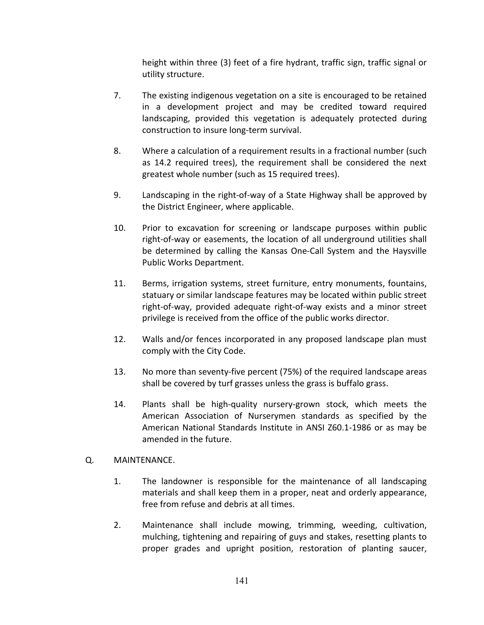height within three (3) feet of a fire hydrant, traffic sign, traffic signal or utility structure.

- 7. The existing indigenous vegetation on a site is encouraged to be retained in a development project and may be credited toward required landscaping, provided this vegetation is adequately protected during construction to insure long-term survival.
- 8. Where a calculation of a requirement results in a fractional number (such as 14.2 required trees), the requirement shall be considered the next greatest whole number (such as 15 required trees).
- 9. Landscaping in the right-of-way of a State Highway shall be approved by the District Engineer, where applicable.
- 10. Prior to excavation for screening or landscape purposes within public right-of-way or easements, the location of all underground utilities shall be determined by calling the Kansas One-Call System and the Haysville Public Works Department.
- 11. Berms, irrigation systems, street furniture, entry monuments, fountains, statuary or similar landscape features may be located within public street right-of-way, provided adequate right-of-way exists and a minor street privilege is received from the office of the public works director.
- 12. Walls and/or fences incorporated in any proposed landscape plan must comply with the City Code.
- 13. No more than seventy-five percent (75%) of the required landscape areas shall be covered by turf grasses unless the grass is buffalo grass.
- 14. Plants shall be high-quality nursery-grown stock, which meets the American Association of Nurserymen standards as specified by the American National Standards Institute in ANSI Z60.1-1986 or as may be amended in the future.

#### Q. MAINTENANCE.

- 1. The landowner is responsible for the maintenance of all landscaping materials and shall keep them in a proper, neat and orderly appearance, free from refuse and debris at all times.
- 2. Maintenance shall include mowing, trimming, weeding, cultivation, mulching, tightening and repairing of guys and stakes, resetting plants to proper grades and upright position, restoration of planting saucer,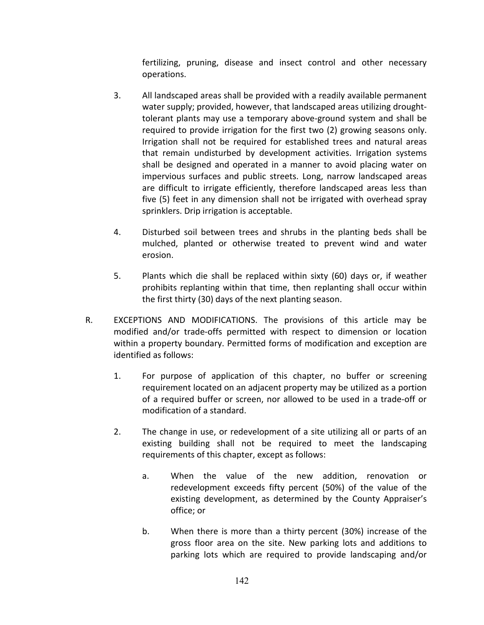fertilizing, pruning, disease and insect control and other necessary operations.

- 3. All landscaped areas shall be provided with a readily available permanent water supply; provided, however, that landscaped areas utilizing droughttolerant plants may use a temporary above-ground system and shall be required to provide irrigation for the first two (2) growing seasons only. Irrigation shall not be required for established trees and natural areas that remain undisturbed by development activities. Irrigation systems shall be designed and operated in a manner to avoid placing water on impervious surfaces and public streets. Long, narrow landscaped areas are difficult to irrigate efficiently, therefore landscaped areas less than five (5) feet in any dimension shall not be irrigated with overhead spray sprinklers. Drip irrigation is acceptable.
- 4. Disturbed soil between trees and shrubs in the planting beds shall be mulched, planted or otherwise treated to prevent wind and water erosion.
- 5. Plants which die shall be replaced within sixty (60) days or, if weather prohibits replanting within that time, then replanting shall occur within the first thirty (30) days of the next planting season.
- R. EXCEPTIONS AND MODIFICATIONS. The provisions of this article may be modified and/or trade-offs permitted with respect to dimension or location within a property boundary. Permitted forms of modification and exception are identified as follows:
	- 1. For purpose of application of this chapter, no buffer or screening requirement located on an adjacent property may be utilized as a portion of a required buffer or screen, nor allowed to be used in a trade-off or modification of a standard.
	- 2. The change in use, or redevelopment of a site utilizing all or parts of an existing building shall not be required to meet the landscaping requirements of this chapter, except as follows:
		- a. When the value of the new addition, renovation or redevelopment exceeds fifty percent (50%) of the value of the existing development, as determined by the County Appraiser's office; or
		- b. When there is more than a thirty percent (30%) increase of the gross floor area on the site. New parking lots and additions to parking lots which are required to provide landscaping and/or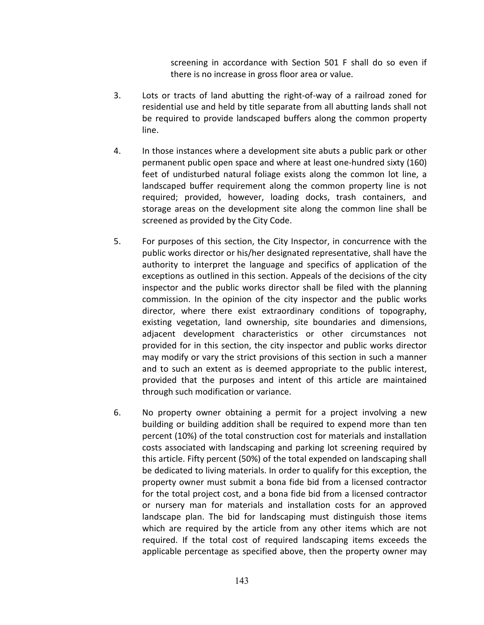screening in accordance with Section 501 F shall do so even if there is no increase in gross floor area or value.

- 3. Lots or tracts of land abutting the right-of-way of a railroad zoned for residential use and held by title separate from all abutting lands shall not be required to provide landscaped buffers along the common property line.
- 4. In those instances where a development site abuts a public park or other permanent public open space and where at least one-hundred sixty (160) feet of undisturbed natural foliage exists along the common lot line, a landscaped buffer requirement along the common property line is not required; provided, however, loading docks, trash containers, and storage areas on the development site along the common line shall be screened as provided by the City Code.
- 5. For purposes of this section, the City Inspector, in concurrence with the public works director or his/her designated representative, shall have the authority to interpret the language and specifics of application of the exceptions as outlined in this section. Appeals of the decisions of the city inspector and the public works director shall be filed with the planning commission. In the opinion of the city inspector and the public works director, where there exist extraordinary conditions of topography, existing vegetation, land ownership, site boundaries and dimensions, adjacent development characteristics or other circumstances not provided for in this section, the city inspector and public works director may modify or vary the strict provisions of this section in such a manner and to such an extent as is deemed appropriate to the public interest, provided that the purposes and intent of this article are maintained through such modification or variance.
- 6. No property owner obtaining a permit for a project involving a new building or building addition shall be required to expend more than ten percent (10%) of the total construction cost for materials and installation costs associated with landscaping and parking lot screening required by this article. Fifty percent (50%) of the total expended on landscaping shall be dedicated to living materials. In order to qualify for this exception, the property owner must submit a bona fide bid from a licensed contractor for the total project cost, and a bona fide bid from a licensed contractor or nursery man for materials and installation costs for an approved landscape plan. The bid for landscaping must distinguish those items which are required by the article from any other items which are not required. If the total cost of required landscaping items exceeds the applicable percentage as specified above, then the property owner may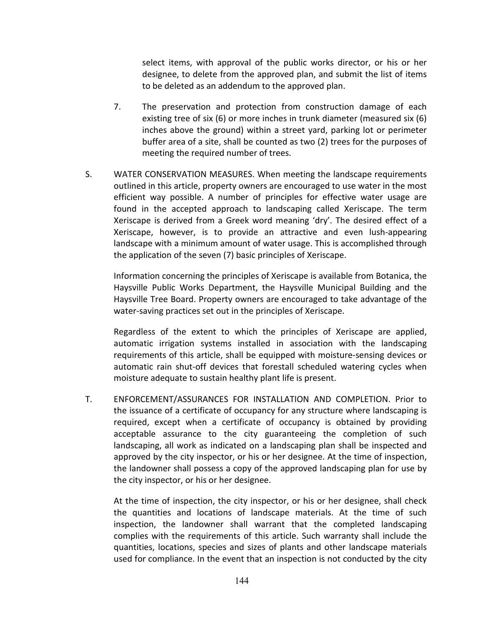select items, with approval of the public works director, or his or her designee, to delete from the approved plan, and submit the list of items to be deleted as an addendum to the approved plan.

- 7. The preservation and protection from construction damage of each existing tree of six (6) or more inches in trunk diameter (measured six (6) inches above the ground) within a street yard, parking lot or perimeter buffer area of a site, shall be counted as two (2) trees for the purposes of meeting the required number of trees.
- S. WATER CONSERVATION MEASURES. When meeting the landscape requirements outlined in this article, property owners are encouraged to use water in the most efficient way possible. A number of principles for effective water usage are found in the accepted approach to landscaping called Xeriscape. The term Xeriscape is derived from a Greek word meaning 'dry'. The desired effect of a Xeriscape, however, is to provide an attractive and even lush-appearing landscape with a minimum amount of water usage. This is accomplished through the application of the seven (7) basic principles of Xeriscape.

Information concerning the principles of Xeriscape is available from Botanica, the Haysville Public Works Department, the Haysville Municipal Building and the Haysville Tree Board. Property owners are encouraged to take advantage of the water-saving practices set out in the principles of Xeriscape.

Regardless of the extent to which the principles of Xeriscape are applied, automatic irrigation systems installed in association with the landscaping requirements of this article, shall be equipped with moisture-sensing devices or automatic rain shut-off devices that forestall scheduled watering cycles when moisture adequate to sustain healthy plant life is present.

T. ENFORCEMENT/ASSURANCES FOR INSTALLATION AND COMPLETION. Prior to the issuance of a certificate of occupancy for any structure where landscaping is required, except when a certificate of occupancy is obtained by providing acceptable assurance to the city guaranteeing the completion of such landscaping, all work as indicated on a landscaping plan shall be inspected and approved by the city inspector, or his or her designee. At the time of inspection, the landowner shall possess a copy of the approved landscaping plan for use by the city inspector, or his or her designee.

At the time of inspection, the city inspector, or his or her designee, shall check the quantities and locations of landscape materials. At the time of such inspection, the landowner shall warrant that the completed landscaping complies with the requirements of this article. Such warranty shall include the quantities, locations, species and sizes of plants and other landscape materials used for compliance. In the event that an inspection is not conducted by the city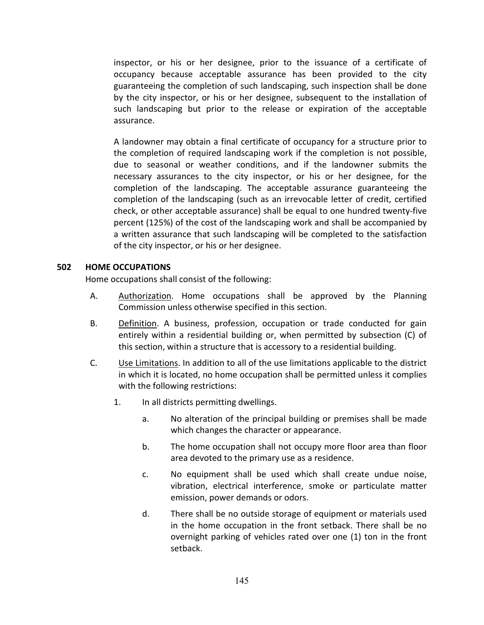inspector, or his or her designee, prior to the issuance of a certificate of occupancy because acceptable assurance has been provided to the city guaranteeing the completion of such landscaping, such inspection shall be done by the city inspector, or his or her designee, subsequent to the installation of such landscaping but prior to the release or expiration of the acceptable assurance.

A landowner may obtain a final certificate of occupancy for a structure prior to the completion of required landscaping work if the completion is not possible, due to seasonal or weather conditions, and if the landowner submits the necessary assurances to the city inspector, or his or her designee, for the completion of the landscaping. The acceptable assurance guaranteeing the completion of the landscaping (such as an irrevocable letter of credit, certified check, or other acceptable assurance) shall be equal to one hundred twenty-five percent (125%) of the cost of the landscaping work and shall be accompanied by a written assurance that such landscaping will be completed to the satisfaction of the city inspector, or his or her designee.

#### **502 HOME OCCUPATIONS**

Home occupations shall consist of the following:

- A. Authorization. Home occupations shall be approved by the Planning Commission unless otherwise specified in this section.
- B. Definition. A business, profession, occupation or trade conducted for gain entirely within a residential building or, when permitted by subsection (C) of this section, within a structure that is accessory to a residential building.
- C. Use Limitations. In addition to all of the use limitations applicable to the district in which it is located, no home occupation shall be permitted unless it complies with the following restrictions:
	- 1. In all districts permitting dwellings.
		- a. No alteration of the principal building or premises shall be made which changes the character or appearance.
		- b. The home occupation shall not occupy more floor area than floor area devoted to the primary use as a residence.
		- c. No equipment shall be used which shall create undue noise, vibration, electrical interference, smoke or particulate matter emission, power demands or odors.
		- d. There shall be no outside storage of equipment or materials used in the home occupation in the front setback. There shall be no overnight parking of vehicles rated over one (1) ton in the front setback.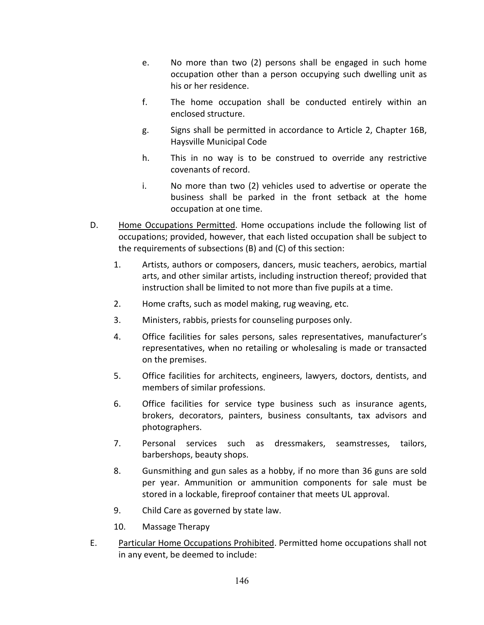- e. No more than two (2) persons shall be engaged in such home occupation other than a person occupying such dwelling unit as his or her residence.
- f. The home occupation shall be conducted entirely within an enclosed structure.
- g. Signs shall be permitted in accordance to Article 2, Chapter 16B, Haysville Municipal Code
- h. This in no way is to be construed to override any restrictive covenants of record.
- i. No more than two (2) vehicles used to advertise or operate the business shall be parked in the front setback at the home occupation at one time.
- D. Home Occupations Permitted. Home occupations include the following list of occupations; provided, however, that each listed occupation shall be subject to the requirements of subsections (B) and (C) of this section:
	- 1. Artists, authors or composers, dancers, music teachers, aerobics, martial arts, and other similar artists, including instruction thereof; provided that instruction shall be limited to not more than five pupils at a time.
	- 2. Home crafts, such as model making, rug weaving, etc.
	- 3. Ministers, rabbis, priests for counseling purposes only.
	- 4. Office facilities for sales persons, sales representatives, manufacturer's representatives, when no retailing or wholesaling is made or transacted on the premises.
	- 5. Office facilities for architects, engineers, lawyers, doctors, dentists, and members of similar professions.
	- 6. Office facilities for service type business such as insurance agents, brokers, decorators, painters, business consultants, tax advisors and photographers.
	- 7. Personal services such as dressmakers, seamstresses, tailors, barbershops, beauty shops.
	- 8. Gunsmithing and gun sales as a hobby, if no more than 36 guns are sold per year. Ammunition or ammunition components for sale must be stored in a lockable, fireproof container that meets UL approval.
	- 9. Child Care as governed by state law.
	- 10. Massage Therapy
- E. Particular Home Occupations Prohibited. Permitted home occupations shall not in any event, be deemed to include: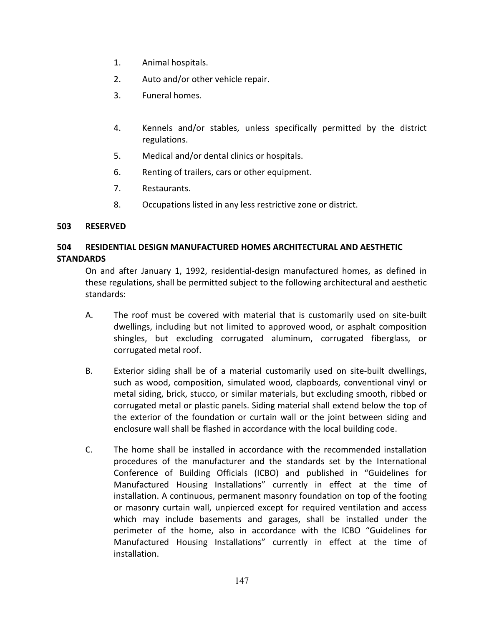- 1. Animal hospitals.
- 2. Auto and/or other vehicle repair.
- 3. Funeral homes.
- 4. Kennels and/or stables, unless specifically permitted by the district regulations.
- 5. Medical and/or dental clinics or hospitals.
- 6. Renting of trailers, cars or other equipment.
- 7. Restaurants.
- 8. Occupations listed in any less restrictive zone or district.

#### **503 RESERVED**

#### **504 RESIDENTIAL DESIGN MANUFACTURED HOMES ARCHITECTURAL AND AESTHETIC STANDARDS**

On and after January 1, 1992, residential-design manufactured homes, as defined in these regulations, shall be permitted subject to the following architectural and aesthetic standards:

- A. The roof must be covered with material that is customarily used on site-built dwellings, including but not limited to approved wood, or asphalt composition shingles, but excluding corrugated aluminum, corrugated fiberglass, or corrugated metal roof.
- B. Exterior siding shall be of a material customarily used on site-built dwellings, such as wood, composition, simulated wood, clapboards, conventional vinyl or metal siding, brick, stucco, or similar materials, but excluding smooth, ribbed or corrugated metal or plastic panels. Siding material shall extend below the top of the exterior of the foundation or curtain wall or the joint between siding and enclosure wall shall be flashed in accordance with the local building code.
- C. The home shall be installed in accordance with the recommended installation procedures of the manufacturer and the standards set by the International Conference of Building Officials (ICBO) and published in "Guidelines for Manufactured Housing Installations" currently in effect at the time of installation. A continuous, permanent masonry foundation on top of the footing or masonry curtain wall, unpierced except for required ventilation and access which may include basements and garages, shall be installed under the perimeter of the home, also in accordance with the ICBO "Guidelines for Manufactured Housing Installations" currently in effect at the time of installation.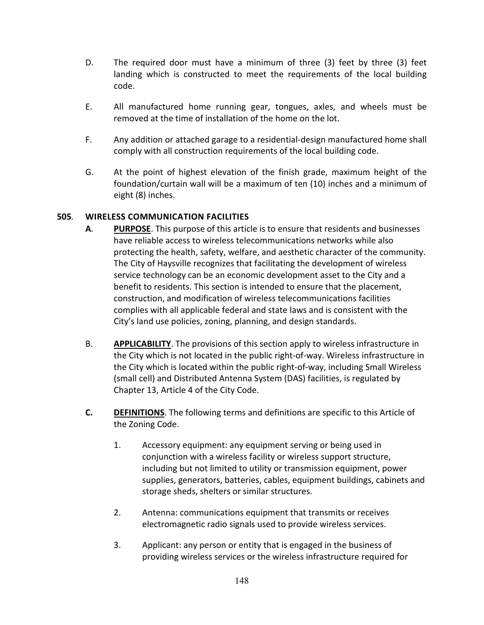- D. The required door must have a minimum of three (3) feet by three (3) feet landing which is constructed to meet the requirements of the local building code.
- E. All manufactured home running gear, tongues, axles, and wheels must be removed at the time of installation of the home on the lot.
- F. Any addition or attached garage to a residential-design manufactured home shall comply with all construction requirements of the local building code.
- G. At the point of highest elevation of the finish grade, maximum height of the foundation/curtain wall will be a maximum of ten (10) inches and a minimum of eight (8) inches.

## **505***.* **WIRELESS COMMUNICATION FACILITIES**

- **A**. **PURPOSE**. This purpose of this article is to ensure that residents and businesses have reliable access to wireless telecommunications networks while also protecting the health, safety, welfare, and aesthetic character of the community. The City of Haysville recognizes that facilitating the development of wireless service technology can be an economic development asset to the City and a benefit to residents. This section is intended to ensure that the placement, construction, and modification of wireless telecommunications facilities complies with all applicable federal and state laws and is consistent with the City's land use policies, zoning, planning, and design standards.
- B. **APPLICABILITY**. The provisions of this section apply to wireless infrastructure in the City which is not located in the public right-of-way. Wireless infrastructure in the City which is located within the public right-of-way, including Small Wireless (small cell) and Distributed Antenna System (DAS) facilities, is regulated by Chapter 13, Article 4 of the City Code.
- **C. DEFINITIONS**. The following terms and definitions are specific to this Article of the Zoning Code.
	- 1. Accessory equipment: any equipment serving or being used in conjunction with a wireless facility or wireless support structure, including but not limited to utility or transmission equipment, power supplies, generators, batteries, cables, equipment buildings, cabinets and storage sheds, shelters or similar structures.
	- 2. Antenna: communications equipment that transmits or receives electromagnetic radio signals used to provide wireless services.
	- 3. Applicant: any person or entity that is engaged in the business of providing wireless services or the wireless infrastructure required for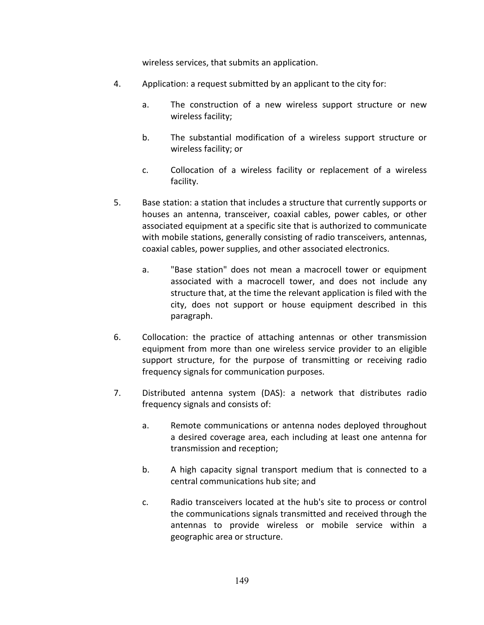wireless services, that submits an application.

- 4. Application: a request submitted by an applicant to the city for:
	- a. The construction of a new wireless support structure or new wireless facility;
	- b. The substantial modification of a wireless support structure or wireless facility; or
	- c. Collocation of a wireless facility or replacement of a wireless facility.
- 5. Base station: a station that includes a structure that currently supports or houses an antenna, transceiver, coaxial cables, power cables, or other associated equipment at a specific site that is authorized to communicate with mobile stations, generally consisting of radio transceivers, antennas, coaxial cables, power supplies, and other associated electronics.
	- a. "Base station" does not mean a macrocell tower or equipment associated with a macrocell tower, and does not include any structure that, at the time the relevant application is filed with the city, does not support or house equipment described in this paragraph.
- 6. Collocation: the practice of attaching antennas or other transmission equipment from more than one wireless service provider to an eligible support structure, for the purpose of transmitting or receiving radio frequency signals for communication purposes.
- 7. Distributed antenna system (DAS): a network that distributes radio frequency signals and consists of:
	- a. Remote communications or antenna nodes deployed throughout a desired coverage area, each including at least one antenna for transmission and reception;
	- b. A high capacity signal transport medium that is connected to a central communications hub site; and
	- c. Radio transceivers located at the hub's site to process or control the communications signals transmitted and received through the antennas to provide wireless or mobile service within a geographic area or structure.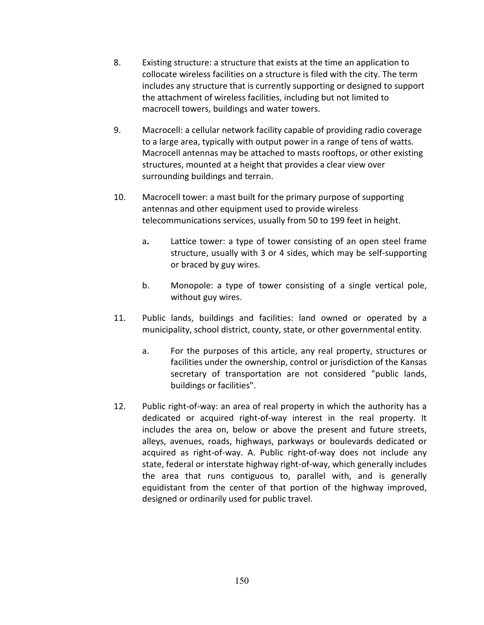- 8. Existing structure: a structure that exists at the time an application to collocate wireless facilities on a structure is filed with the city. The term includes any structure that is currently supporting or designed to support the attachment of wireless facilities, including but not limited to macrocell towers, buildings and water towers.
- 9. Macrocell: a cellular network facility capable of providing radio coverage to a large area, typically with output power in a range of tens of watts. Macrocell antennas may be attached to masts rooftops, or other existing structures, mounted at a height that provides a clear view over surrounding buildings and terrain.
- 10. Macrocell tower: a mast built for the primary purpose of supporting antennas and other equipment used to provide wireless telecommunications services, usually from 50 to 199 feet in height.
	- a**.** Lattice tower: a type of tower consisting of an open steel frame structure, usually with 3 or 4 sides, which may be self-supporting or braced by guy wires.
	- b. Monopole: a type of tower consisting of a single vertical pole, without guy wires.
- 11. Public lands, buildings and facilities: land owned or operated by a municipality, school district, county, state, or other governmental entity.
	- a. For the purposes of this article, any real property, structures or facilities under the ownership, control or jurisdiction of the Kansas secretary of transportation are not considered "public lands, buildings or facilities".
- 12. Public right-of-way: an area of real property in which the authority has a dedicated or acquired right-of-way interest in the real property. It includes the area on, below or above the present and future streets, alleys, avenues, roads, highways, parkways or boulevards dedicated or acquired as right-of-way. A. Public right-of-way does not include any state, federal or interstate highway right-of-way, which generally includes the area that runs contiguous to, parallel with, and is generally equidistant from the center of that portion of the highway improved, designed or ordinarily used for public travel.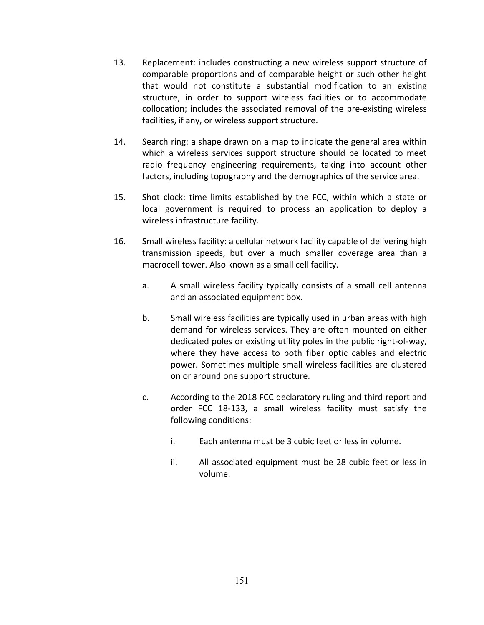- 13. Replacement: includes constructing a new wireless support structure of comparable proportions and of comparable height or such other height that would not constitute a substantial modification to an existing structure, in order to support wireless facilities or to accommodate collocation; includes the associated removal of the pre-existing wireless facilities, if any, or wireless support structure.
- 14. Search ring: a shape drawn on a map to indicate the general area within which a wireless services support structure should be located to meet radio frequency engineering requirements, taking into account other factors, including topography and the demographics of the service area.
- 15. Shot clock: time limits established by the FCC, within which a state or local government is required to process an application to deploy a wireless infrastructure facility.
- 16. Small wireless facility: a cellular network facility capable of delivering high transmission speeds, but over a much smaller coverage area than a macrocell tower. Also known as a small cell facility.
	- a. A small wireless facility typically consists of a small cell antenna and an associated equipment box.
	- b. Small wireless facilities are typically used in urban areas with high demand for wireless services. They are often mounted on either dedicated poles or existing utility poles in the public right-of-way, where they have access to both fiber optic cables and electric power. Sometimes multiple small wireless facilities are clustered on or around one support structure.
	- c. According to the 2018 FCC declaratory ruling and third report and order FCC 18-133, a small wireless facility must satisfy the following conditions:
		- i. Each antenna must be 3 cubic feet or less in volume.
		- ii. All associated equipment must be 28 cubic feet or less in volume.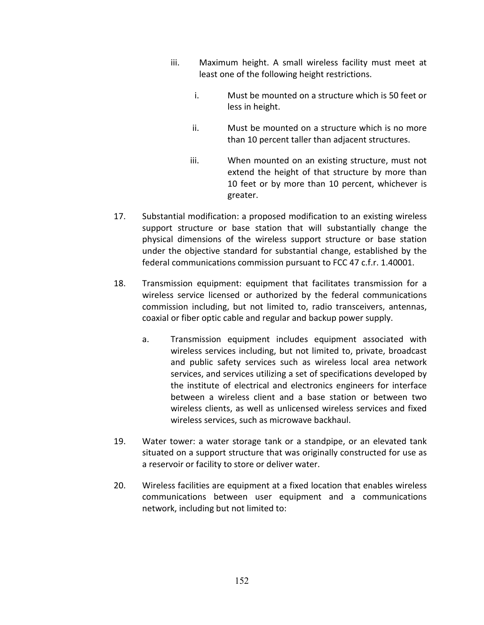- iii. Maximum height. A small wireless facility must meet at least one of the following height restrictions.
	- i. Must be mounted on a structure which is 50 feet or less in height.
	- ii. Must be mounted on a structure which is no more than 10 percent taller than adjacent structures.
	- iii. When mounted on an existing structure, must not extend the height of that structure by more than 10 feet or by more than 10 percent, whichever is greater.
- 17. Substantial modification: a proposed modification to an existing wireless support structure or base station that will substantially change the physical dimensions of the wireless support structure or base station under the objective standard for substantial change, established by the federal communications commission pursuant to FCC 47 c.f.r. 1.40001.
- 18. Transmission equipment: equipment that facilitates transmission for a wireless service licensed or authorized by the federal communications commission including, but not limited to, radio transceivers, antennas, coaxial or fiber optic cable and regular and backup power supply.
	- a. Transmission equipment includes equipment associated with wireless services including, but not limited to, private, broadcast and public safety services such as wireless local area network services, and services utilizing a set of specifications developed by the institute of electrical and electronics engineers for interface between a wireless client and a base station or between two wireless clients, as well as unlicensed wireless services and fixed wireless services, such as microwave backhaul.
- 19. Water tower: a water storage tank or a standpipe, or an elevated tank situated on a support structure that was originally constructed for use as a reservoir or facility to store or deliver water.
- 20. Wireless facilities are equipment at a fixed location that enables wireless communications between user equipment and a communications network, including but not limited to: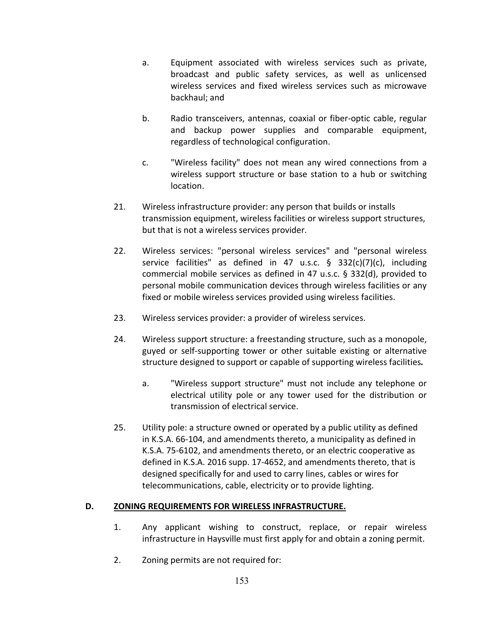- a. Equipment associated with wireless services such as private, broadcast and public safety services, as well as unlicensed wireless services and fixed wireless services such as microwave backhaul; and
- b. Radio transceivers, antennas, coaxial or fiber-optic cable, regular and backup power supplies and comparable equipment, regardless of technological configuration.
- c. "Wireless facility" does not mean any wired connections from a wireless support structure or base station to a hub or switching location.
- 21. Wireless infrastructure provider: any person that builds or installs transmission equipment, wireless facilities or wireless support structures, but that is not a wireless services provider.
- 22. Wireless services: "personal wireless services" and "personal wireless service facilities" as defined in 47 u.s.c. § 332(c)(7)(c), including commercial mobile services as defined in 47 u.s.c. § 332(d), provided to personal mobile communication devices through wireless facilities or any fixed or mobile wireless services provided using wireless facilities.
- 23. Wireless services provider: a provider of wireless services.
- 24. Wireless support structure: a freestanding structure, such as a monopole, guyed or self-supporting tower or other suitable existing or alternative structure designed to support or capable of supporting wireless facilities*.*
	- a. "Wireless support structure" must not include any telephone or electrical utility pole or any tower used for the distribution or transmission of electrical service.
- 25. Utility pole: a structure owned or operated by a public utility as defined in K.S.A. 66-104, and amendments thereto, a municipality as defined in K.S.A. 75-6102, and amendments thereto, or an electric cooperative as defined in K.S.A. 2016 supp. 17-4652, and amendments thereto, that is designed specifically for and used to carry lines, cables or wires for telecommunications, cable, electricity or to provide lighting.

#### **D. ZONING REQUIREMENTS FOR WIRELESS INFRASTRUCTURE.**

- 1. Any applicant wishing to construct, replace, or repair wireless infrastructure in Haysville must first apply for and obtain a zoning permit.
- 2. Zoning permits are not required for: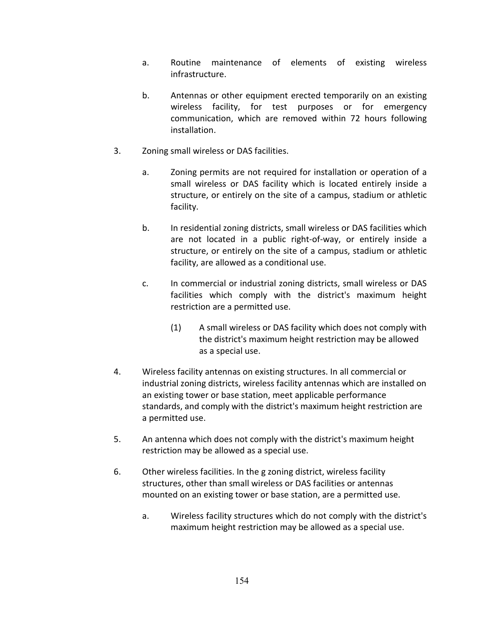- a. Routine maintenance of elements of existing wireless infrastructure.
- b. Antennas or other equipment erected temporarily on an existing wireless facility, for test purposes or for emergency communication, which are removed within 72 hours following installation.
- 3. Zoning small wireless or DAS facilities.
	- a. Zoning permits are not required for installation or operation of a small wireless or DAS facility which is located entirely inside a structure, or entirely on the site of a campus, stadium or athletic facility.
	- b. In residential zoning districts, small wireless or DAS facilities which are not located in a public right-of-way, or entirely inside a structure, or entirely on the site of a campus, stadium or athletic facility, are allowed as a conditional use.
	- c. In commercial or industrial zoning districts, small wireless or DAS facilities which comply with the district's maximum height restriction are a permitted use.
		- (1) A small wireless or DAS facility which does not comply with the district's maximum height restriction may be allowed as a special use.
- 4. Wireless facility antennas on existing structures. In all commercial or industrial zoning districts, wireless facility antennas which are installed on an existing tower or base station, meet applicable performance standards, and comply with the district's maximum height restriction are a permitted use.
- 5. An antenna which does not comply with the district's maximum height restriction may be allowed as a special use.
- 6. Other wireless facilities. In the g zoning district, wireless facility structures, other than small wireless or DAS facilities or antennas mounted on an existing tower or base station, are a permitted use.
	- a. Wireless facility structures which do not comply with the district's maximum height restriction may be allowed as a special use.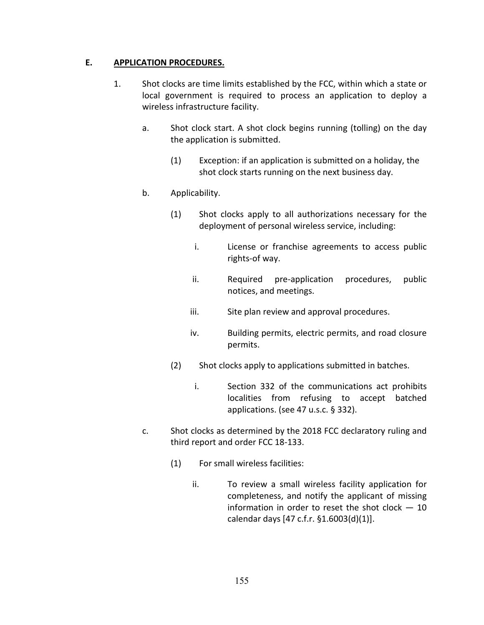## **E. APPLICATION PROCEDURES.**

- 1. Shot clocks are time limits established by the FCC, within which a state or local government is required to process an application to deploy a wireless infrastructure facility.
	- a. Shot clock start. A shot clock begins running (tolling) on the day the application is submitted.
		- (1) Exception: if an application is submitted on a holiday, the shot clock starts running on the next business day.

## b. Applicability.

- (1) Shot clocks apply to all authorizations necessary for the deployment of personal wireless service, including:
	- i. License or franchise agreements to access public rights-of way.
	- ii. Required pre-application procedures, public notices, and meetings.
	- iii. Site plan review and approval procedures.
	- iv. Building permits, electric permits, and road closure permits.
- (2) Shot clocks apply to applications submitted in batches.
	- i. Section 332 of the communications act prohibits localities from refusing to accept batched applications. (see 47 u.s.c. § 332).
- c. Shot clocks as determined by the 2018 FCC declaratory ruling and third report and order FCC 18-133.
	- (1) For small wireless facilities:
		- ii. To review a small wireless facility application for completeness, and notify the applicant of missing information in order to reset the shot clock  $-10$ calendar days [47 c.f.r. §1.6003(d)(1)].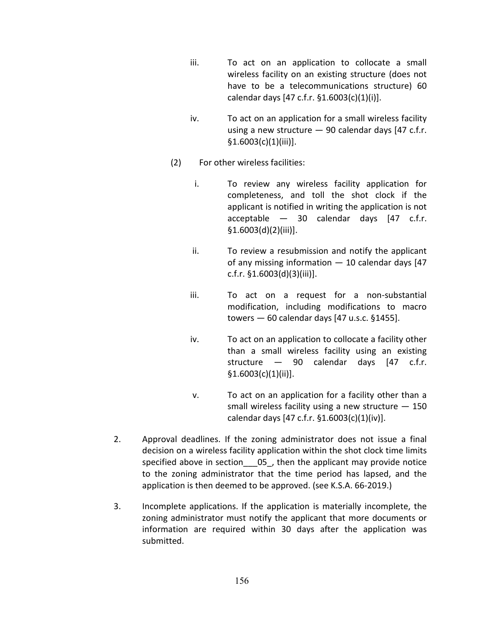- iii. To act on an application to collocate a small wireless facility on an existing structure (does not have to be a telecommunications structure) 60 calendar days [47 c.f.r. §1.6003(c)(1)(i)].
- iv. To act on an application for a small wireless facility using a new structure  $-90$  calendar days [47 c.f.r. §1.6003(c)(1)(iii)].
- (2) For other wireless facilities:
	- i. To review any wireless facility application for completeness, and toll the shot clock if the applicant is notified in writing the application is not acceptable — 30 calendar days [47 c.f.r. §1.6003(d)(2)(iii)].
	- ii. To review a resubmission and notify the applicant of any missing information  $-10$  calendar days [47 c.f.r. §1.6003(d)(3)(iii)].
	- iii. To act on a request for a non-substantial modification, including modifications to macro towers — 60 calendar days [47 u.s.c. §1455].
	- iv. To act on an application to collocate a facility other than a small wireless facility using an existing structure — 90 calendar days [47 c.f.r.  $$1.6003(c)(1)(ii)].$
	- v. To act on an application for a facility other than a small wireless facility using a new structure — 150 calendar days [47 c.f.r. §1.6003(c)(1)(iv)].
- 2. Approval deadlines. If the zoning administrator does not issue a final decision on a wireless facility application within the shot clock time limits specified above in section 05, then the applicant may provide notice to the zoning administrator that the time period has lapsed, and the application is then deemed to be approved. (see K.S.A. 66-2019.)
- 3. Incomplete applications. If the application is materially incomplete, the zoning administrator must notify the applicant that more documents or information are required within 30 days after the application was submitted.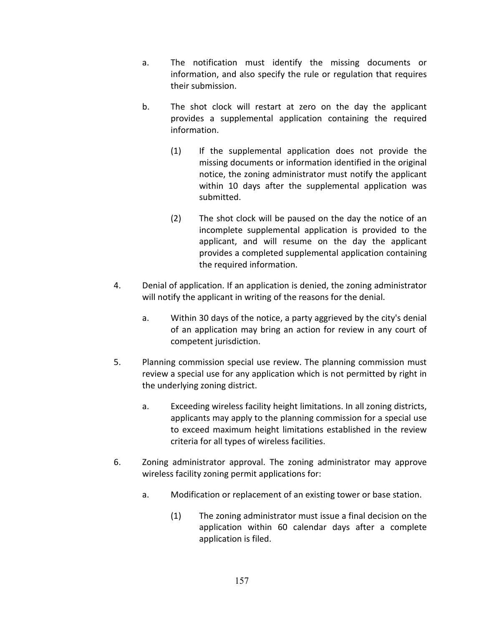- a. The notification must identify the missing documents or information, and also specify the rule or regulation that requires their submission.
- b. The shot clock will restart at zero on the day the applicant provides a supplemental application containing the required information.
	- (1) If the supplemental application does not provide the missing documents or information identified in the original notice, the zoning administrator must notify the applicant within 10 days after the supplemental application was submitted.
	- (2) The shot clock will be paused on the day the notice of an incomplete supplemental application is provided to the applicant, and will resume on the day the applicant provides a completed supplemental application containing the required information.
- 4. Denial of application. If an application is denied, the zoning administrator will notify the applicant in writing of the reasons for the denial.
	- a. Within 30 days of the notice, a party aggrieved by the city's denial of an application may bring an action for review in any court of competent jurisdiction.
- 5. Planning commission special use review. The planning commission must review a special use for any application which is not permitted by right in the underlying zoning district.
	- a. Exceeding wireless facility height limitations. In all zoning districts, applicants may apply to the planning commission for a special use to exceed maximum height limitations established in the review criteria for all types of wireless facilities.
- 6. Zoning administrator approval. The zoning administrator may approve wireless facility zoning permit applications for:
	- a. Modification or replacement of an existing tower or base station.
		- (1) The zoning administrator must issue a final decision on the application within 60 calendar days after a complete application is filed.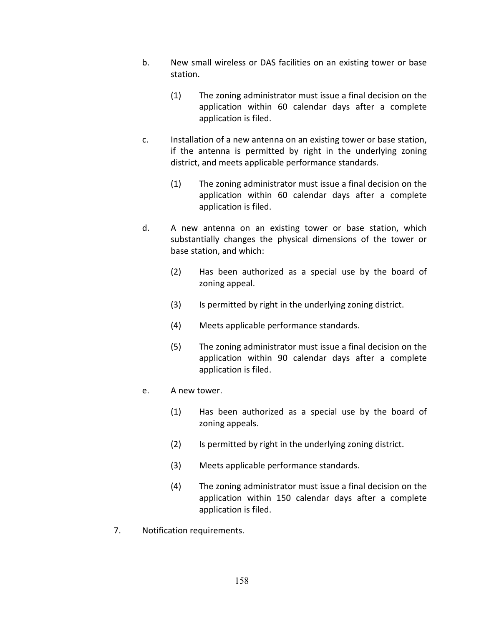- b. New small wireless or DAS facilities on an existing tower or base station.
	- (1) The zoning administrator must issue a final decision on the application within 60 calendar days after a complete application is filed.
- c. Installation of a new antenna on an existing tower or base station, if the antenna is permitted by right in the underlying zoning district, and meets applicable performance standards.
	- (1) The zoning administrator must issue a final decision on the application within 60 calendar days after a complete application is filed.
- d. A new antenna on an existing tower or base station, which substantially changes the physical dimensions of the tower or base station, and which:
	- (2) Has been authorized as a special use by the board of zoning appeal.
	- (3) Is permitted by right in the underlying zoning district.
	- (4) Meets applicable performance standards.
	- (5) The zoning administrator must issue a final decision on the application within 90 calendar days after a complete application is filed.
- e. A new tower.
	- (1) Has been authorized as a special use by the board of zoning appeals.
	- (2) Is permitted by right in the underlying zoning district.
	- (3) Meets applicable performance standards.
	- (4) The zoning administrator must issue a final decision on the application within 150 calendar days after a complete application is filed.
- 7. Notification requirements.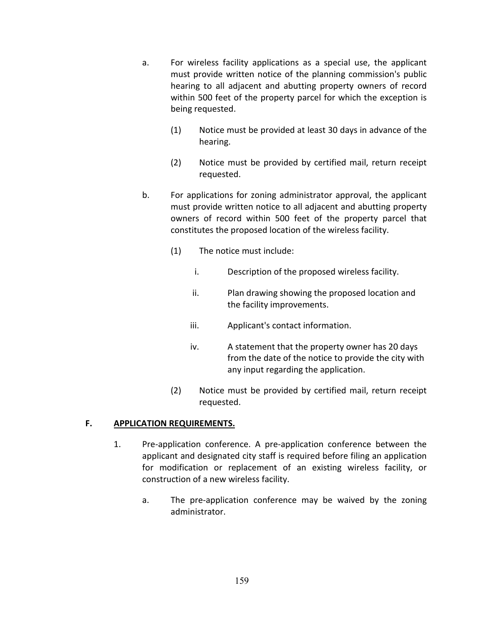- a. For wireless facility applications as a special use, the applicant must provide written notice of the planning commission's public hearing to all adjacent and abutting property owners of record within 500 feet of the property parcel for which the exception is being requested.
	- (1) Notice must be provided at least 30 days in advance of the hearing.
	- (2) Notice must be provided by certified mail, return receipt requested.
- b. For applications for zoning administrator approval, the applicant must provide written notice to all adjacent and abutting property owners of record within 500 feet of the property parcel that constitutes the proposed location of the wireless facility.
	- (1) The notice must include:
		- i. Description of the proposed wireless facility.
		- ii. Plan drawing showing the proposed location and the facility improvements.
		- iii. Applicant's contact information.
		- iv. A statement that the property owner has 20 days from the date of the notice to provide the city with any input regarding the application.
	- (2) Notice must be provided by certified mail, return receipt requested.

## **F. APPLICATION REQUIREMENTS.**

- 1. Pre-application conference. A pre-application conference between the applicant and designated city staff is required before filing an application for modification or replacement of an existing wireless facility, or construction of a new wireless facility.
	- a. The pre-application conference may be waived by the zoning administrator.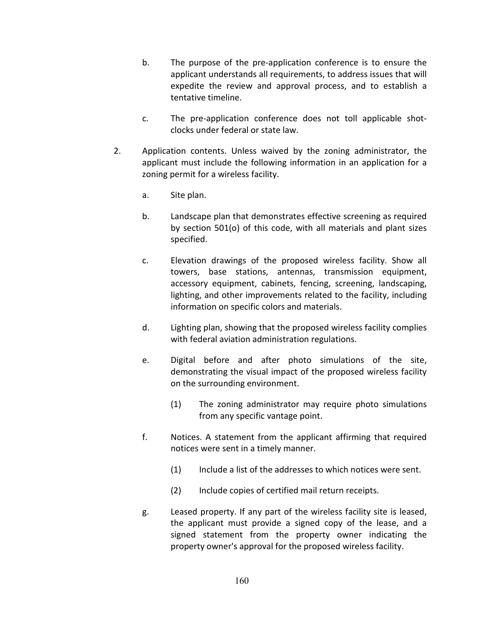- b. The purpose of the pre-application conference is to ensure the applicant understands all requirements, to address issues that will expedite the review and approval process, and to establish a tentative timeline.
- c. The pre-application conference does not toll applicable shotclocks under federal or state law.
- 2. Application contents. Unless waived by the zoning administrator, the applicant must include the following information in an application for a zoning permit for a wireless facility.
	- a. Site plan.
	- b. Landscape plan that demonstrates effective screening as required by section 501(o) of this code, with all materials and plant sizes specified.
	- c. Elevation drawings of the proposed wireless facility. Show all towers, base stations, antennas, transmission equipment, accessory equipment, cabinets, fencing, screening, landscaping, lighting, and other improvements related to the facility, including information on specific colors and materials.
	- d. Lighting plan, showing that the proposed wireless facility complies with federal aviation administration regulations.
	- e. Digital before and after photo simulations of the site, demonstrating the visual impact of the proposed wireless facility on the surrounding environment.
		- (1) The zoning administrator may require photo simulations from any specific vantage point.
	- f. Notices. A statement from the applicant affirming that required notices were sent in a timely manner.
		- (1) Include a list of the addresses to which notices were sent.
		- (2) Include copies of certified mail return receipts.
	- g. Leased property. If any part of the wireless facility site is leased, the applicant must provide a signed copy of the lease, and a signed statement from the property owner indicating the property owner's approval for the proposed wireless facility.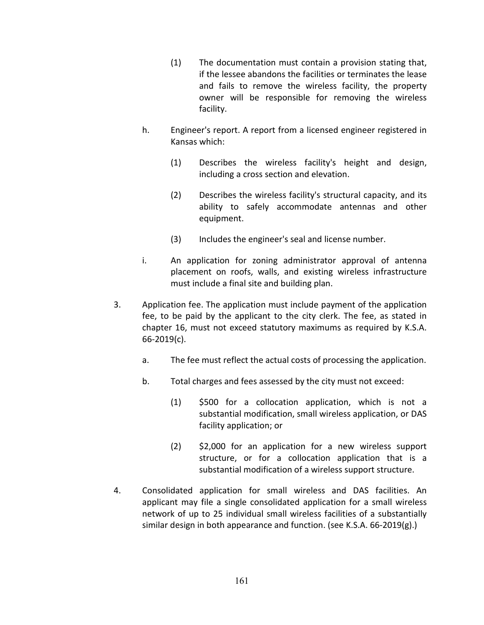- (1) The documentation must contain a provision stating that, if the lessee abandons the facilities or terminates the lease and fails to remove the wireless facility, the property owner will be responsible for removing the wireless facility.
- h. Engineer's report. A report from a licensed engineer registered in Kansas which:
	- (1) Describes the wireless facility's height and design, including a cross section and elevation.
	- (2) Describes the wireless facility's structural capacity, and its ability to safely accommodate antennas and other equipment.
	- (3) Includes the engineer's seal and license number.
- i. An application for zoning administrator approval of antenna placement on roofs, walls, and existing wireless infrastructure must include a final site and building plan.
- 3. Application fee. The application must include payment of the application fee, to be paid by the applicant to the city clerk. The fee, as stated in chapter 16, must not exceed statutory maximums as required by K.S.A. 66-2019(c).
	- a. The fee must reflect the actual costs of processing the application.
	- b. Total charges and fees assessed by the city must not exceed:
		- (1) \$500 for a collocation application, which is not a substantial modification, small wireless application, or DAS facility application; or
		- (2) \$2,000 for an application for a new wireless support structure, or for a collocation application that is a substantial modification of a wireless support structure.
- 4. Consolidated application for small wireless and DAS facilities. An applicant may file a single consolidated application for a small wireless network of up to 25 individual small wireless facilities of a substantially similar design in both appearance and function. (see K.S.A. 66-2019(g).)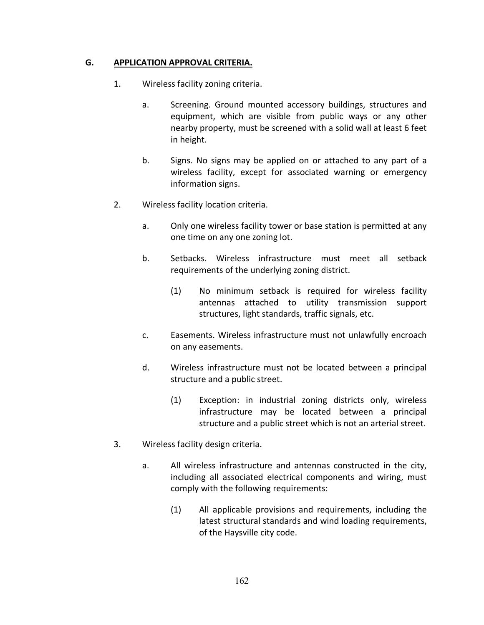## **G. APPLICATION APPROVAL CRITERIA.**

- 1. Wireless facility zoning criteria.
	- a. Screening. Ground mounted accessory buildings, structures and equipment, which are visible from public ways or any other nearby property, must be screened with a solid wall at least 6 feet in height.
	- b. Signs. No signs may be applied on or attached to any part of a wireless facility, except for associated warning or emergency information signs.
- 2. Wireless facility location criteria.
	- a. Only one wireless facility tower or base station is permitted at any one time on any one zoning lot.
	- b. Setbacks. Wireless infrastructure must meet all setback requirements of the underlying zoning district.
		- (1) No minimum setback is required for wireless facility antennas attached to utility transmission support structures, light standards, traffic signals, etc.
	- c. Easements. Wireless infrastructure must not unlawfully encroach on any easements.
	- d. Wireless infrastructure must not be located between a principal structure and a public street.
		- (1) Exception: in industrial zoning districts only, wireless infrastructure may be located between a principal structure and a public street which is not an arterial street.
- 3. Wireless facility design criteria.
	- a. All wireless infrastructure and antennas constructed in the city, including all associated electrical components and wiring, must comply with the following requirements:
		- (1) All applicable provisions and requirements, including the latest structural standards and wind loading requirements, of the Haysville city code.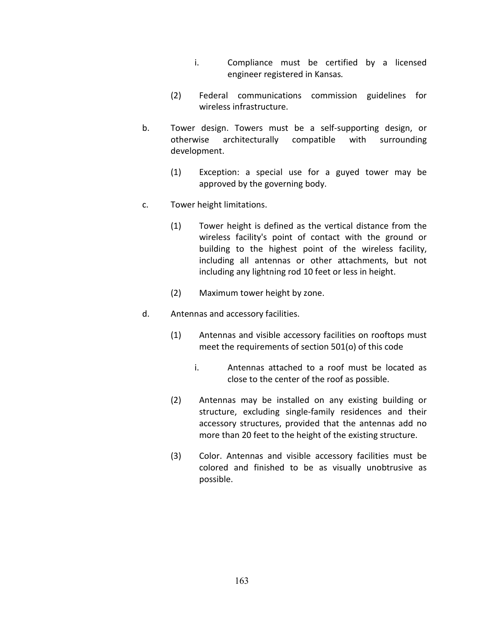- i. Compliance must be certified by a licensed engineer registered in Kansas*.*
- (2) Federal communications commission guidelines for wireless infrastructure.
- b. Tower design. Towers must be a self-supporting design, or otherwise architecturally compatible with surrounding development.
	- (1) Exception: a special use for a guyed tower may be approved by the governing body.
- c. Tower height limitations.
	- (1) Tower height is defined as the vertical distance from the wireless facility's point of contact with the ground or building to the highest point of the wireless facility, including all antennas or other attachments, but not including any lightning rod 10 feet or less in height.
	- (2) Maximum tower height by zone.
- d. Antennas and accessory facilities.
	- (1) Antennas and visible accessory facilities on rooftops must meet the requirements of section 501(o) of this code
		- i. Antennas attached to a roof must be located as close to the center of the roof as possible.
	- (2) Antennas may be installed on any existing building or structure, excluding single-family residences and their accessory structures, provided that the antennas add no more than 20 feet to the height of the existing structure.
	- (3) Color. Antennas and visible accessory facilities must be colored and finished to be as visually unobtrusive as possible.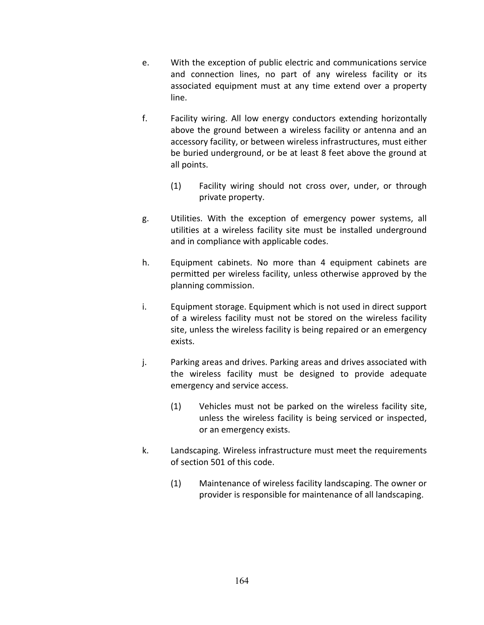- e. With the exception of public electric and communications service and connection lines, no part of any wireless facility or its associated equipment must at any time extend over a property line.
- f. Facility wiring. All low energy conductors extending horizontally above the ground between a wireless facility or antenna and an accessory facility, or between wireless infrastructures, must either be buried underground, or be at least 8 feet above the ground at all points.
	- (1) Facility wiring should not cross over, under, or through private property.
- g. Utilities. With the exception of emergency power systems, all utilities at a wireless facility site must be installed underground and in compliance with applicable codes.
- h. Equipment cabinets. No more than 4 equipment cabinets are permitted per wireless facility, unless otherwise approved by the planning commission.
- i. Equipment storage. Equipment which is not used in direct support of a wireless facility must not be stored on the wireless facility site, unless the wireless facility is being repaired or an emergency exists.
- j. Parking areas and drives. Parking areas and drives associated with the wireless facility must be designed to provide adequate emergency and service access.
	- (1) Vehicles must not be parked on the wireless facility site, unless the wireless facility is being serviced or inspected, or an emergency exists.
- k. Landscaping. Wireless infrastructure must meet the requirements of section 501 of this code.
	- (1) Maintenance of wireless facility landscaping. The owner or provider is responsible for maintenance of all landscaping.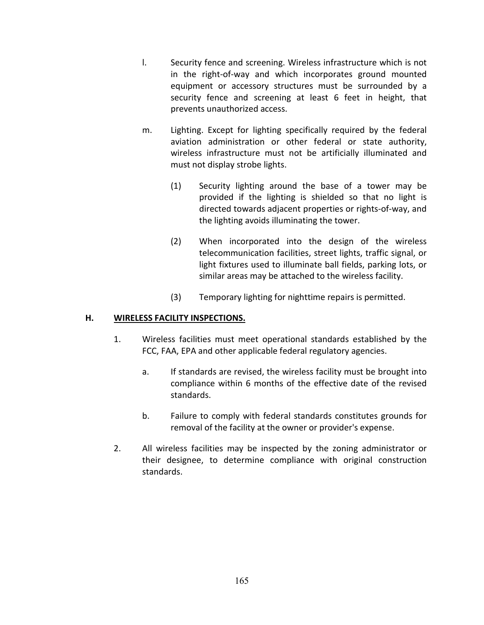- l. Security fence and screening. Wireless infrastructure which is not in the right-of-way and which incorporates ground mounted equipment or accessory structures must be surrounded by a security fence and screening at least 6 feet in height, that prevents unauthorized access.
- m. Lighting. Except for lighting specifically required by the federal aviation administration or other federal or state authority, wireless infrastructure must not be artificially illuminated and must not display strobe lights.
	- (1) Security lighting around the base of a tower may be provided if the lighting is shielded so that no light is directed towards adjacent properties or rights-of-way, and the lighting avoids illuminating the tower.
	- (2) When incorporated into the design of the wireless telecommunication facilities, street lights, traffic signal, or light fixtures used to illuminate ball fields, parking lots, or similar areas may be attached to the wireless facility.
	- (3) Temporary lighting for nighttime repairs is permitted.

## **H. WIRELESS FACILITY INSPECTIONS.**

- 1. Wireless facilities must meet operational standards established by the FCC, FAA, EPA and other applicable federal regulatory agencies.
	- a. If standards are revised, the wireless facility must be brought into compliance within 6 months of the effective date of the revised standards.
	- b. Failure to comply with federal standards constitutes grounds for removal of the facility at the owner or provider's expense.
- 2. All wireless facilities may be inspected by the zoning administrator or their designee, to determine compliance with original construction standards.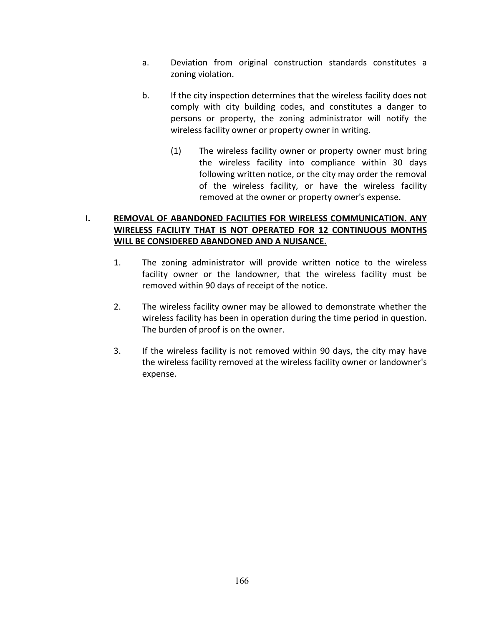- a. Deviation from original construction standards constitutes a zoning violation.
- b. If the city inspection determines that the wireless facility does not comply with city building codes, and constitutes a danger to persons or property, the zoning administrator will notify the wireless facility owner or property owner in writing.
	- (1) The wireless facility owner or property owner must bring the wireless facility into compliance within 30 days following written notice, or the city may order the removal of the wireless facility, or have the wireless facility removed at the owner or property owner's expense.

## **I. REMOVAL OF ABANDONED FACILITIES FOR WIRELESS COMMUNICATION. ANY WIRELESS FACILITY THAT IS NOT OPERATED FOR 12 CONTINUOUS MONTHS WILL BE CONSIDERED ABANDONED AND A NUISANCE.**

- 1. The zoning administrator will provide written notice to the wireless facility owner or the landowner, that the wireless facility must be removed within 90 days of receipt of the notice.
- 2. The wireless facility owner may be allowed to demonstrate whether the wireless facility has been in operation during the time period in question. The burden of proof is on the owner.
- 3. If the wireless facility is not removed within 90 days, the city may have the wireless facility removed at the wireless facility owner or landowner's expense.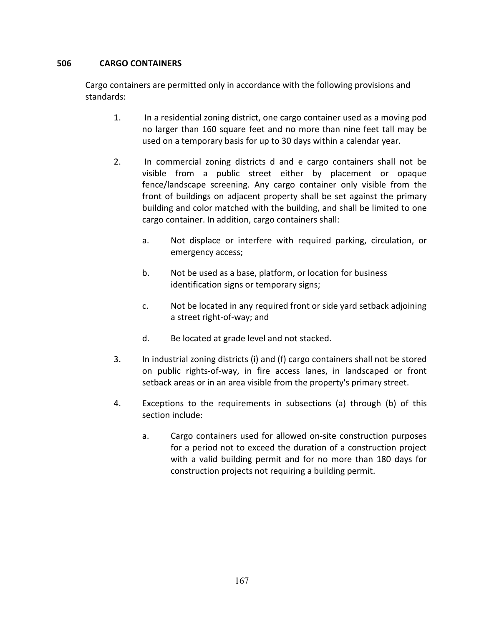## **506 CARGO CONTAINERS**

Cargo containers are permitted only in accordance with the following provisions and standards:

- 1. In a residential zoning district, one cargo container used as a moving pod no larger than 160 square feet and no more than nine feet tall may be used on a temporary basis for up to 30 days within a calendar year.
- 2. In commercial zoning districts d and e cargo containers shall not be visible from a public street either by placement or opaque fence/landscape screening. Any cargo container only visible from the front of buildings on adjacent property shall be set against the primary building and color matched with the building, and shall be limited to one cargo container. In addition, cargo containers shall:
	- a. Not displace or interfere with required parking, circulation, or emergency access;
	- b. Not be used as a base, platform, or location for business identification signs or temporary signs;
	- c. Not be located in any required front or side yard setback adjoining a street right-of-way; and
	- d. Be located at grade level and not stacked.
- 3. In industrial zoning districts (i) and (f) cargo containers shall not be stored on public rights-of-way, in fire access lanes, in landscaped or front setback areas or in an area visible from the property's primary street.
- 4. Exceptions to the requirements in subsections (a) through (b) of this section include:
	- a. Cargo containers used for allowed on-site construction purposes for a period not to exceed the duration of a construction project with a valid building permit and for no more than 180 days for construction projects not requiring a building permit.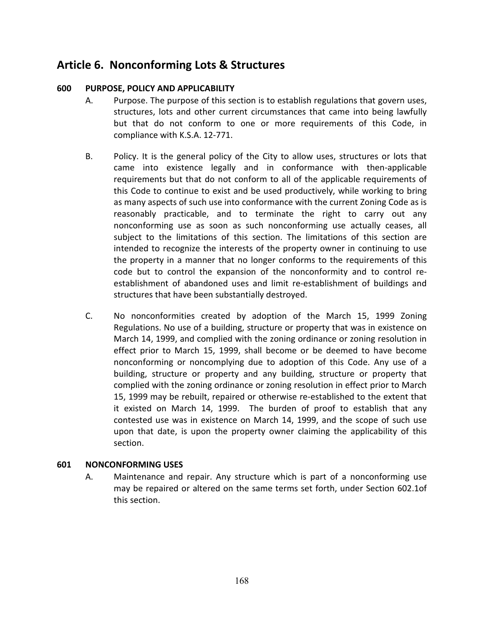# **Article 6. Nonconforming Lots & Structures**

### **600 PURPOSE, POLICY AND APPLICABILITY**

- A. Purpose. The purpose of this section is to establish regulations that govern uses, structures, lots and other current circumstances that came into being lawfully but that do not conform to one or more requirements of this Code, in compliance with K.S.A. 12-771.
- B. Policy. It is the general policy of the City to allow uses, structures or lots that came into existence legally and in conformance with then-applicable requirements but that do not conform to all of the applicable requirements of this Code to continue to exist and be used productively, while working to bring as many aspects of such use into conformance with the current Zoning Code as is reasonably practicable, and to terminate the right to carry out any nonconforming use as soon as such nonconforming use actually ceases, all subject to the limitations of this section. The limitations of this section are intended to recognize the interests of the property owner in continuing to use the property in a manner that no longer conforms to the requirements of this code but to control the expansion of the nonconformity and to control reestablishment of abandoned uses and limit re-establishment of buildings and structures that have been substantially destroyed.
- C. No nonconformities created by adoption of the March 15, 1999 Zoning Regulations. No use of a building, structure or property that was in existence on March 14, 1999, and complied with the zoning ordinance or zoning resolution in effect prior to March 15, 1999, shall become or be deemed to have become nonconforming or noncomplying due to adoption of this Code. Any use of a building, structure or property and any building, structure or property that complied with the zoning ordinance or zoning resolution in effect prior to March 15, 1999 may be rebuilt, repaired or otherwise re-established to the extent that it existed on March 14, 1999. The burden of proof to establish that any contested use was in existence on March 14, 1999, and the scope of such use upon that date, is upon the property owner claiming the applicability of this section.

#### **601 NONCONFORMING USES**

A. Maintenance and repair. Any structure which is part of a nonconforming use may be repaired or altered on the same terms set forth, under Section 602.1of this section.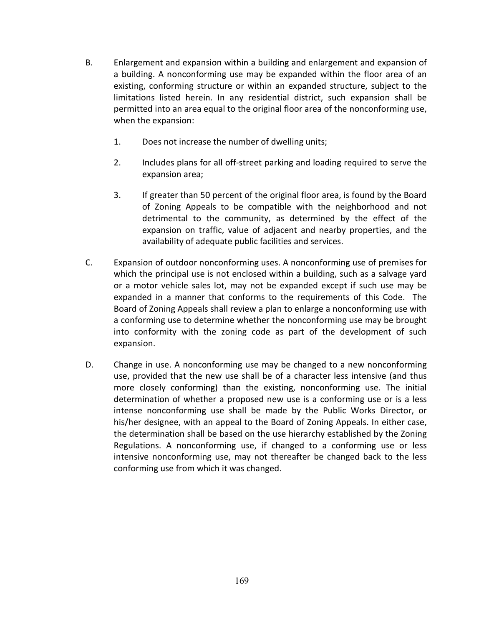- B. Enlargement and expansion within a building and enlargement and expansion of a building. A nonconforming use may be expanded within the floor area of an existing, conforming structure or within an expanded structure, subject to the limitations listed herein. In any residential district, such expansion shall be permitted into an area equal to the original floor area of the nonconforming use, when the expansion:
	- 1. Does not increase the number of dwelling units;
	- 2. Includes plans for all off-street parking and loading required to serve the expansion area;
	- 3. If greater than 50 percent of the original floor area, is found by the Board of Zoning Appeals to be compatible with the neighborhood and not detrimental to the community, as determined by the effect of the expansion on traffic, value of adjacent and nearby properties, and the availability of adequate public facilities and services.
- C. Expansion of outdoor nonconforming uses. A nonconforming use of premises for which the principal use is not enclosed within a building, such as a salvage yard or a motor vehicle sales lot, may not be expanded except if such use may be expanded in a manner that conforms to the requirements of this Code. The Board of Zoning Appeals shall review a plan to enlarge a nonconforming use with a conforming use to determine whether the nonconforming use may be brought into conformity with the zoning code as part of the development of such expansion.
- D. Change in use. A nonconforming use may be changed to a new nonconforming use, provided that the new use shall be of a character less intensive (and thus more closely conforming) than the existing, nonconforming use. The initial determination of whether a proposed new use is a conforming use or is a less intense nonconforming use shall be made by the Public Works Director, or his/her designee, with an appeal to the Board of Zoning Appeals. In either case, the determination shall be based on the use hierarchy established by the Zoning Regulations. A nonconforming use, if changed to a conforming use or less intensive nonconforming use, may not thereafter be changed back to the less conforming use from which it was changed.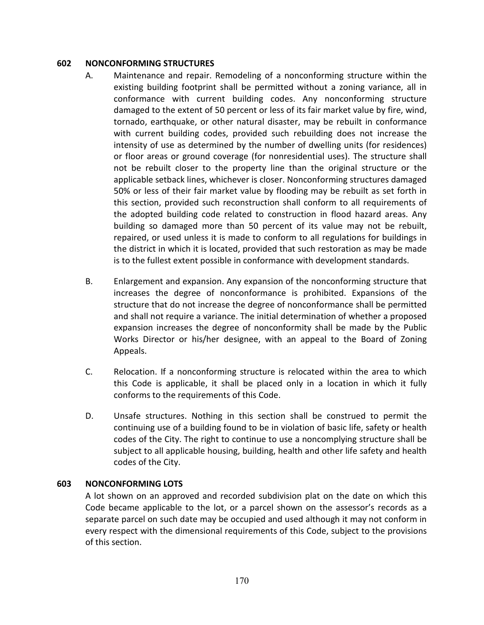#### **602 NONCONFORMING STRUCTURES**

- A. Maintenance and repair. Remodeling of a nonconforming structure within the existing building footprint shall be permitted without a zoning variance, all in conformance with current building codes. Any nonconforming structure damaged to the extent of 50 percent or less of its fair market value by fire, wind, tornado, earthquake, or other natural disaster, may be rebuilt in conformance with current building codes, provided such rebuilding does not increase the intensity of use as determined by the number of dwelling units (for residences) or floor areas or ground coverage (for nonresidential uses). The structure shall not be rebuilt closer to the property line than the original structure or the applicable setback lines, whichever is closer. Nonconforming structures damaged 50% or less of their fair market value by flooding may be rebuilt as set forth in this section, provided such reconstruction shall conform to all requirements of the adopted building code related to construction in flood hazard areas. Any building so damaged more than 50 percent of its value may not be rebuilt, repaired, or used unless it is made to conform to all regulations for buildings in the district in which it is located, provided that such restoration as may be made is to the fullest extent possible in conformance with development standards.
- B. Enlargement and expansion. Any expansion of the nonconforming structure that increases the degree of nonconformance is prohibited. Expansions of the structure that do not increase the degree of nonconformance shall be permitted and shall not require a variance. The initial determination of whether a proposed expansion increases the degree of nonconformity shall be made by the Public Works Director or his/her designee, with an appeal to the Board of Zoning Appeals.
- C. Relocation. If a nonconforming structure is relocated within the area to which this Code is applicable, it shall be placed only in a location in which it fully conforms to the requirements of this Code.
- D. Unsafe structures. Nothing in this section shall be construed to permit the continuing use of a building found to be in violation of basic life, safety or health codes of the City. The right to continue to use a noncomplying structure shall be subject to all applicable housing, building, health and other life safety and health codes of the City.

#### **603 NONCONFORMING LOTS**

A lot shown on an approved and recorded subdivision plat on the date on which this Code became applicable to the lot, or a parcel shown on the assessor's records as a separate parcel on such date may be occupied and used although it may not conform in every respect with the dimensional requirements of this Code, subject to the provisions of this section.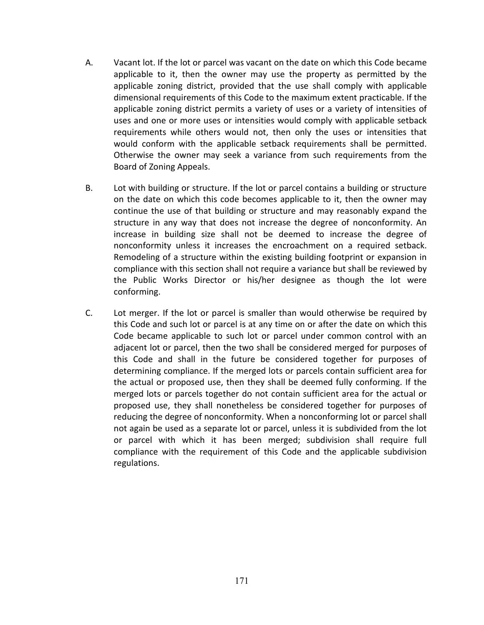- A. Vacant lot. If the lot or parcel was vacant on the date on which this Code became applicable to it, then the owner may use the property as permitted by the applicable zoning district, provided that the use shall comply with applicable dimensional requirements of this Code to the maximum extent practicable. If the applicable zoning district permits a variety of uses or a variety of intensities of uses and one or more uses or intensities would comply with applicable setback requirements while others would not, then only the uses or intensities that would conform with the applicable setback requirements shall be permitted. Otherwise the owner may seek a variance from such requirements from the Board of Zoning Appeals.
- B. Lot with building or structure. If the lot or parcel contains a building or structure on the date on which this code becomes applicable to it, then the owner may continue the use of that building or structure and may reasonably expand the structure in any way that does not increase the degree of nonconformity. An increase in building size shall not be deemed to increase the degree of nonconformity unless it increases the encroachment on a required setback. Remodeling of a structure within the existing building footprint or expansion in compliance with this section shall not require a variance but shall be reviewed by the Public Works Director or his/her designee as though the lot were conforming.
- C. Lot merger. If the lot or parcel is smaller than would otherwise be required by this Code and such lot or parcel is at any time on or after the date on which this Code became applicable to such lot or parcel under common control with an adjacent lot or parcel, then the two shall be considered merged for purposes of this Code and shall in the future be considered together for purposes of determining compliance. If the merged lots or parcels contain sufficient area for the actual or proposed use, then they shall be deemed fully conforming. If the merged lots or parcels together do not contain sufficient area for the actual or proposed use, they shall nonetheless be considered together for purposes of reducing the degree of nonconformity. When a nonconforming lot or parcel shall not again be used as a separate lot or parcel, unless it is subdivided from the lot or parcel with which it has been merged; subdivision shall require full compliance with the requirement of this Code and the applicable subdivision regulations.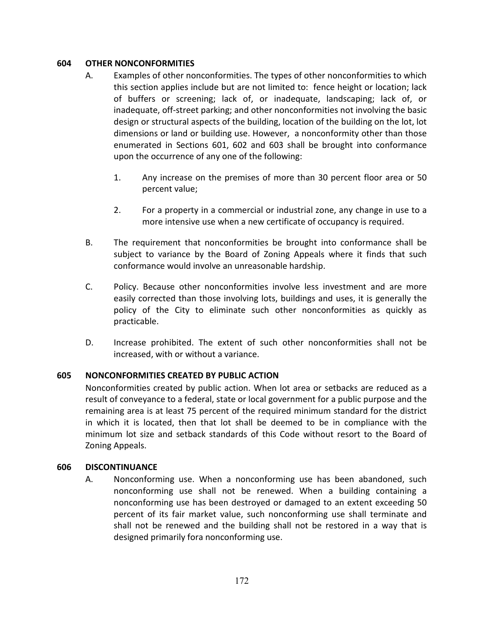#### **604 OTHER NONCONFORMITIES**

- A. Examples of other nonconformities. The types of other nonconformities to which this section applies include but are not limited to: fence height or location; lack of buffers or screening; lack of, or inadequate, landscaping; lack of, or inadequate, off-street parking; and other nonconformities not involving the basic design or structural aspects of the building, location of the building on the lot, lot dimensions or land or building use. However, a nonconformity other than those enumerated in Sections 601, 602 and 603 shall be brought into conformance upon the occurrence of any one of the following:
	- 1. Any increase on the premises of more than 30 percent floor area or 50 percent value;
	- 2. For a property in a commercial or industrial zone, any change in use to a more intensive use when a new certificate of occupancy is required.
- B. The requirement that nonconformities be brought into conformance shall be subject to variance by the Board of Zoning Appeals where it finds that such conformance would involve an unreasonable hardship.
- C. Policy. Because other nonconformities involve less investment and are more easily corrected than those involving lots, buildings and uses, it is generally the policy of the City to eliminate such other nonconformities as quickly as practicable.
- D. Increase prohibited. The extent of such other nonconformities shall not be increased, with or without a variance.

## **605 NONCONFORMITIES CREATED BY PUBLIC ACTION**

Nonconformities created by public action. When lot area or setbacks are reduced as a result of conveyance to a federal, state or local government for a public purpose and the remaining area is at least 75 percent of the required minimum standard for the district in which it is located, then that lot shall be deemed to be in compliance with the minimum lot size and setback standards of this Code without resort to the Board of Zoning Appeals.

#### **606 DISCONTINUANCE**

A. Nonconforming use. When a nonconforming use has been abandoned, such nonconforming use shall not be renewed. When a building containing a nonconforming use has been destroyed or damaged to an extent exceeding 50 percent of its fair market value, such nonconforming use shall terminate and shall not be renewed and the building shall not be restored in a way that is designed primarily fora nonconforming use.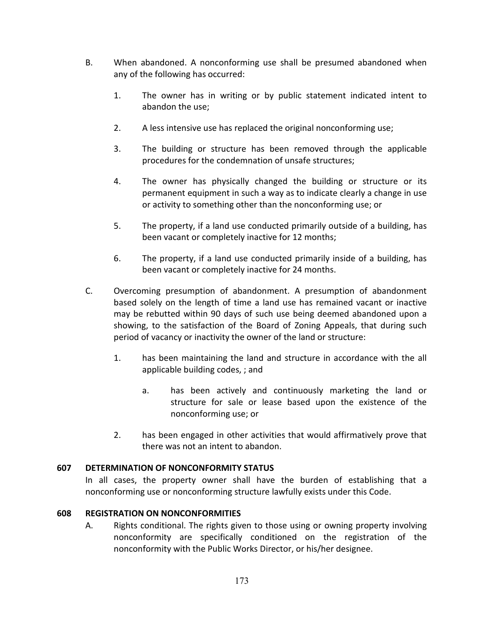- B. When abandoned. A nonconforming use shall be presumed abandoned when any of the following has occurred:
	- 1. The owner has in writing or by public statement indicated intent to abandon the use;
	- 2. A less intensive use has replaced the original nonconforming use;
	- 3. The building or structure has been removed through the applicable procedures for the condemnation of unsafe structures;
	- 4. The owner has physically changed the building or structure or its permanent equipment in such a way as to indicate clearly a change in use or activity to something other than the nonconforming use; or
	- 5. The property, if a land use conducted primarily outside of a building, has been vacant or completely inactive for 12 months;
	- 6. The property, if a land use conducted primarily inside of a building, has been vacant or completely inactive for 24 months.
- C. Overcoming presumption of abandonment. A presumption of abandonment based solely on the length of time a land use has remained vacant or inactive may be rebutted within 90 days of such use being deemed abandoned upon a showing, to the satisfaction of the Board of Zoning Appeals, that during such period of vacancy or inactivity the owner of the land or structure:
	- 1. has been maintaining the land and structure in accordance with the all applicable building codes, ; and
		- a. has been actively and continuously marketing the land or structure for sale or lease based upon the existence of the nonconforming use; or
	- 2. has been engaged in other activities that would affirmatively prove that there was not an intent to abandon.

## **607 DETERMINATION OF NONCONFORMITY STATUS**

In all cases, the property owner shall have the burden of establishing that a nonconforming use or nonconforming structure lawfully exists under this Code.

#### **608 REGISTRATION ON NONCONFORMITIES**

A. Rights conditional. The rights given to those using or owning property involving nonconformity are specifically conditioned on the registration of the nonconformity with the Public Works Director, or his/her designee.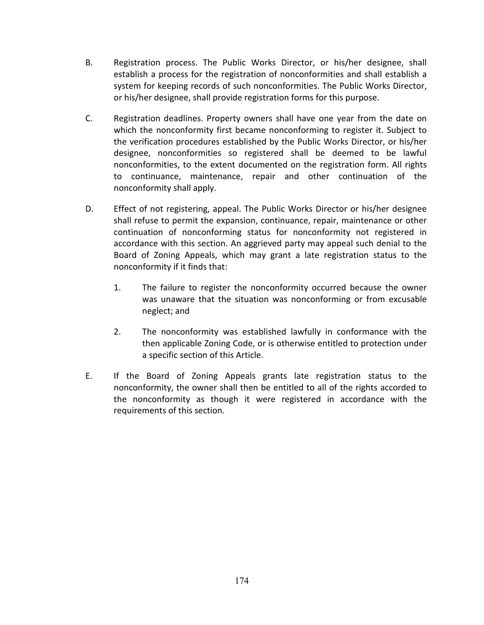- B. Registration process. The Public Works Director, or his/her designee, shall establish a process for the registration of nonconformities and shall establish a system for keeping records of such nonconformities. The Public Works Director, or his/her designee, shall provide registration forms for this purpose.
- C. Registration deadlines. Property owners shall have one year from the date on which the nonconformity first became nonconforming to register it. Subject to the verification procedures established by the Public Works Director, or his/her designee, nonconformities so registered shall be deemed to be lawful nonconformities, to the extent documented on the registration form. All rights to continuance, maintenance, repair and other continuation of the nonconformity shall apply.
- D. Effect of not registering, appeal. The Public Works Director or his/her designee shall refuse to permit the expansion, continuance, repair, maintenance or other continuation of nonconforming status for nonconformity not registered in accordance with this section. An aggrieved party may appeal such denial to the Board of Zoning Appeals, which may grant a late registration status to the nonconformity if it finds that:
	- 1. The failure to register the nonconformity occurred because the owner was unaware that the situation was nonconforming or from excusable neglect; and
	- 2. The nonconformity was established lawfully in conformance with the then applicable Zoning Code, or is otherwise entitled to protection under a specific section of this Article.
- E. If the Board of Zoning Appeals grants late registration status to the nonconformity, the owner shall then be entitled to all of the rights accorded to the nonconformity as though it were registered in accordance with the requirements of this section.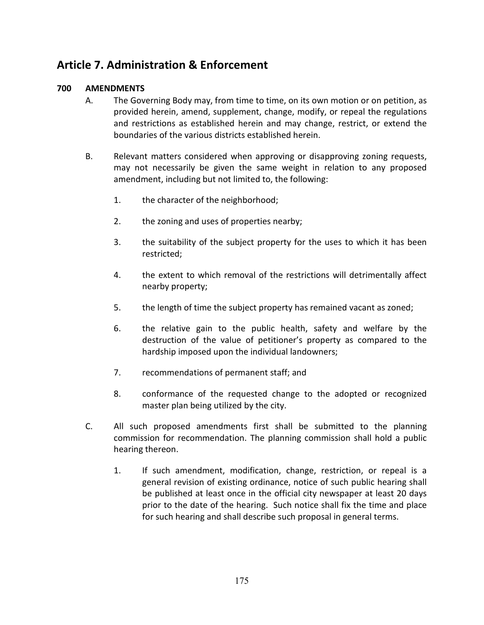# **Article 7. Administration & Enforcement**

## **700 AMENDMENTS**

- A. The Governing Body may, from time to time, on its own motion or on petition, as provided herein, amend, supplement, change, modify, or repeal the regulations and restrictions as established herein and may change, restrict, or extend the boundaries of the various districts established herein.
- B. Relevant matters considered when approving or disapproving zoning requests, may not necessarily be given the same weight in relation to any proposed amendment, including but not limited to, the following:
	- 1. the character of the neighborhood;
	- 2. the zoning and uses of properties nearby;
	- 3. the suitability of the subject property for the uses to which it has been restricted;
	- 4. the extent to which removal of the restrictions will detrimentally affect nearby property;
	- 5. the length of time the subject property has remained vacant as zoned;
	- 6. the relative gain to the public health, safety and welfare by the destruction of the value of petitioner's property as compared to the hardship imposed upon the individual landowners;
	- 7. recommendations of permanent staff; and
	- 8. conformance of the requested change to the adopted or recognized master plan being utilized by the city.
- C. All such proposed amendments first shall be submitted to the planning commission for recommendation. The planning commission shall hold a public hearing thereon.
	- 1. If such amendment, modification, change, restriction, or repeal is a general revision of existing ordinance, notice of such public hearing shall be published at least once in the official city newspaper at least 20 days prior to the date of the hearing. Such notice shall fix the time and place for such hearing and shall describe such proposal in general terms.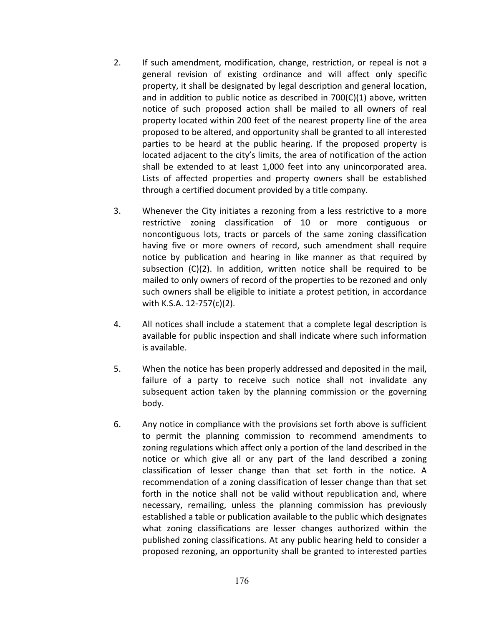- 2. If such amendment, modification, change, restriction, or repeal is not a general revision of existing ordinance and will affect only specific property, it shall be designated by legal description and general location, and in addition to public notice as described in 700(C)(1) above, written notice of such proposed action shall be mailed to all owners of real property located within 200 feet of the nearest property line of the area proposed to be altered, and opportunity shall be granted to all interested parties to be heard at the public hearing. If the proposed property is located adjacent to the city's limits, the area of notification of the action shall be extended to at least 1,000 feet into any unincorporated area. Lists of affected properties and property owners shall be established through a certified document provided by a title company.
- 3. Whenever the City initiates a rezoning from a less restrictive to a more restrictive zoning classification of 10 or more contiguous or noncontiguous lots, tracts or parcels of the same zoning classification having five or more owners of record, such amendment shall require notice by publication and hearing in like manner as that required by subsection (C)(2). In addition, written notice shall be required to be mailed to only owners of record of the properties to be rezoned and only such owners shall be eligible to initiate a protest petition, in accordance with K.S.A. 12-757(c)(2).
- 4. All notices shall include a statement that a complete legal description is available for public inspection and shall indicate where such information is available.
- 5. When the notice has been properly addressed and deposited in the mail, failure of a party to receive such notice shall not invalidate any subsequent action taken by the planning commission or the governing body.
- 6. Any notice in compliance with the provisions set forth above is sufficient to permit the planning commission to recommend amendments to zoning regulations which affect only a portion of the land described in the notice or which give all or any part of the land described a zoning classification of lesser change than that set forth in the notice. A recommendation of a zoning classification of lesser change than that set forth in the notice shall not be valid without republication and, where necessary, remailing, unless the planning commission has previously established a table or publication available to the public which designates what zoning classifications are lesser changes authorized within the published zoning classifications. At any public hearing held to consider a proposed rezoning, an opportunity shall be granted to interested parties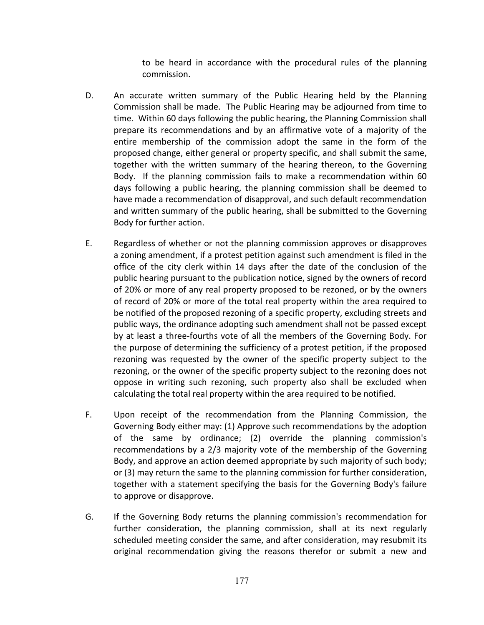to be heard in accordance with the procedural rules of the planning commission.

- D. An accurate written summary of the Public Hearing held by the Planning Commission shall be made. The Public Hearing may be adjourned from time to time. Within 60 days following the public hearing, the Planning Commission shall prepare its recommendations and by an affirmative vote of a majority of the entire membership of the commission adopt the same in the form of the proposed change, either general or property specific, and shall submit the same, together with the written summary of the hearing thereon, to the Governing Body. If the planning commission fails to make a recommendation within 60 days following a public hearing, the planning commission shall be deemed to have made a recommendation of disapproval, and such default recommendation and written summary of the public hearing, shall be submitted to the Governing Body for further action.
- E. Regardless of whether or not the planning commission approves or disapproves a zoning amendment, if a protest petition against such amendment is filed in the office of the city clerk within 14 days after the date of the conclusion of the public hearing pursuant to the publication notice, signed by the owners of record of 20% or more of any real property proposed to be rezoned, or by the owners of record of 20% or more of the total real property within the area required to be notified of the proposed rezoning of a specific property, excluding streets and public ways, the ordinance adopting such amendment shall not be passed except by at least a three-fourths vote of all the members of the Governing Body. For the purpose of determining the sufficiency of a protest petition, if the proposed rezoning was requested by the owner of the specific property subject to the rezoning, or the owner of the specific property subject to the rezoning does not oppose in writing such rezoning, such property also shall be excluded when calculating the total real property within the area required to be notified.
- F. Upon receipt of the recommendation from the Planning Commission, the Governing Body either may: (1) Approve such recommendations by the adoption of the same by ordinance; (2) override the planning commission's recommendations by a 2/3 majority vote of the membership of the Governing Body, and approve an action deemed appropriate by such majority of such body; or (3) may return the same to the planning commission for further consideration, together with a statement specifying the basis for the Governing Body's failure to approve or disapprove.
- G. If the Governing Body returns the planning commission's recommendation for further consideration, the planning commission, shall at its next regularly scheduled meeting consider the same, and after consideration, may resubmit its original recommendation giving the reasons therefor or submit a new and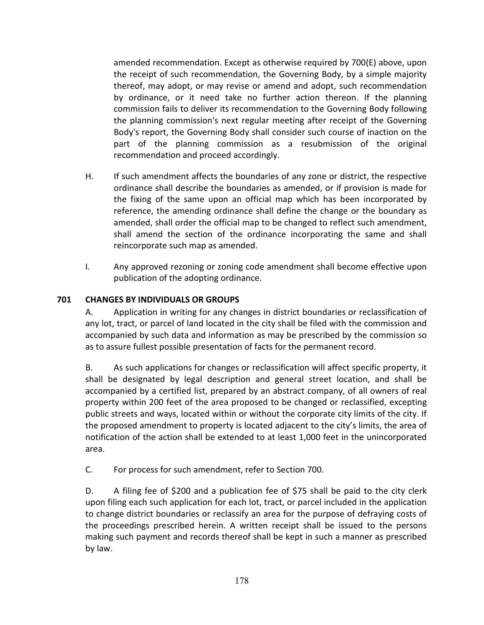amended recommendation. Except as otherwise required by 700(E) above, upon the receipt of such recommendation, the Governing Body, by a simple majority thereof, may adopt, or may revise or amend and adopt, such recommendation by ordinance, or it need take no further action thereon. If the planning commission fails to deliver its recommendation to the Governing Body following the planning commission's next regular meeting after receipt of the Governing Body's report, the Governing Body shall consider such course of inaction on the part of the planning commission as a resubmission of the original recommendation and proceed accordingly.

- H. If such amendment affects the boundaries of any zone or district, the respective ordinance shall describe the boundaries as amended, or if provision is made for the fixing of the same upon an official map which has been incorporated by reference, the amending ordinance shall define the change or the boundary as amended, shall order the official map to be changed to reflect such amendment, shall amend the section of the ordinance incorporating the same and shall reincorporate such map as amended.
- I. Any approved rezoning or zoning code amendment shall become effective upon publication of the adopting ordinance.

## **701 CHANGES BY INDIVIDUALS OR GROUPS**

A. Application in writing for any changes in district boundaries or reclassification of any lot, tract, or parcel of land located in the city shall be filed with the commission and accompanied by such data and information as may be prescribed by the commission so as to assure fullest possible presentation of facts for the permanent record.

B. As such applications for changes or reclassification will affect specific property, it shall be designated by legal description and general street location, and shall be accompanied by a certified list, prepared by an abstract company, of all owners of real property within 200 feet of the area proposed to be changed or reclassified, excepting public streets and ways, located within or without the corporate city limits of the city. If the proposed amendment to property is located adjacent to the city's limits, the area of notification of the action shall be extended to at least 1,000 feet in the unincorporated area.

C. For process for such amendment, refer to Section 700.

D. A filing fee of \$200 and a publication fee of \$75 shall be paid to the city clerk upon filing each such application for each lot, tract, or parcel included in the application to change district boundaries or reclassify an area for the purpose of defraying costs of the proceedings prescribed herein. A written receipt shall be issued to the persons making such payment and records thereof shall be kept in such a manner as prescribed by law.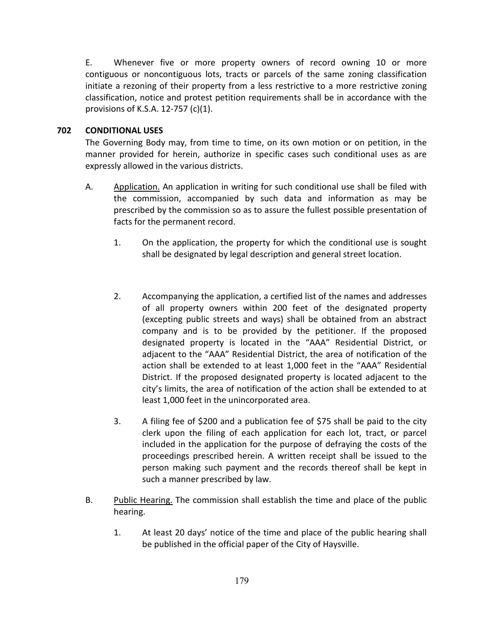E. Whenever five or more property owners of record owning 10 or more contiguous or noncontiguous lots, tracts or parcels of the same zoning classification initiate a rezoning of their property from a less restrictive to a more restrictive zoning classification, notice and protest petition requirements shall be in accordance with the provisions of K.S.A. 12-757 (c)(1).

## **702 CONDITIONAL USES**

The Governing Body may, from time to time, on its own motion or on petition, in the manner provided for herein, authorize in specific cases such conditional uses as are expressly allowed in the various districts.

- A. Application. An application in writing for such conditional use shall be filed with the commission, accompanied by such data and information as may be prescribed by the commission so as to assure the fullest possible presentation of facts for the permanent record.
	- 1. On the application, the property for which the conditional use is sought shall be designated by legal description and general street location.
	- 2. Accompanying the application, a certified list of the names and addresses of all property owners within 200 feet of the designated property (excepting public streets and ways) shall be obtained from an abstract company and is to be provided by the petitioner. If the proposed designated property is located in the "AAA" Residential District, or adjacent to the "AAA" Residential District, the area of notification of the action shall be extended to at least 1,000 feet in the "AAA" Residential District. If the proposed designated property is located adjacent to the city's limits, the area of notification of the action shall be extended to at least 1,000 feet in the unincorporated area.
	- 3. A filing fee of \$200 and a publication fee of \$75 shall be paid to the city clerk upon the filing of each application for each lot, tract, or parcel included in the application for the purpose of defraying the costs of the proceedings prescribed herein. A written receipt shall be issued to the person making such payment and the records thereof shall be kept in such a manner prescribed by law.
- B. Public Hearing. The commission shall establish the time and place of the public hearing.
	- 1. At least 20 days' notice of the time and place of the public hearing shall be published in the official paper of the City of Haysville.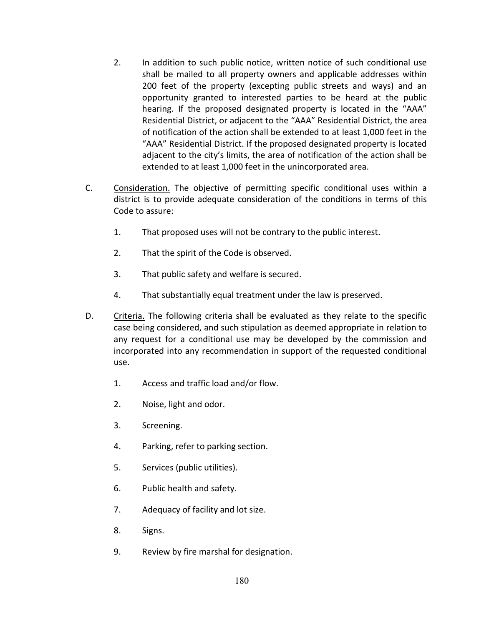- 2. In addition to such public notice, written notice of such conditional use shall be mailed to all property owners and applicable addresses within 200 feet of the property (excepting public streets and ways) and an opportunity granted to interested parties to be heard at the public hearing. If the proposed designated property is located in the "AAA" Residential District, or adjacent to the "AAA" Residential District, the area of notification of the action shall be extended to at least 1,000 feet in the "AAA" Residential District. If the proposed designated property is located adjacent to the city's limits, the area of notification of the action shall be extended to at least 1,000 feet in the unincorporated area.
- C. Consideration. The objective of permitting specific conditional uses within a district is to provide adequate consideration of the conditions in terms of this Code to assure:
	- 1. That proposed uses will not be contrary to the public interest.
	- 2. That the spirit of the Code is observed.
	- 3. That public safety and welfare is secured.
	- 4. That substantially equal treatment under the law is preserved.
- D. Criteria. The following criteria shall be evaluated as they relate to the specific case being considered, and such stipulation as deemed appropriate in relation to any request for a conditional use may be developed by the commission and incorporated into any recommendation in support of the requested conditional use.
	- 1. Access and traffic load and/or flow.
	- 2. Noise, light and odor.
	- 3. Screening.
	- 4. Parking, refer to parking section.
	- 5. Services (public utilities).
	- 6. Public health and safety.
	- 7. Adequacy of facility and lot size.
	- 8. Signs.
	- 9. Review by fire marshal for designation.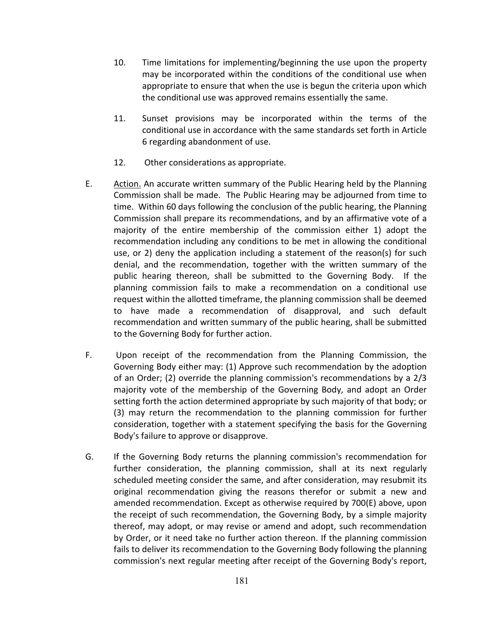- 10. Time limitations for implementing/beginning the use upon the property may be incorporated within the conditions of the conditional use when appropriate to ensure that when the use is begun the criteria upon which the conditional use was approved remains essentially the same.
- 11. Sunset provisions may be incorporated within the terms of the conditional use in accordance with the same standards set forth in Article 6 regarding abandonment of use.
- 12. Other considerations as appropriate.
- E. Action. An accurate written summary of the Public Hearing held by the Planning Commission shall be made. The Public Hearing may be adjourned from time to time. Within 60 days following the conclusion of the public hearing, the Planning Commission shall prepare its recommendations, and by an affirmative vote of a majority of the entire membership of the commission either 1) adopt the recommendation including any conditions to be met in allowing the conditional use, or 2) deny the application including a statement of the reason(s) for such denial, and the recommendation, together with the written summary of the public hearing thereon, shall be submitted to the Governing Body. If the planning commission fails to make a recommendation on a conditional use request within the allotted timeframe, the planning commission shall be deemed to have made a recommendation of disapproval, and such default recommendation and written summary of the public hearing, shall be submitted to the Governing Body for further action.
- F. Upon receipt of the recommendation from the Planning Commission, the Governing Body either may: (1) Approve such recommendation by the adoption of an Order; (2) override the planning commission's recommendations by a 2/3 majority vote of the membership of the Governing Body, and adopt an Order setting forth the action determined appropriate by such majority of that body; or (3) may return the recommendation to the planning commission for further consideration, together with a statement specifying the basis for the Governing Body's failure to approve or disapprove.
- G. If the Governing Body returns the planning commission's recommendation for further consideration, the planning commission, shall at its next regularly scheduled meeting consider the same, and after consideration, may resubmit its original recommendation giving the reasons therefor or submit a new and amended recommendation. Except as otherwise required by 700(E) above, upon the receipt of such recommendation, the Governing Body, by a simple majority thereof, may adopt, or may revise or amend and adopt, such recommendation by Order, or it need take no further action thereon. If the planning commission fails to deliver its recommendation to the Governing Body following the planning commission's next regular meeting after receipt of the Governing Body's report,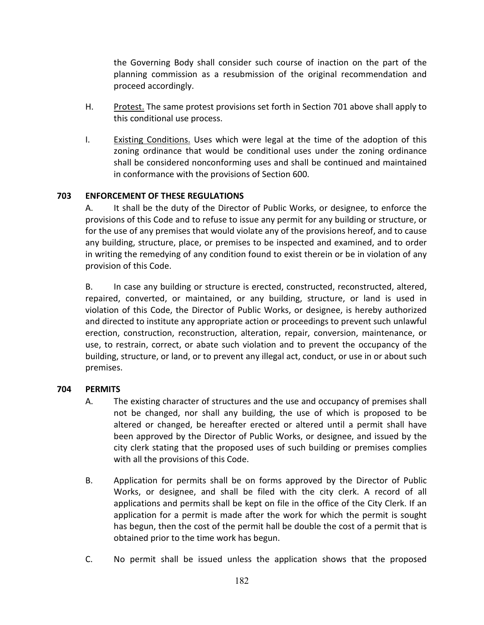the Governing Body shall consider such course of inaction on the part of the planning commission as a resubmission of the original recommendation and proceed accordingly.

- H. Protest. The same protest provisions set forth in Section 701 above shall apply to this conditional use process.
- I. Existing Conditions. Uses which were legal at the time of the adoption of this zoning ordinance that would be conditional uses under the zoning ordinance shall be considered nonconforming uses and shall be continued and maintained in conformance with the provisions of Section 600.

## **703 ENFORCEMENT OF THESE REGULATIONS**

A. It shall be the duty of the Director of Public Works, or designee, to enforce the provisions of this Code and to refuse to issue any permit for any building or structure, or for the use of any premises that would violate any of the provisions hereof, and to cause any building, structure, place, or premises to be inspected and examined, and to order in writing the remedying of any condition found to exist therein or be in violation of any provision of this Code.

B. In case any building or structure is erected, constructed, reconstructed, altered, repaired, converted, or maintained, or any building, structure, or land is used in violation of this Code, the Director of Public Works, or designee, is hereby authorized and directed to institute any appropriate action or proceedings to prevent such unlawful erection, construction, reconstruction, alteration, repair, conversion, maintenance, or use, to restrain, correct, or abate such violation and to prevent the occupancy of the building, structure, or land, or to prevent any illegal act, conduct, or use in or about such premises.

### **704 PERMITS**

- A. The existing character of structures and the use and occupancy of premises shall not be changed, nor shall any building, the use of which is proposed to be altered or changed, be hereafter erected or altered until a permit shall have been approved by the Director of Public Works, or designee, and issued by the city clerk stating that the proposed uses of such building or premises complies with all the provisions of this Code.
- B. Application for permits shall be on forms approved by the Director of Public Works, or designee, and shall be filed with the city clerk. A record of all applications and permits shall be kept on file in the office of the City Clerk. If an application for a permit is made after the work for which the permit is sought has begun, then the cost of the permit hall be double the cost of a permit that is obtained prior to the time work has begun.
- C. No permit shall be issued unless the application shows that the proposed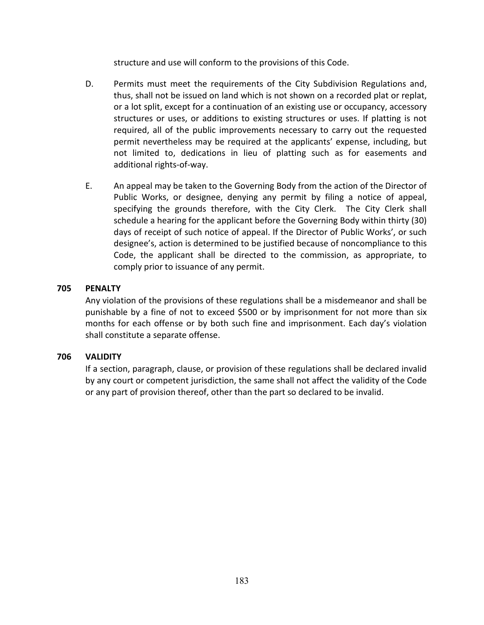structure and use will conform to the provisions of this Code.

- D. Permits must meet the requirements of the City Subdivision Regulations and, thus, shall not be issued on land which is not shown on a recorded plat or replat, or a lot split, except for a continuation of an existing use or occupancy, accessory structures or uses, or additions to existing structures or uses. If platting is not required, all of the public improvements necessary to carry out the requested permit nevertheless may be required at the applicants' expense, including, but not limited to, dedications in lieu of platting such as for easements and additional rights-of-way.
- E. An appeal may be taken to the Governing Body from the action of the Director of Public Works, or designee, denying any permit by filing a notice of appeal, specifying the grounds therefore, with the City Clerk. The City Clerk shall schedule a hearing for the applicant before the Governing Body within thirty (30) days of receipt of such notice of appeal. If the Director of Public Works', or such designee's, action is determined to be justified because of noncompliance to this Code, the applicant shall be directed to the commission, as appropriate, to comply prior to issuance of any permit.

### **705 PENALTY**

Any violation of the provisions of these regulations shall be a misdemeanor and shall be punishable by a fine of not to exceed \$500 or by imprisonment for not more than six months for each offense or by both such fine and imprisonment. Each day's violation shall constitute a separate offense.

### **706 VALIDITY**

If a section, paragraph, clause, or provision of these regulations shall be declared invalid by any court or competent jurisdiction, the same shall not affect the validity of the Code or any part of provision thereof, other than the part so declared to be invalid.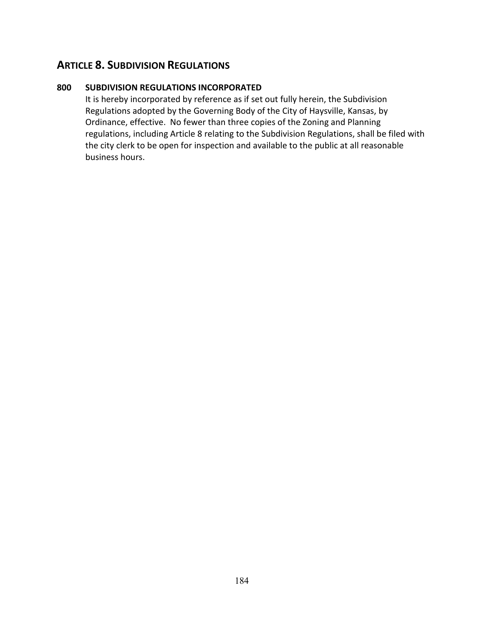# **ARTICLE 8. SUBDIVISION REGULATIONS**

## **800 SUBDIVISION REGULATIONS INCORPORATED**

It is hereby incorporated by reference as if set out fully herein, the Subdivision Regulations adopted by the Governing Body of the City of Haysville, Kansas, by Ordinance, effective. No fewer than three copies of the Zoning and Planning regulations, including Article 8 relating to the Subdivision Regulations, shall be filed with the city clerk to be open for inspection and available to the public at all reasonable business hours.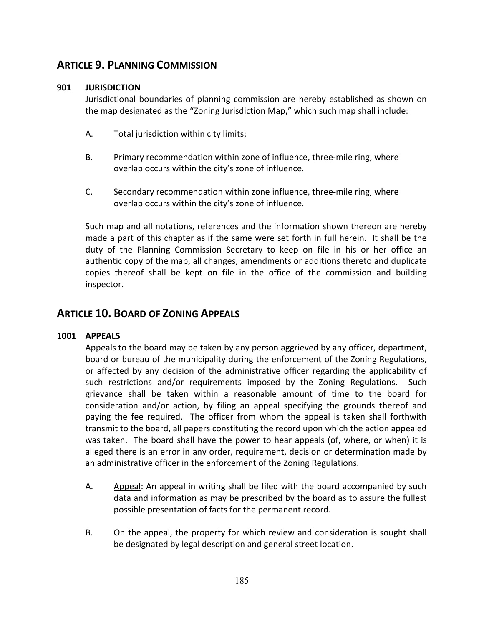# **ARTICLE 9. PLANNING COMMISSION**

## **901 JURISDICTION**

Jurisdictional boundaries of planning commission are hereby established as shown on the map designated as the "Zoning Jurisdiction Map," which such map shall include:

- A. Total jurisdiction within city limits;
- B. Primary recommendation within zone of influence, three-mile ring, where overlap occurs within the city's zone of influence.
- C. Secondary recommendation within zone influence, three-mile ring, where overlap occurs within the city's zone of influence.

Such map and all notations, references and the information shown thereon are hereby made a part of this chapter as if the same were set forth in full herein. It shall be the duty of the Planning Commission Secretary to keep on file in his or her office an authentic copy of the map, all changes, amendments or additions thereto and duplicate copies thereof shall be kept on file in the office of the commission and building inspector.

## **ARTICLE 10. BOARD OF ZONING APPEALS**

### **1001 APPEALS**

Appeals to the board may be taken by any person aggrieved by any officer, department, board or bureau of the municipality during the enforcement of the Zoning Regulations, or affected by any decision of the administrative officer regarding the applicability of such restrictions and/or requirements imposed by the Zoning Regulations. Such grievance shall be taken within a reasonable amount of time to the board for consideration and/or action, by filing an appeal specifying the grounds thereof and paying the fee required. The officer from whom the appeal is taken shall forthwith transmit to the board, all papers constituting the record upon which the action appealed was taken. The board shall have the power to hear appeals (of, where, or when) it is alleged there is an error in any order, requirement, decision or determination made by an administrative officer in the enforcement of the Zoning Regulations.

- A. Appeal: An appeal in writing shall be filed with the board accompanied by such data and information as may be prescribed by the board as to assure the fullest possible presentation of facts for the permanent record.
- B. On the appeal, the property for which review and consideration is sought shall be designated by legal description and general street location.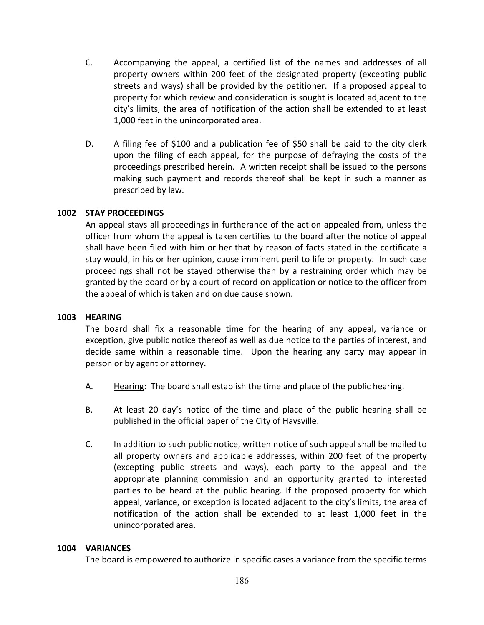- C. Accompanying the appeal, a certified list of the names and addresses of all property owners within 200 feet of the designated property (excepting public streets and ways) shall be provided by the petitioner. If a proposed appeal to property for which review and consideration is sought is located adjacent to the city's limits, the area of notification of the action shall be extended to at least 1,000 feet in the unincorporated area.
- D. A filing fee of \$100 and a publication fee of \$50 shall be paid to the city clerk upon the filing of each appeal, for the purpose of defraying the costs of the proceedings prescribed herein. A written receipt shall be issued to the persons making such payment and records thereof shall be kept in such a manner as prescribed by law.

## **1002 STAY PROCEEDINGS**

An appeal stays all proceedings in furtherance of the action appealed from, unless the officer from whom the appeal is taken certifies to the board after the notice of appeal shall have been filed with him or her that by reason of facts stated in the certificate a stay would, in his or her opinion, cause imminent peril to life or property. In such case proceedings shall not be stayed otherwise than by a restraining order which may be granted by the board or by a court of record on application or notice to the officer from the appeal of which is taken and on due cause shown.

### **1003 HEARING**

The board shall fix a reasonable time for the hearing of any appeal, variance or exception, give public notice thereof as well as due notice to the parties of interest, and decide same within a reasonable time. Upon the hearing any party may appear in person or by agent or attorney.

- A. Hearing: The board shall establish the time and place of the public hearing.
- B. At least 20 day's notice of the time and place of the public hearing shall be published in the official paper of the City of Haysville.
- C. In addition to such public notice, written notice of such appeal shall be mailed to all property owners and applicable addresses, within 200 feet of the property (excepting public streets and ways), each party to the appeal and the appropriate planning commission and an opportunity granted to interested parties to be heard at the public hearing. If the proposed property for which appeal, variance, or exception is located adjacent to the city's limits, the area of notification of the action shall be extended to at least 1,000 feet in the unincorporated area.

### **1004 VARIANCES**

The board is empowered to authorize in specific cases a variance from the specific terms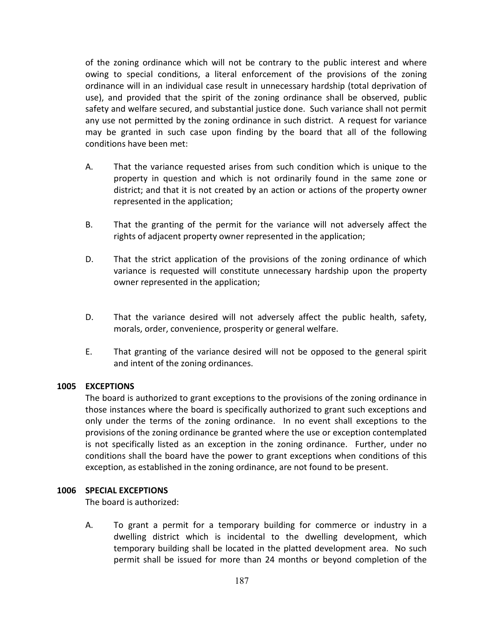of the zoning ordinance which will not be contrary to the public interest and where owing to special conditions, a literal enforcement of the provisions of the zoning ordinance will in an individual case result in unnecessary hardship (total deprivation of use), and provided that the spirit of the zoning ordinance shall be observed, public safety and welfare secured, and substantial justice done. Such variance shall not permit any use not permitted by the zoning ordinance in such district. A request for variance may be granted in such case upon finding by the board that all of the following conditions have been met:

- A. That the variance requested arises from such condition which is unique to the property in question and which is not ordinarily found in the same zone or district; and that it is not created by an action or actions of the property owner represented in the application;
- B. That the granting of the permit for the variance will not adversely affect the rights of adjacent property owner represented in the application;
- D. That the strict application of the provisions of the zoning ordinance of which variance is requested will constitute unnecessary hardship upon the property owner represented in the application;
- D. That the variance desired will not adversely affect the public health, safety, morals, order, convenience, prosperity or general welfare.
- E. That granting of the variance desired will not be opposed to the general spirit and intent of the zoning ordinances.

### **1005 EXCEPTIONS**

The board is authorized to grant exceptions to the provisions of the zoning ordinance in those instances where the board is specifically authorized to grant such exceptions and only under the terms of the zoning ordinance. In no event shall exceptions to the provisions of the zoning ordinance be granted where the use or exception contemplated is not specifically listed as an exception in the zoning ordinance. Further, under no conditions shall the board have the power to grant exceptions when conditions of this exception, as established in the zoning ordinance, are not found to be present.

#### **1006 SPECIAL EXCEPTIONS**

The board is authorized:

A. To grant a permit for a temporary building for commerce or industry in a dwelling district which is incidental to the dwelling development, which temporary building shall be located in the platted development area. No such permit shall be issued for more than 24 months or beyond completion of the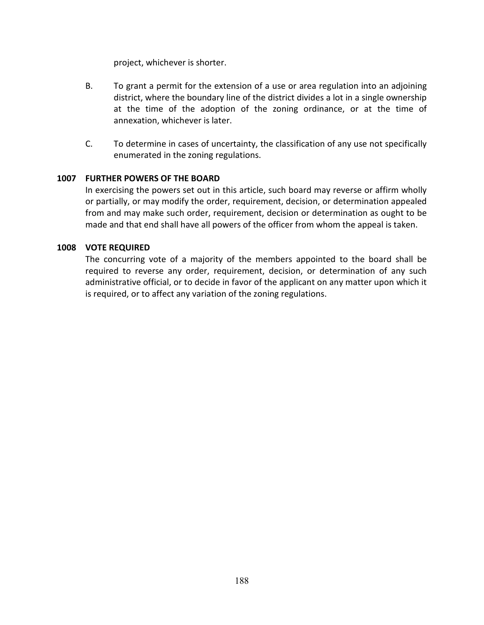project, whichever is shorter.

- B. To grant a permit for the extension of a use or area regulation into an adjoining district, where the boundary line of the district divides a lot in a single ownership at the time of the adoption of the zoning ordinance, or at the time of annexation, whichever is later.
- C. To determine in cases of uncertainty, the classification of any use not specifically enumerated in the zoning regulations.

## **1007 FURTHER POWERS OF THE BOARD**

In exercising the powers set out in this article, such board may reverse or affirm wholly or partially, or may modify the order, requirement, decision, or determination appealed from and may make such order, requirement, decision or determination as ought to be made and that end shall have all powers of the officer from whom the appeal is taken.

## **1008 VOTE REQUIRED**

The concurring vote of a majority of the members appointed to the board shall be required to reverse any order, requirement, decision, or determination of any such administrative official, or to decide in favor of the applicant on any matter upon which it is required, or to affect any variation of the zoning regulations.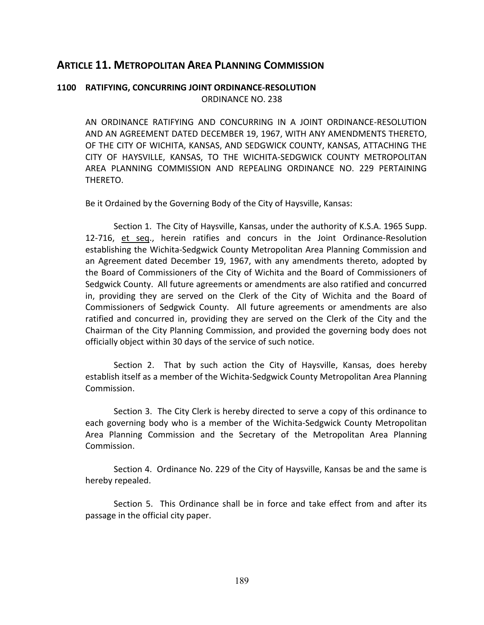## **ARTICLE 11. METROPOLITAN AREA PLANNING COMMISSION**

## **1100 RATIFYING, CONCURRING JOINT ORDINANCE-RESOLUTION** ORDINANCE NO. 238

AN ORDINANCE RATIFYING AND CONCURRING IN A JOINT ORDINANCE-RESOLUTION AND AN AGREEMENT DATED DECEMBER 19, 1967, WITH ANY AMENDMENTS THERETO, OF THE CITY OF WICHITA, KANSAS, AND SEDGWICK COUNTY, KANSAS, ATTACHING THE CITY OF HAYSVILLE, KANSAS, TO THE WICHITA-SEDGWICK COUNTY METROPOLITAN AREA PLANNING COMMISSION AND REPEALING ORDINANCE NO. 229 PERTAINING THERETO.

Be it Ordained by the Governing Body of the City of Haysville, Kansas:

Section 1. The City of Haysville, Kansas, under the authority of K.S.A. 1965 Supp. 12-716, et seq., herein ratifies and concurs in the Joint Ordinance-Resolution establishing the Wichita-Sedgwick County Metropolitan Area Planning Commission and an Agreement dated December 19, 1967, with any amendments thereto, adopted by the Board of Commissioners of the City of Wichita and the Board of Commissioners of Sedgwick County. All future agreements or amendments are also ratified and concurred in, providing they are served on the Clerk of the City of Wichita and the Board of Commissioners of Sedgwick County. All future agreements or amendments are also ratified and concurred in, providing they are served on the Clerk of the City and the Chairman of the City Planning Commission, and provided the governing body does not officially object within 30 days of the service of such notice.

Section 2. That by such action the City of Haysville, Kansas, does hereby establish itself as a member of the Wichita-Sedgwick County Metropolitan Area Planning Commission.

Section 3. The City Clerk is hereby directed to serve a copy of this ordinance to each governing body who is a member of the Wichita-Sedgwick County Metropolitan Area Planning Commission and the Secretary of the Metropolitan Area Planning Commission.

Section 4. Ordinance No. 229 of the City of Haysville, Kansas be and the same is hereby repealed.

Section 5. This Ordinance shall be in force and take effect from and after its passage in the official city paper.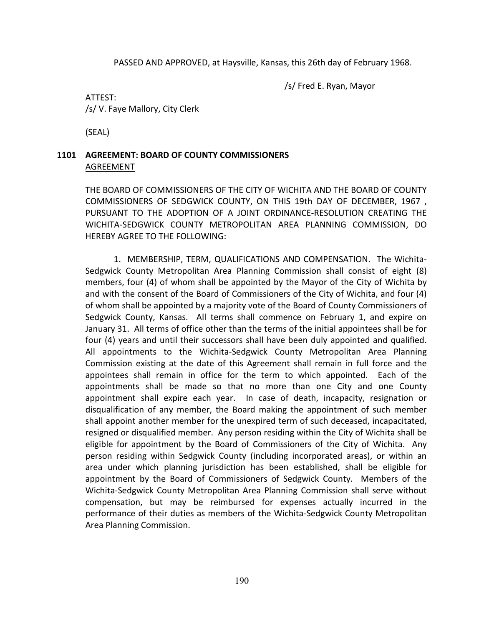PASSED AND APPROVED, at Haysville, Kansas, this 26th day of February 1968.

/s/ Fred E. Ryan, Mayor

## ATTEST: /s/ V. Faye Mallory, City Clerk

(SEAL)

## **1101 AGREEMENT: BOARD OF COUNTY COMMISSIONERS** AGREEMENT

THE BOARD OF COMMISSIONERS OF THE CITY OF WICHITA AND THE BOARD OF COUNTY COMMISSIONERS OF SEDGWICK COUNTY, ON THIS 19th DAY OF DECEMBER, 1967 , PURSUANT TO THE ADOPTION OF A JOINT ORDINANCE-RESOLUTION CREATING THE WICHITA-SEDGWICK COUNTY METROPOLITAN AREA PLANNING COMMISSION, DO HEREBY AGREE TO THE FOLLOWING:

1. MEMBERSHIP, TERM, QUALIFICATIONS AND COMPENSATION. The Wichita-Sedgwick County Metropolitan Area Planning Commission shall consist of eight (8) members, four (4) of whom shall be appointed by the Mayor of the City of Wichita by and with the consent of the Board of Commissioners of the City of Wichita, and four (4) of whom shall be appointed by a majority vote of the Board of County Commissioners of Sedgwick County, Kansas. All terms shall commence on February 1, and expire on January 31. All terms of office other than the terms of the initial appointees shall be for four (4) years and until their successors shall have been duly appointed and qualified. All appointments to the Wichita-Sedgwick County Metropolitan Area Planning Commission existing at the date of this Agreement shall remain in full force and the appointees shall remain in office for the term to which appointed. Each of the appointments shall be made so that no more than one City and one County appointment shall expire each year. In case of death, incapacity, resignation or disqualification of any member, the Board making the appointment of such member shall appoint another member for the unexpired term of such deceased, incapacitated, resigned or disqualified member. Any person residing within the City of Wichita shall be eligible for appointment by the Board of Commissioners of the City of Wichita. Any person residing within Sedgwick County (including incorporated areas), or within an area under which planning jurisdiction has been established, shall be eligible for appointment by the Board of Commissioners of Sedgwick County. Members of the Wichita-Sedgwick County Metropolitan Area Planning Commission shall serve without compensation, but may be reimbursed for expenses actually incurred in the performance of their duties as members of the Wichita-Sedgwick County Metropolitan Area Planning Commission.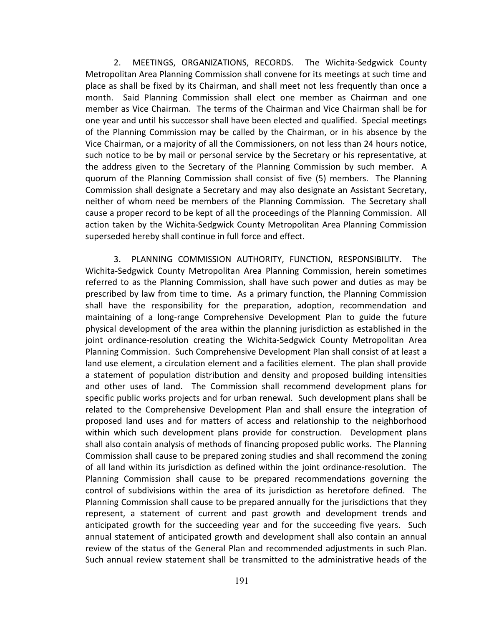2. MEETINGS, ORGANIZATIONS, RECORDS. The Wichita-Sedgwick County Metropolitan Area Planning Commission shall convene for its meetings at such time and place as shall be fixed by its Chairman, and shall meet not less frequently than once a month. Said Planning Commission shall elect one member as Chairman and one member as Vice Chairman. The terms of the Chairman and Vice Chairman shall be for one year and until his successor shall have been elected and qualified. Special meetings of the Planning Commission may be called by the Chairman, or in his absence by the Vice Chairman, or a majority of all the Commissioners, on not less than 24 hours notice, such notice to be by mail or personal service by the Secretary or his representative, at the address given to the Secretary of the Planning Commission by such member. A quorum of the Planning Commission shall consist of five (5) members. The Planning Commission shall designate a Secretary and may also designate an Assistant Secretary, neither of whom need be members of the Planning Commission. The Secretary shall cause a proper record to be kept of all the proceedings of the Planning Commission. All action taken by the Wichita-Sedgwick County Metropolitan Area Planning Commission superseded hereby shall continue in full force and effect.

3. PLANNING COMMISSION AUTHORITY, FUNCTION, RESPONSIBILITY. The Wichita-Sedgwick County Metropolitan Area Planning Commission, herein sometimes referred to as the Planning Commission, shall have such power and duties as may be prescribed by law from time to time. As a primary function, the Planning Commission shall have the responsibility for the preparation, adoption, recommendation and maintaining of a long-range Comprehensive Development Plan to guide the future physical development of the area within the planning jurisdiction as established in the joint ordinance-resolution creating the Wichita-Sedgwick County Metropolitan Area Planning Commission. Such Comprehensive Development Plan shall consist of at least a land use element, a circulation element and a facilities element. The plan shall provide a statement of population distribution and density and proposed building intensities and other uses of land. The Commission shall recommend development plans for specific public works projects and for urban renewal. Such development plans shall be related to the Comprehensive Development Plan and shall ensure the integration of proposed land uses and for matters of access and relationship to the neighborhood within which such development plans provide for construction. Development plans shall also contain analysis of methods of financing proposed public works. The Planning Commission shall cause to be prepared zoning studies and shall recommend the zoning of all land within its jurisdiction as defined within the joint ordinance-resolution. The Planning Commission shall cause to be prepared recommendations governing the control of subdivisions within the area of its jurisdiction as heretofore defined. The Planning Commission shall cause to be prepared annually for the jurisdictions that they represent, a statement of current and past growth and development trends and anticipated growth for the succeeding year and for the succeeding five years. Such annual statement of anticipated growth and development shall also contain an annual review of the status of the General Plan and recommended adjustments in such Plan. Such annual review statement shall be transmitted to the administrative heads of the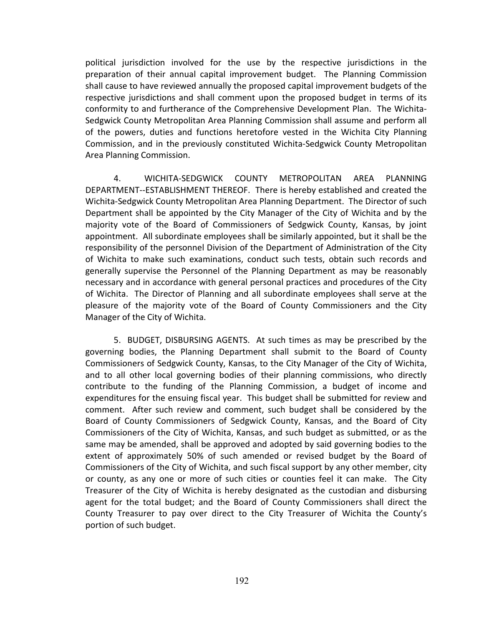political jurisdiction involved for the use by the respective jurisdictions in the preparation of their annual capital improvement budget. The Planning Commission shall cause to have reviewed annually the proposed capital improvement budgets of the respective jurisdictions and shall comment upon the proposed budget in terms of its conformity to and furtherance of the Comprehensive Development Plan. The Wichita-Sedgwick County Metropolitan Area Planning Commission shall assume and perform all of the powers, duties and functions heretofore vested in the Wichita City Planning Commission, and in the previously constituted Wichita-Sedgwick County Metropolitan Area Planning Commission.

4. WICHITA-SEDGWICK COUNTY METROPOLITAN AREA PLANNING DEPARTMENT--ESTABLISHMENT THEREOF. There is hereby established and created the Wichita-Sedgwick County Metropolitan Area Planning Department. The Director of such Department shall be appointed by the City Manager of the City of Wichita and by the majority vote of the Board of Commissioners of Sedgwick County, Kansas, by joint appointment. All subordinate employees shall be similarly appointed, but it shall be the responsibility of the personnel Division of the Department of Administration of the City of Wichita to make such examinations, conduct such tests, obtain such records and generally supervise the Personnel of the Planning Department as may be reasonably necessary and in accordance with general personal practices and procedures of the City of Wichita. The Director of Planning and all subordinate employees shall serve at the pleasure of the majority vote of the Board of County Commissioners and the City Manager of the City of Wichita.

5. BUDGET, DISBURSING AGENTS. At such times as may be prescribed by the governing bodies, the Planning Department shall submit to the Board of County Commissioners of Sedgwick County, Kansas, to the City Manager of the City of Wichita, and to all other local governing bodies of their planning commissions, who directly contribute to the funding of the Planning Commission, a budget of income and expenditures for the ensuing fiscal year. This budget shall be submitted for review and comment. After such review and comment, such budget shall be considered by the Board of County Commissioners of Sedgwick County, Kansas, and the Board of City Commissioners of the City of Wichita, Kansas, and such budget as submitted, or as the same may be amended, shall be approved and adopted by said governing bodies to the extent of approximately 50% of such amended or revised budget by the Board of Commissioners of the City of Wichita, and such fiscal support by any other member, city or county, as any one or more of such cities or counties feel it can make. The City Treasurer of the City of Wichita is hereby designated as the custodian and disbursing agent for the total budget; and the Board of County Commissioners shall direct the County Treasurer to pay over direct to the City Treasurer of Wichita the County's portion of such budget.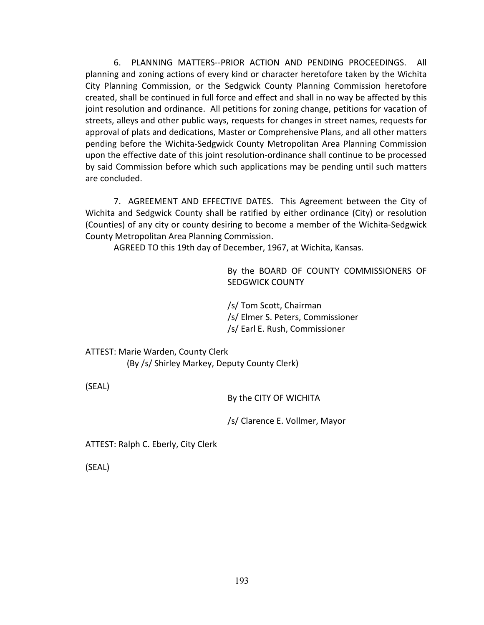6. PLANNING MATTERS--PRIOR ACTION AND PENDING PROCEEDINGS. All planning and zoning actions of every kind or character heretofore taken by the Wichita City Planning Commission, or the Sedgwick County Planning Commission heretofore created, shall be continued in full force and effect and shall in no way be affected by this joint resolution and ordinance. All petitions for zoning change, petitions for vacation of streets, alleys and other public ways, requests for changes in street names, requests for approval of plats and dedications, Master or Comprehensive Plans, and all other matters pending before the Wichita-Sedgwick County Metropolitan Area Planning Commission upon the effective date of this joint resolution-ordinance shall continue to be processed by said Commission before which such applications may be pending until such matters are concluded.

7. AGREEMENT AND EFFECTIVE DATES. This Agreement between the City of Wichita and Sedgwick County shall be ratified by either ordinance (City) or resolution (Counties) of any city or county desiring to become a member of the Wichita-Sedgwick County Metropolitan Area Planning Commission.

AGREED TO this 19th day of December, 1967, at Wichita, Kansas.

By the BOARD OF COUNTY COMMISSIONERS OF SEDGWICK COUNTY

/s/ Tom Scott, Chairman /s/ Elmer S. Peters, Commissioner /s/ Earl E. Rush, Commissioner

ATTEST: Marie Warden, County Clerk (By /s/ Shirley Markey, Deputy County Clerk)

(SEAL)

By the CITY OF WICHITA

/s/ Clarence E. Vollmer, Mayor

ATTEST: Ralph C. Eberly, City Clerk

(SEAL)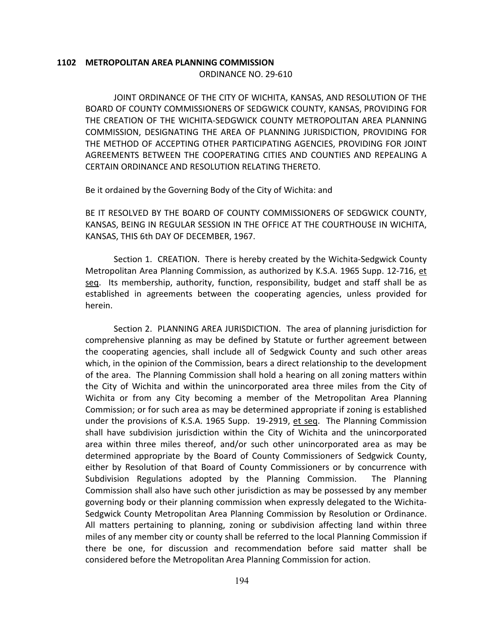#### **1102 METROPOLITAN AREA PLANNING COMMISSION** ORDINANCE NO. 29-610

JOINT ORDINANCE OF THE CITY OF WICHITA, KANSAS, AND RESOLUTION OF THE BOARD OF COUNTY COMMISSIONERS OF SEDGWICK COUNTY, KANSAS, PROVIDING FOR THE CREATION OF THE WICHITA-SEDGWICK COUNTY METROPOLITAN AREA PLANNING COMMISSION, DESIGNATING THE AREA OF PLANNING JURISDICTION, PROVIDING FOR THE METHOD OF ACCEPTING OTHER PARTICIPATING AGENCIES, PROVIDING FOR JOINT AGREEMENTS BETWEEN THE COOPERATING CITIES AND COUNTIES AND REPEALING A CERTAIN ORDINANCE AND RESOLUTION RELATING THERETO.

Be it ordained by the Governing Body of the City of Wichita: and

BE IT RESOLVED BY THE BOARD OF COUNTY COMMISSIONERS OF SEDGWICK COUNTY, KANSAS, BEING IN REGULAR SESSION IN THE OFFICE AT THE COURTHOUSE IN WICHITA, KANSAS, THIS 6th DAY OF DECEMBER, 1967.

Section 1. CREATION. There is hereby created by the Wichita-Sedgwick County Metropolitan Area Planning Commission, as authorized by K.S.A. 1965 Supp. 12-716, et seq. Its membership, authority, function, responsibility, budget and staff shall be as established in agreements between the cooperating agencies, unless provided for herein.

Section 2. PLANNING AREA JURISDICTION. The area of planning jurisdiction for comprehensive planning as may be defined by Statute or further agreement between the cooperating agencies, shall include all of Sedgwick County and such other areas which, in the opinion of the Commission, bears a direct relationship to the development of the area. The Planning Commission shall hold a hearing on all zoning matters within the City of Wichita and within the unincorporated area three miles from the City of Wichita or from any City becoming a member of the Metropolitan Area Planning Commission; or for such area as may be determined appropriate if zoning is established under the provisions of K.S.A. 1965 Supp. 19-2919, et seq. The Planning Commission shall have subdivision jurisdiction within the City of Wichita and the unincorporated area within three miles thereof, and/or such other unincorporated area as may be determined appropriate by the Board of County Commissioners of Sedgwick County, either by Resolution of that Board of County Commissioners or by concurrence with Subdivision Regulations adopted by the Planning Commission. The Planning Commission shall also have such other jurisdiction as may be possessed by any member governing body or their planning commission when expressly delegated to the Wichita-Sedgwick County Metropolitan Area Planning Commission by Resolution or Ordinance. All matters pertaining to planning, zoning or subdivision affecting land within three miles of any member city or county shall be referred to the local Planning Commission if there be one, for discussion and recommendation before said matter shall be considered before the Metropolitan Area Planning Commission for action.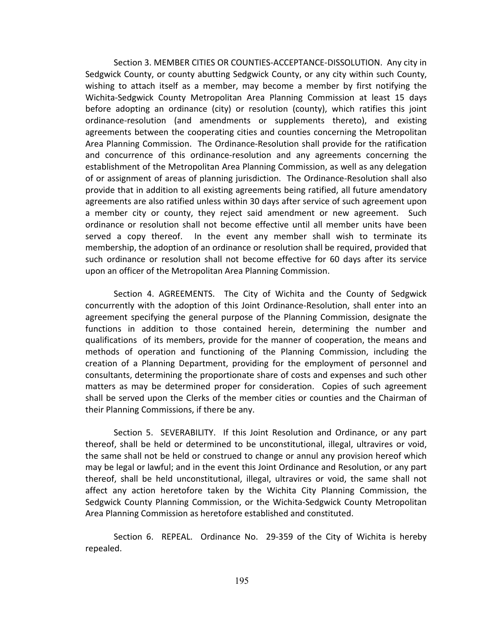Section 3. MEMBER CITIES OR COUNTIES-ACCEPTANCE-DISSOLUTION. Any city in Sedgwick County, or county abutting Sedgwick County, or any city within such County, wishing to attach itself as a member, may become a member by first notifying the Wichita-Sedgwick County Metropolitan Area Planning Commission at least 15 days before adopting an ordinance (city) or resolution (county), which ratifies this joint ordinance-resolution (and amendments or supplements thereto), and existing agreements between the cooperating cities and counties concerning the Metropolitan Area Planning Commission. The Ordinance-Resolution shall provide for the ratification and concurrence of this ordinance-resolution and any agreements concerning the establishment of the Metropolitan Area Planning Commission, as well as any delegation of or assignment of areas of planning jurisdiction. The Ordinance-Resolution shall also provide that in addition to all existing agreements being ratified, all future amendatory agreements are also ratified unless within 30 days after service of such agreement upon a member city or county, they reject said amendment or new agreement. Such ordinance or resolution shall not become effective until all member units have been served a copy thereof. In the event any member shall wish to terminate its membership, the adoption of an ordinance or resolution shall be required, provided that such ordinance or resolution shall not become effective for 60 days after its service upon an officer of the Metropolitan Area Planning Commission.

Section 4. AGREEMENTS. The City of Wichita and the County of Sedgwick concurrently with the adoption of this Joint Ordinance-Resolution, shall enter into an agreement specifying the general purpose of the Planning Commission, designate the functions in addition to those contained herein, determining the number and qualifications of its members, provide for the manner of cooperation, the means and methods of operation and functioning of the Planning Commission, including the creation of a Planning Department, providing for the employment of personnel and consultants, determining the proportionate share of costs and expenses and such other matters as may be determined proper for consideration. Copies of such agreement shall be served upon the Clerks of the member cities or counties and the Chairman of their Planning Commissions, if there be any.

Section 5. SEVERABILITY. If this Joint Resolution and Ordinance, or any part thereof, shall be held or determined to be unconstitutional, illegal, ultravires or void, the same shall not be held or construed to change or annul any provision hereof which may be legal or lawful; and in the event this Joint Ordinance and Resolution, or any part thereof, shall be held unconstitutional, illegal, ultravires or void, the same shall not affect any action heretofore taken by the Wichita City Planning Commission, the Sedgwick County Planning Commission, or the Wichita-Sedgwick County Metropolitan Area Planning Commission as heretofore established and constituted.

Section 6. REPEAL. Ordinance No. 29-359 of the City of Wichita is hereby repealed.